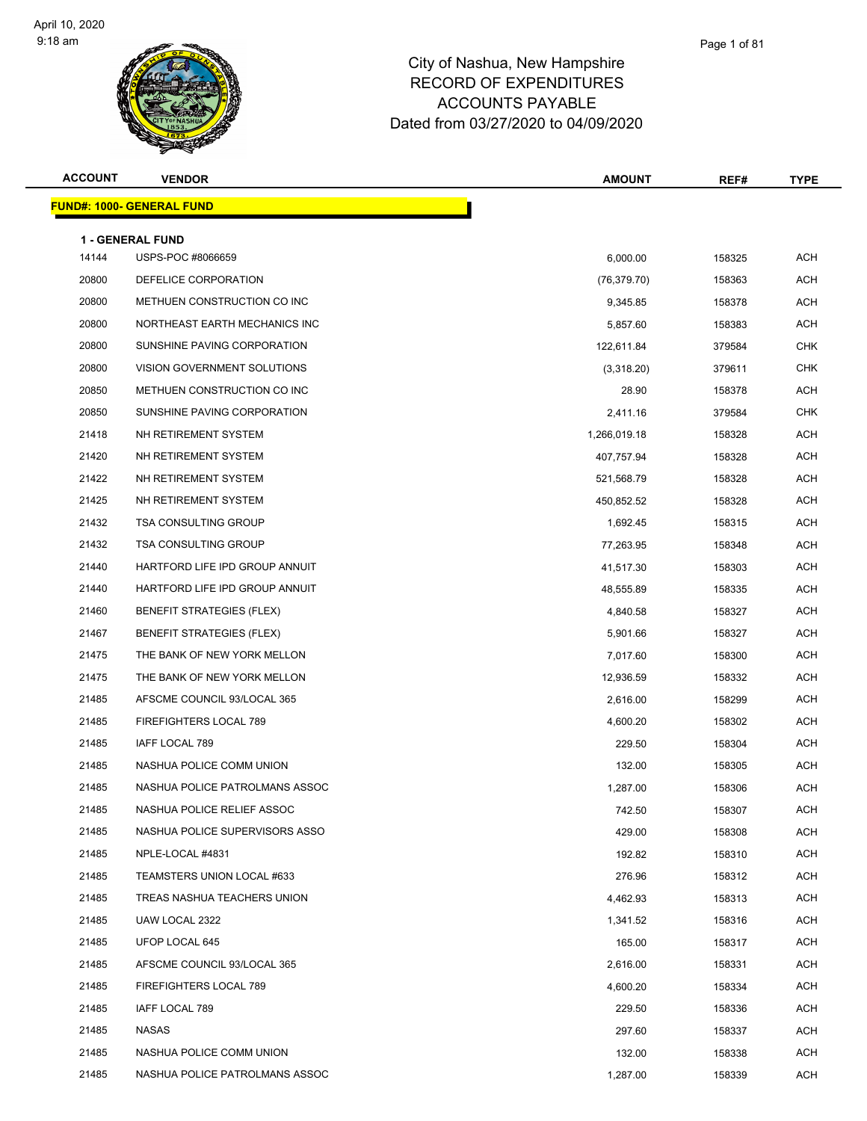

| <b>ACCOUNT</b> | <b>VENDOR</b>                     | <b>AMOUNT</b> | REF#   | <b>TYPE</b> |
|----------------|-----------------------------------|---------------|--------|-------------|
|                | <u> FUND#: 1000- GENERAL FUND</u> |               |        |             |
|                | <b>1 - GENERAL FUND</b>           |               |        |             |
| 14144          | USPS-POC #8066659                 | 6,000.00      | 158325 | <b>ACH</b>  |
| 20800          | DEFELICE CORPORATION              | (76, 379.70)  | 158363 | <b>ACH</b>  |
| 20800          | METHUEN CONSTRUCTION CO INC       | 9,345.85      | 158378 | <b>ACH</b>  |
| 20800          | NORTHEAST EARTH MECHANICS INC     | 5,857.60      | 158383 | <b>ACH</b>  |
| 20800          | SUNSHINE PAVING CORPORATION       | 122,611.84    | 379584 | <b>CHK</b>  |
| 20800          | VISION GOVERNMENT SOLUTIONS       | (3,318.20)    | 379611 | <b>CHK</b>  |
| 20850          | METHUEN CONSTRUCTION CO INC       | 28.90         | 158378 | <b>ACH</b>  |
| 20850          | SUNSHINE PAVING CORPORATION       | 2,411.16      | 379584 | <b>CHK</b>  |
| 21418          | NH RETIREMENT SYSTEM              | 1,266,019.18  | 158328 | <b>ACH</b>  |
| 21420          | NH RETIREMENT SYSTEM              | 407,757.94    | 158328 | <b>ACH</b>  |
| 21422          | NH RETIREMENT SYSTEM              | 521,568.79    | 158328 | <b>ACH</b>  |
| 21425          | NH RETIREMENT SYSTEM              | 450,852.52    | 158328 | <b>ACH</b>  |
| 21432          | <b>TSA CONSULTING GROUP</b>       | 1,692.45      | 158315 | <b>ACH</b>  |
| 21432          | <b>TSA CONSULTING GROUP</b>       | 77,263.95     | 158348 | <b>ACH</b>  |
| 21440          | HARTFORD LIFE IPD GROUP ANNUIT    | 41,517.30     | 158303 | <b>ACH</b>  |
| 21440          | HARTFORD LIFE IPD GROUP ANNUIT    | 48,555.89     | 158335 | <b>ACH</b>  |
| 21460          | <b>BENEFIT STRATEGIES (FLEX)</b>  | 4,840.58      | 158327 | <b>ACH</b>  |
| 21467          | <b>BENEFIT STRATEGIES (FLEX)</b>  | 5,901.66      | 158327 | <b>ACH</b>  |
| 21475          | THE BANK OF NEW YORK MELLON       | 7,017.60      | 158300 | <b>ACH</b>  |
| 21475          | THE BANK OF NEW YORK MELLON       | 12,936.59     | 158332 | <b>ACH</b>  |
| 21485          | AFSCME COUNCIL 93/LOCAL 365       | 2,616.00      | 158299 | <b>ACH</b>  |
| 21485          | FIREFIGHTERS LOCAL 789            | 4,600.20      | 158302 | <b>ACH</b>  |
| 21485          | IAFF LOCAL 789                    | 229.50        | 158304 | <b>ACH</b>  |
| 21485          | NASHUA POLICE COMM UNION          | 132.00        | 158305 | <b>ACH</b>  |
| 21485          | NASHUA POLICE PATROLMANS ASSOC    | 1,287.00      | 158306 | <b>ACH</b>  |
| 21485          | NASHUA POLICE RELIEF ASSOC        | 742.50        | 158307 | <b>ACH</b>  |
| 21485          | NASHUA POLICE SUPERVISORS ASSO    | 429.00        | 158308 | <b>ACH</b>  |
| 21485          | NPLE-LOCAL #4831                  | 192.82        | 158310 | <b>ACH</b>  |
| 21485          | TEAMSTERS UNION LOCAL #633        | 276.96        | 158312 | ACH         |
| 21485          | TREAS NASHUA TEACHERS UNION       | 4,462.93      | 158313 | ACH         |
| 21485          | UAW LOCAL 2322                    | 1,341.52      | 158316 | <b>ACH</b>  |
| 21485          | UFOP LOCAL 645                    | 165.00        | 158317 | <b>ACH</b>  |
| 21485          | AFSCME COUNCIL 93/LOCAL 365       | 2,616.00      | 158331 | <b>ACH</b>  |
| 21485          | FIREFIGHTERS LOCAL 789            | 4,600.20      | 158334 | <b>ACH</b>  |
| 21485          | IAFF LOCAL 789                    | 229.50        | 158336 | ACH         |
| 21485          | NASAS                             | 297.60        | 158337 | <b>ACH</b>  |
| 21485          | NASHUA POLICE COMM UNION          | 132.00        | 158338 | <b>ACH</b>  |
| 21485          | NASHUA POLICE PATROLMANS ASSOC    | 1,287.00      | 158339 | ACH         |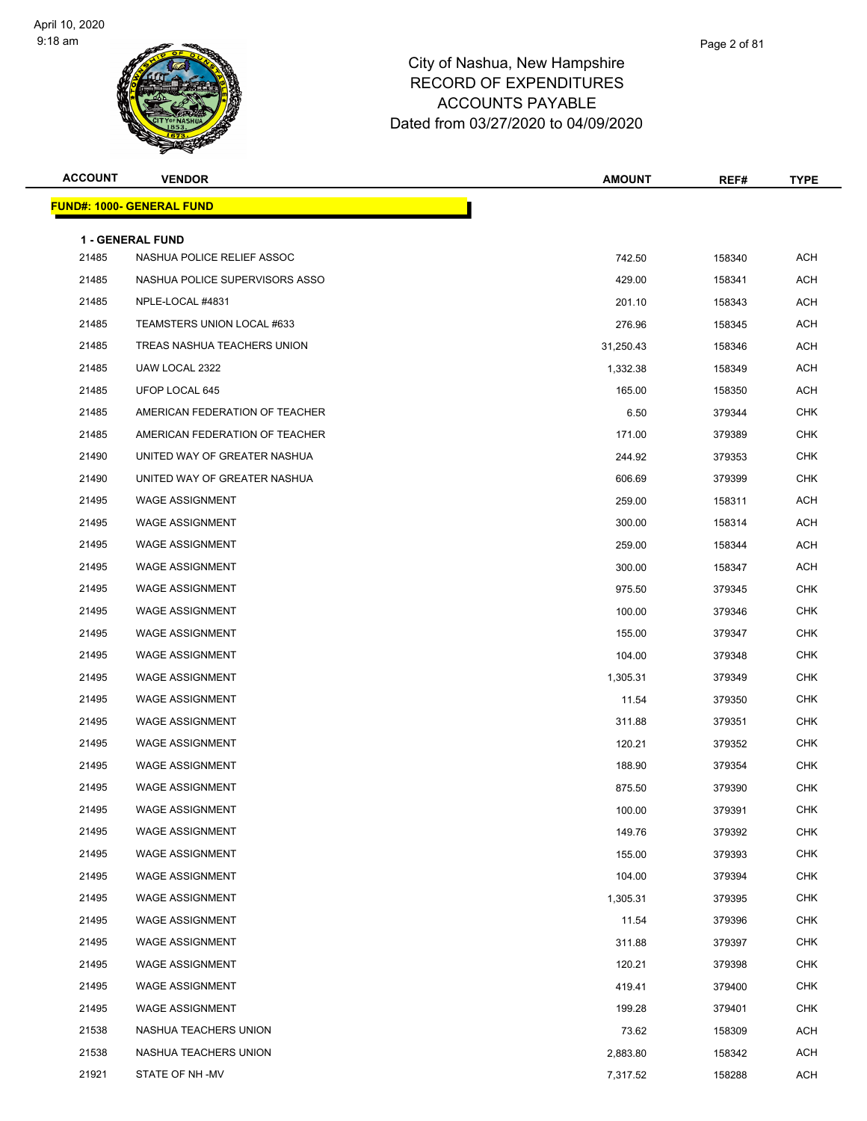

| <b>ACCOUNT</b> | <b>VENDOR</b>                     | <b>AMOUNT</b> | REF#   | <b>TYPE</b> |
|----------------|-----------------------------------|---------------|--------|-------------|
|                | <u> FUND#: 1000- GENERAL FUND</u> |               |        |             |
|                | 1 - GENERAL FUND                  |               |        |             |
| 21485          | NASHUA POLICE RELIEF ASSOC        | 742.50        | 158340 | <b>ACH</b>  |
| 21485          | NASHUA POLICE SUPERVISORS ASSO    | 429.00        | 158341 | <b>ACH</b>  |
| 21485          | NPLE-LOCAL #4831                  | 201.10        | 158343 | ACH         |
| 21485          | TEAMSTERS UNION LOCAL #633        | 276.96        | 158345 | ACH         |
| 21485          | TREAS NASHUA TEACHERS UNION       | 31,250.43     | 158346 | <b>ACH</b>  |
| 21485          | UAW LOCAL 2322                    | 1,332.38      | 158349 | ACH         |
| 21485          | UFOP LOCAL 645                    | 165.00        | 158350 | <b>ACH</b>  |
| 21485          | AMERICAN FEDERATION OF TEACHER    | 6.50          | 379344 | <b>CHK</b>  |
| 21485          | AMERICAN FEDERATION OF TEACHER    | 171.00        | 379389 | <b>CHK</b>  |
| 21490          | UNITED WAY OF GREATER NASHUA      | 244.92        | 379353 | <b>CHK</b>  |
| 21490          | UNITED WAY OF GREATER NASHUA      | 606.69        | 379399 | <b>CHK</b>  |
| 21495          | <b>WAGE ASSIGNMENT</b>            | 259.00        | 158311 | <b>ACH</b>  |
| 21495          | <b>WAGE ASSIGNMENT</b>            | 300.00        | 158314 | ACH         |
| 21495          | <b>WAGE ASSIGNMENT</b>            | 259.00        | 158344 | ACH         |
| 21495          | <b>WAGE ASSIGNMENT</b>            | 300.00        | 158347 | <b>ACH</b>  |
| 21495          | <b>WAGE ASSIGNMENT</b>            | 975.50        | 379345 | <b>CHK</b>  |
| 21495          | <b>WAGE ASSIGNMENT</b>            | 100.00        | 379346 | <b>CHK</b>  |
| 21495          | <b>WAGE ASSIGNMENT</b>            | 155.00        | 379347 | <b>CHK</b>  |
| 21495          | <b>WAGE ASSIGNMENT</b>            | 104.00        | 379348 | <b>CHK</b>  |
| 21495          | <b>WAGE ASSIGNMENT</b>            | 1,305.31      | 379349 | <b>CHK</b>  |
| 21495          | <b>WAGE ASSIGNMENT</b>            | 11.54         | 379350 | <b>CHK</b>  |
| 21495          | <b>WAGE ASSIGNMENT</b>            | 311.88        | 379351 | <b>CHK</b>  |
| 21495          | <b>WAGE ASSIGNMENT</b>            | 120.21        | 379352 | <b>CHK</b>  |
| 21495          | <b>WAGE ASSIGNMENT</b>            | 188.90        | 379354 | <b>CHK</b>  |
| 21495          | <b>WAGE ASSIGNMENT</b>            | 875.50        | 379390 | <b>CHK</b>  |
| 21495          | WAGE ASSIGNMENT                   | 100.00        | 379391 | <b>CHK</b>  |
| 21495          | <b>WAGE ASSIGNMENT</b>            | 149.76        | 379392 | <b>CHK</b>  |
| 21495          | <b>WAGE ASSIGNMENT</b>            | 155.00        | 379393 | <b>CHK</b>  |
| 21495          | <b>WAGE ASSIGNMENT</b>            | 104.00        | 379394 | <b>CHK</b>  |
| 21495          | <b>WAGE ASSIGNMENT</b>            | 1,305.31      | 379395 | <b>CHK</b>  |
| 21495          | <b>WAGE ASSIGNMENT</b>            | 11.54         | 379396 | <b>CHK</b>  |
| 21495          | <b>WAGE ASSIGNMENT</b>            | 311.88        | 379397 | <b>CHK</b>  |
| 21495          | <b>WAGE ASSIGNMENT</b>            | 120.21        | 379398 | <b>CHK</b>  |
| 21495          | <b>WAGE ASSIGNMENT</b>            | 419.41        | 379400 | <b>CHK</b>  |
| 21495          | <b>WAGE ASSIGNMENT</b>            | 199.28        | 379401 | <b>CHK</b>  |
| 21538          | NASHUA TEACHERS UNION             | 73.62         | 158309 | ACH         |
| 21538          | NASHUA TEACHERS UNION             | 2,883.80      | 158342 | <b>ACH</b>  |
| 21921          | STATE OF NH-MV                    | 7,317.52      | 158288 | <b>ACH</b>  |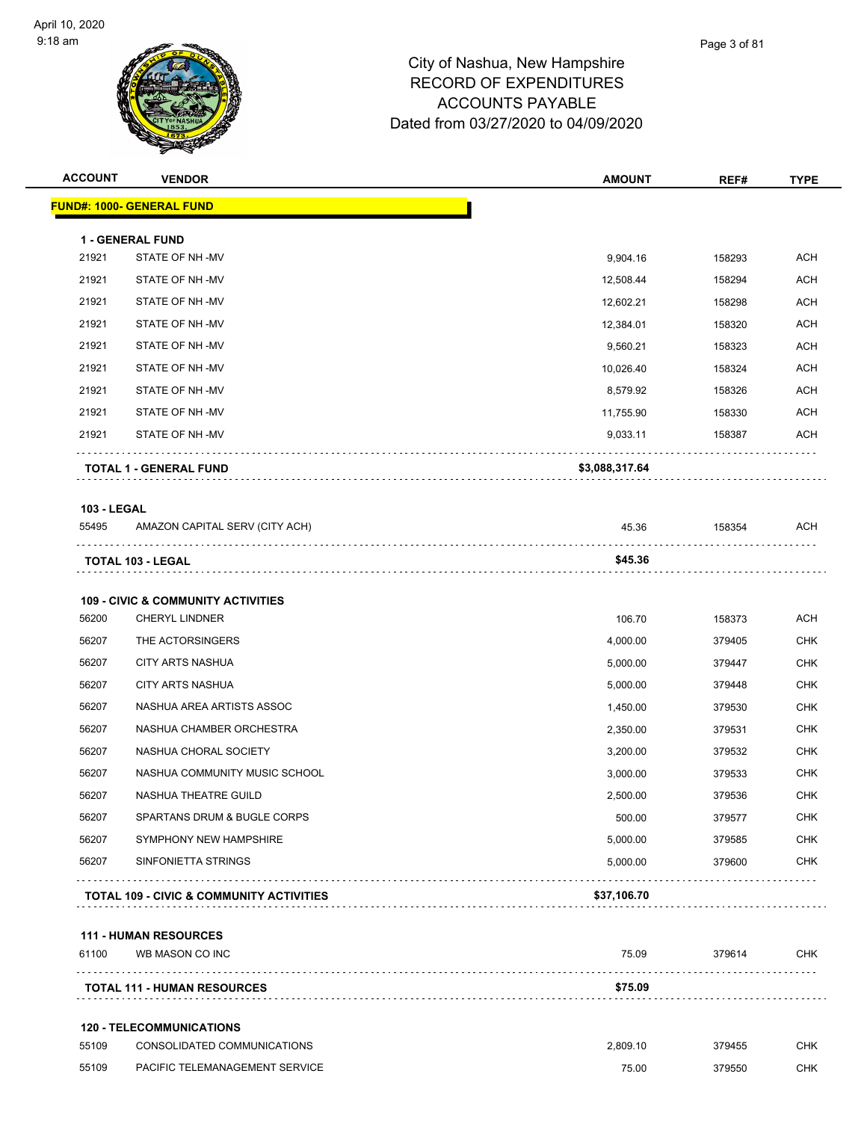| <b>ACCOUNT</b>     | <b>VENDOR</b>                                 | <b>AMOUNT</b>  | REF#   | <b>TYPE</b> |
|--------------------|-----------------------------------------------|----------------|--------|-------------|
|                    | <b>FUND#: 1000- GENERAL FUND</b>              |                |        |             |
|                    | <b>1 - GENERAL FUND</b>                       |                |        |             |
| 21921              | STATE OF NH-MV                                | 9,904.16       | 158293 | <b>ACH</b>  |
| 21921              | STATE OF NH-MV                                | 12,508.44      | 158294 | <b>ACH</b>  |
| 21921              | STATE OF NH-MV                                | 12,602.21      | 158298 | ACH         |
| 21921              | STATE OF NH-MV                                | 12,384.01      | 158320 | <b>ACH</b>  |
| 21921              | STATE OF NH-MV                                | 9,560.21       | 158323 | <b>ACH</b>  |
| 21921              | STATE OF NH-MV                                | 10,026.40      | 158324 | <b>ACH</b>  |
| 21921              | STATE OF NH-MV                                | 8,579.92       | 158326 | <b>ACH</b>  |
| 21921              | STATE OF NH-MV                                | 11,755.90      | 158330 | ACH         |
| 21921              | STATE OF NH -MV                               | 9,033.11       | 158387 | <b>ACH</b>  |
|                    | <b>TOTAL 1 - GENERAL FUND</b>                 | \$3,088,317.64 |        |             |
| <b>103 - LEGAL</b> |                                               |                |        |             |
| 55495              | AMAZON CAPITAL SERV (CITY ACH)                | 45.36          | 158354 | ACH         |
|                    | TOTAL 103 - LEGAL                             | \$45.36        |        |             |
|                    | <b>109 - CIVIC &amp; COMMUNITY ACTIVITIES</b> |                |        |             |
| 56200              | <b>CHERYL LINDNER</b>                         | 106.70         | 158373 | <b>ACH</b>  |
| 56207              | THE ACTORSINGERS                              | 4,000.00       | 379405 | <b>CHK</b>  |
| 56207              | <b>CITY ARTS NASHUA</b>                       | 5,000.00       | 379447 | <b>CHK</b>  |
| 56207              | <b>CITY ARTS NASHUA</b>                       | 5,000.00       | 379448 | <b>CHK</b>  |
| 56207              | NASHUA AREA ARTISTS ASSOC                     | 1,450.00       | 379530 | <b>CHK</b>  |
| 56207              | NASHUA CHAMBER ORCHESTRA                      | 2,350.00       | 379531 | <b>CHK</b>  |
| 56207              | NASHUA CHORAL SOCIETY                         | 3,200.00       | 379532 | <b>CHK</b>  |
| 56207              | NASHUA COMMUNITY MUSIC SCHOOL                 | 3,000.00       | 379533 | <b>CHK</b>  |
| 56207              | NASHUA THEATRE GUILD                          | 2,500.00       | 379536 | <b>CHK</b>  |
| 56207              | SPARTANS DRUM & BUGLE CORPS                   | 500.00         | 379577 | <b>CHK</b>  |
| 56207              | SYMPHONY NEW HAMPSHIRE                        | 5,000.00       | 379585 | <b>CHK</b>  |
| 56207              | SINFONIETTA STRINGS                           | 5,000.00       | 379600 | <b>CHK</b>  |
|                    | CIVIC & COMMUNITY ACTIVITIES<br>$\sqrt{2}$    | ¢?7 1NG 7N     |        |             |

**TOTAL 109 - CIVIC & COMMUNITY ACTIVITIES \$37,106.70**

### **111 - HUMAN RESOURCES**

| 61100 | WB MASON CO INC                    | 75.09    | 379614 | <b>CHK</b> |
|-------|------------------------------------|----------|--------|------------|
|       | <b>TOTAL 111 - HUMAN RESOURCES</b> | \$75.09  |        |            |
|       | <b>120 - TELECOMMUNICATIONS</b>    |          |        |            |
| 55109 | CONSOLIDATED COMMUNICATIONS        | 2.809.10 | 379455 | <b>CHK</b> |
| 55109 | PACIFIC TELEMANAGEMENT SERVICE     | 75.00    | 379550 | СНК        |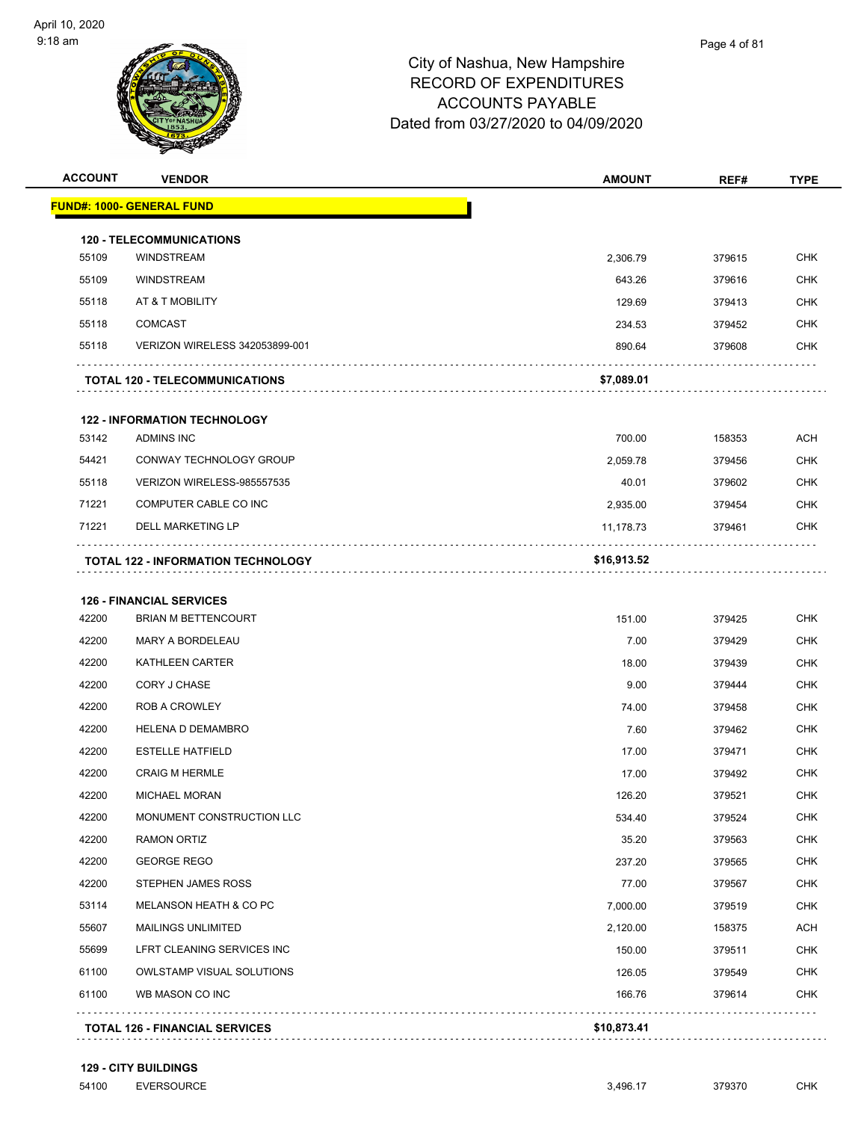

| <b>ACCOUNT</b> | <b>VENDOR</b>                             | <b>AMOUNT</b> | REF#   | <b>TYPE</b> |
|----------------|-------------------------------------------|---------------|--------|-------------|
|                | <b>FUND#: 1000- GENERAL FUND</b>          |               |        |             |
|                | <b>120 - TELECOMMUNICATIONS</b>           |               |        |             |
| 55109          | <b>WINDSTREAM</b>                         | 2,306.79      | 379615 | <b>CHK</b>  |
| 55109          | <b>WINDSTREAM</b>                         | 643.26        | 379616 | <b>CHK</b>  |
| 55118          | AT & T MOBILITY                           | 129.69        | 379413 | <b>CHK</b>  |
| 55118          | <b>COMCAST</b>                            | 234.53        | 379452 | <b>CHK</b>  |
| 55118          | VERIZON WIRELESS 342053899-001            | 890.64        | 379608 | <b>CHK</b>  |
|                | <b>TOTAL 120 - TELECOMMUNICATIONS</b>     | \$7,089.01    |        |             |
|                | <b>122 - INFORMATION TECHNOLOGY</b>       |               |        |             |
| 53142          | <b>ADMINS INC</b>                         | 700.00        | 158353 | <b>ACH</b>  |
| 54421          | CONWAY TECHNOLOGY GROUP                   | 2,059.78      | 379456 | <b>CHK</b>  |
| 55118          | VERIZON WIRELESS-985557535                | 40.01         | 379602 | <b>CHK</b>  |
| 71221          | COMPUTER CABLE CO INC                     | 2,935.00      | 379454 | <b>CHK</b>  |
| 71221          | <b>DELL MARKETING LP</b>                  | 11,178.73     | 379461 | <b>CHK</b>  |
|                | <b>TOTAL 122 - INFORMATION TECHNOLOGY</b> | \$16,913.52   |        |             |
|                | <b>126 - FINANCIAL SERVICES</b>           |               |        |             |
| 42200          | <b>BRIAN M BETTENCOURT</b>                | 151.00        | 379425 | <b>CHK</b>  |
| 42200          | MARY A BORDELEAU                          | 7.00          | 379429 | <b>CHK</b>  |
| 42200          | KATHLEEN CARTER                           | 18.00         | 379439 | <b>CHK</b>  |
| 42200          | CORY J CHASE                              | 9.00          | 379444 | <b>CHK</b>  |
| 42200          | <b>ROB A CROWLEY</b>                      | 74.00         | 379458 | <b>CHK</b>  |
| 42200          | <b>HELENA D DEMAMBRO</b>                  | 7.60          | 379462 | <b>CHK</b>  |
| 42200          | <b>ESTELLE HATFIELD</b>                   | 17.00         | 379471 | <b>CHK</b>  |
| 42200          | <b>CRAIG M HERMLE</b>                     | 17.00         | 379492 | <b>CHK</b>  |
| 42200          | <b>MICHAEL MORAN</b>                      | 126.20        | 379521 | <b>CHK</b>  |
| 42200          | MONUMENT CONSTRUCTION LLC                 | 534.40        | 379524 | <b>CHK</b>  |
| 42200          | <b>RAMON ORTIZ</b>                        | 35.20         | 379563 | <b>CHK</b>  |
| 42200          | <b>GEORGE REGO</b>                        | 237.20        | 379565 | <b>CHK</b>  |
| 42200          | STEPHEN JAMES ROSS                        | 77.00         | 379567 | <b>CHK</b>  |
| 53114          | MELANSON HEATH & CO PC                    | 7,000.00      | 379519 | <b>CHK</b>  |
| 55607          | <b>MAILINGS UNLIMITED</b>                 | 2,120.00      | 158375 | ACH         |
| 55699          | LFRT CLEANING SERVICES INC                | 150.00        | 379511 | <b>CHK</b>  |
| 61100          | OWLSTAMP VISUAL SOLUTIONS                 | 126.05        | 379549 | CHK         |
| 61100          | WB MASON CO INC                           | 166.76        | 379614 | <b>CHK</b>  |
|                |                                           |               |        |             |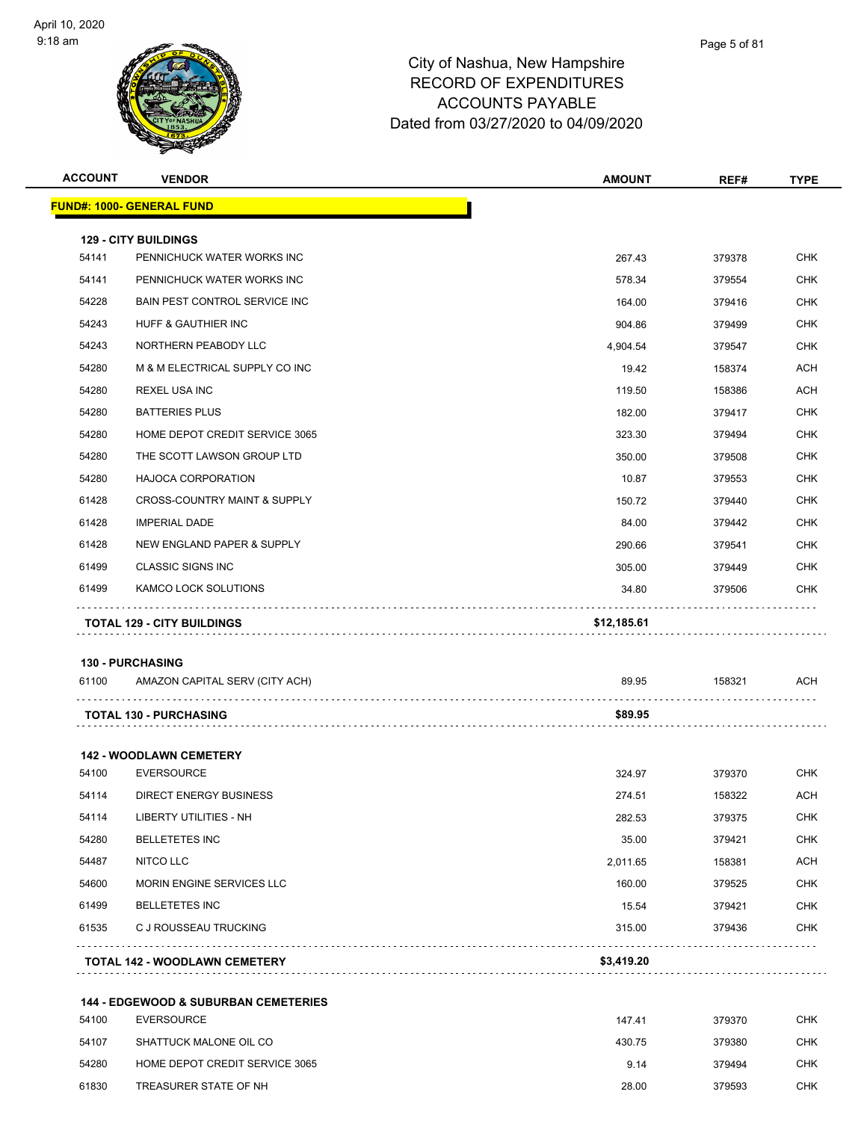

| <b>ACCOUNT</b> | <b>VENDOR</b>                                                        | <b>AMOUNT</b> | REF#   | <b>TYPE</b> |
|----------------|----------------------------------------------------------------------|---------------|--------|-------------|
|                | <b>FUND#: 1000- GENERAL FUND</b>                                     |               |        |             |
|                |                                                                      |               |        |             |
| 54141          | <b>129 - CITY BUILDINGS</b><br>PENNICHUCK WATER WORKS INC            | 267.43        | 379378 | <b>CHK</b>  |
| 54141          | PENNICHUCK WATER WORKS INC                                           | 578.34        | 379554 | <b>CHK</b>  |
| 54228          | BAIN PEST CONTROL SERVICE INC                                        | 164.00        | 379416 | <b>CHK</b>  |
| 54243          | HUFF & GAUTHIER INC                                                  | 904.86        | 379499 | <b>CHK</b>  |
| 54243          | NORTHERN PEABODY LLC                                                 | 4,904.54      | 379547 | <b>CHK</b>  |
| 54280          | M & M ELECTRICAL SUPPLY CO INC                                       | 19.42         | 158374 | <b>ACH</b>  |
| 54280          | <b>REXEL USA INC</b>                                                 | 119.50        | 158386 | ACH         |
| 54280          | <b>BATTERIES PLUS</b>                                                | 182.00        | 379417 | <b>CHK</b>  |
| 54280          | HOME DEPOT CREDIT SERVICE 3065                                       | 323.30        | 379494 | <b>CHK</b>  |
| 54280          | THE SCOTT LAWSON GROUP LTD                                           | 350.00        | 379508 | <b>CHK</b>  |
| 54280          | HAJOCA CORPORATION                                                   | 10.87         | 379553 | <b>CHK</b>  |
| 61428          | <b>CROSS-COUNTRY MAINT &amp; SUPPLY</b>                              | 150.72        | 379440 | <b>CHK</b>  |
| 61428          | <b>IMPERIAL DADE</b>                                                 | 84.00         | 379442 | <b>CHK</b>  |
| 61428          | NEW ENGLAND PAPER & SUPPLY                                           | 290.66        | 379541 | <b>CHK</b>  |
| 61499          | <b>CLASSIC SIGNS INC</b>                                             | 305.00        | 379449 | <b>CHK</b>  |
| 61499          | KAMCO LOCK SOLUTIONS                                                 | 34.80         | 379506 | <b>CHK</b>  |
|                |                                                                      |               |        |             |
|                | <b>TOTAL 129 - CITY BUILDINGS</b>                                    | \$12,185.61   |        |             |
|                | <b>130 - PURCHASING</b>                                              |               |        |             |
| 61100          | AMAZON CAPITAL SERV (CITY ACH)                                       | 89.95         | 158321 | <b>ACH</b>  |
|                | <b>TOTAL 130 - PURCHASING</b>                                        | \$89.95       |        |             |
|                |                                                                      |               |        |             |
|                | <b>142 - WOODLAWN CEMETERY</b>                                       |               |        |             |
| 54100          | <b>EVERSOURCE</b>                                                    | 324.97        | 379370 | CHK         |
| 54114          | <b>DIRECT ENERGY BUSINESS</b>                                        | 274.51        | 158322 | <b>ACH</b>  |
| 54114          | LIBERTY UTILITIES - NH                                               | 282.53        | 379375 | <b>CHK</b>  |
| 54280          | <b>BELLETETES INC</b>                                                | 35.00         | 379421 | <b>CHK</b>  |
| 54487          | <b>NITCO LLC</b>                                                     | 2,011.65      | 158381 | <b>ACH</b>  |
| 54600          | MORIN ENGINE SERVICES LLC                                            | 160.00        | 379525 | CHK         |
| 61499          | <b>BELLETETES INC</b>                                                | 15.54         | 379421 | <b>CHK</b>  |
| 61535          | C J ROUSSEAU TRUCKING                                                | 315.00        | 379436 | <b>CHK</b>  |
|                | <b>TOTAL 142 - WOODLAWN CEMETERY</b>                                 | \$3,419.20    | .      |             |
|                |                                                                      |               |        |             |
| 54100          | <b>144 - EDGEWOOD &amp; SUBURBAN CEMETERIES</b><br><b>EVERSOURCE</b> | 147.41        | 379370 | <b>CHK</b>  |
| 54107          | SHATTUCK MALONE OIL CO                                               | 430.75        | 379380 | <b>CHK</b>  |
| 54280          | HOME DEPOT CREDIT SERVICE 3065                                       | 9.14          | 379494 | <b>CHK</b>  |
| 61830          | TREASURER STATE OF NH                                                | 28.00         | 379593 | <b>CHK</b>  |
|                |                                                                      |               |        |             |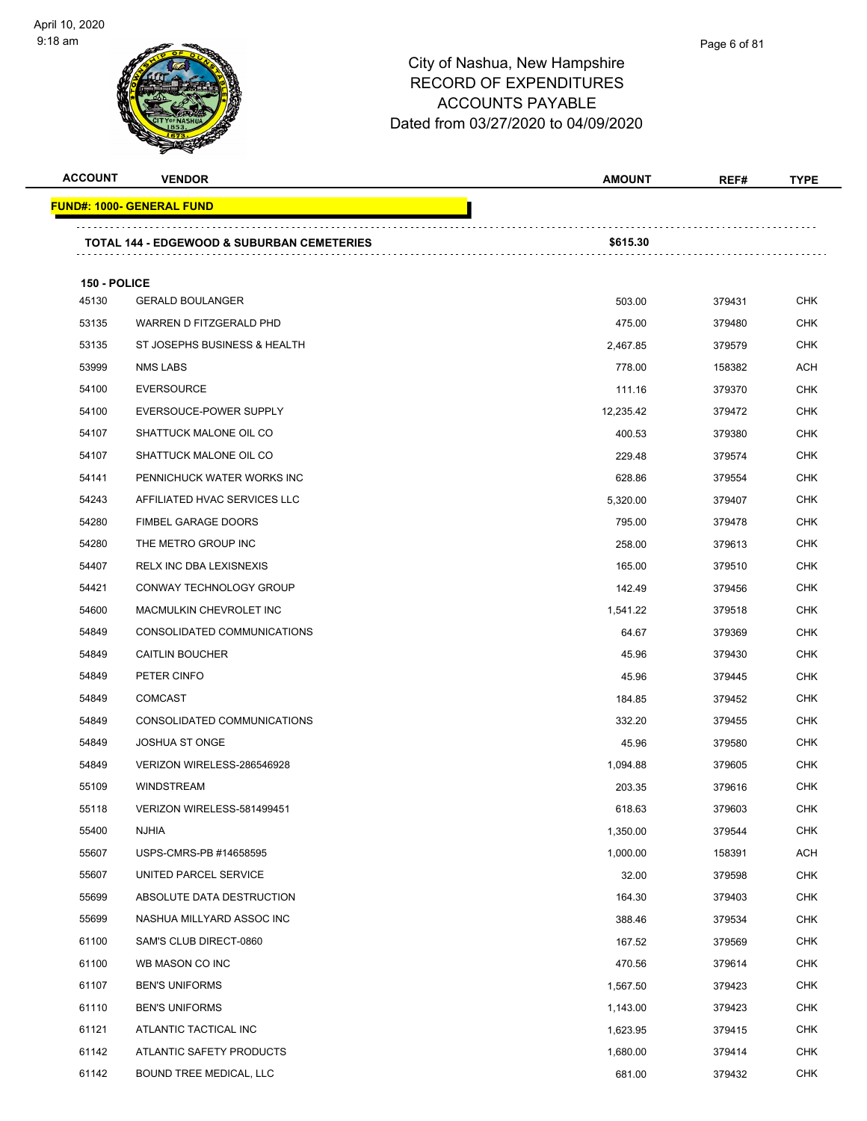

| <b>ACCOUNT</b> | <b>VENDOR</b>                                         | <b>AMOUNT</b> | REF#   | <b>TYPE</b> |
|----------------|-------------------------------------------------------|---------------|--------|-------------|
|                | <b>FUND#: 1000- GENERAL FUND</b>                      |               |        |             |
|                | <b>TOTAL 144 - EDGEWOOD &amp; SUBURBAN CEMETERIES</b> | \$615.30      |        |             |
| 150 - POLICE   |                                                       |               |        |             |
| 45130          | <b>GERALD BOULANGER</b>                               | 503.00        | 379431 | <b>CHK</b>  |
| 53135          | WARREN D FITZGERALD PHD                               | 475.00        | 379480 | <b>CHK</b>  |
| 53135          | ST JOSEPHS BUSINESS & HEALTH                          | 2,467.85      | 379579 | <b>CHK</b>  |
| 53999          | <b>NMS LABS</b>                                       | 778.00        | 158382 | <b>ACH</b>  |
| 54100          | <b>EVERSOURCE</b>                                     | 111.16        | 379370 | <b>CHK</b>  |
| 54100          | EVERSOUCE-POWER SUPPLY                                | 12,235.42     | 379472 | <b>CHK</b>  |
| 54107          | SHATTUCK MALONE OIL CO                                | 400.53        | 379380 | <b>CHK</b>  |
| 54107          | SHATTUCK MALONE OIL CO                                | 229.48        | 379574 | <b>CHK</b>  |
| 54141          | PENNICHUCK WATER WORKS INC                            | 628.86        | 379554 | <b>CHK</b>  |
| 54243          | AFFILIATED HVAC SERVICES LLC                          | 5,320.00      | 379407 | <b>CHK</b>  |
| 54280          | <b>FIMBEL GARAGE DOORS</b>                            | 795.00        | 379478 | CHK         |
| 54280          | THE METRO GROUP INC                                   | 258.00        | 379613 | <b>CHK</b>  |
| 54407          | RELX INC DBA LEXISNEXIS                               | 165.00        | 379510 | <b>CHK</b>  |
| 54421          | CONWAY TECHNOLOGY GROUP                               | 142.49        | 379456 | <b>CHK</b>  |
| 54600          | MACMULKIN CHEVROLET INC                               | 1,541.22      | 379518 | <b>CHK</b>  |
| 54849          | CONSOLIDATED COMMUNICATIONS                           | 64.67         | 379369 | <b>CHK</b>  |
| 54849          | <b>CAITLIN BOUCHER</b>                                | 45.96         | 379430 | <b>CHK</b>  |
| 54849          | PETER CINFO                                           | 45.96         | 379445 | <b>CHK</b>  |
| 54849          | <b>COMCAST</b>                                        | 184.85        | 379452 | <b>CHK</b>  |
| 54849          | CONSOLIDATED COMMUNICATIONS                           | 332.20        | 379455 | <b>CHK</b>  |
| 54849          | <b>JOSHUA ST ONGE</b>                                 | 45.96         | 379580 | CHK         |
| 54849          | VERIZON WIRELESS-286546928                            | 1,094.88      | 379605 | <b>CHK</b>  |
| 55109          | <b>WINDSTREAM</b>                                     | 203.35        | 379616 | <b>CHK</b>  |
| 55118          | VERIZON WIRELESS-581499451                            | 618.63        | 379603 | <b>CHK</b>  |
| 55400          | <b>NJHIA</b>                                          | 1,350.00      | 379544 | <b>CHK</b>  |
| 55607          | USPS-CMRS-PB #14658595                                | 1,000.00      | 158391 | <b>ACH</b>  |
| 55607          | UNITED PARCEL SERVICE                                 | 32.00         | 379598 | <b>CHK</b>  |
| 55699          | ABSOLUTE DATA DESTRUCTION                             | 164.30        | 379403 | <b>CHK</b>  |
| 55699          | NASHUA MILLYARD ASSOC INC                             | 388.46        | 379534 | <b>CHK</b>  |
| 61100          | SAM'S CLUB DIRECT-0860                                | 167.52        | 379569 | <b>CHK</b>  |
| 61100          | WB MASON CO INC                                       | 470.56        | 379614 | <b>CHK</b>  |
| 61107          | <b>BEN'S UNIFORMS</b>                                 | 1,567.50      | 379423 | <b>CHK</b>  |
| 61110          | <b>BEN'S UNIFORMS</b>                                 | 1,143.00      | 379423 | <b>CHK</b>  |
| 61121          | ATLANTIC TACTICAL INC                                 | 1,623.95      | 379415 | <b>CHK</b>  |
| 61142          | ATLANTIC SAFETY PRODUCTS                              | 1,680.00      | 379414 | <b>CHK</b>  |
| 61142          | BOUND TREE MEDICAL, LLC                               | 681.00        | 379432 | <b>CHK</b>  |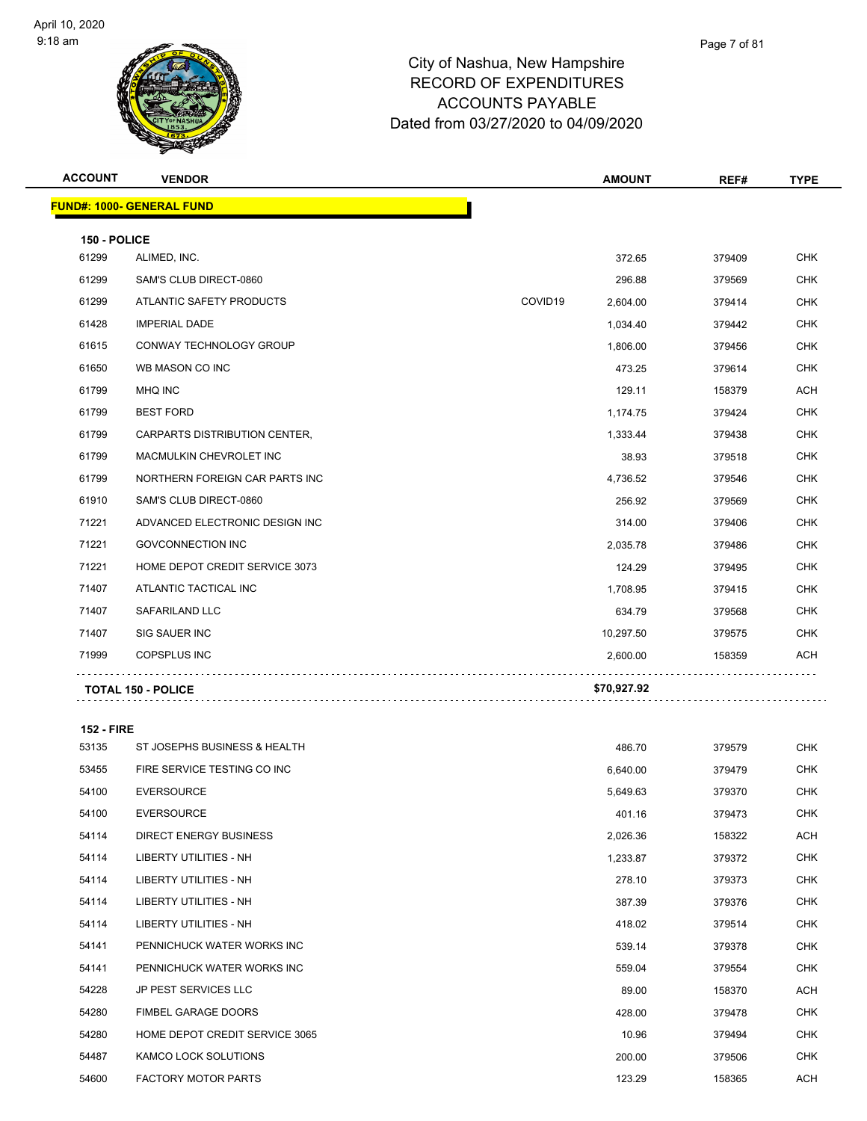

| am,<br>W       |               | AUUUUNTS PATABLE<br>Dated from 03/27/2020 to 04/09/2020 |      |             |
|----------------|---------------|---------------------------------------------------------|------|-------------|
| <b>ACCOUNT</b> | <b>VENDOR</b> | <b>AMOUNT</b>                                           | REF# | <b>TYPE</b> |
|                |               |                                                         |      |             |

|              | <b>FUND#: 1000- GENERAL FUND</b> |         |             |        |            |
|--------------|----------------------------------|---------|-------------|--------|------------|
| 150 - POLICE |                                  |         |             |        |            |
| 61299        | ALIMED, INC.                     |         | 372.65      | 379409 | <b>CHK</b> |
| 61299        | SAM'S CLUB DIRECT-0860           |         | 296.88      | 379569 | <b>CHK</b> |
| 61299        | ATLANTIC SAFETY PRODUCTS         | COVID19 | 2,604.00    | 379414 | <b>CHK</b> |
| 61428        | <b>IMPERIAL DADE</b>             |         | 1,034.40    | 379442 | <b>CHK</b> |
| 61615        | <b>CONWAY TECHNOLOGY GROUP</b>   |         | 1,806.00    | 379456 | <b>CHK</b> |
| 61650        | WB MASON CO INC                  |         | 473.25      | 379614 | <b>CHK</b> |
| 61799        | <b>MHQ INC</b>                   |         | 129.11      | 158379 | <b>ACH</b> |
| 61799        | <b>BEST FORD</b>                 |         | 1,174.75    | 379424 | <b>CHK</b> |
| 61799        | CARPARTS DISTRIBUTION CENTER,    |         | 1,333.44    | 379438 | <b>CHK</b> |
| 61799        | MACMULKIN CHEVROLET INC          |         | 38.93       | 379518 | <b>CHK</b> |
| 61799        | NORTHERN FOREIGN CAR PARTS INC   |         | 4,736.52    | 379546 | <b>CHK</b> |
| 61910        | SAM'S CLUB DIRECT-0860           |         | 256.92      | 379569 | <b>CHK</b> |
| 71221        | ADVANCED ELECTRONIC DESIGN INC   |         | 314.00      | 379406 | <b>CHK</b> |
| 71221        | <b>GOVCONNECTION INC</b>         |         | 2,035.78    | 379486 | <b>CHK</b> |
| 71221        | HOME DEPOT CREDIT SERVICE 3073   |         | 124.29      | 379495 | <b>CHK</b> |
| 71407        | ATLANTIC TACTICAL INC            |         | 1,708.95    | 379415 | <b>CHK</b> |
| 71407        | <b>SAFARILAND LLC</b>            |         | 634.79      | 379568 | <b>CHK</b> |
| 71407        | SIG SAUER INC                    |         | 10,297.50   | 379575 | <b>CHK</b> |
| 71999        | <b>COPSPLUS INC</b>              |         | 2,600.00    | 158359 | <b>ACH</b> |
|              | <b>TOTAL 150 - POLICE</b>        |         | \$70,927.92 |        |            |

#### **152 - FIRE**

| 53135 | ST JOSEPHS BUSINESS & HEALTH   | 486.70   | 379579 | <b>CHK</b> |
|-------|--------------------------------|----------|--------|------------|
| 53455 | FIRE SERVICE TESTING CO INC    | 6,640.00 | 379479 | <b>CHK</b> |
| 54100 | <b>EVERSOURCE</b>              | 5,649.63 | 379370 | <b>CHK</b> |
| 54100 | <b>EVERSOURCE</b>              | 401.16   | 379473 | <b>CHK</b> |
| 54114 | <b>DIRECT ENERGY BUSINESS</b>  | 2,026.36 | 158322 | ACH        |
| 54114 | <b>LIBERTY UTILITIES - NH</b>  | 1,233.87 | 379372 | <b>CHK</b> |
| 54114 | <b>LIBERTY UTILITIES - NH</b>  | 278.10   | 379373 | <b>CHK</b> |
| 54114 | <b>LIBERTY UTILITIES - NH</b>  | 387.39   | 379376 | <b>CHK</b> |
| 54114 | <b>LIBERTY UTILITIES - NH</b>  | 418.02   | 379514 | <b>CHK</b> |
| 54141 | PENNICHUCK WATER WORKS INC     | 539.14   | 379378 | <b>CHK</b> |
| 54141 | PENNICHUCK WATER WORKS INC     | 559.04   | 379554 | <b>CHK</b> |
| 54228 | JP PEST SERVICES LLC           | 89.00    | 158370 | ACH        |
| 54280 | <b>FIMBEL GARAGE DOORS</b>     | 428.00   | 379478 | <b>CHK</b> |
| 54280 | HOME DEPOT CREDIT SERVICE 3065 | 10.96    | 379494 | <b>CHK</b> |
| 54487 | <b>KAMCO LOCK SOLUTIONS</b>    | 200.00   | 379506 | <b>CHK</b> |
| 54600 | <b>FACTORY MOTOR PARTS</b>     | 123.29   | 158365 | ACH        |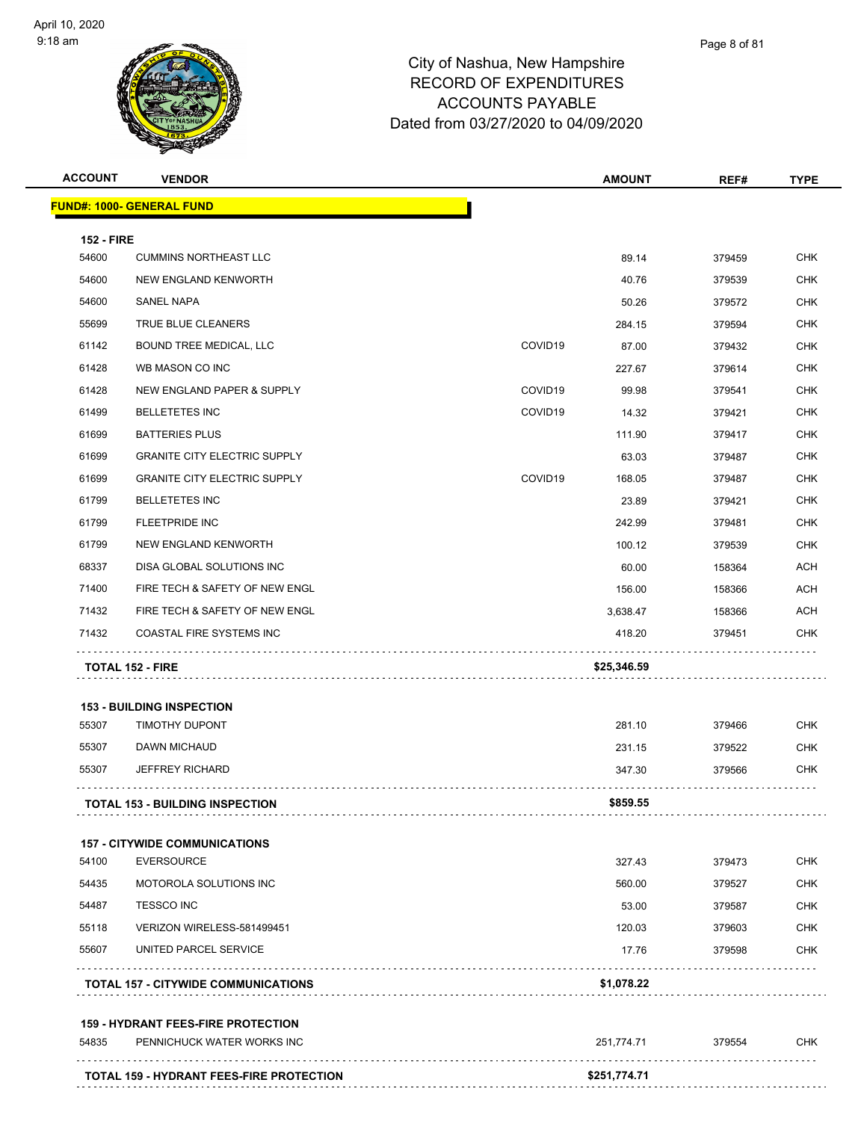| <b>ACCOUNT</b>    | <b>VENDOR</b>                              |                     | <b>AMOUNT</b> | REF#   | <b>TYPE</b> |
|-------------------|--------------------------------------------|---------------------|---------------|--------|-------------|
|                   | <u> FUND#: 1000- GENERAL FUND</u>          |                     |               |        |             |
| <b>152 - FIRE</b> |                                            |                     |               |        |             |
| 54600             | <b>CUMMINS NORTHEAST LLC</b>               |                     | 89.14         | 379459 | <b>CHK</b>  |
| 54600             | NEW ENGLAND KENWORTH                       |                     | 40.76         | 379539 | <b>CHK</b>  |
| 54600             | SANEL NAPA                                 |                     | 50.26         | 379572 | <b>CHK</b>  |
| 55699             | TRUE BLUE CLEANERS                         |                     | 284.15        | 379594 | <b>CHK</b>  |
| 61142             | <b>BOUND TREE MEDICAL, LLC</b>             | COVID19             | 87.00         | 379432 | CHK         |
| 61428             | WB MASON CO INC                            |                     | 227.67        | 379614 | <b>CHK</b>  |
| 61428             | NEW ENGLAND PAPER & SUPPLY                 | COVID <sub>19</sub> | 99.98         | 379541 | CHK         |
| 61499             | <b>BELLETETES INC</b>                      | COVID19             | 14.32         | 379421 | <b>CHK</b>  |
| 61699             | <b>BATTERIES PLUS</b>                      |                     | 111.90        | 379417 | <b>CHK</b>  |
| 61699             | <b>GRANITE CITY ELECTRIC SUPPLY</b>        |                     | 63.03         | 379487 | CHK         |
| 61699             | <b>GRANITE CITY ELECTRIC SUPPLY</b>        | COVID19             | 168.05        | 379487 | <b>CHK</b>  |
| 61799             | <b>BELLETETES INC</b>                      |                     | 23.89         | 379421 | <b>CHK</b>  |
| 61799             | FLEETPRIDE INC                             |                     | 242.99        | 379481 | <b>CHK</b>  |
| 61799             | NEW ENGLAND KENWORTH                       |                     | 100.12        | 379539 | <b>CHK</b>  |
| 68337             | DISA GLOBAL SOLUTIONS INC                  |                     | 60.00         | 158364 | <b>ACH</b>  |
| 71400             | FIRE TECH & SAFETY OF NEW ENGL             |                     | 156.00        | 158366 | <b>ACH</b>  |
| 71432             | FIRE TECH & SAFETY OF NEW ENGL             |                     | 3,638.47      | 158366 | ACH         |
| 71432             | COASTAL FIRE SYSTEMS INC                   |                     | 418.20        | 379451 | <b>CHK</b>  |
|                   | <b>TOTAL 152 - FIRE</b>                    |                     | \$25,346.59   |        |             |
|                   |                                            |                     |               |        |             |
|                   | <b>153 - BUILDING INSPECTION</b>           |                     |               |        |             |
| 55307             | <b>TIMOTHY DUPONT</b>                      |                     | 281.10        | 379466 | <b>CHK</b>  |
| 55307             | DAWN MICHAUD                               |                     | 231.15        | 379522 | <b>CHK</b>  |
| 55307             | <b>JEFFREY RICHARD</b>                     |                     | 347.30        | 379566 | <b>CHK</b>  |
|                   | <b>TOTAL 153 - BUILDING INSPECTION</b>     |                     | \$859.55      |        |             |
|                   | <b>157 - CITYWIDE COMMUNICATIONS</b>       |                     |               |        |             |
| 54100             | <b>EVERSOURCE</b>                          |                     | 327.43        | 379473 | <b>CHK</b>  |
| 54435             | MOTOROLA SOLUTIONS INC                     |                     | 560.00        | 379527 | <b>CHK</b>  |
| 54487             | <b>TESSCO INC</b>                          |                     | 53.00         | 379587 | CHK         |
| 55118             | VERIZON WIRELESS-581499451                 |                     | 120.03        | 379603 | <b>CHK</b>  |
| 55607             | UNITED PARCEL SERVICE                      |                     | 17.76         | 379598 | <b>CHK</b>  |
|                   | <b>TOTAL 157 - CITYWIDE COMMUNICATIONS</b> |                     | \$1,078.22    |        |             |
|                   | <b>159 - HYDRANT FEES-FIRE PROTECTION</b>  |                     |               |        |             |
| 54835             | PENNICHUCK WATER WORKS INC                 |                     | 251,774.71    | 379554 | CHK         |
|                   | TOTAL 159 - HYDRANT FEES-FIRE PROTECTION   |                     | \$251,774.71  |        |             |
|                   |                                            |                     |               |        |             |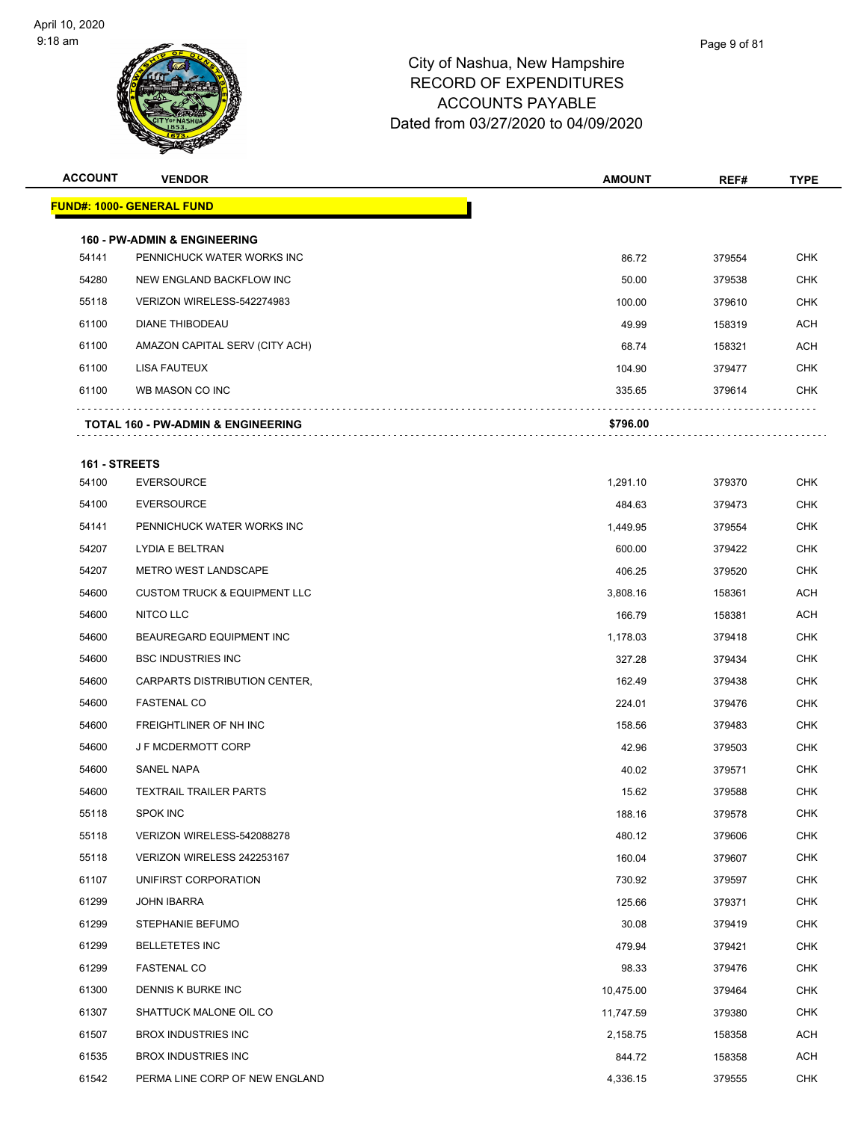

| <b>ACCOUNT</b> | <b>VENDOR</b>                                                         | <b>AMOUNT</b> | REF#   | <b>TYPE</b> |
|----------------|-----------------------------------------------------------------------|---------------|--------|-------------|
|                | <b>FUND#: 1000- GENERAL FUND</b>                                      |               |        |             |
|                |                                                                       |               |        |             |
| 54141          | <b>160 - PW-ADMIN &amp; ENGINEERING</b><br>PENNICHUCK WATER WORKS INC | 86.72         | 379554 | <b>CHK</b>  |
| 54280          | NEW ENGLAND BACKFLOW INC                                              | 50.00         | 379538 | CHK         |
| 55118          | VERIZON WIRELESS-542274983                                            | 100.00        | 379610 | <b>CHK</b>  |
| 61100          | <b>DIANE THIBODEAU</b>                                                | 49.99         | 158319 | ACH         |
| 61100          | AMAZON CAPITAL SERV (CITY ACH)                                        | 68.74         | 158321 | ACH         |
| 61100          | LISA FAUTEUX                                                          | 104.90        | 379477 | <b>CHK</b>  |
| 61100          | WB MASON CO INC                                                       | 335.65        | 379614 | <b>CHK</b>  |
|                |                                                                       |               |        |             |
|                | TOTAL 160 - PW-ADMIN & ENGINEERING                                    | \$796.00      |        |             |
| 161 - STREETS  |                                                                       |               |        |             |
| 54100          | <b>EVERSOURCE</b>                                                     | 1,291.10      | 379370 | <b>CHK</b>  |
| 54100          | <b>EVERSOURCE</b>                                                     | 484.63        | 379473 | CHK         |
| 54141          | PENNICHUCK WATER WORKS INC                                            | 1,449.95      | 379554 | CHK         |
| 54207          | <b>LYDIA E BELTRAN</b>                                                | 600.00        | 379422 | <b>CHK</b>  |
| 54207          | <b>METRO WEST LANDSCAPE</b>                                           | 406.25        | 379520 | <b>CHK</b>  |
| 54600          | <b>CUSTOM TRUCK &amp; EQUIPMENT LLC</b>                               | 3,808.16      | 158361 | <b>ACH</b>  |
| 54600          | NITCO LLC                                                             | 166.79        | 158381 | ACH         |
| 54600          | BEAUREGARD EQUIPMENT INC                                              | 1,178.03      | 379418 | <b>CHK</b>  |
| 54600          | <b>BSC INDUSTRIES INC</b>                                             | 327.28        | 379434 | <b>CHK</b>  |
| 54600          | CARPARTS DISTRIBUTION CENTER,                                         | 162.49        | 379438 | <b>CHK</b>  |
| 54600          | <b>FASTENAL CO</b>                                                    | 224.01        | 379476 | <b>CHK</b>  |
| 54600          | FREIGHTLINER OF NH INC                                                | 158.56        | 379483 | CHK         |
| 54600          | <b>JF MCDERMOTT CORP</b>                                              | 42.96         | 379503 | CHK         |
| 54600          | SANEL NAPA                                                            | 40.02         | 379571 | <b>CHK</b>  |
| 54600          | <b>TEXTRAIL TRAILER PARTS</b>                                         | 15.62         | 379588 | <b>CHK</b>  |
| 55118          | SPOK INC                                                              | 188.16        | 379578 | <b>CHK</b>  |
| 55118          | VERIZON WIRELESS-542088278                                            | 480.12        | 379606 | <b>CHK</b>  |
| 55118          | VERIZON WIRELESS 242253167                                            | 160.04        | 379607 | <b>CHK</b>  |
| 61107          | UNIFIRST CORPORATION                                                  | 730.92        | 379597 | <b>CHK</b>  |
| 61299          | <b>JOHN IBARRA</b>                                                    | 125.66        | 379371 | <b>CHK</b>  |
| 61299          | <b>STEPHANIE BEFUMO</b>                                               | 30.08         | 379419 | <b>CHK</b>  |
| 61299          | <b>BELLETETES INC</b>                                                 | 479.94        | 379421 | CHK         |
| 61299          | <b>FASTENAL CO</b>                                                    | 98.33         | 379476 | <b>CHK</b>  |
| 61300          | DENNIS K BURKE INC                                                    | 10,475.00     | 379464 | <b>CHK</b>  |
| 61307          | SHATTUCK MALONE OIL CO                                                | 11,747.59     | 379380 | CHK         |
| 61507          | <b>BROX INDUSTRIES INC</b>                                            | 2,158.75      | 158358 | <b>ACH</b>  |
| 61535          | <b>BROX INDUSTRIES INC</b>                                            | 844.72        | 158358 | <b>ACH</b>  |
| 61542          | PERMA LINE CORP OF NEW ENGLAND                                        | 4,336.15      | 379555 | <b>CHK</b>  |
|                |                                                                       |               |        |             |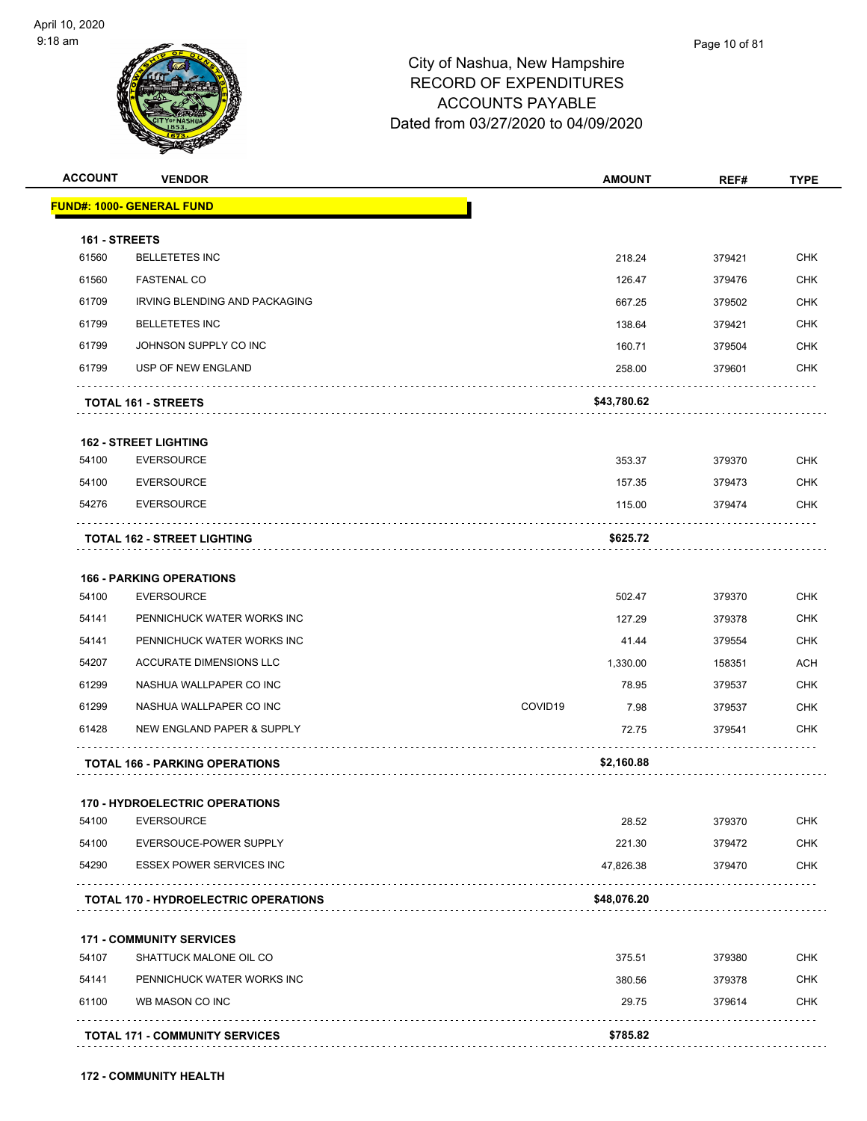**FUND#: 1** 

 $\ldots$  .



## City of Nashua, New Hampshire RECORD OF EXPENDITURES ACCOUNTS PAYABLE Dated from 03/27/2020 to 04/09/2020

| <b>ACCOUNT</b> | <b>VENDOR</b>                               | <b>AMOUNT</b>   | REF#   | <b>TYPE</b> |
|----------------|---------------------------------------------|-----------------|--------|-------------|
|                | <b>IND#: 1000- GENERAL FUND</b>             |                 |        |             |
| 161 - STREETS  |                                             |                 |        |             |
| 61560          | <b>BELLETETES INC</b>                       | 218.24          | 379421 | <b>CHK</b>  |
| 61560          | <b>FASTENAL CO</b>                          | 126.47          | 379476 | <b>CHK</b>  |
| 61709          | IRVING BLENDING AND PACKAGING               | 667.25          | 379502 | <b>CHK</b>  |
| 61799          | <b>BELLETETES INC</b>                       | 138.64          | 379421 | <b>CHK</b>  |
| 61799          | JOHNSON SUPPLY CO INC                       | 160.71          | 379504 | <b>CHK</b>  |
| 61799          | USP OF NEW ENGLAND                          | 258.00          | 379601 | <b>CHK</b>  |
|                | <b>TOTAL 161 - STREETS</b>                  | \$43,780.62     |        |             |
|                | <b>162 - STREET LIGHTING</b>                |                 |        |             |
| 54100          | <b>EVERSOURCE</b>                           | 353.37          | 379370 | <b>CHK</b>  |
| 54100          | <b>EVERSOURCE</b>                           | 157.35          | 379473 | <b>CHK</b>  |
| 54276          | <b>EVERSOURCE</b>                           | 115.00          | 379474 | <b>CHK</b>  |
|                | <b>TOTAL 162 - STREET LIGHTING</b>          | \$625.72        |        |             |
|                | <b>166 - PARKING OPERATIONS</b>             |                 |        |             |
| 54100          | <b>EVERSOURCE</b>                           | 502.47          | 379370 | <b>CHK</b>  |
| 54141          | PENNICHUCK WATER WORKS INC                  | 127.29          | 379378 | <b>CHK</b>  |
| 54141          | PENNICHUCK WATER WORKS INC                  | 41.44           | 379554 | <b>CHK</b>  |
| 54207          | ACCURATE DIMENSIONS LLC                     | 1,330.00        | 158351 | <b>ACH</b>  |
| 61299          | NASHUA WALLPAPER CO INC                     | 78.95           | 379537 | <b>CHK</b>  |
| 61299          | NASHUA WALLPAPER CO INC                     | COVID19<br>7.98 | 379537 | <b>CHK</b>  |
| 61428          | NEW ENGLAND PAPER & SUPPLY                  | 72.75           | 379541 | <b>CHK</b>  |
|                | <b>TOTAL 166 - PARKING OPERATIONS</b>       | \$2,160.88      |        |             |
|                | 170 - HYDROELECTRIC OPERATIONS              |                 |        |             |
| 54100          | <b>EVERSOURCE</b>                           | 28.52           | 379370 | <b>CHK</b>  |
| 54100          | EVERSOUCE-POWER SUPPLY                      | 221.30          | 379472 | <b>CHK</b>  |
| 54290          | <b>ESSEX POWER SERVICES INC</b>             | 47,826.38       | 379470 | <b>CHK</b>  |
|                | <b>TOTAL 170 - HYDROELECTRIC OPERATIONS</b> | \$48,076.20     |        |             |
|                | <b>171 - COMMUNITY SERVICES</b>             |                 |        |             |
| 54107          | SHATTUCK MALONE OIL CO                      | 375.51          | 379380 | <b>CHK</b>  |
| 54141          | PENNICHUCK WATER WORKS INC                  | 380.56          | 379378 | <b>CHK</b>  |
| 61100          | WB MASON CO INC                             | 29.75           | 379614 | <b>CHK</b>  |

**TOTAL 171 - COMMUNITY SERVICES \$785.82**

Page 10 of 81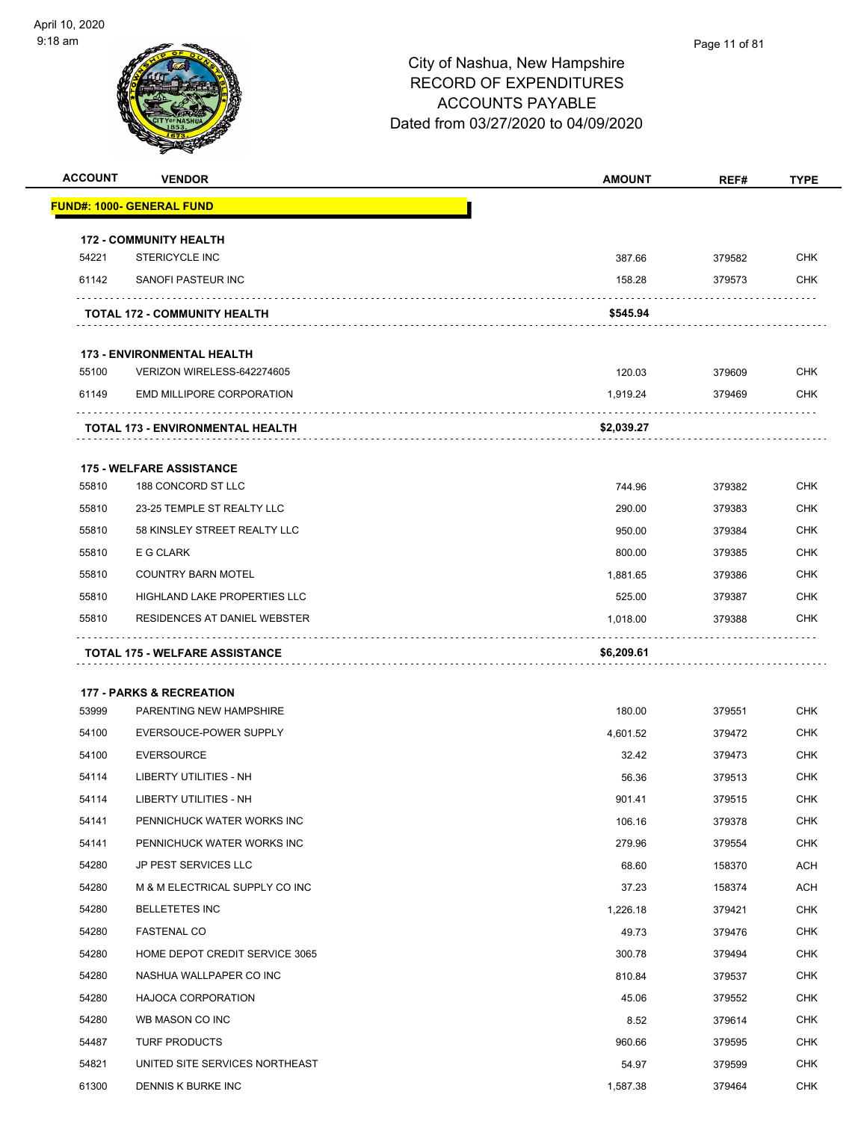

| <b>ACCOUNT</b> | <b>VENDOR</b>                         | <b>AMOUNT</b> | REF#   | <b>TYPE</b> |
|----------------|---------------------------------------|---------------|--------|-------------|
|                | <b>FUND#: 1000- GENERAL FUND</b>      |               |        |             |
|                | <b>172 - COMMUNITY HEALTH</b>         |               |        |             |
| 54221          | <b>STERICYCLE INC</b>                 | 387.66        | 379582 | <b>CHK</b>  |
| 61142          | SANOFI PASTEUR INC                    | 158.28        | 379573 | CHK         |
|                | <b>TOTAL 172 - COMMUNITY HEALTH</b>   | \$545.94      |        |             |
|                | <b>173 - ENVIRONMENTAL HEALTH</b>     |               |        |             |
| 55100          | VERIZON WIRELESS-642274605            | 120.03        | 379609 | <b>CHK</b>  |
| 61149          | <b>EMD MILLIPORE CORPORATION</b>      | 1,919.24      | 379469 | CHK         |
|                | TOTAL 173 - ENVIRONMENTAL HEALTH      | \$2,039.27    |        |             |
|                | <b>175 - WELFARE ASSISTANCE</b>       |               |        |             |
| 55810          | 188 CONCORD ST LLC                    | 744.96        | 379382 | <b>CHK</b>  |
| 55810          | 23-25 TEMPLE ST REALTY LLC            | 290.00        | 379383 | CHK         |
| 55810          | 58 KINSLEY STREET REALTY LLC          | 950.00        | 379384 | CHK         |
| 55810          | E G CLARK                             | 800.00        | 379385 | <b>CHK</b>  |
| 55810          | <b>COUNTRY BARN MOTEL</b>             | 1,881.65      | 379386 | CHK         |
| 55810          | HIGHLAND LAKE PROPERTIES LLC          | 525.00        | 379387 | <b>CHK</b>  |
| 55810          | RESIDENCES AT DANIEL WEBSTER          | 1,018.00      | 379388 | CHK         |
|                | <b>TOTAL 175 - WELFARE ASSISTANCE</b> | \$6,209.61    |        |             |
|                | <b>177 - PARKS &amp; RECREATION</b>   |               |        |             |
| 53999          | PARENTING NEW HAMPSHIRE               | 180.00        | 379551 | CHK         |
| 54100          | EVERSOUCE-POWER SUPPLY                | 4,601.52      | 379472 | <b>CHK</b>  |
| 54100          | <b>EVERSOURCE</b>                     | 32.42         | 379473 | CHK         |
| 54114          | LIBERTY UTILITIES - NH                | 56.36         | 379513 | CHK         |
| 54114          | LIBERTY UTILITIES - NH                | 901.41        | 379515 | CHK         |
| 54141          | PENNICHUCK WATER WORKS INC            | 106.16        | 379378 | <b>CHK</b>  |
| 54141          | PENNICHUCK WATER WORKS INC            | 279.96        | 379554 | <b>CHK</b>  |
| 54280          | JP PEST SERVICES LLC                  | 68.60         | 158370 | ACH         |
| 54280          | M & M ELECTRICAL SUPPLY CO INC        | 37.23         | 158374 | ACH         |
| 54280          | <b>BELLETETES INC</b>                 | 1,226.18      | 379421 | CHK         |
| 54280          | <b>FASTENAL CO</b>                    | 49.73         | 379476 | <b>CHK</b>  |
| 54280          | HOME DEPOT CREDIT SERVICE 3065        | 300.78        | 379494 | <b>CHK</b>  |
| 54280          | NASHUA WALLPAPER CO INC               | 810.84        | 379537 | CHK         |
| 54280          | <b>HAJOCA CORPORATION</b>             | 45.06         | 379552 | <b>CHK</b>  |
| 54280          | WB MASON CO INC                       | 8.52          | 379614 | <b>CHK</b>  |
| 54487          | <b>TURF PRODUCTS</b>                  | 960.66        | 379595 | CHK         |
| 54821          | UNITED SITE SERVICES NORTHEAST        | 54.97         | 379599 | <b>CHK</b>  |
| 61300          | DENNIS K BURKE INC                    | 1,587.38      | 379464 | CHK         |
|                |                                       |               |        |             |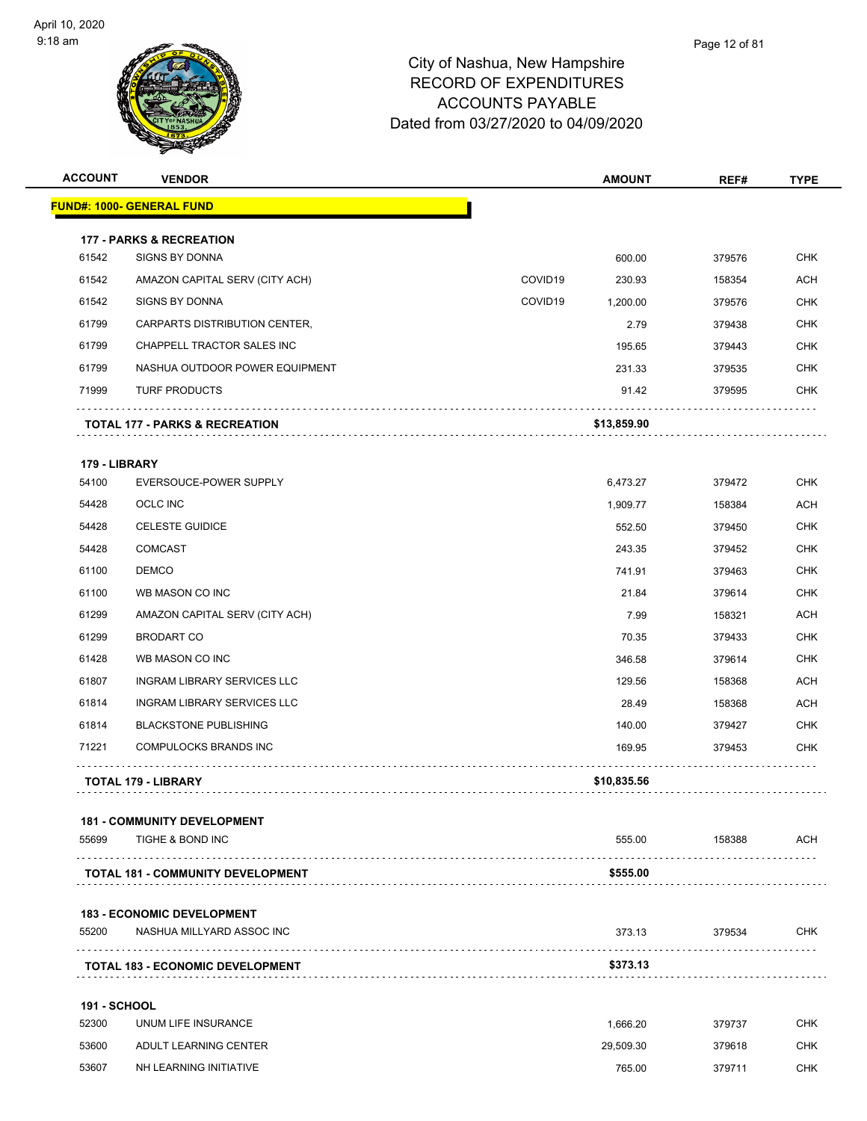

| <b>ACCOUNT</b>      | <b>VENDOR</b>                             |         | <b>AMOUNT</b> | REF#   | <b>TYPE</b> |
|---------------------|-------------------------------------------|---------|---------------|--------|-------------|
|                     | <b>FUND#: 1000- GENERAL FUND</b>          |         |               |        |             |
|                     | <b>177 - PARKS &amp; RECREATION</b>       |         |               |        |             |
| 61542               | <b>SIGNS BY DONNA</b>                     |         | 600.00        | 379576 | <b>CHK</b>  |
| 61542               | AMAZON CAPITAL SERV (CITY ACH)            | COVID19 | 230.93        | 158354 | <b>ACH</b>  |
| 61542               | <b>SIGNS BY DONNA</b>                     | COVID19 | 1,200.00      | 379576 | <b>CHK</b>  |
| 61799               | CARPARTS DISTRIBUTION CENTER,             |         | 2.79          | 379438 | <b>CHK</b>  |
| 61799               | CHAPPELL TRACTOR SALES INC                |         | 195.65        | 379443 | <b>CHK</b>  |
| 61799               | NASHUA OUTDOOR POWER EQUIPMENT            |         | 231.33        | 379535 | <b>CHK</b>  |
| 71999               | <b>TURF PRODUCTS</b>                      |         | 91.42         | 379595 | <b>CHK</b>  |
|                     | <b>TOTAL 177 - PARKS &amp; RECREATION</b> |         | \$13,859.90   |        |             |
| 179 - LIBRARY       |                                           |         |               |        |             |
| 54100               | EVERSOUCE-POWER SUPPLY                    |         | 6,473.27      | 379472 | <b>CHK</b>  |
| 54428               | OCLC INC                                  |         | 1,909.77      | 158384 | ACH         |
| 54428               | <b>CELESTE GUIDICE</b>                    |         | 552.50        | 379450 | <b>CHK</b>  |
| 54428               | <b>COMCAST</b>                            |         | 243.35        | 379452 | <b>CHK</b>  |
| 61100               | <b>DEMCO</b>                              |         | 741.91        | 379463 | <b>CHK</b>  |
| 61100               | WB MASON CO INC                           |         | 21.84         | 379614 | <b>CHK</b>  |
| 61299               | AMAZON CAPITAL SERV (CITY ACH)            |         | 7.99          | 158321 | ACH         |
| 61299               | <b>BRODART CO</b>                         |         | 70.35         | 379433 | <b>CHK</b>  |
| 61428               | WB MASON CO INC                           |         | 346.58        | 379614 | <b>CHK</b>  |
| 61807               | INGRAM LIBRARY SERVICES LLC               |         | 129.56        | 158368 | <b>ACH</b>  |
| 61814               | INGRAM LIBRARY SERVICES LLC               |         | 28.49         | 158368 | <b>ACH</b>  |
| 61814               | <b>BLACKSTONE PUBLISHING</b>              |         | 140.00        | 379427 | <b>CHK</b>  |
| 71221               | <b>COMPULOCKS BRANDS INC</b>              |         | 169.95        | 379453 | <b>CHK</b>  |
|                     | <b>TOTAL 179 - LIBRARY</b>                |         | \$10,835.56   |        |             |
|                     | <b>181 - COMMUNITY DEVELOPMENT</b>        |         |               |        |             |
| 55699               | TIGHE & BOND INC                          |         | 555.00        | 158388 | ACH         |
|                     | <b>TOTAL 181 - COMMUNITY DEVELOPMENT</b>  |         | \$555.00      |        |             |
|                     | <b>183 - ECONOMIC DEVELOPMENT</b>         |         |               |        |             |
| 55200               | NASHUA MILLYARD ASSOC INC                 |         | 373.13        | 379534 | <b>CHK</b>  |
|                     | <b>TOTAL 183 - ECONOMIC DEVELOPMENT</b>   |         | \$373.13      |        |             |
| <b>191 - SCHOOL</b> |                                           |         |               |        |             |
| 52300               | UNUM LIFE INSURANCE                       |         | 1,666.20      | 379737 | <b>CHK</b>  |
| 53600               | ADULT LEARNING CENTER                     |         | 29,509.30     | 379618 | <b>CHK</b>  |
| 53607               | NH LEARNING INITIATIVE                    |         | 765.00        | 379711 | <b>CHK</b>  |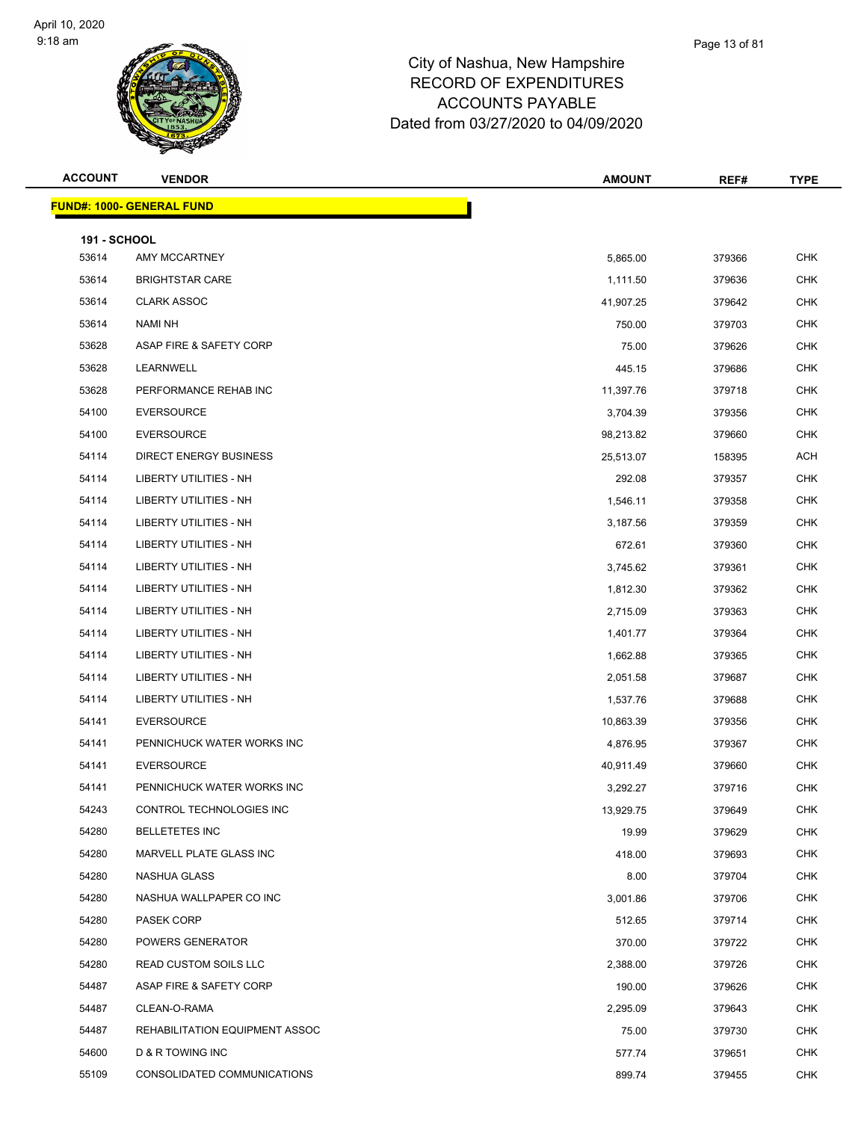

| <b>ACCOUNT</b>      | <b>VENDOR</b>                     | <b>AMOUNT</b> | REF#   | <b>TYPE</b> |
|---------------------|-----------------------------------|---------------|--------|-------------|
|                     | <u> FUND#: 1000- GENERAL FUND</u> |               |        |             |
| <b>191 - SCHOOL</b> |                                   |               |        |             |
| 53614               | AMY MCCARTNEY                     | 5,865.00      | 379366 | <b>CHK</b>  |
| 53614               | <b>BRIGHTSTAR CARE</b>            | 1,111.50      | 379636 | <b>CHK</b>  |
| 53614               | <b>CLARK ASSOC</b>                | 41,907.25     | 379642 | <b>CHK</b>  |
| 53614               | NAMI NH                           | 750.00        | 379703 | <b>CHK</b>  |
| 53628               | ASAP FIRE & SAFETY CORP           | 75.00         | 379626 | <b>CHK</b>  |
| 53628               | LEARNWELL                         | 445.15        | 379686 | <b>CHK</b>  |
| 53628               | PERFORMANCE REHAB INC             | 11,397.76     | 379718 | <b>CHK</b>  |
| 54100               | <b>EVERSOURCE</b>                 | 3,704.39      | 379356 | <b>CHK</b>  |
| 54100               | <b>EVERSOURCE</b>                 | 98,213.82     | 379660 | <b>CHK</b>  |
| 54114               | <b>DIRECT ENERGY BUSINESS</b>     | 25,513.07     | 158395 | <b>ACH</b>  |
| 54114               | <b>LIBERTY UTILITIES - NH</b>     | 292.08        | 379357 | <b>CHK</b>  |
| 54114               | LIBERTY UTILITIES - NH            | 1,546.11      | 379358 | <b>CHK</b>  |
| 54114               | <b>LIBERTY UTILITIES - NH</b>     | 3,187.56      | 379359 | <b>CHK</b>  |
| 54114               | LIBERTY UTILITIES - NH            | 672.61        | 379360 | <b>CHK</b>  |
| 54114               | LIBERTY UTILITIES - NH            | 3,745.62      | 379361 | <b>CHK</b>  |
| 54114               | <b>LIBERTY UTILITIES - NH</b>     | 1,812.30      | 379362 | <b>CHK</b>  |
| 54114               | <b>LIBERTY UTILITIES - NH</b>     | 2,715.09      | 379363 | <b>CHK</b>  |
| 54114               | LIBERTY UTILITIES - NH            | 1,401.77      | 379364 | <b>CHK</b>  |
| 54114               | LIBERTY UTILITIES - NH            | 1,662.88      | 379365 | <b>CHK</b>  |
| 54114               | LIBERTY UTILITIES - NH            | 2,051.58      | 379687 | <b>CHK</b>  |
| 54114               | LIBERTY UTILITIES - NH            | 1,537.76      | 379688 | <b>CHK</b>  |
| 54141               | <b>EVERSOURCE</b>                 | 10,863.39     | 379356 | <b>CHK</b>  |
| 54141               | PENNICHUCK WATER WORKS INC        | 4,876.95      | 379367 | <b>CHK</b>  |
| 54141               | <b>EVERSOURCE</b>                 | 40,911.49     | 379660 | <b>CHK</b>  |
| 54141               | PENNICHUCK WATER WORKS INC        | 3,292.27      | 379716 | <b>CHK</b>  |
| 54243               | CONTROL TECHNOLOGIES INC          | 13,929.75     | 379649 | CHK         |
| 54280               | <b>BELLETETES INC</b>             | 19.99         | 379629 | <b>CHK</b>  |
| 54280               | MARVELL PLATE GLASS INC           | 418.00        | 379693 | <b>CHK</b>  |
| 54280               | NASHUA GLASS                      | 8.00          | 379704 | <b>CHK</b>  |
| 54280               | NASHUA WALLPAPER CO INC           | 3,001.86      | 379706 | CHK         |
| 54280               | PASEK CORP                        | 512.65        | 379714 | <b>CHK</b>  |
| 54280               | POWERS GENERATOR                  | 370.00        | 379722 | CHK         |
| 54280               | READ CUSTOM SOILS LLC             | 2,388.00      | 379726 | <b>CHK</b>  |
| 54487               | ASAP FIRE & SAFETY CORP           | 190.00        | 379626 | <b>CHK</b>  |
| 54487               | CLEAN-O-RAMA                      | 2,295.09      | 379643 | CHK         |
| 54487               | REHABILITATION EQUIPMENT ASSOC    | 75.00         | 379730 | <b>CHK</b>  |
| 54600               | D & R TOWING INC                  | 577.74        | 379651 | CHK         |
| 55109               | CONSOLIDATED COMMUNICATIONS       | 899.74        | 379455 | <b>CHK</b>  |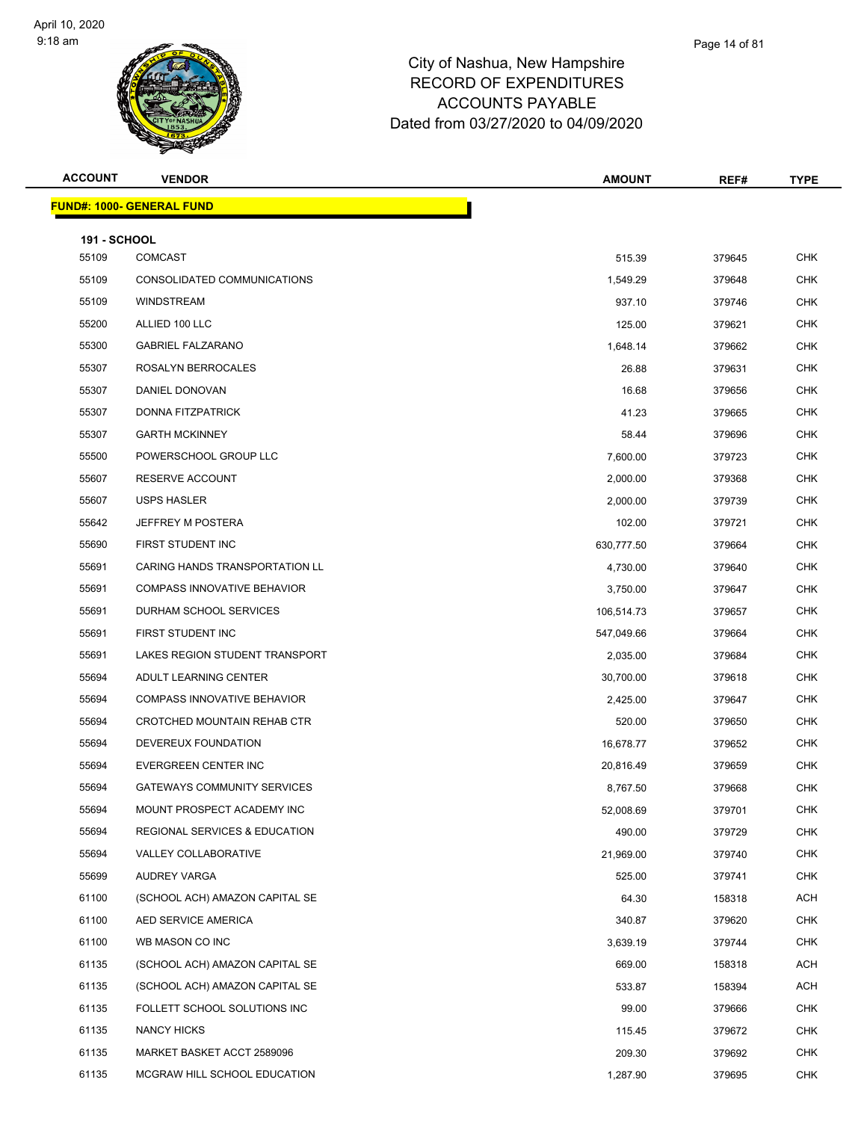

| w Hampshire!     |  |
|------------------|--|
| <b>ENDITURES</b> |  |
| AYABLE?          |  |
|                  |  |

| <b>ACCOUNT</b>      | <b>VENDOR</b>                            | <b>AMOUNT</b> | REF#   | TYPE       |
|---------------------|------------------------------------------|---------------|--------|------------|
|                     | <b>FUND#: 1000- GENERAL FUND</b>         |               |        |            |
| <b>191 - SCHOOL</b> |                                          |               |        |            |
| 55109               | <b>COMCAST</b>                           | 515.39        | 379645 | <b>CHK</b> |
| 55109               | CONSOLIDATED COMMUNICATIONS              | 1,549.29      | 379648 | <b>CHK</b> |
| 55109               | <b>WINDSTREAM</b>                        | 937.10        | 379746 | <b>CHK</b> |
| 55200               | ALLIED 100 LLC                           | 125.00        | 379621 | <b>CHK</b> |
| 55300               | <b>GABRIEL FALZARANO</b>                 | 1,648.14      | 379662 | <b>CHK</b> |
| 55307               | ROSALYN BERROCALES                       | 26.88         | 379631 | <b>CHK</b> |
| 55307               | DANIEL DONOVAN                           | 16.68         | 379656 | <b>CHK</b> |
| 55307               | <b>DONNA FITZPATRICK</b>                 | 41.23         | 379665 | <b>CHK</b> |
| 55307               | <b>GARTH MCKINNEY</b>                    | 58.44         | 379696 | <b>CHK</b> |
| 55500               | POWERSCHOOL GROUP LLC                    | 7,600.00      | 379723 | <b>CHK</b> |
| 55607               | RESERVE ACCOUNT                          | 2,000.00      | 379368 | <b>CHK</b> |
| 55607               | <b>USPS HASLER</b>                       | 2,000.00      | 379739 | <b>CHK</b> |
| 55642               | JEFFREY M POSTERA                        | 102.00        | 379721 | <b>CHK</b> |
| 55690               | FIRST STUDENT INC                        | 630,777.50    | 379664 | <b>CHK</b> |
| 55691               | CARING HANDS TRANSPORTATION LL           | 4,730.00      | 379640 | <b>CHK</b> |
| 55691               | <b>COMPASS INNOVATIVE BEHAVIOR</b>       | 3,750.00      | 379647 | <b>CHK</b> |
| 55691               | DURHAM SCHOOL SERVICES                   | 106,514.73    | 379657 | <b>CHK</b> |
| 55691               | FIRST STUDENT INC                        | 547,049.66    | 379664 | <b>CHK</b> |
| 55691               | LAKES REGION STUDENT TRANSPORT           | 2,035.00      | 379684 | <b>CHK</b> |
| 55694               | ADULT LEARNING CENTER                    | 30,700.00     | 379618 | <b>CHK</b> |
| 55694               | <b>COMPASS INNOVATIVE BEHAVIOR</b>       | 2,425.00      | 379647 | <b>CHK</b> |
| 55694               | CROTCHED MOUNTAIN REHAB CTR              | 520.00        | 379650 | <b>CHK</b> |
| 55694               | DEVEREUX FOUNDATION                      | 16,678.77     | 379652 | <b>CHK</b> |
| 55694               | EVERGREEN CENTER INC                     | 20,816.49     | 379659 | <b>CHK</b> |
| 55694               | <b>GATEWAYS COMMUNITY SERVICES</b>       | 8,767.50      | 379668 | <b>CHK</b> |
| 55694               | MOUNT PROSPECT ACADEMY INC               | 52,008.69     | 379701 | <b>CHK</b> |
| 55694               | <b>REGIONAL SERVICES &amp; EDUCATION</b> | 490.00        | 379729 | <b>CHK</b> |
| 55694               | VALLEY COLLABORATIVE                     | 21,969.00     | 379740 | <b>CHK</b> |
| 55699               | AUDREY VARGA                             | 525.00        | 379741 | <b>CHK</b> |
| 61100               | (SCHOOL ACH) AMAZON CAPITAL SE           | 64.30         | 158318 | <b>ACH</b> |
| 61100               | AED SERVICE AMERICA                      | 340.87        | 379620 | <b>CHK</b> |
| 61100               | WB MASON CO INC                          | 3,639.19      | 379744 | CHK        |
| 61135               | (SCHOOL ACH) AMAZON CAPITAL SE           | 669.00        | 158318 | <b>ACH</b> |
| 61135               | (SCHOOL ACH) AMAZON CAPITAL SE           | 533.87        | 158394 | <b>ACH</b> |
| 61135               | FOLLETT SCHOOL SOLUTIONS INC             | 99.00         | 379666 | <b>CHK</b> |
| 61135               | NANCY HICKS                              | 115.45        | 379672 | <b>CHK</b> |
| 61135               | MARKET BASKET ACCT 2589096               | 209.30        | 379692 | CHK        |
| 61135               | MCGRAW HILL SCHOOL EDUCATION             | 1,287.90      | 379695 | <b>CHK</b> |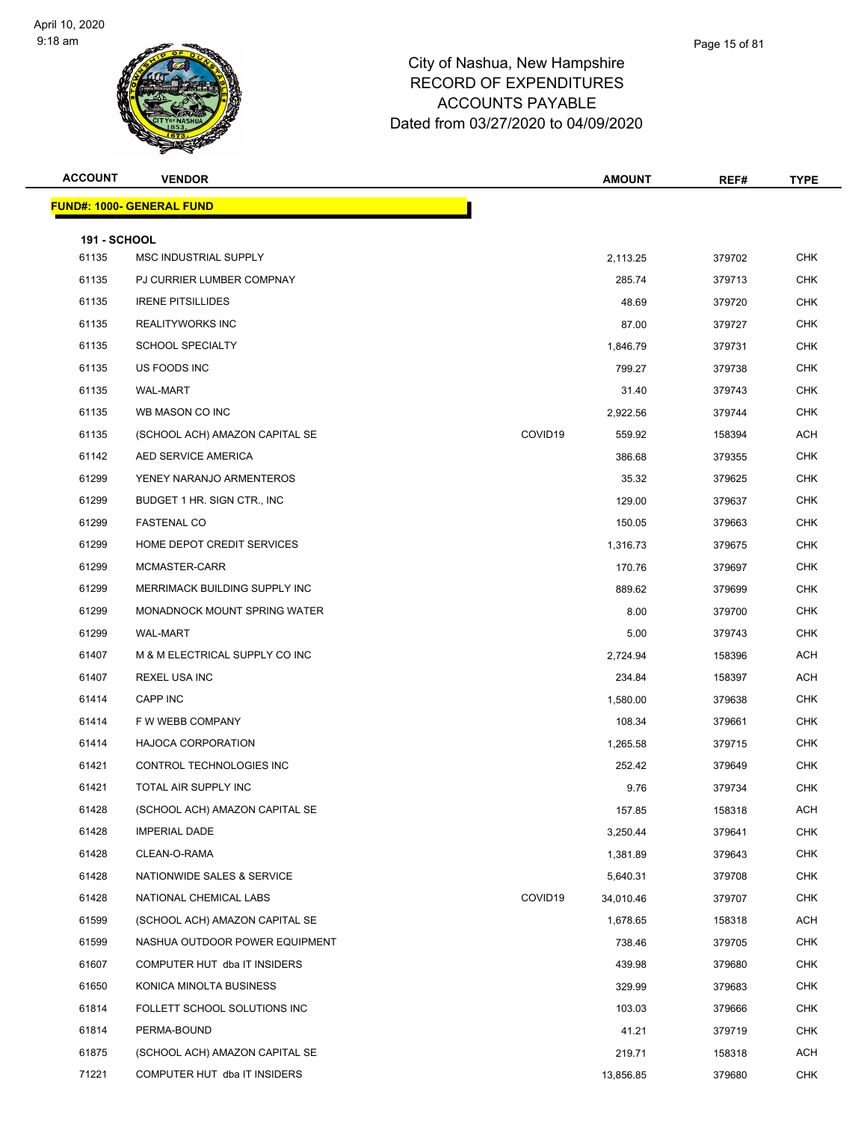| <b>ACCOUNT</b>               | <b>VENDOR</b>                    |         | <b>AMOUNT</b> | REF#   | <b>TYPE</b> |
|------------------------------|----------------------------------|---------|---------------|--------|-------------|
|                              | <b>FUND#: 1000- GENERAL FUND</b> |         |               |        |             |
|                              |                                  |         |               |        |             |
| <b>191 - SCHOOL</b><br>61135 | MSC INDUSTRIAL SUPPLY            |         | 2,113.25      | 379702 | <b>CHK</b>  |
| 61135                        | PJ CURRIER LUMBER COMPNAY        |         | 285.74        | 379713 | <b>CHK</b>  |
| 61135                        | <b>IRENE PITSILLIDES</b>         |         | 48.69         | 379720 | CHK         |
| 61135                        | <b>REALITYWORKS INC</b>          |         | 87.00         | 379727 | <b>CHK</b>  |
| 61135                        | <b>SCHOOL SPECIALTY</b>          |         | 1,846.79      | 379731 | <b>CHK</b>  |
| 61135                        | US FOODS INC                     |         | 799.27        | 379738 | <b>CHK</b>  |
| 61135                        | <b>WAL-MART</b>                  |         | 31.40         | 379743 | <b>CHK</b>  |
| 61135                        | WB MASON CO INC                  |         | 2,922.56      | 379744 | <b>CHK</b>  |
| 61135                        | (SCHOOL ACH) AMAZON CAPITAL SE   | COVID19 | 559.92        | 158394 | ACH         |
| 61142                        | AED SERVICE AMERICA              |         | 386.68        | 379355 | CHK         |
| 61299                        | YENEY NARANJO ARMENTEROS         |         | 35.32         | 379625 | <b>CHK</b>  |
| 61299                        | BUDGET 1 HR. SIGN CTR., INC.     |         | 129.00        | 379637 | <b>CHK</b>  |
| 61299                        | <b>FASTENAL CO</b>               |         | 150.05        | 379663 | CHK         |
| 61299                        | HOME DEPOT CREDIT SERVICES       |         | 1,316.73      | 379675 | <b>CHK</b>  |
| 61299                        | MCMASTER-CARR                    |         | 170.76        | 379697 | <b>CHK</b>  |
| 61299                        | MERRIMACK BUILDING SUPPLY INC    |         | 889.62        | 379699 | <b>CHK</b>  |
| 61299                        | MONADNOCK MOUNT SPRING WATER     |         | 8.00          | 379700 | <b>CHK</b>  |
| 61299                        | <b>WAL-MART</b>                  |         | 5.00          | 379743 | <b>CHK</b>  |
| 61407                        | M & M ELECTRICAL SUPPLY CO INC   |         | 2,724.94      | 158396 | ACH         |
| 61407                        | <b>REXEL USA INC</b>             |         | 234.84        | 158397 | ACH         |
| 61414                        | CAPP INC                         |         | 1,580.00      | 379638 | <b>CHK</b>  |
| 61414                        | F W WEBB COMPANY                 |         | 108.34        | 379661 | <b>CHK</b>  |
| 61414                        | <b>HAJOCA CORPORATION</b>        |         | 1,265.58      | 379715 | CHK         |
| 61421                        | CONTROL TECHNOLOGIES INC         |         | 252.42        | 379649 | <b>CHK</b>  |
| 61421                        | TOTAL AIR SUPPLY INC             |         | 9.76          | 379734 | CHK         |
| 61428                        | (SCHOOL ACH) AMAZON CAPITAL SE   |         | 157.85        | 158318 | ACH         |
| 61428                        | <b>IMPERIAL DADE</b>             |         | 3,250.44      | 379641 | <b>CHK</b>  |
| 61428                        | CLEAN-O-RAMA                     |         | 1,381.89      | 379643 | <b>CHK</b>  |
| 61428                        | NATIONWIDE SALES & SERVICE       |         | 5,640.31      | 379708 | <b>CHK</b>  |
| 61428                        | NATIONAL CHEMICAL LABS           | COVID19 | 34,010.46     | 379707 | <b>CHK</b>  |
| 61599                        | (SCHOOL ACH) AMAZON CAPITAL SE   |         | 1,678.65      | 158318 | ACH         |
| 61599                        | NASHUA OUTDOOR POWER EQUIPMENT   |         | 738.46        | 379705 | <b>CHK</b>  |
| 61607                        | COMPUTER HUT dba IT INSIDERS     |         | 439.98        | 379680 | <b>CHK</b>  |
| 61650                        | KONICA MINOLTA BUSINESS          |         | 329.99        | 379683 | <b>CHK</b>  |
| 61814                        | FOLLETT SCHOOL SOLUTIONS INC     |         | 103.03        | 379666 | <b>CHK</b>  |
| 61814                        | PERMA-BOUND                      |         | 41.21         | 379719 | <b>CHK</b>  |
| 61875                        | (SCHOOL ACH) AMAZON CAPITAL SE   |         | 219.71        | 158318 | ACH         |
| 71221                        | COMPUTER HUT dba IT INSIDERS     |         | 13,856.85     | 379680 | <b>CHK</b>  |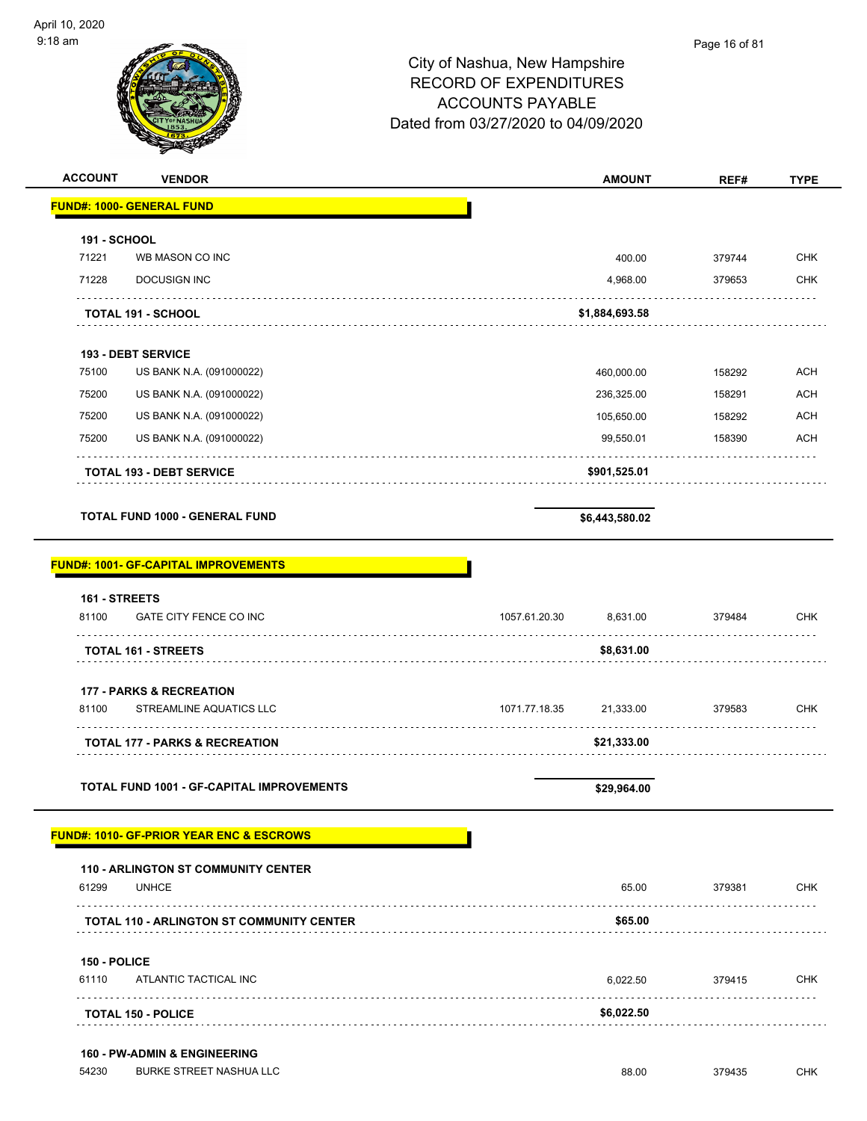| <b>ACCOUNT</b><br><b>VENDOR</b>                                                    |               | <b>AMOUNT</b>  | REF#        | <b>TYPE</b> |
|------------------------------------------------------------------------------------|---------------|----------------|-------------|-------------|
| <b>FUND#: 1000- GENERAL FUND</b>                                                   |               |                |             |             |
| 191 - SCHOOL                                                                       |               |                |             |             |
| 71221<br>WB MASON CO INC                                                           |               | 400.00         | 379744      | <b>CHK</b>  |
| 71228<br><b>DOCUSIGN INC</b>                                                       |               | 4,968.00       | 379653      | <b>CHK</b>  |
| <b>TOTAL 191 - SCHOOL</b>                                                          |               | \$1,884,693.58 |             |             |
| 193 - DEBT SERVICE                                                                 |               |                |             |             |
| 75100<br>US BANK N.A. (091000022)                                                  |               | 460,000.00     | 158292      | <b>ACH</b>  |
| 75200<br>US BANK N.A. (091000022)                                                  |               | 236,325.00     | 158291      | <b>ACH</b>  |
| 75200<br>US BANK N.A. (091000022)                                                  |               | 105,650.00     | 158292      | ACH         |
| 75200<br>US BANK N.A. (091000022)                                                  |               | 99,550.01      | 158390      | ACH         |
| <b>TOTAL 193 - DEBT SERVICE</b>                                                    |               | \$901,525.01   |             |             |
| <b>TOTAL FUND 1000 - GENERAL FUND</b>                                              |               | \$6,443,580.02 |             |             |
| <b>FUND#: 1001- GF-CAPITAL IMPROVEMENTS</b>                                        |               |                |             |             |
| 161 - STREETS                                                                      |               |                |             |             |
| 81100<br>GATE CITY FENCE CO INC                                                    | 1057.61.20.30 | 8,631.00       | 379484      | <b>CHK</b>  |
| <b>TOTAL 161 - STREETS</b>                                                         |               | \$8,631.00     | .           |             |
| <b>177 - PARKS &amp; RECREATION</b>                                                |               |                |             |             |
| 81100<br>STREAMLINE AQUATICS LLC                                                   | 1071.77.18.35 | 21,333.00      | 379583      | CHK         |
| TOTAL 177 - PARKS & RECREATION                                                     |               | \$21,333.00    |             |             |
| <b>TOTAL FUND 1001 - GF-CAPITAL IMPROVEMENTS</b>                                   |               | \$29,964.00    |             |             |
| <b>FUND#: 1010- GF-PRIOR YEAR ENC &amp; ESCROWS</b>                                |               |                |             |             |
| <b>110 - ARLINGTON ST COMMUNITY CENTER</b>                                         |               |                |             |             |
| 61299<br><b>UNHCE</b><br>.                                                         |               | 65.00          | 379381<br>. | CHK         |
| <b>TOTAL 110 - ARLINGTON ST COMMUNITY CENTER</b>                                   |               | \$65.00        |             |             |
| 150 - POLICE                                                                       |               |                |             |             |
| 61110<br>ATLANTIC TACTICAL INC                                                     |               | 6,022.50       | 379415      | CHK         |
| .<br><b>TOTAL 150 - POLICE</b>                                                     |               | \$6,022.50     |             |             |
|                                                                                    |               |                |             |             |
| <b>160 - PW-ADMIN &amp; ENGINEERING</b><br>54230<br><b>BURKE STREET NASHUA LLC</b> |               | 88.00          | 379435      | <b>CHK</b>  |
|                                                                                    |               |                |             |             |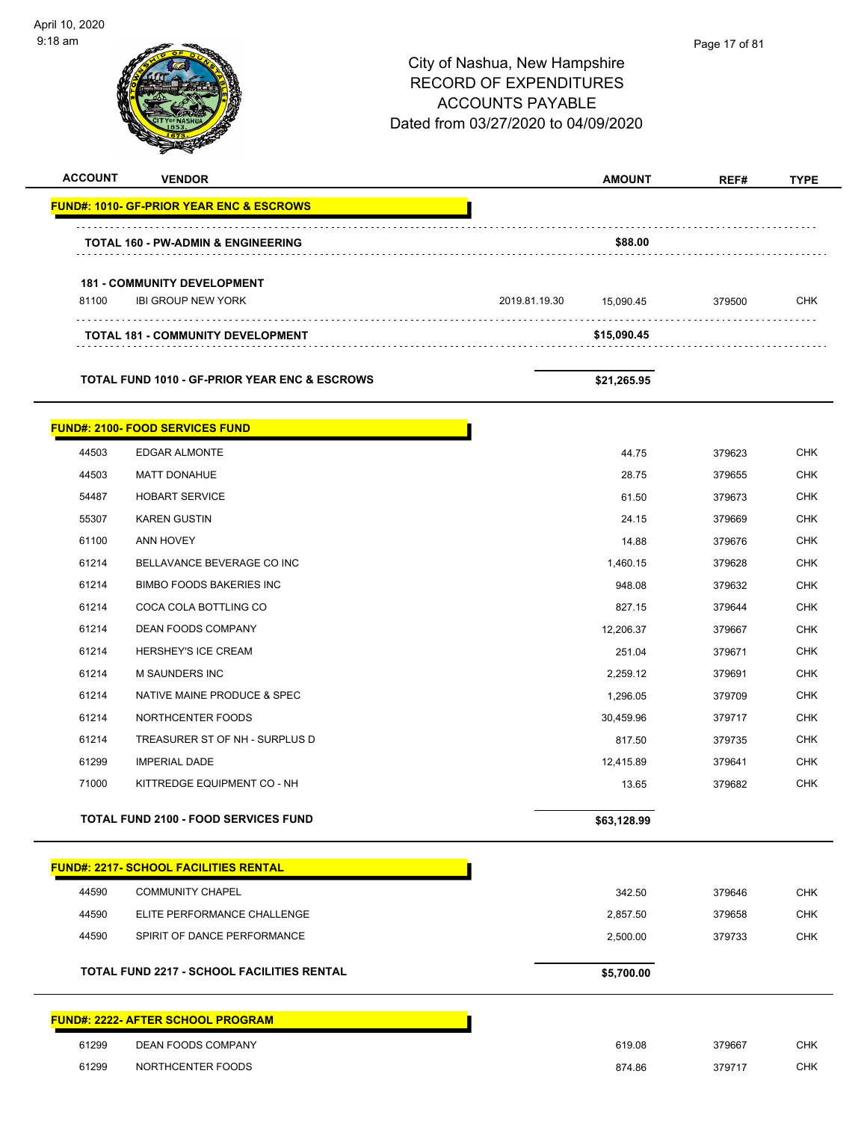| 9:18 am        |                                                          | City of Nashua, New Hampshire<br><b>RECORD OF EXPENDITURES</b><br><b>ACCOUNTS PAYABLE</b><br>Dated from 03/27/2020 to 04/09/2020 | Page 17 of 81 |             |
|----------------|----------------------------------------------------------|----------------------------------------------------------------------------------------------------------------------------------|---------------|-------------|
| <b>ACCOUNT</b> | <b>VENDOR</b>                                            | <b>AMOUNT</b>                                                                                                                    | REF#          | <b>TYPE</b> |
|                | <b>FUND#: 1010- GF-PRIOR YEAR ENC &amp; ESCROWS</b>      |                                                                                                                                  |               |             |
|                |                                                          |                                                                                                                                  |               |             |
|                | <b>TOTAL 160 - PW-ADMIN &amp; ENGINEERING</b>            | \$88.00                                                                                                                          |               |             |
|                | <b>181 - COMMUNITY DEVELOPMENT</b>                       |                                                                                                                                  |               |             |
| 81100          | <b>IBI GROUP NEW YORK</b>                                | 2019.81.19.30<br>15,090.45                                                                                                       | 379500        | <b>CHK</b>  |
|                | <b>TOTAL 181 - COMMUNITY DEVELOPMENT</b>                 | \$15,090.45                                                                                                                      |               |             |
|                |                                                          |                                                                                                                                  |               |             |
|                | <b>TOTAL FUND 1010 - GF-PRIOR YEAR ENC &amp; ESCROWS</b> | \$21,265.95                                                                                                                      |               |             |
|                | <b>FUND#: 2100- FOOD SERVICES FUND</b>                   |                                                                                                                                  |               |             |
| 44503          | <b>EDGAR ALMONTE</b>                                     | 44.75                                                                                                                            | 379623        | <b>CHK</b>  |
| 44503          | <b>MATT DONAHUE</b>                                      | 28.75                                                                                                                            | 379655        | <b>CHK</b>  |
| 54487          | <b>HOBART SERVICE</b>                                    | 61.50                                                                                                                            | 379673        | <b>CHK</b>  |
| 55307          | <b>KAREN GUSTIN</b>                                      | 24.15                                                                                                                            | 379669        | <b>CHK</b>  |
| 61100          | ANN HOVEY                                                | 14.88                                                                                                                            | 379676        | <b>CHK</b>  |
| 61214          | BELLAVANCE BEVERAGE CO INC                               | 1,460.15                                                                                                                         | 379628        | <b>CHK</b>  |
| 61214          | <b>BIMBO FOODS BAKERIES INC</b>                          | 948.08                                                                                                                           | 379632        | <b>CHK</b>  |
| 61214          | COCA COLA BOTTLING CO                                    | 827.15                                                                                                                           | 379644        | <b>CHK</b>  |
| 61214          | <b>DEAN FOODS COMPANY</b>                                | 12,206.37                                                                                                                        | 379667        | <b>CHK</b>  |
| 61214          | HERSHEY'S ICE CREAM                                      | 251.04                                                                                                                           | 379671        | CHK         |
| 61214          | M SAUNDERS INC                                           | 2,259.12                                                                                                                         | 379691        | <b>CHK</b>  |
| 61214          | NATIVE MAINE PRODUCE & SPEC                              | 1,296.05                                                                                                                         | 379709        | <b>CHK</b>  |
| 61214          | NORTHCENTER FOODS                                        | 30,459.96                                                                                                                        | 379717        | <b>CHK</b>  |
| 61214          | TREASURER ST OF NH - SURPLUS D                           | 817.50                                                                                                                           | 379735        | <b>CHK</b>  |
| 61299          | <b>IMPERIAL DADE</b>                                     | 12,415.89                                                                                                                        | 379641        | <b>CHK</b>  |
| 71000          | KITTREDGE EQUIPMENT CO - NH                              | 13.65                                                                                                                            | 379682        | <b>CHK</b>  |
|                | <b>TOTAL FUND 2100 - FOOD SERVICES FUND</b>              | \$63,128.99                                                                                                                      |               |             |
|                | <b>FUND#: 2217- SCHOOL FACILITIES RENTAL</b>             |                                                                                                                                  |               |             |
| 44590          | <b>COMMUNITY CHAPEL</b>                                  | 342.50                                                                                                                           | 379646        | <b>CHK</b>  |
| 44590          | ELITE PERFORMANCE CHALLENGE                              | 2,857.50                                                                                                                         | 379658        | <b>CHK</b>  |
| 44590          | SPIRIT OF DANCE PERFORMANCE                              | 2,500.00                                                                                                                         | 379733        | <b>CHK</b>  |
|                | <b>TOTAL FUND 2217 - SCHOOL FACILITIES RENTAL</b>        | \$5,700.00                                                                                                                       |               |             |
|                | <b>FUND#: 2222- AFTER SCHOOL PROGRAM</b>                 |                                                                                                                                  |               |             |
| 61299          | DEAN FOODS COMPANY                                       | 619.08                                                                                                                           | 379667        | <b>CHK</b>  |
| 61299          | NORTHCENTER FOODS                                        | 874.86                                                                                                                           | 379717        | <b>CHK</b>  |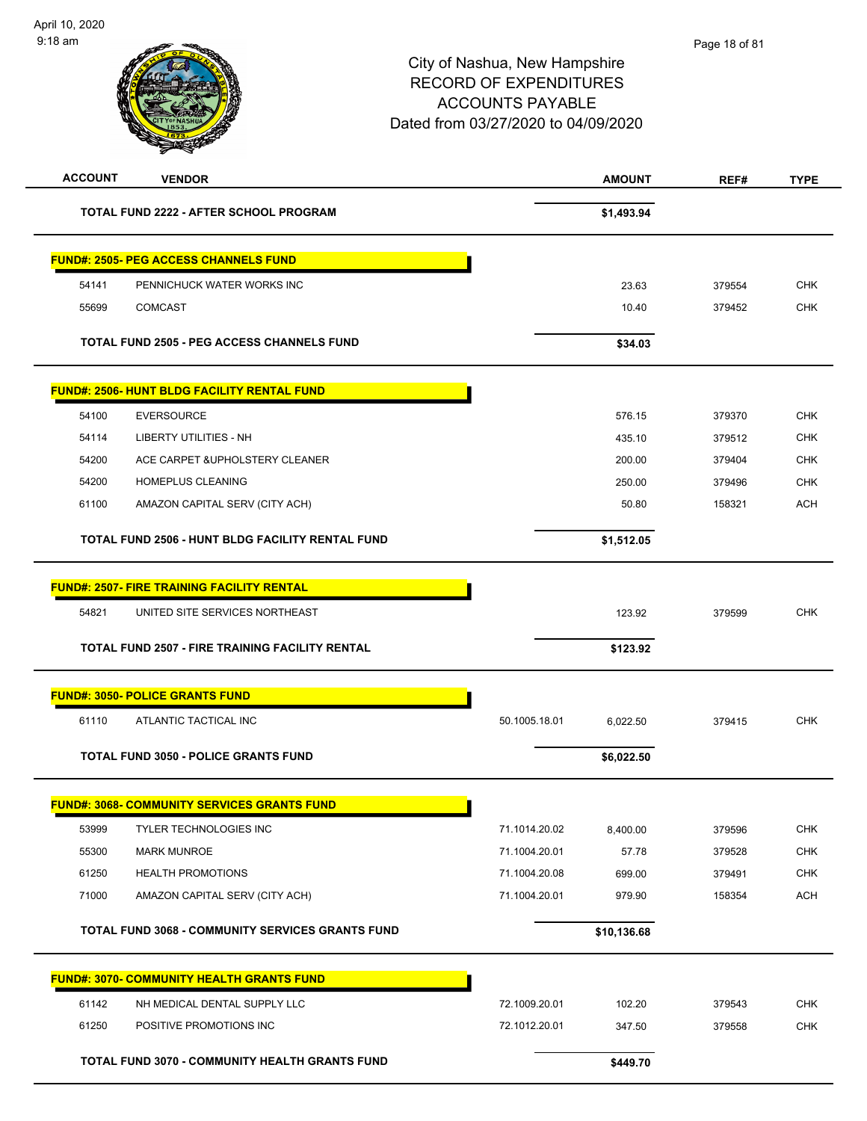| <b>ACCOUNT</b> | <b>VENDOR</b>                                           |               | <b>AMOUNT</b> | REF#   | <b>TYPE</b> |
|----------------|---------------------------------------------------------|---------------|---------------|--------|-------------|
|                | <b>TOTAL FUND 2222 - AFTER SCHOOL PROGRAM</b>           |               | \$1,493.94    |        |             |
|                | <b>FUND#: 2505- PEG ACCESS CHANNELS FUND</b>            |               |               |        |             |
| 54141          | PENNICHUCK WATER WORKS INC                              |               | 23.63         | 379554 | <b>CHK</b>  |
| 55699          | <b>COMCAST</b>                                          |               | 10.40         | 379452 | <b>CHK</b>  |
|                |                                                         |               |               |        |             |
|                | <b>TOTAL FUND 2505 - PEG ACCESS CHANNELS FUND</b>       |               | \$34.03       |        |             |
|                | <b>FUND#: 2506- HUNT BLDG FACILITY RENTAL FUND</b>      |               |               |        |             |
| 54100          | <b>EVERSOURCE</b>                                       |               | 576.15        | 379370 | <b>CHK</b>  |
| 54114          | <b>LIBERTY UTILITIES - NH</b>                           |               | 435.10        | 379512 | <b>CHK</b>  |
| 54200          | ACE CARPET & UPHOLSTERY CLEANER                         |               | 200.00        | 379404 | <b>CHK</b>  |
| 54200          | HOMEPLUS CLEANING                                       |               | 250.00        | 379496 | <b>CHK</b>  |
| 61100          | AMAZON CAPITAL SERV (CITY ACH)                          |               | 50.80         | 158321 | <b>ACH</b>  |
|                | TOTAL FUND 2506 - HUNT BLDG FACILITY RENTAL FUND        |               | \$1,512.05    |        |             |
|                | <b>FUND#: 2507- FIRE TRAINING FACILITY RENTAL</b>       |               |               |        |             |
| 54821          | UNITED SITE SERVICES NORTHEAST                          |               | 123.92        | 379599 | <b>CHK</b>  |
|                | <b>TOTAL FUND 2507 - FIRE TRAINING FACILITY RENTAL</b>  |               | \$123.92      |        |             |
|                | <b>FUND#: 3050- POLICE GRANTS FUND</b>                  |               |               |        |             |
| 61110          | ATLANTIC TACTICAL INC                                   | 50.1005.18.01 | 6,022.50      | 379415 | <b>CHK</b>  |
|                | <b>TOTAL FUND 3050 - POLICE GRANTS FUND</b>             |               | \$6,022.50    |        |             |
|                | <b>FUND#: 3068- COMMUNITY SERVICES GRANTS FUND</b>      |               |               |        |             |
| 53999          | <b>TYLER TECHNOLOGIES INC</b>                           | 71.1014.20.02 | 8,400.00      | 379596 | <b>CHK</b>  |
| 55300          | <b>MARK MUNROE</b>                                      | 71.1004.20.01 | 57.78         | 379528 | <b>CHK</b>  |
| 61250          | <b>HEALTH PROMOTIONS</b>                                | 71.1004.20.08 | 699.00        | 379491 | <b>CHK</b>  |
| 71000          | AMAZON CAPITAL SERV (CITY ACH)                          | 71.1004.20.01 | 979.90        | 158354 | <b>ACH</b>  |
|                | <b>TOTAL FUND 3068 - COMMUNITY SERVICES GRANTS FUND</b> |               | \$10,136.68   |        |             |
|                |                                                         |               |               |        |             |
|                | <b>FUND#: 3070- COMMUNITY HEALTH GRANTS FUND</b>        |               |               |        |             |
| 61142          | NH MEDICAL DENTAL SUPPLY LLC                            | 72.1009.20.01 | 102.20        | 379543 | <b>CHK</b>  |
| 61250          | POSITIVE PROMOTIONS INC                                 | 72.1012.20.01 | 347.50        | 379558 | <b>CHK</b>  |
|                | TOTAL FUND 3070 - COMMUNITY HEALTH GRANTS FUND          |               | \$449.70      |        |             |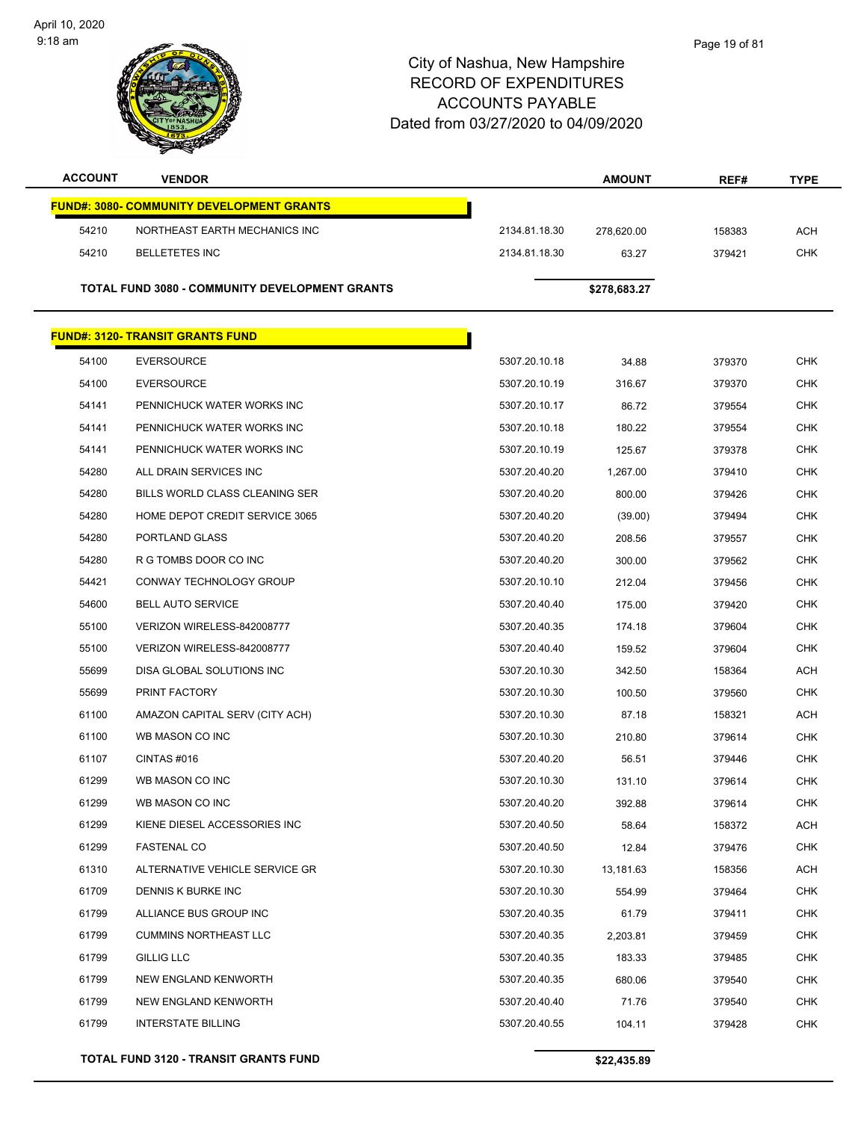

| <b>ACCOUNT</b> | <b>VENDOR</b>                                    |               | <b>AMOUNT</b> | REF#   | <b>TYPE</b> |
|----------------|--------------------------------------------------|---------------|---------------|--------|-------------|
|                | <b>FUND#: 3080- COMMUNITY DEVELOPMENT GRANTS</b> |               |               |        |             |
| 54210          | NORTHEAST EARTH MECHANICS INC                    | 2134.81.18.30 | 278,620.00    | 158383 | <b>ACH</b>  |
| 54210          | <b>BELLETETES INC</b>                            | 2134.81.18.30 | 63.27         | 379421 | <b>CHK</b>  |
|                |                                                  |               |               |        |             |
|                | TOTAL FUND 3080 - COMMUNITY DEVELOPMENT GRANTS   |               | \$278,683.27  |        |             |
|                | <b>FUND#: 3120- TRANSIT GRANTS FUND</b>          |               |               |        |             |
| 54100          | <b>EVERSOURCE</b>                                | 5307.20.10.18 | 34.88         | 379370 | <b>CHK</b>  |
| 54100          | <b>EVERSOURCE</b>                                | 5307.20.10.19 | 316.67        | 379370 | <b>CHK</b>  |
| 54141          | PENNICHUCK WATER WORKS INC                       | 5307.20.10.17 | 86.72         | 379554 | <b>CHK</b>  |
| 54141          | PENNICHUCK WATER WORKS INC                       | 5307.20.10.18 | 180.22        | 379554 | <b>CHK</b>  |
| 54141          | PENNICHUCK WATER WORKS INC                       | 5307.20.10.19 | 125.67        | 379378 | <b>CHK</b>  |
| 54280          | ALL DRAIN SERVICES INC                           | 5307.20.40.20 | 1,267.00      | 379410 | <b>CHK</b>  |
| 54280          | BILLS WORLD CLASS CLEANING SER                   | 5307.20.40.20 | 800.00        | 379426 | <b>CHK</b>  |
| 54280          | HOME DEPOT CREDIT SERVICE 3065                   | 5307.20.40.20 | (39.00)       | 379494 | <b>CHK</b>  |
| 54280          | PORTLAND GLASS                                   | 5307.20.40.20 | 208.56        | 379557 | <b>CHK</b>  |
| 54280          | R G TOMBS DOOR CO INC                            | 5307.20.40.20 | 300.00        | 379562 | <b>CHK</b>  |
| 54421          | CONWAY TECHNOLOGY GROUP                          | 5307.20.10.10 | 212.04        | 379456 | CHK         |
| 54600          | <b>BELL AUTO SERVICE</b>                         | 5307.20.40.40 | 175.00        | 379420 | <b>CHK</b>  |
| 55100          | VERIZON WIRELESS-842008777                       | 5307.20.40.35 | 174.18        | 379604 | <b>CHK</b>  |
| 55100          | VERIZON WIRELESS-842008777                       | 5307.20.40.40 | 159.52        | 379604 | <b>CHK</b>  |
| 55699          | DISA GLOBAL SOLUTIONS INC                        | 5307.20.10.30 | 342.50        | 158364 | ACH         |
| 55699          | PRINT FACTORY                                    | 5307.20.10.30 | 100.50        | 379560 | <b>CHK</b>  |
| 61100          | AMAZON CAPITAL SERV (CITY ACH)                   | 5307.20.10.30 | 87.18         | 158321 | <b>ACH</b>  |
| 61100          | WB MASON CO INC                                  | 5307.20.10.30 | 210.80        | 379614 | <b>CHK</b>  |
| 61107          | CINTAS#016                                       | 5307.20.40.20 | 56.51         | 379446 | <b>CHK</b>  |
| 61299          | WB MASON CO INC                                  | 5307.20.10.30 | 131.10        | 379614 | <b>CHK</b>  |
| 61299          | WB MASON CO INC                                  | 5307.20.40.20 | 392.88        | 379614 | CHK         |
| 61299          | KIENE DIESEL ACCESSORIES INC                     | 5307.20.40.50 | 58.64         | 158372 | <b>ACH</b>  |
| 61299          | <b>FASTENAL CO</b>                               | 5307.20.40.50 | 12.84         | 379476 | <b>CHK</b>  |
| 61310          | ALTERNATIVE VEHICLE SERVICE GR                   | 5307.20.10.30 | 13,181.63     | 158356 | ACH         |
| 61709          | DENNIS K BURKE INC                               | 5307.20.10.30 | 554.99        | 379464 | CHK         |
| 61799          | ALLIANCE BUS GROUP INC                           | 5307.20.40.35 | 61.79         | 379411 | <b>CHK</b>  |
| 61799          | <b>CUMMINS NORTHEAST LLC</b>                     | 5307.20.40.35 | 2,203.81      | 379459 | <b>CHK</b>  |
| 61799          | <b>GILLIG LLC</b>                                | 5307.20.40.35 | 183.33        | 379485 | <b>CHK</b>  |
| 61799          | NEW ENGLAND KENWORTH                             | 5307.20.40.35 | 680.06        | 379540 | <b>CHK</b>  |
| 61799          | NEW ENGLAND KENWORTH                             | 5307.20.40.40 | 71.76         | 379540 | <b>CHK</b>  |
| 61799          | <b>INTERSTATE BILLING</b>                        | 5307.20.40.55 | 104.11        | 379428 | CHK         |
|                |                                                  |               |               |        |             |

**TOTAL FUND 3120 - TRANSIT GRANTS FUND \$22,435.89**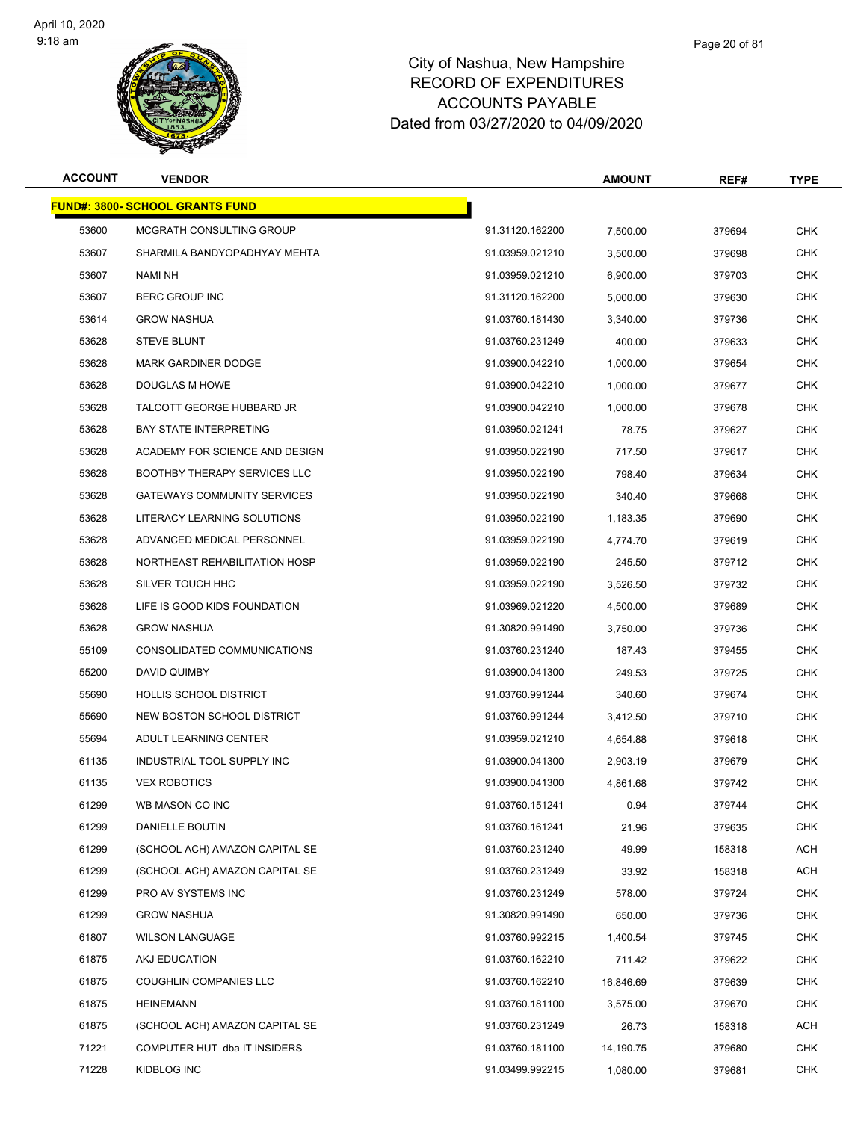

### Page 20 of 81

| <b>ACCOUNT</b> | <b>VENDOR</b>                          |                 | <b>AMOUNT</b> | REF#   | TYPE       |
|----------------|----------------------------------------|-----------------|---------------|--------|------------|
|                | <b>FUND#: 3800- SCHOOL GRANTS FUND</b> |                 |               |        |            |
| 53600          | MCGRATH CONSULTING GROUP               | 91.31120.162200 | 7,500.00      | 379694 | <b>CHK</b> |
| 53607          | SHARMILA BANDYOPADHYAY MEHTA           | 91.03959.021210 | 3,500.00      | 379698 | <b>CHK</b> |
| 53607          | NAMI NH                                | 91.03959.021210 | 6,900.00      | 379703 | <b>CHK</b> |
| 53607          | <b>BERC GROUP INC</b>                  | 91.31120.162200 | 5,000.00      | 379630 | <b>CHK</b> |
| 53614          | <b>GROW NASHUA</b>                     | 91.03760.181430 | 3,340.00      | 379736 | <b>CHK</b> |
| 53628          | <b>STEVE BLUNT</b>                     | 91.03760.231249 | 400.00        | 379633 | <b>CHK</b> |
| 53628          | <b>MARK GARDINER DODGE</b>             | 91.03900.042210 | 1,000.00      | 379654 | <b>CHK</b> |
| 53628          | DOUGLAS M HOWE                         | 91.03900.042210 | 1,000.00      | 379677 | <b>CHK</b> |
| 53628          | TALCOTT GEORGE HUBBARD JR              | 91.03900.042210 | 1,000.00      | 379678 | <b>CHK</b> |
| 53628          | <b>BAY STATE INTERPRETING</b>          | 91.03950.021241 | 78.75         | 379627 | <b>CHK</b> |
| 53628          | ACADEMY FOR SCIENCE AND DESIGN         | 91.03950.022190 | 717.50        | 379617 | <b>CHK</b> |
| 53628          | <b>BOOTHBY THERAPY SERVICES LLC</b>    | 91.03950.022190 | 798.40        | 379634 | <b>CHK</b> |
| 53628          | <b>GATEWAYS COMMUNITY SERVICES</b>     | 91.03950.022190 | 340.40        | 379668 | <b>CHK</b> |
| 53628          | LITERACY LEARNING SOLUTIONS            | 91.03950.022190 | 1.183.35      | 379690 | <b>CHK</b> |
| 53628          | ADVANCED MEDICAL PERSONNEL             | 91.03959.022190 | 4,774.70      | 379619 | <b>CHK</b> |
| 53628          | NORTHEAST REHABILITATION HOSP          | 91.03959.022190 | 245.50        | 379712 | <b>CHK</b> |
| 53628          | SILVER TOUCH HHC                       | 91.03959.022190 | 3,526.50      | 379732 | <b>CHK</b> |
| 53628          | LIFE IS GOOD KIDS FOUNDATION           | 91.03969.021220 | 4,500.00      | 379689 | <b>CHK</b> |
| 53628          | <b>GROW NASHUA</b>                     | 91.30820.991490 | 3,750.00      | 379736 | <b>CHK</b> |
| 55109          | CONSOLIDATED COMMUNICATIONS            | 91.03760.231240 | 187.43        | 379455 | <b>CHK</b> |
| 55200          | DAVID QUIMBY                           | 91.03900.041300 | 249.53        | 379725 | <b>CHK</b> |
| 55690          | <b>HOLLIS SCHOOL DISTRICT</b>          | 91.03760.991244 | 340.60        | 379674 | <b>CHK</b> |
| 55690          | NEW BOSTON SCHOOL DISTRICT             | 91.03760.991244 | 3,412.50      | 379710 | CHK        |
| 55694          | ADULT LEARNING CENTER                  | 91.03959.021210 | 4,654.88      | 379618 | <b>CHK</b> |
| 61135          | INDUSTRIAL TOOL SUPPLY INC             | 91.03900.041300 | 2,903.19      | 379679 | <b>CHK</b> |
| 61135          | <b>VEX ROBOTICS</b>                    | 91.03900.041300 | 4,861.68      | 379742 | <b>CHK</b> |
| 61299          | WB MASON CO INC                        | 91.03760.151241 | 0.94          | 379744 | <b>CHK</b> |
| 61299          | DANIELLE BOUTIN                        | 91.03760.161241 | 21.96         | 379635 | <b>CHK</b> |
| 61299          | (SCHOOL ACH) AMAZON CAPITAL SE         | 91.03760.231240 | 49.99         | 158318 | <b>ACH</b> |
| 61299          | (SCHOOL ACH) AMAZON CAPITAL SE         | 91.03760.231249 | 33.92         | 158318 | <b>ACH</b> |
| 61299          | PRO AV SYSTEMS INC                     | 91.03760.231249 | 578.00        | 379724 | CHK        |
| 61299          | <b>GROW NASHUA</b>                     | 91.30820.991490 | 650.00        | 379736 | <b>CHK</b> |
| 61807          | <b>WILSON LANGUAGE</b>                 | 91.03760.992215 | 1,400.54      | 379745 | <b>CHK</b> |
| 61875          | AKJ EDUCATION                          | 91.03760.162210 | 711.42        | 379622 | <b>CHK</b> |
| 61875          | <b>COUGHLIN COMPANIES LLC</b>          | 91.03760.162210 | 16,846.69     | 379639 | <b>CHK</b> |
| 61875          | HEINEMANN                              | 91.03760.181100 | 3,575.00      | 379670 | <b>CHK</b> |
| 61875          | (SCHOOL ACH) AMAZON CAPITAL SE         | 91.03760.231249 | 26.73         | 158318 | <b>ACH</b> |
| 71221          | COMPUTER HUT dba IT INSIDERS           | 91.03760.181100 | 14,190.75     | 379680 | <b>CHK</b> |
| 71228          | KIDBLOG INC                            | 91.03499.992215 | 1,080.00      | 379681 | <b>CHK</b> |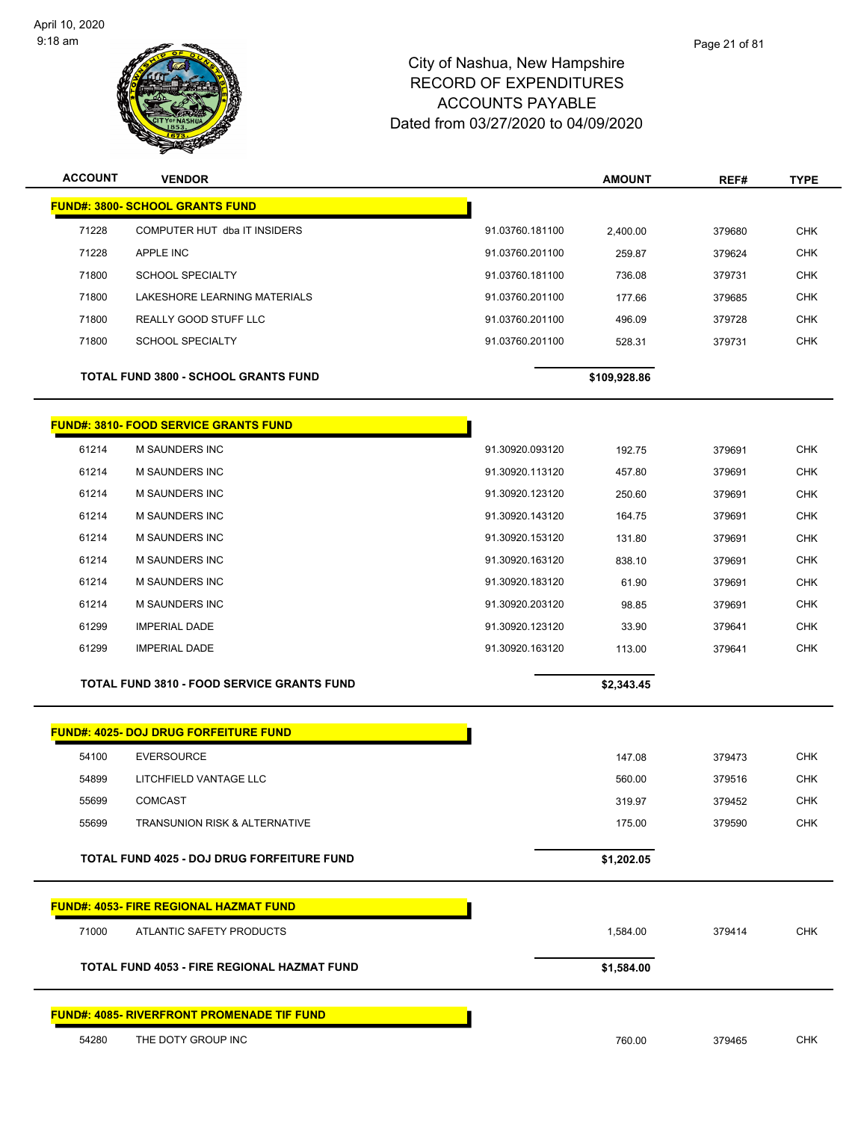

| <b>ACCOUNT</b> | <b>VENDOR</b>                                     |                 | <b>AMOUNT</b> | REF#   | <b>TYPE</b> |
|----------------|---------------------------------------------------|-----------------|---------------|--------|-------------|
|                | <b>FUND#: 3800- SCHOOL GRANTS FUND</b>            |                 |               |        |             |
| 71228          | COMPUTER HUT dba IT INSIDERS                      | 91.03760.181100 | 2,400.00      | 379680 | <b>CHK</b>  |
| 71228          | APPLE INC                                         | 91.03760.201100 | 259.87        | 379624 | <b>CHK</b>  |
| 71800          | <b>SCHOOL SPECIALTY</b>                           | 91.03760.181100 | 736.08        | 379731 | <b>CHK</b>  |
| 71800          | LAKESHORE LEARNING MATERIALS                      | 91.03760.201100 | 177.66        | 379685 | <b>CHK</b>  |
| 71800          | REALLY GOOD STUFF LLC                             | 91.03760.201100 | 496.09        | 379728 | <b>CHK</b>  |
| 71800          | <b>SCHOOL SPECIALTY</b>                           | 91.03760.201100 | 528.31        | 379731 | <b>CHK</b>  |
|                | <b>TOTAL FUND 3800 - SCHOOL GRANTS FUND</b>       |                 | \$109,928.86  |        |             |
|                | <b>FUND#: 3810- FOOD SERVICE GRANTS FUND</b>      |                 |               |        |             |
| 61214          | M SAUNDERS INC                                    | 91.30920.093120 | 192.75        | 379691 | <b>CHK</b>  |
| 61214          | M SAUNDERS INC                                    | 91.30920.113120 | 457.80        | 379691 | <b>CHK</b>  |
| 61214          | <b>M SAUNDERS INC</b>                             | 91.30920.123120 | 250.60        | 379691 | <b>CHK</b>  |
| 61214          | M SAUNDERS INC                                    | 91.30920.143120 | 164.75        | 379691 | <b>CHK</b>  |
| 61214          | M SAUNDERS INC                                    | 91.30920.153120 | 131.80        | 379691 | <b>CHK</b>  |
| 61214          | <b>M SAUNDERS INC</b>                             | 91.30920.163120 | 838.10        | 379691 | <b>CHK</b>  |
| 61214          | <b>M SAUNDERS INC</b>                             | 91.30920.183120 | 61.90         | 379691 | <b>CHK</b>  |
| 61214          | M SAUNDERS INC                                    | 91.30920.203120 | 98.85         | 379691 | <b>CHK</b>  |
| 61299          | <b>IMPERIAL DADE</b>                              | 91.30920.123120 | 33.90         | 379641 | <b>CHK</b>  |
| 61299          | <b>IMPERIAL DADE</b>                              | 91.30920.163120 | 113.00        | 379641 | <b>CHK</b>  |
|                | <b>TOTAL FUND 3810 - FOOD SERVICE GRANTS FUND</b> |                 | \$2,343.45    |        |             |
|                | <b>FUND#: 4025- DOJ DRUG FORFEITURE FUND</b>      |                 |               |        |             |
| 54100          | <b>EVERSOURCE</b>                                 |                 | 147.08        | 379473 | <b>CHK</b>  |
| 54899          | LITCHFIELD VANTAGE LLC                            |                 | 560.00        | 379516 | <b>CHK</b>  |
| 55699          | <b>COMCAST</b>                                    |                 | 319.97        | 379452 | <b>CHK</b>  |
| 55699          | <b>TRANSUNION RISK &amp; ALTERNATIVE</b>          |                 | 175.00        | 379590 | <b>CHK</b>  |
|                | <b>TOTAL FUND 4025 - DOJ DRUG FORFEITURE FUND</b> |                 | \$1,202.05    |        |             |
|                | <b>FUND#: 4053- FIRE REGIONAL HAZMAT FUND</b>     |                 |               |        |             |
| 71000          | ATLANTIC SAFETY PRODUCTS                          |                 | 1,584.00      | 379414 | <b>CHK</b>  |
|                | TOTAL FUND 4053 - FIRE REGIONAL HAZMAT FUND       |                 | \$1,584.00    |        |             |
|                | <b>FUND#: 4085- RIVERFRONT PROMENADE TIF FUND</b> |                 |               |        |             |
| 54280          | THE DOTY GROUP INC                                |                 | 760.00        | 379465 | <b>CHK</b>  |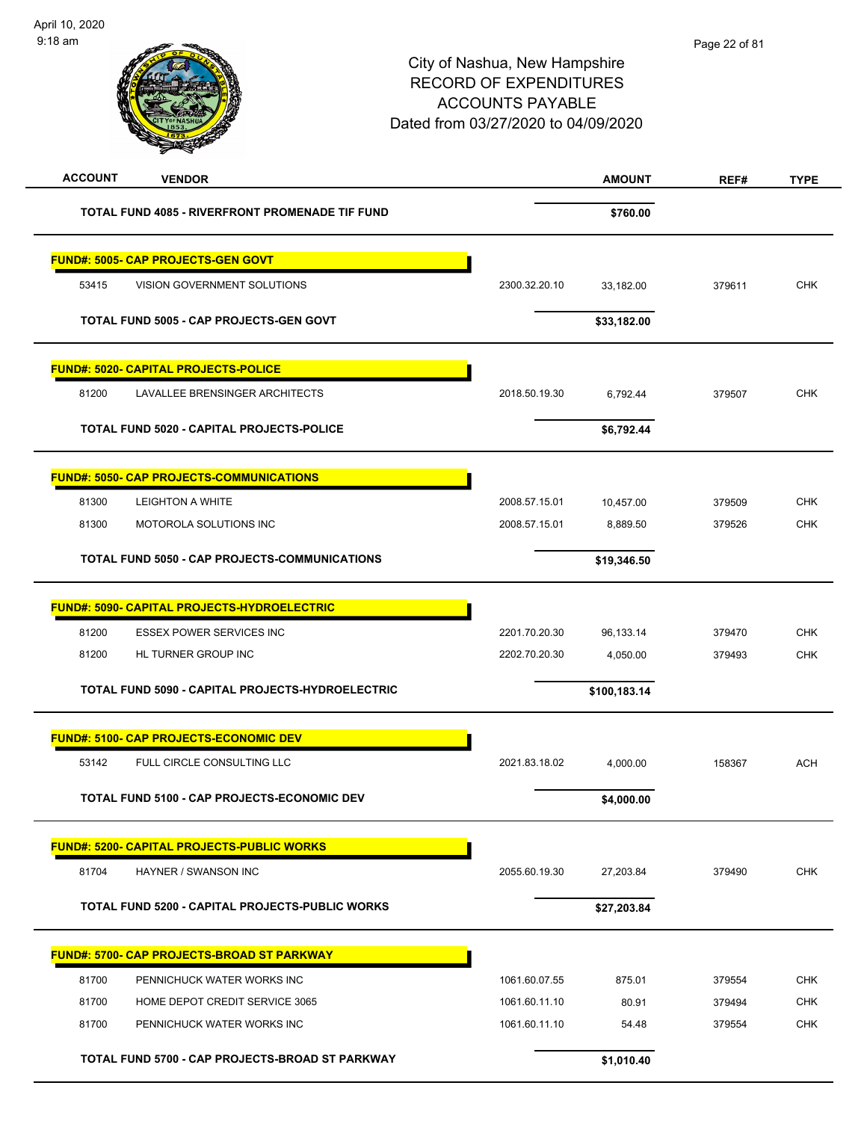| <b>ACCOUNT</b><br><b>VENDOR</b>                        |               | <b>AMOUNT</b> | REF#   | <b>TYPE</b> |
|--------------------------------------------------------|---------------|---------------|--------|-------------|
| TOTAL FUND 4085 - RIVERFRONT PROMENADE TIF FUND        |               | \$760.00      |        |             |
| <b>FUND#: 5005- CAP PROJECTS-GEN GOVT</b>              |               |               |        |             |
| 53415<br>VISION GOVERNMENT SOLUTIONS                   | 2300.32.20.10 | 33,182.00     | 379611 | <b>CHK</b>  |
| TOTAL FUND 5005 - CAP PROJECTS-GEN GOVT                |               | \$33,182.00   |        |             |
| <b>FUND#: 5020- CAPITAL PROJECTS-POLICE</b>            |               |               |        |             |
| 81200<br>LAVALLEE BRENSINGER ARCHITECTS                | 2018.50.19.30 | 6,792.44      | 379507 | <b>CHK</b>  |
| TOTAL FUND 5020 - CAPITAL PROJECTS-POLICE              |               | \$6,792.44    |        |             |
| <b>FUND#: 5050- CAP PROJECTS-COMMUNICATIONS</b>        |               |               |        |             |
| 81300<br><b>LEIGHTON A WHITE</b>                       | 2008.57.15.01 | 10,457.00     | 379509 | <b>CHK</b>  |
| 81300<br>MOTOROLA SOLUTIONS INC                        | 2008.57.15.01 | 8,889.50      | 379526 | <b>CHK</b>  |
| TOTAL FUND 5050 - CAP PROJECTS-COMMUNICATIONS          |               | \$19,346.50   |        |             |
| <b>FUND#: 5090- CAPITAL PROJECTS-HYDROELECTRIC</b>     |               |               |        |             |
| 81200<br><b>ESSEX POWER SERVICES INC</b>               | 2201.70.20.30 | 96,133.14     | 379470 | <b>CHK</b>  |
| 81200<br>HL TURNER GROUP INC                           | 2202.70.20.30 | 4,050.00      | 379493 | <b>CHK</b>  |
| TOTAL FUND 5090 - CAPITAL PROJECTS-HYDROELECTRIC       |               | \$100,183.14  |        |             |
| <b>FUND#: 5100- CAP PROJECTS-ECONOMIC DEV</b>          |               |               |        |             |
| 53142<br>FULL CIRCLE CONSULTING LLC                    | 2021.83.18.02 | 4,000.00      | 158367 | <b>ACH</b>  |
| TOTAL FUND 5100 - CAP PROJECTS-ECONOMIC DEV            |               | \$4,000.00    |        |             |
| <b>FUND#: 5200- CAPITAL PROJECTS-PUBLIC WORKS</b>      |               |               |        |             |
| 81704<br>HAYNER / SWANSON INC                          | 2055.60.19.30 | 27,203.84     | 379490 | CHK         |
| <b>TOTAL FUND 5200 - CAPITAL PROJECTS-PUBLIC WORKS</b> |               | \$27,203.84   |        |             |
| <b>FUND#: 5700- CAP PROJECTS-BROAD ST PARKWAY</b>      |               |               |        |             |
| 81700<br>PENNICHUCK WATER WORKS INC                    | 1061.60.07.55 | 875.01        | 379554 | <b>CHK</b>  |
| 81700<br>HOME DEPOT CREDIT SERVICE 3065                | 1061.60.11.10 | 80.91         | 379494 | <b>CHK</b>  |
| 81700<br>PENNICHUCK WATER WORKS INC                    | 1061.60.11.10 | 54.48         | 379554 | <b>CHK</b>  |
| TOTAL FUND 5700 - CAP PROJECTS-BROAD ST PARKWAY        |               | \$1,010.40    |        |             |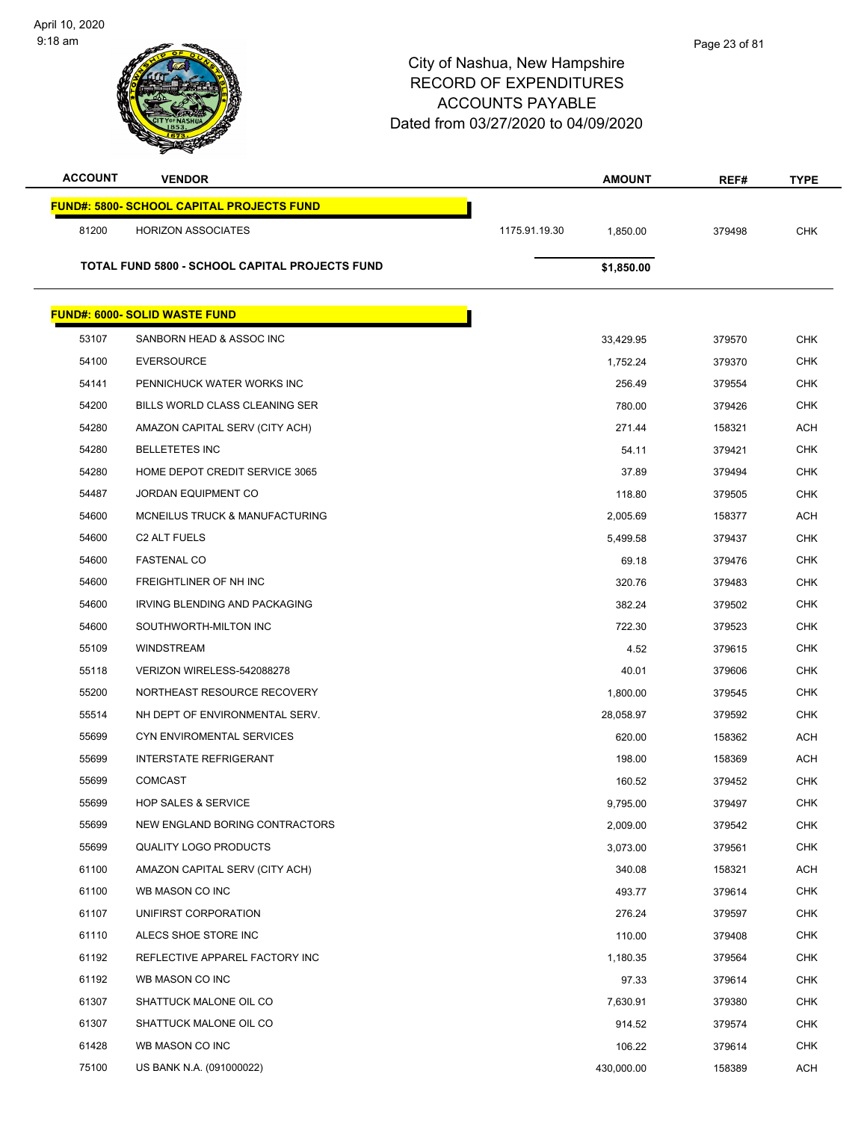

| <b>ACCOUNT</b> | <b>VENDOR</b>                                    |               | <b>AMOUNT</b> | REF#   | <b>TYPE</b> |
|----------------|--------------------------------------------------|---------------|---------------|--------|-------------|
|                | <b>FUND#: 5800- SCHOOL CAPITAL PROJECTS FUND</b> |               |               |        |             |
| 81200          | <b>HORIZON ASSOCIATES</b>                        | 1175.91.19.30 | 1,850.00      | 379498 | <b>CHK</b>  |
|                | TOTAL FUND 5800 - SCHOOL CAPITAL PROJECTS FUND   |               | \$1,850.00    |        |             |
|                |                                                  |               |               |        |             |
|                | <b>FUND#: 6000- SOLID WASTE FUND</b>             |               |               |        |             |
| 53107          | SANBORN HEAD & ASSOC INC                         |               | 33,429.95     | 379570 | <b>CHK</b>  |
| 54100          | <b>EVERSOURCE</b>                                |               | 1,752.24      | 379370 | <b>CHK</b>  |
| 54141          | PENNICHUCK WATER WORKS INC                       |               | 256.49        | 379554 | <b>CHK</b>  |
| 54200          | BILLS WORLD CLASS CLEANING SER                   |               | 780.00        | 379426 | <b>CHK</b>  |
| 54280          | AMAZON CAPITAL SERV (CITY ACH)                   |               | 271.44        | 158321 | <b>ACH</b>  |
| 54280          | <b>BELLETETES INC</b>                            |               | 54.11         | 379421 | <b>CHK</b>  |
| 54280          | HOME DEPOT CREDIT SERVICE 3065                   |               | 37.89         | 379494 | <b>CHK</b>  |
| 54487          | <b>JORDAN EQUIPMENT CO</b>                       |               | 118.80        | 379505 | <b>CHK</b>  |
| 54600          | MCNEILUS TRUCK & MANUFACTURING                   |               | 2,005.69      | 158377 | <b>ACH</b>  |
| 54600          | C <sub>2</sub> ALT FUELS                         |               | 5,499.58      | 379437 | <b>CHK</b>  |
| 54600          | <b>FASTENAL CO</b>                               |               | 69.18         | 379476 | <b>CHK</b>  |
| 54600          | FREIGHTLINER OF NH INC                           |               | 320.76        | 379483 | <b>CHK</b>  |
| 54600          | IRVING BLENDING AND PACKAGING                    |               | 382.24        | 379502 | <b>CHK</b>  |
| 54600          | SOUTHWORTH-MILTON INC                            |               | 722.30        | 379523 | <b>CHK</b>  |
| 55109          | <b>WINDSTREAM</b>                                |               | 4.52          | 379615 | <b>CHK</b>  |
| 55118          | VERIZON WIRELESS-542088278                       |               | 40.01         | 379606 | <b>CHK</b>  |
| 55200          | NORTHEAST RESOURCE RECOVERY                      |               | 1,800.00      | 379545 | <b>CHK</b>  |
| 55514          | NH DEPT OF ENVIRONMENTAL SERV.                   |               | 28,058.97     | 379592 | <b>CHK</b>  |
| 55699          | <b>CYN ENVIROMENTAL SERVICES</b>                 |               | 620.00        | 158362 | <b>ACH</b>  |
| 55699          | <b>INTERSTATE REFRIGERANT</b>                    |               | 198.00        | 158369 | <b>ACH</b>  |
| 55699          | <b>COMCAST</b>                                   |               | 160.52        | 379452 | <b>CHK</b>  |
| 55699          | <b>HOP SALES &amp; SERVICE</b>                   |               | 9,795.00      | 379497 | CHK         |
| 55699          | NEW ENGLAND BORING CONTRACTORS                   |               | 2,009.00      | 379542 | CHK         |
| 55699          | <b>QUALITY LOGO PRODUCTS</b>                     |               | 3,073.00      | 379561 | <b>CHK</b>  |
| 61100          | AMAZON CAPITAL SERV (CITY ACH)                   |               | 340.08        | 158321 | <b>ACH</b>  |
| 61100          | WB MASON CO INC                                  |               | 493.77        | 379614 | <b>CHK</b>  |
| 61107          | UNIFIRST CORPORATION                             |               | 276.24        | 379597 | <b>CHK</b>  |
| 61110          | ALECS SHOE STORE INC                             |               | 110.00        | 379408 | <b>CHK</b>  |
| 61192          | REFLECTIVE APPAREL FACTORY INC                   |               | 1,180.35      | 379564 | <b>CHK</b>  |
| 61192          | WB MASON CO INC                                  |               | 97.33         | 379614 | <b>CHK</b>  |
| 61307          | SHATTUCK MALONE OIL CO                           |               | 7,630.91      | 379380 | <b>CHK</b>  |
| 61307          | SHATTUCK MALONE OIL CO                           |               | 914.52        | 379574 | <b>CHK</b>  |
| 61428          | WB MASON CO INC                                  |               | 106.22        | 379614 | <b>CHK</b>  |
| 75100          | US BANK N.A. (091000022)                         |               | 430,000.00    | 158389 | <b>ACH</b>  |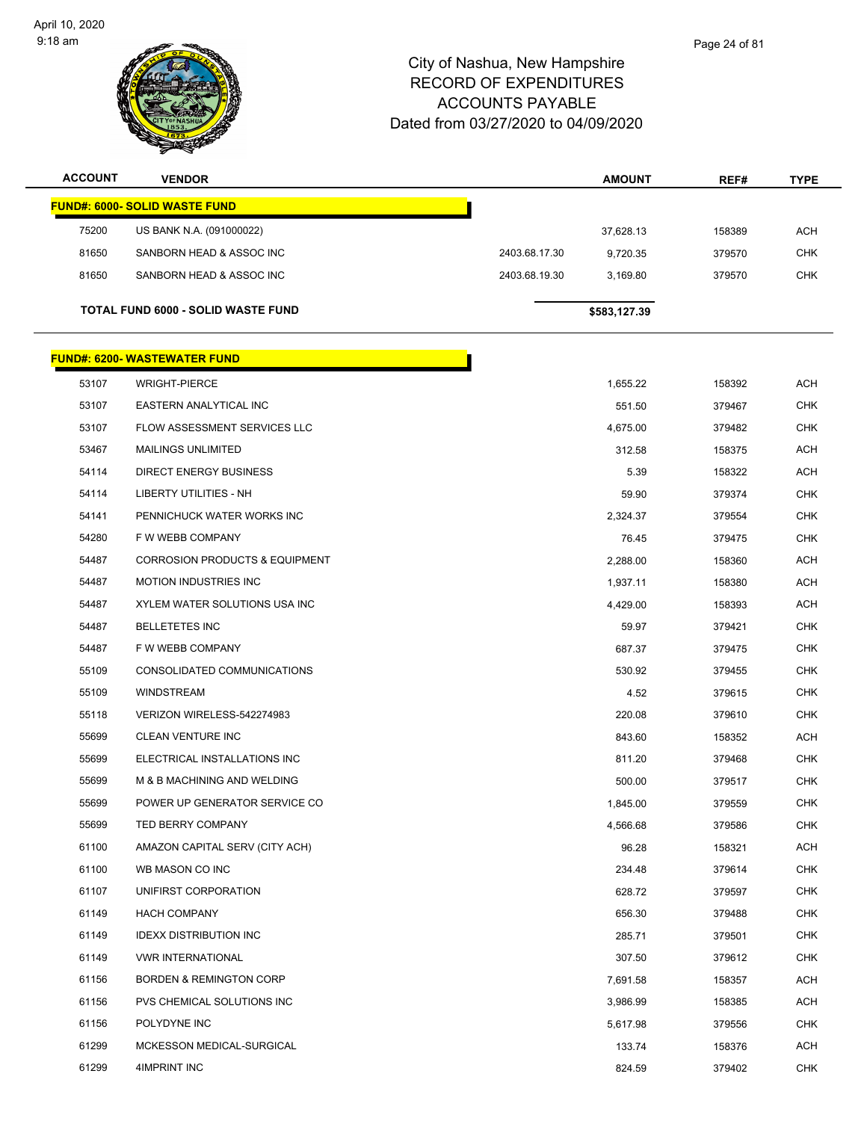

| <b>ACCOUNT</b> | <b>VENDOR</b>                             |               | <b>AMOUNT</b> | REF#   | <b>TYPE</b> |
|----------------|-------------------------------------------|---------------|---------------|--------|-------------|
|                | <b>FUND#: 6000- SOLID WASTE FUND</b>      |               |               |        |             |
| 75200          | US BANK N.A. (091000022)                  |               | 37,628.13     | 158389 | ACH         |
| 81650          | SANBORN HEAD & ASSOC INC                  | 2403.68.17.30 | 9,720.35      | 379570 | <b>CHK</b>  |
| 81650          | SANBORN HEAD & ASSOC INC                  | 2403.68.19.30 | 3,169.80      | 379570 | <b>CHK</b>  |
|                | TOTAL FUND 6000 - SOLID WASTE FUND        |               | \$583,127.39  |        |             |
|                | <b>FUND#: 6200- WASTEWATER FUND</b>       |               |               |        |             |
| 53107          | <b>WRIGHT-PIERCE</b>                      |               | 1,655.22      | 158392 | <b>ACH</b>  |
| 53107          | EASTERN ANALYTICAL INC                    |               | 551.50        | 379467 | <b>CHK</b>  |
| 53107          | FLOW ASSESSMENT SERVICES LLC              |               | 4,675.00      | 379482 | <b>CHK</b>  |
| 53467          | <b>MAILINGS UNLIMITED</b>                 |               | 312.58        | 158375 | <b>ACH</b>  |
| 54114          | <b>DIRECT ENERGY BUSINESS</b>             |               | 5.39          | 158322 | <b>ACH</b>  |
| 54114          | LIBERTY UTILITIES - NH                    |               | 59.90         | 379374 | CHK         |
| 54141          | PENNICHUCK WATER WORKS INC                |               | 2,324.37      | 379554 | <b>CHK</b>  |
| 54280          | F W WEBB COMPANY                          |               | 76.45         | 379475 | <b>CHK</b>  |
| 54487          | <b>CORROSION PRODUCTS &amp; EQUIPMENT</b> |               | 2,288.00      | 158360 | <b>ACH</b>  |
| 54487          | <b>MOTION INDUSTRIES INC</b>              |               | 1,937.11      | 158380 | <b>ACH</b>  |
| 54487          | XYLEM WATER SOLUTIONS USA INC             |               | 4,429.00      | 158393 | ACH         |
| 54487          | <b>BELLETETES INC</b>                     |               | 59.97         | 379421 | <b>CHK</b>  |
| 54487          | F W WEBB COMPANY                          |               | 687.37        | 379475 | <b>CHK</b>  |
| 55109          | CONSOLIDATED COMMUNICATIONS               |               | 530.92        | 379455 | <b>CHK</b>  |
| 55109          | <b>WINDSTREAM</b>                         |               | 4.52          | 379615 | <b>CHK</b>  |
| 55118          | VERIZON WIRELESS-542274983                |               | 220.08        | 379610 | <b>CHK</b>  |
| 55699          | <b>CLEAN VENTURE INC</b>                  |               | 843.60        | 158352 | ACH         |
| 55699          | ELECTRICAL INSTALLATIONS INC              |               | 811.20        | 379468 | <b>CHK</b>  |
| 55699          | M & B MACHINING AND WELDING               |               | 500.00        | 379517 | <b>CHK</b>  |
| 55699          | POWER UP GENERATOR SERVICE CO             |               | 1,845.00      | 379559 | <b>CHK</b>  |
| 55699          | TED BERRY COMPANY                         |               | 4,566.68      | 379586 | <b>CHK</b>  |
| 61100          | AMAZON CAPITAL SERV (CITY ACH)            |               | 96.28         | 158321 | <b>ACH</b>  |
| 61100          | WB MASON CO INC                           |               | 234.48        | 379614 | <b>CHK</b>  |
| 61107          | UNIFIRST CORPORATION                      |               | 628.72        | 379597 | <b>CHK</b>  |
| 61149          | <b>HACH COMPANY</b>                       |               | 656.30        | 379488 | <b>CHK</b>  |
| 61149          | <b>IDEXX DISTRIBUTION INC</b>             |               | 285.71        | 379501 | <b>CHK</b>  |
| 61149          | <b>VWR INTERNATIONAL</b>                  |               | 307.50        | 379612 | <b>CHK</b>  |
| 61156          | <b>BORDEN &amp; REMINGTON CORP</b>        |               | 7,691.58      | 158357 | ACH         |
| 61156          | PVS CHEMICAL SOLUTIONS INC                |               | 3,986.99      | 158385 | <b>ACH</b>  |
| 61156          | POLYDYNE INC                              |               | 5,617.98      | 379556 | <b>CHK</b>  |
| 61299          | MCKESSON MEDICAL-SURGICAL                 |               | 133.74        | 158376 | ACH         |
| 61299          | 4IMPRINT INC                              |               | 824.59        | 379402 | <b>CHK</b>  |
|                |                                           |               |               |        |             |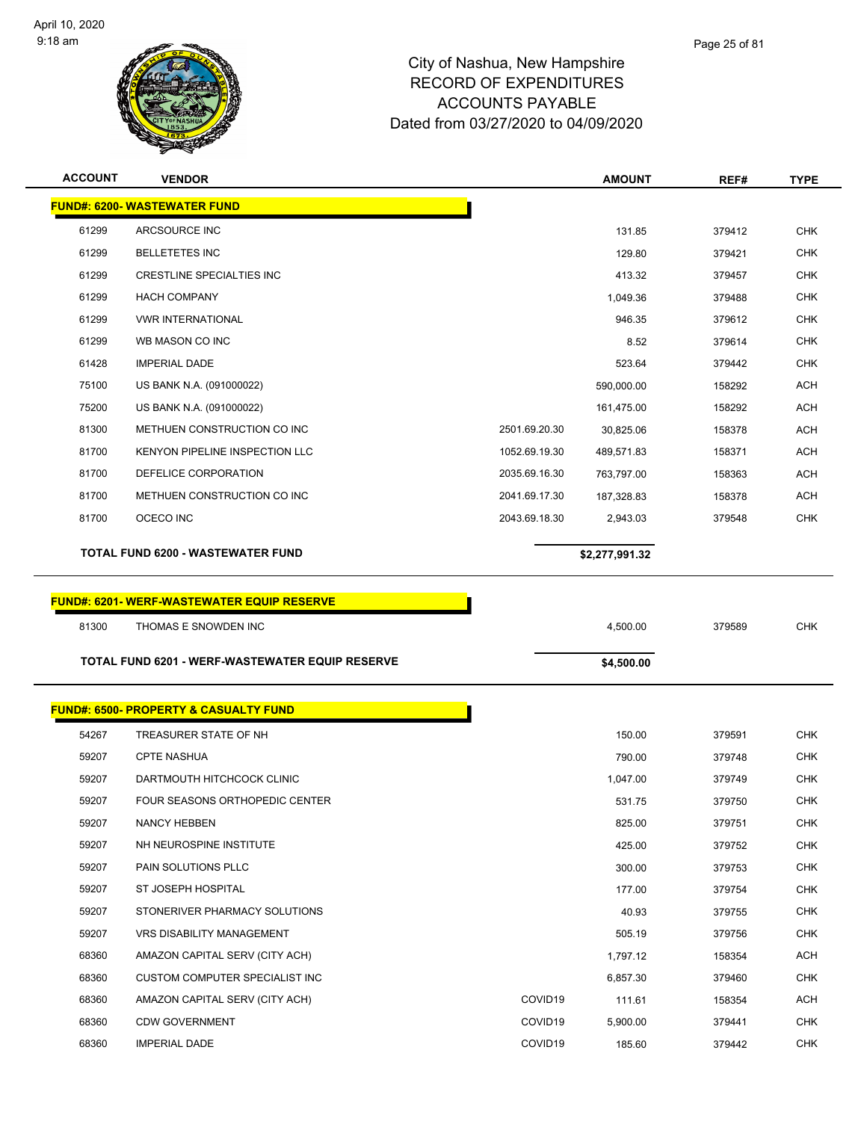

| <b>ACCOUNT</b> | <b>VENDOR</b>                                    |               | <b>AMOUNT</b>  | REF#   | TYPE       |
|----------------|--------------------------------------------------|---------------|----------------|--------|------------|
|                | <b>FUND#: 6200- WASTEWATER FUND</b>              |               |                |        |            |
| 61299          | ARCSOURCE INC                                    |               | 131.85         | 379412 | <b>CHK</b> |
| 61299          | <b>BELLETETES INC</b>                            |               | 129.80         | 379421 | <b>CHK</b> |
| 61299          | <b>CRESTLINE SPECIALTIES INC</b>                 |               | 413.32         | 379457 | <b>CHK</b> |
| 61299          | <b>HACH COMPANY</b>                              |               | 1,049.36       | 379488 | <b>CHK</b> |
| 61299          | <b>VWR INTERNATIONAL</b>                         |               | 946.35         | 379612 | <b>CHK</b> |
| 61299          | WB MASON CO INC                                  |               | 8.52           | 379614 | <b>CHK</b> |
| 61428          | <b>IMPERIAL DADE</b>                             |               | 523.64         | 379442 | <b>CHK</b> |
| 75100          | US BANK N.A. (091000022)                         |               | 590,000.00     | 158292 | <b>ACH</b> |
| 75200          | US BANK N.A. (091000022)                         |               | 161,475.00     | 158292 | <b>ACH</b> |
| 81300          | METHUEN CONSTRUCTION CO INC                      | 2501.69.20.30 | 30,825.06      | 158378 | <b>ACH</b> |
| 81700          | KENYON PIPELINE INSPECTION LLC                   | 1052.69.19.30 | 489,571.83     | 158371 | ACH        |
| 81700          | DEFELICE CORPORATION                             | 2035.69.16.30 | 763,797.00     | 158363 | <b>ACH</b> |
| 81700          | METHUEN CONSTRUCTION CO INC                      | 2041.69.17.30 | 187,328.83     | 158378 | <b>ACH</b> |
| 81700          | OCECO INC                                        | 2043.69.18.30 | 2,943.03       | 379548 | <b>CHK</b> |
|                | TOTAL FUND 6200 - WASTEWATER FUND                |               | \$2,277,991.32 |        |            |
|                |                                                  |               |                |        |            |
|                |                                                  |               |                |        |            |
|                | <b>FUND#: 6201-WERF-WASTEWATER EQUIP RESERVE</b> |               |                |        |            |
| 81300          | THOMAS E SNOWDEN INC                             |               | 4,500.00       | 379589 | <b>CHK</b> |
|                | TOTAL FUND 6201 - WERF-WASTEWATER EQUIP RESERVE  |               | \$4,500.00     |        |            |
|                | <b>FUND#: 6500- PROPERTY &amp; CASUALTY FUND</b> |               |                |        |            |
| 54267          | TREASURER STATE OF NH                            |               | 150.00         | 379591 | <b>CHK</b> |
| 59207          | <b>CPTE NASHUA</b>                               |               | 790.00         | 379748 | <b>CHK</b> |
| 59207          | DARTMOUTH HITCHCOCK CLINIC                       |               | 1,047.00       | 379749 | <b>CHK</b> |
| 59207          | FOUR SEASONS ORTHOPEDIC CENTER                   |               | 531.75         | 379750 | <b>CHK</b> |
| 59207          | NANCY HEBBEN                                     |               | 825.00         | 379751 | <b>CHK</b> |
| 59207          | NH NEUROSPINE INSTITUTE                          |               | 425.00         | 379752 | <b>CHK</b> |
| 59207          | PAIN SOLUTIONS PLLC                              |               | 300.00         | 379753 | <b>CHK</b> |
| 59207          | ST JOSEPH HOSPITAL                               |               | 177.00         | 379754 | <b>CHK</b> |
| 59207          | STONERIVER PHARMACY SOLUTIONS                    |               | 40.93          | 379755 | <b>CHK</b> |
| 59207          | VRS DISABILITY MANAGEMENT                        |               | 505.19         | 379756 | <b>CHK</b> |
| 68360          | AMAZON CAPITAL SERV (CITY ACH)                   |               | 1,797.12       | 158354 | <b>ACH</b> |
| 68360          | <b>CUSTOM COMPUTER SPECIALIST INC</b>            |               | 6,857.30       | 379460 | <b>CHK</b> |
| 68360          | AMAZON CAPITAL SERV (CITY ACH)                   | COVID19       | 111.61         | 158354 | <b>ACH</b> |
| 68360          | <b>CDW GOVERNMENT</b>                            | COVID19       | 5,900.00       | 379441 | <b>CHK</b> |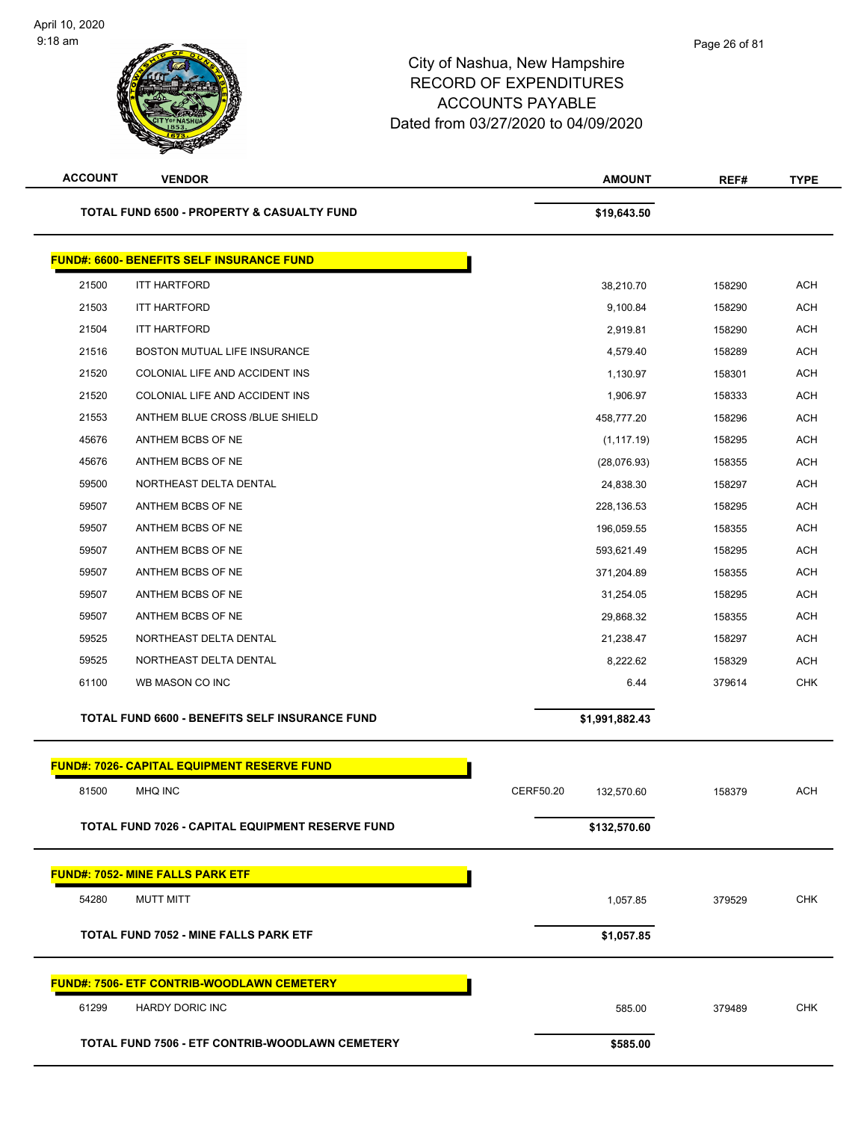| <b>ACCOUNT</b> | <b>VENDOR</b>                                         | <b>AMOUNT</b>           | REF#   | <b>TYPE</b> |
|----------------|-------------------------------------------------------|-------------------------|--------|-------------|
|                | <b>TOTAL FUND 6500 - PROPERTY &amp; CASUALTY FUND</b> | \$19,643.50             |        |             |
|                | <b>FUND#: 6600- BENEFITS SELF INSURANCE FUND</b>      |                         |        |             |
| 21500          | <b>ITT HARTFORD</b>                                   | 38,210.70               | 158290 | <b>ACH</b>  |
| 21503          | <b>ITT HARTFORD</b>                                   | 9,100.84                | 158290 | <b>ACH</b>  |
| 21504          | <b>ITT HARTFORD</b>                                   | 2,919.81                | 158290 | <b>ACH</b>  |
| 21516          | BOSTON MUTUAL LIFE INSURANCE                          | 4,579.40                | 158289 | <b>ACH</b>  |
| 21520          | COLONIAL LIFE AND ACCIDENT INS                        | 1,130.97                | 158301 | <b>ACH</b>  |
| 21520          | COLONIAL LIFE AND ACCIDENT INS                        | 1,906.97                | 158333 | <b>ACH</b>  |
| 21553          | ANTHEM BLUE CROSS /BLUE SHIELD                        | 458,777.20              | 158296 | <b>ACH</b>  |
| 45676          | ANTHEM BCBS OF NE                                     | (1, 117.19)             | 158295 | <b>ACH</b>  |
| 45676          | ANTHEM BCBS OF NE                                     | (28,076.93)             | 158355 | <b>ACH</b>  |
| 59500          | NORTHEAST DELTA DENTAL                                | 24,838.30               | 158297 | <b>ACH</b>  |
| 59507          | ANTHEM BCBS OF NE                                     | 228,136.53              | 158295 | <b>ACH</b>  |
| 59507          | ANTHEM BCBS OF NE                                     | 196,059.55              | 158355 | <b>ACH</b>  |
| 59507          | ANTHEM BCBS OF NE                                     | 593,621.49              | 158295 | <b>ACH</b>  |
| 59507          | ANTHEM BCBS OF NE                                     | 371,204.89              | 158355 | <b>ACH</b>  |
| 59507          | ANTHEM BCBS OF NE                                     | 31,254.05               | 158295 | <b>ACH</b>  |
| 59507          | ANTHEM BCBS OF NE                                     | 29,868.32               | 158355 | <b>ACH</b>  |
| 59525          | NORTHEAST DELTA DENTAL                                | 21,238.47               | 158297 | <b>ACH</b>  |
| 59525          | NORTHEAST DELTA DENTAL                                | 8,222.62                | 158329 | <b>ACH</b>  |
| 61100          | WB MASON CO INC                                       | 6.44                    | 379614 | <b>CHK</b>  |
|                | TOTAL FUND 6600 - BENEFITS SELF INSURANCE FUND        | \$1,991,882.43          |        |             |
|                | FUND#: 7026- CAPITAL EQUIPMENT RESERVE FUND           |                         |        |             |
| 81500          | MHQ INC                                               | CERF50.20<br>132,570.60 | 158379 | <b>ACH</b>  |
|                | TOTAL FUND 7026 - CAPITAL EQUIPMENT RESERVE FUND      | \$132,570.60            |        |             |
|                | <b>FUND#: 7052- MINE FALLS PARK ETF</b>               |                         |        |             |
| 54280          | <b>MUTT MITT</b>                                      | 1,057.85                | 379529 | <b>CHK</b>  |
|                | TOTAL FUND 7052 - MINE FALLS PARK ETF                 | \$1,057.85              |        |             |
|                | <b>FUND#: 7506- ETF CONTRIB-WOODLAWN CEMETERY</b>     |                         |        |             |
| 61299          | HARDY DORIC INC                                       | 585.00                  | 379489 | <b>CHK</b>  |
|                | TOTAL FUND 7506 - ETF CONTRIB-WOODLAWN CEMETERY       | \$585.00                |        |             |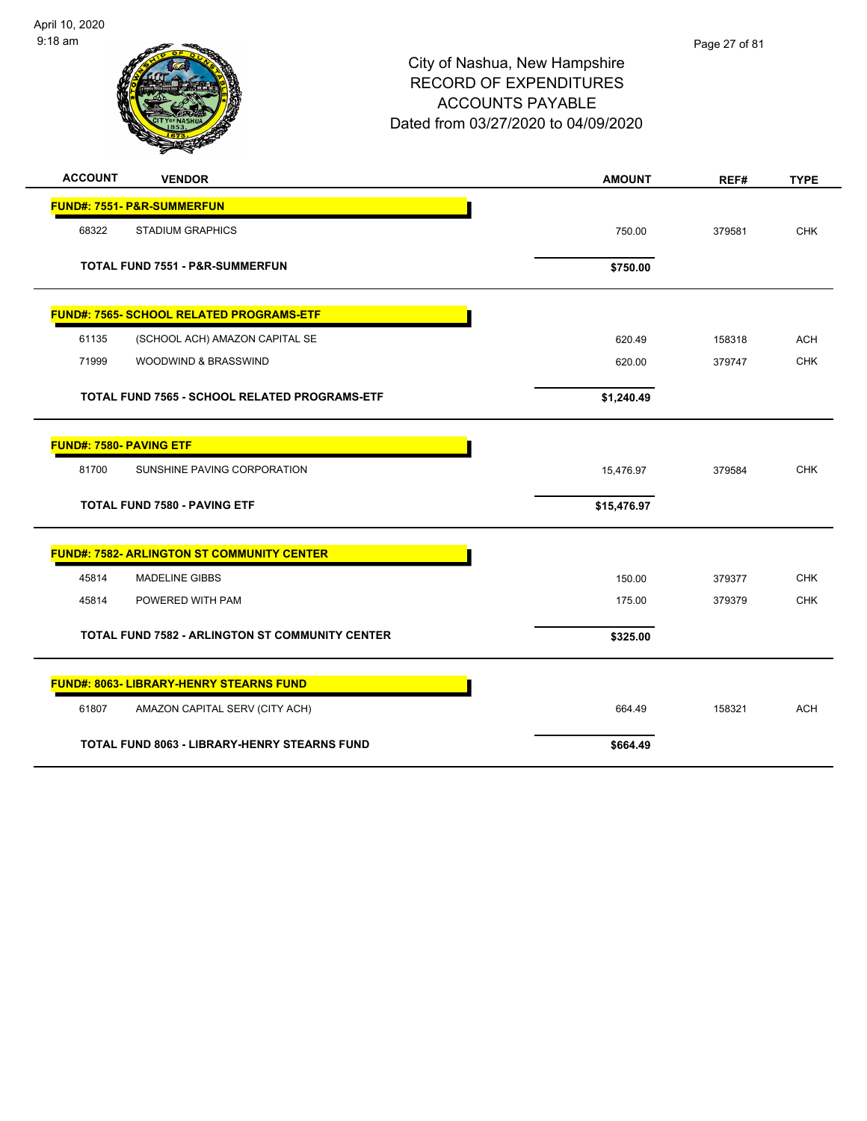

| <b>ACCOUNT</b><br><b>VENDOR</b>                        | <b>AMOUNT</b> | REF#   | <b>TYPE</b> |
|--------------------------------------------------------|---------------|--------|-------------|
| <b>FUND#: 7551- P&amp;R-SUMMERFUN</b>                  |               |        |             |
| 68322<br><b>STADIUM GRAPHICS</b>                       | 750.00        | 379581 | <b>CHK</b>  |
| <b>TOTAL FUND 7551 - P&amp;R-SUMMERFUN</b>             | \$750.00      |        |             |
| <b>FUND#: 7565- SCHOOL RELATED PROGRAMS-ETF</b>        |               |        |             |
| 61135<br>(SCHOOL ACH) AMAZON CAPITAL SE                | 620.49        | 158318 | <b>ACH</b>  |
| 71999<br>WOODWIND & BRASSWIND                          | 620.00        | 379747 | <b>CHK</b>  |
| TOTAL FUND 7565 - SCHOOL RELATED PROGRAMS-ETF          | \$1,240.49    |        |             |
| <b>FUND#: 7580- PAVING ETF</b>                         |               |        |             |
| 81700<br>SUNSHINE PAVING CORPORATION                   | 15,476.97     | 379584 | <b>CHK</b>  |
| <b>TOTAL FUND 7580 - PAVING ETF</b>                    | \$15,476.97   |        |             |
| <b>FUND#: 7582- ARLINGTON ST COMMUNITY CENTER</b>      |               |        |             |
| <b>MADELINE GIBBS</b><br>45814                         | 150.00        | 379377 | <b>CHK</b>  |
| 45814<br>POWERED WITH PAM                              | 175.00        | 379379 | <b>CHK</b>  |
| <b>TOTAL FUND 7582 - ARLINGTON ST COMMUNITY CENTER</b> | \$325.00      |        |             |
| FUND#: 8063- LIBRARY-HENRY STEARNS FUND                |               |        |             |
| 61807<br>AMAZON CAPITAL SERV (CITY ACH)                | 664.49        | 158321 | <b>ACH</b>  |
| <b>TOTAL FUND 8063 - LIBRARY-HENRY STEARNS FUND</b>    | \$664.49      |        |             |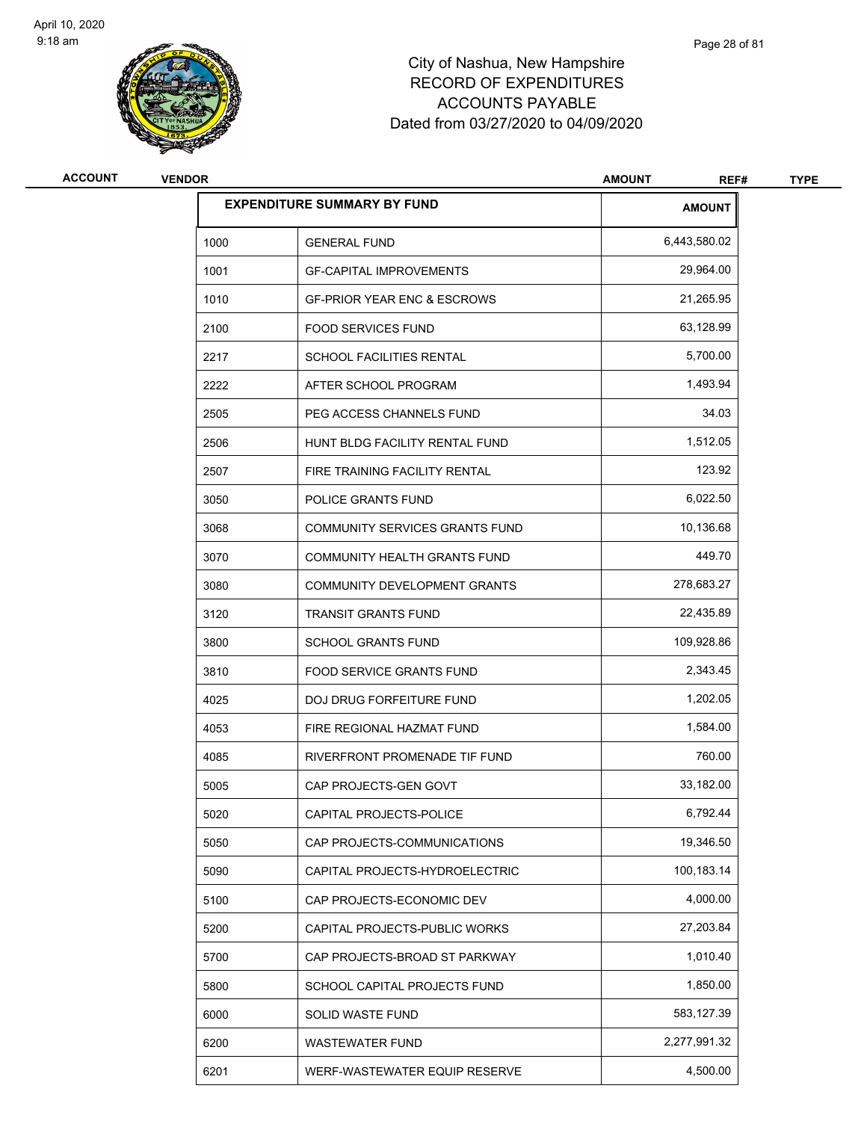

| <b>ACCOUNT</b> | <b>VENDOR</b> |                                        | <b>AMOUNT</b><br>REF# | <b>TYPE</b> |
|----------------|---------------|----------------------------------------|-----------------------|-------------|
|                |               | <b>EXPENDITURE SUMMARY BY FUND</b>     | <b>AMOUNT</b>         |             |
|                | 1000          | <b>GENERAL FUND</b>                    | 6,443,580.02          |             |
|                | 1001          | <b>GF-CAPITAL IMPROVEMENTS</b>         | 29,964.00             |             |
|                | 1010          | <b>GF-PRIOR YEAR ENC &amp; ESCROWS</b> | 21,265.95             |             |
|                | 2100          | <b>FOOD SERVICES FUND</b>              | 63,128.99             |             |
|                | 2217          | SCHOOL FACILITIES RENTAL               | 5,700.00              |             |
|                | 2222          | AFTER SCHOOL PROGRAM                   | 1,493.94              |             |
|                | 2505          | PEG ACCESS CHANNELS FUND               | 34.03                 |             |
|                | 2506          | HUNT BLDG FACILITY RENTAL FUND         | 1,512.05              |             |
|                | 2507          | FIRE TRAINING FACILITY RENTAL          | 123.92                |             |
|                | 3050          | POLICE GRANTS FUND                     | 6,022.50              |             |
|                | 3068          | <b>COMMUNITY SERVICES GRANTS FUND</b>  | 10,136.68             |             |
|                | 3070          | <b>COMMUNITY HEALTH GRANTS FUND</b>    | 449.70                |             |
|                | 3080          | COMMUNITY DEVELOPMENT GRANTS           | 278,683.27            |             |
|                | 3120          | <b>TRANSIT GRANTS FUND</b>             | 22,435.89             |             |
|                | 3800          | <b>SCHOOL GRANTS FUND</b>              | 109,928.86            |             |
|                | 3810          | FOOD SERVICE GRANTS FUND               | 2,343.45              |             |
|                | 4025          | DOJ DRUG FORFEITURE FUND               | 1,202.05              |             |
|                | 4053          | FIRE REGIONAL HAZMAT FUND              | 1,584.00              |             |
|                | 4085          | RIVERFRONT PROMENADE TIF FUND          | 760.00                |             |
|                | 5005          | CAP PROJECTS-GEN GOVT                  | 33,182.00             |             |
|                | 5020          | CAPITAL PROJECTS-POLICE                | 6,792.44              |             |
|                | 5050          | CAP PROJECTS-COMMUNICATIONS            | 19,346.50             |             |
|                | 5090          | CAPITAL PROJECTS-HYDROELECTRIC         | 100,183.14            |             |
|                | 5100          | CAP PROJECTS-ECONOMIC DEV              | 4,000.00              |             |
|                | 5200          | CAPITAL PROJECTS-PUBLIC WORKS          | 27,203.84             |             |
|                | 5700          | CAP PROJECTS-BROAD ST PARKWAY          | 1,010.40              |             |
|                | 5800          | SCHOOL CAPITAL PROJECTS FUND           | 1,850.00              |             |
|                | 6000          | SOLID WASTE FUND                       | 583,127.39            |             |
|                | 6200          | <b>WASTEWATER FUND</b>                 | 2,277,991.32          |             |
|                | 6201          | WERF-WASTEWATER EQUIP RESERVE          | 4,500.00              |             |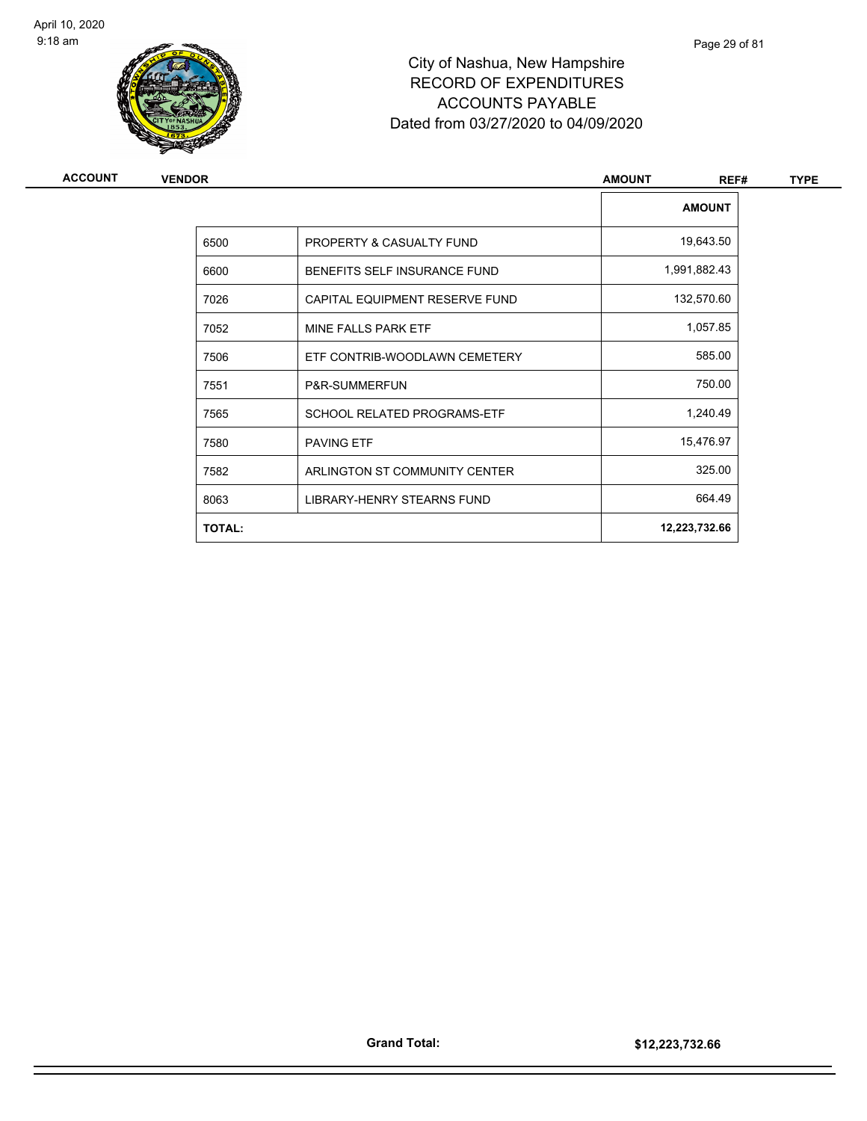

| ACCOUNT | <b>VENDOR</b> |                                     | <b>AMOUNT</b><br>REF# | <b>TYPE</b> |
|---------|---------------|-------------------------------------|-----------------------|-------------|
|         |               |                                     | <b>AMOUNT</b>         |             |
|         | 6500          | PROPERTY & CASUALTY FUND            | 19,643.50             |             |
|         | 6600          | <b>BENEFITS SELF INSURANCE FUND</b> | 1,991,882.43          |             |
|         | 7026          | CAPITAL EQUIPMENT RESERVE FUND      | 132,570.60            |             |
|         | 7052          | MINE FALLS PARK ETF                 | 1,057.85              |             |
|         | 7506          | ETF CONTRIB-WOODLAWN CEMETERY       | 585.00                |             |
|         | 7551          | P&R-SUMMERFUN                       | 750.00                |             |
|         | 7565          | SCHOOL RELATED PROGRAMS-ETF         | 1,240.49              |             |
|         | 7580          | <b>PAVING ETF</b>                   | 15,476.97             |             |
|         | 7582          | ARLINGTON ST COMMUNITY CENTER       | 325.00                |             |
|         | 8063          | LIBRARY-HENRY STEARNS FUND          | 664.49                |             |
|         | <b>TOTAL:</b> |                                     | 12,223,732.66         |             |
|         |               |                                     |                       |             |

Page 29 of 81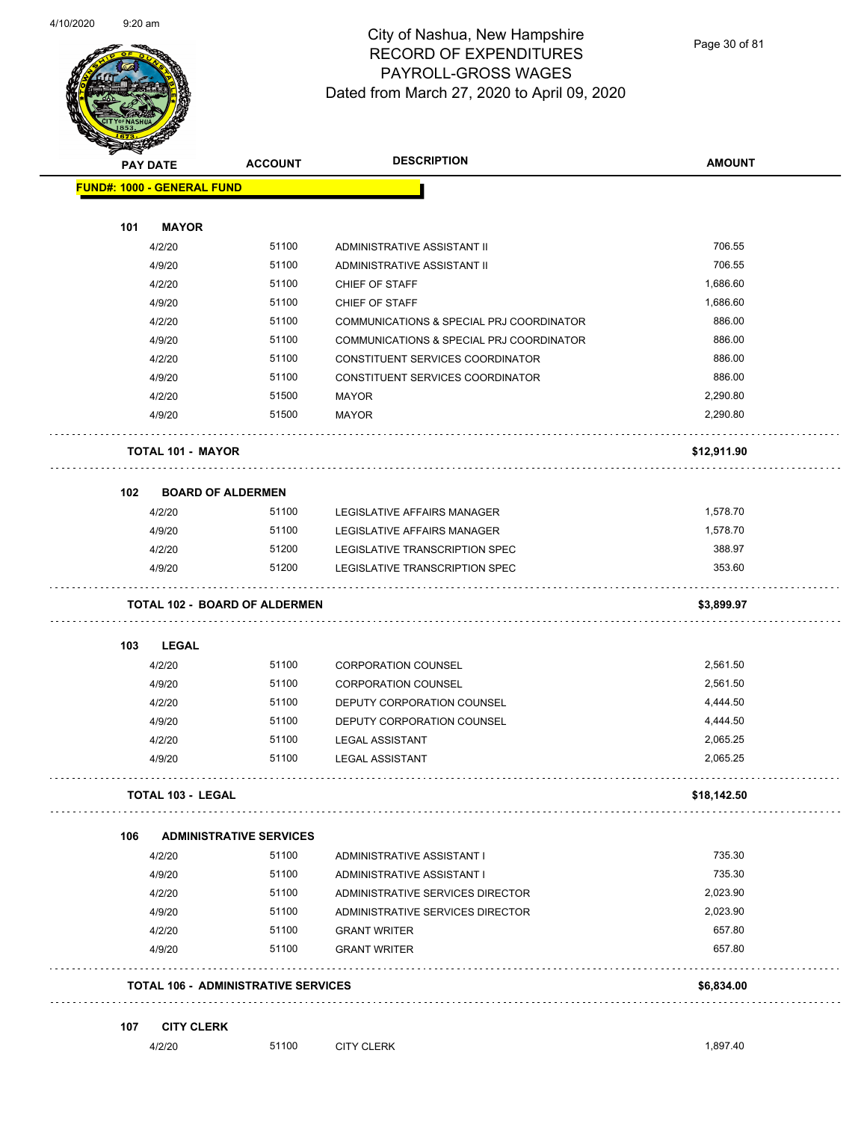

Page 30 of 81

|     |                                            |                                | <b>DESCRIPTION</b>                       |               |
|-----|--------------------------------------------|--------------------------------|------------------------------------------|---------------|
|     | <b>PAY DATE</b>                            | <b>ACCOUNT</b>                 |                                          | <b>AMOUNT</b> |
|     | <b>FUND#: 1000 - GENERAL FUND</b>          |                                |                                          |               |
|     |                                            |                                |                                          |               |
| 101 | <b>MAYOR</b>                               |                                |                                          |               |
|     | 4/2/20                                     | 51100                          | ADMINISTRATIVE ASSISTANT II              | 706.55        |
|     | 4/9/20                                     | 51100                          | ADMINISTRATIVE ASSISTANT II              | 706.55        |
|     | 4/2/20                                     | 51100                          | CHIEF OF STAFF                           | 1,686.60      |
|     | 4/9/20                                     | 51100                          | CHIEF OF STAFF                           | 1,686.60      |
|     | 4/2/20                                     | 51100                          | COMMUNICATIONS & SPECIAL PRJ COORDINATOR | 886.00        |
|     | 4/9/20                                     | 51100                          | COMMUNICATIONS & SPECIAL PRJ COORDINATOR | 886.00        |
|     | 4/2/20                                     | 51100                          | CONSTITUENT SERVICES COORDINATOR         | 886.00        |
|     | 4/9/20                                     | 51100                          | CONSTITUENT SERVICES COORDINATOR         | 886.00        |
|     | 4/2/20                                     | 51500                          | <b>MAYOR</b>                             | 2,290.80      |
|     | 4/9/20                                     | 51500                          | <b>MAYOR</b>                             | 2,290.80      |
|     | <b>TOTAL 101 - MAYOR</b>                   |                                |                                          | \$12,911.90   |
| 102 | <b>BOARD OF ALDERMEN</b>                   |                                |                                          |               |
|     | 4/2/20                                     | 51100                          | LEGISLATIVE AFFAIRS MANAGER              | 1,578.70      |
|     | 4/9/20                                     | 51100                          | LEGISLATIVE AFFAIRS MANAGER              | 1,578.70      |
|     | 4/2/20                                     | 51200                          | LEGISLATIVE TRANSCRIPTION SPEC           | 388.97        |
|     | 4/9/20                                     | 51200                          | LEGISLATIVE TRANSCRIPTION SPEC           | 353.60        |
|     | <b>TOTAL 102 - BOARD OF ALDERMEN</b>       |                                |                                          | \$3,899.97    |
| 103 | <b>LEGAL</b>                               |                                |                                          |               |
|     | 4/2/20                                     | 51100                          | <b>CORPORATION COUNSEL</b>               | 2,561.50      |
|     | 4/9/20                                     | 51100                          | <b>CORPORATION COUNSEL</b>               | 2,561.50      |
|     | 4/2/20                                     | 51100                          | DEPUTY CORPORATION COUNSEL               | 4,444.50      |
|     | 4/9/20                                     | 51100                          | DEPUTY CORPORATION COUNSEL               | 4,444.50      |
|     | 4/2/20                                     | 51100                          | <b>LEGAL ASSISTANT</b>                   | 2,065.25      |
|     | 4/9/20                                     | 51100                          | <b>LEGAL ASSISTANT</b>                   | 2,065.25      |
|     | <b>TOTAL 103 - LEGAL</b>                   |                                |                                          | \$18,142.50   |
| 106 |                                            | <b>ADMINISTRATIVE SERVICES</b> |                                          |               |
|     | 4/2/20                                     | 51100                          | ADMINISTRATIVE ASSISTANT I               | 735.30        |
|     | 4/9/20                                     | 51100                          | ADMINISTRATIVE ASSISTANT I               | 735.30        |
|     |                                            | 51100                          |                                          | 2,023.90      |
|     | 4/2/20                                     |                                | ADMINISTRATIVE SERVICES DIRECTOR         |               |
|     | 4/9/20                                     | 51100                          | ADMINISTRATIVE SERVICES DIRECTOR         | 2,023.90      |
|     | 4/2/20                                     | 51100                          | <b>GRANT WRITER</b>                      | 657.80        |
|     | 4/9/20                                     | 51100                          | <b>GRANT WRITER</b>                      | 657.80        |
|     | <b>TOTAL 106 - ADMINISTRATIVE SERVICES</b> |                                |                                          | \$6,834.00    |
| 107 | <b>CITY CLERK</b>                          |                                |                                          |               |
|     | 4/2/20                                     | 51100                          | <b>CITY CLERK</b>                        | 1,897.40      |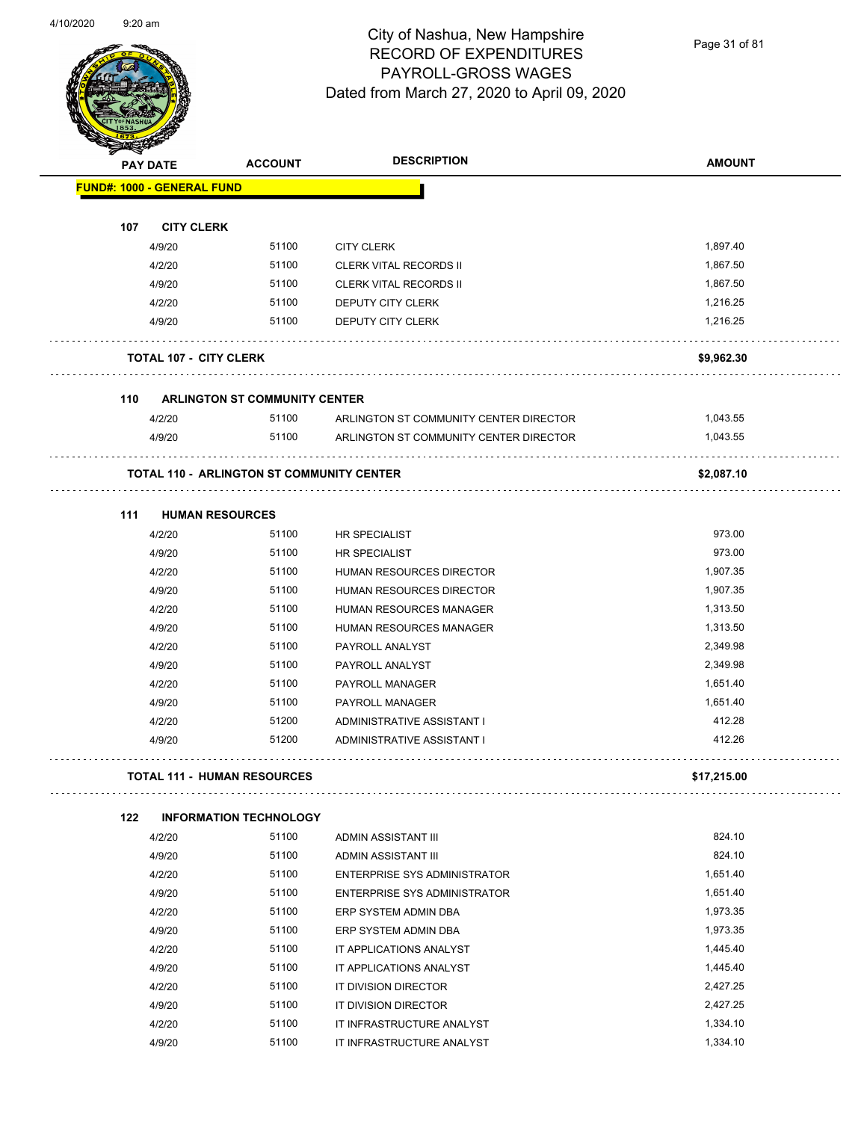Page 31 of 81

|     | <b>PAY DATE</b>                   | <b>ACCOUNT</b>                                   | <b>DESCRIPTION</b>                     | <b>AMOUNT</b> |
|-----|-----------------------------------|--------------------------------------------------|----------------------------------------|---------------|
|     | <b>FUND#: 1000 - GENERAL FUND</b> |                                                  |                                        |               |
| 107 | <b>CITY CLERK</b>                 |                                                  |                                        |               |
|     | 4/9/20                            | 51100                                            | <b>CITY CLERK</b>                      | 1,897.40      |
|     | 4/2/20                            | 51100                                            | <b>CLERK VITAL RECORDS II</b>          | 1,867.50      |
|     | 4/9/20                            | 51100                                            | <b>CLERK VITAL RECORDS II</b>          | 1,867.50      |
|     | 4/2/20                            | 51100                                            | <b>DEPUTY CITY CLERK</b>               | 1,216.25      |
|     | 4/9/20                            | 51100                                            | <b>DEPUTY CITY CLERK</b>               | 1.216.25      |
|     | <b>TOTAL 107 - CITY CLERK</b>     |                                                  |                                        | \$9,962.30    |
| 110 |                                   | <b>ARLINGTON ST COMMUNITY CENTER</b>             |                                        |               |
|     | 4/2/20                            | 51100                                            | ARLINGTON ST COMMUNITY CENTER DIRECTOR | 1,043.55      |
|     | 4/9/20                            | 51100                                            | ARLINGTON ST COMMUNITY CENTER DIRECTOR | 1,043.55      |
|     |                                   | <b>TOTAL 110 - ARLINGTON ST COMMUNITY CENTER</b> |                                        | \$2,087.10    |
| 111 | <b>HUMAN RESOURCES</b>            |                                                  |                                        |               |
|     | 4/2/20                            | 51100                                            | <b>HR SPECIALIST</b>                   | 973.00        |
|     | 4/9/20                            | 51100                                            | <b>HR SPECIALIST</b>                   | 973.00        |
|     | 4/2/20                            | 51100                                            | HUMAN RESOURCES DIRECTOR               | 1,907.35      |
|     | 4/9/20                            | 51100                                            | HUMAN RESOURCES DIRECTOR               | 1,907.35      |
|     | 4/2/20                            | 51100                                            | HUMAN RESOURCES MANAGER                | 1,313.50      |
|     | 4/9/20                            | 51100                                            | HUMAN RESOURCES MANAGER                | 1,313.50      |
|     | 4/2/20                            | 51100                                            | PAYROLL ANALYST                        | 2,349.98      |
|     | 4/9/20                            | 51100                                            | PAYROLL ANALYST                        | 2,349.98      |
|     | 4/2/20                            | 51100                                            | PAYROLL MANAGER                        | 1,651.40      |
|     | 4/9/20                            | 51100                                            | <b>PAYROLL MANAGER</b>                 | 1,651.40      |
|     | 4/2/20                            | 51200                                            | ADMINISTRATIVE ASSISTANT I             | 412.28        |
|     | 4/9/20                            | 51200                                            | ADMINISTRATIVE ASSISTANT I             | 412.26        |
|     |                                   | <b>TOTAL 111 - HUMAN RESOURCES</b>               |                                        | \$17,215.00   |
| 122 |                                   | <b>INFORMATION TECHNOLOGY</b>                    |                                        |               |
|     | 4/2/20                            | 51100                                            | ADMIN ASSISTANT III                    | 824.10        |
|     | 4/9/20                            | 51100                                            | ADMIN ASSISTANT III                    | 824.10        |
|     | 4/2/20                            | 51100                                            | <b>ENTERPRISE SYS ADMINISTRATOR</b>    | 1,651.40      |
|     | 4/9/20                            | 51100                                            | <b>ENTERPRISE SYS ADMINISTRATOR</b>    | 1,651.40      |
|     | 4/2/20                            | 51100                                            | ERP SYSTEM ADMIN DBA                   | 1,973.35      |
|     | 4/9/20                            | 51100                                            | ERP SYSTEM ADMIN DBA                   | 1,973.35      |
|     | 4/2/20                            | 51100                                            | IT APPLICATIONS ANALYST                | 1,445.40      |
|     | 4/9/20                            | 51100                                            | IT APPLICATIONS ANALYST                | 1,445.40      |
|     | 4/2/20                            | 51100                                            | IT DIVISION DIRECTOR                   | 2,427.25      |
|     | 4/9/20                            | 51100                                            | IT DIVISION DIRECTOR                   | 2,427.25      |
|     | 4/2/20                            | 51100                                            | IT INFRASTRUCTURE ANALYST              | 1,334.10      |

4/9/20 51100 IT INFRASTRUCTURE ANALYST 1,334.10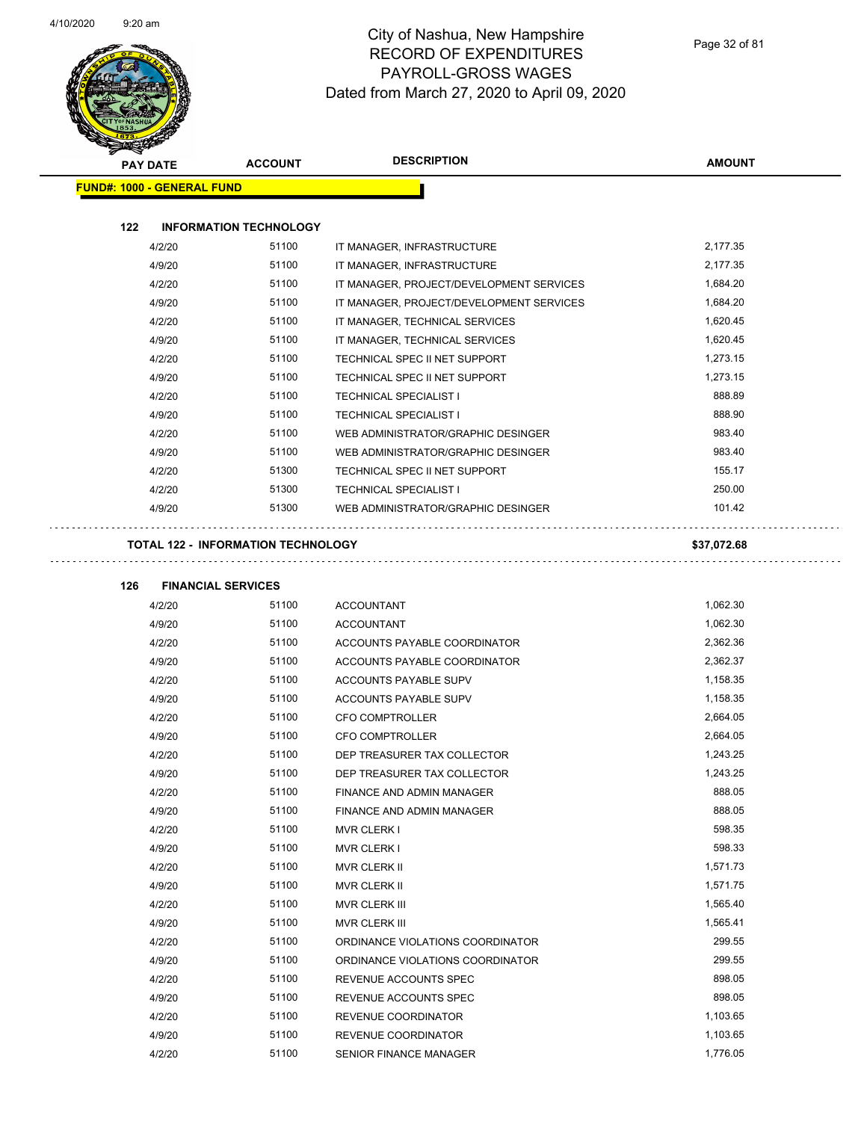

| <b>PAY DATE</b>                   | <b>ACCOUNT</b>                            | <b>DESCRIPTION</b>                       | <b>AMOUNT</b> |
|-----------------------------------|-------------------------------------------|------------------------------------------|---------------|
| <b>FUND#: 1000 - GENERAL FUND</b> |                                           |                                          |               |
|                                   |                                           |                                          |               |
| 122                               | <b>INFORMATION TECHNOLOGY</b>             |                                          |               |
| 4/2/20                            | 51100                                     | IT MANAGER, INFRASTRUCTURE               | 2,177.35      |
| 4/9/20                            | 51100                                     | IT MANAGER, INFRASTRUCTURE               | 2,177.35      |
| 4/2/20                            | 51100                                     | IT MANAGER, PROJECT/DEVELOPMENT SERVICES | 1,684.20      |
| 4/9/20                            | 51100                                     | IT MANAGER, PROJECT/DEVELOPMENT SERVICES | 1,684.20      |
| 4/2/20                            | 51100                                     | IT MANAGER, TECHNICAL SERVICES           | 1,620.45      |
| 4/9/20                            | 51100                                     | IT MANAGER, TECHNICAL SERVICES           | 1,620.45      |
| 4/2/20                            | 51100                                     | TECHNICAL SPEC II NET SUPPORT            | 1,273.15      |
| 4/9/20                            | 51100                                     | TECHNICAL SPEC II NET SUPPORT            | 1,273.15      |
| 4/2/20                            | 51100                                     | <b>TECHNICAL SPECIALIST I</b>            | 888.89        |
| 4/9/20                            | 51100                                     | <b>TECHNICAL SPECIALIST I</b>            | 888.90        |
| 4/2/20                            | 51100                                     | WEB ADMINISTRATOR/GRAPHIC DESINGER       | 983.40        |
| 4/9/20                            | 51100                                     | WEB ADMINISTRATOR/GRAPHIC DESINGER       | 983.40        |
| 4/2/20                            | 51300                                     | TECHNICAL SPEC II NET SUPPORT            | 155.17        |
| 4/2/20                            | 51300                                     | <b>TECHNICAL SPECIALIST I</b>            | 250.00        |
| 4/9/20                            | 51300                                     | WEB ADMINISTRATOR/GRAPHIC DESINGER       | 101.42        |
|                                   |                                           |                                          |               |
|                                   | <b>TOTAL 122 - INFORMATION TECHNOLOGY</b> |                                          | \$37,072.68   |
| 126                               | <b>FINANCIAL SERVICES</b>                 |                                          |               |
| 4/2/20                            | 51100                                     | <b>ACCOUNTANT</b>                        | 1,062.30      |
| 4/9/20                            | 51100                                     | <b>ACCOUNTANT</b>                        | 1,062.30      |
| 4/2/20                            | 51100                                     | ACCOUNTS PAYABLE COORDINATOR             | 2,362.36      |
| 4/9/20                            | 51100                                     | ACCOUNTS PAYABLE COORDINATOR             | 2,362.37      |
| 4/2/20                            | 51100                                     | ACCOUNTS PAYABLE SUPV                    | 1,158.35      |
| 4/9/20                            | 51100                                     | ACCOUNTS PAYABLE SUPV                    | 1,158.35      |
| 4/2/20                            | 51100                                     | <b>CFO COMPTROLLER</b>                   | 2,664.05      |
| 4/9/20                            | 51100                                     | <b>CFO COMPTROLLER</b>                   | 2,664.05      |
| 4/2/20                            | 51100                                     | DEP TREASURER TAX COLLECTOR              | 1,243.25      |
| 4/9/20                            | 51100                                     | DEP TREASURER TAX COLLECTOR              | 1,243.25      |
| 4/2/20                            | 51100                                     | FINANCE AND ADMIN MANAGER                | 888.05        |
| 4/9/20                            | 51100                                     | FINANCE AND ADMIN MANAGER                | 888.05        |
| 4/2/20                            | 51100                                     | <b>MVR CLERK I</b>                       | 598.35        |
| 4/9/20                            | 51100                                     | <b>MVR CLERK I</b>                       | 598.33        |
| 4/2/20                            | 51100                                     | MVR CLERK II                             | 1,571.73      |
| 4/9/20                            | 51100                                     | MVR CLERK II                             | 1,571.75      |
| 4/2/20                            | 51100                                     | MVR CLERK III                            | 1,565.40      |
| 4/9/20                            | 51100                                     | <b>MVR CLERK III</b>                     | 1,565.41      |
| 4/2/20                            | 51100                                     | ORDINANCE VIOLATIONS COORDINATOR         | 299.55        |
| 4/9/20                            | 51100                                     | ORDINANCE VIOLATIONS COORDINATOR         | 299.55        |
| 4/2/20                            | 51100                                     | REVENUE ACCOUNTS SPEC                    | 898.05        |
| 4/9/20                            | 51100                                     | REVENUE ACCOUNTS SPEC                    | 898.05        |
| 4/2/20                            | 51100                                     | REVENUE COORDINATOR                      | 1,103.65      |
| 4/9/20                            | 51100                                     | REVENUE COORDINATOR                      | 1,103.65      |

4/2/20 51100 SENIOR FINANCE MANAGER 1,776.05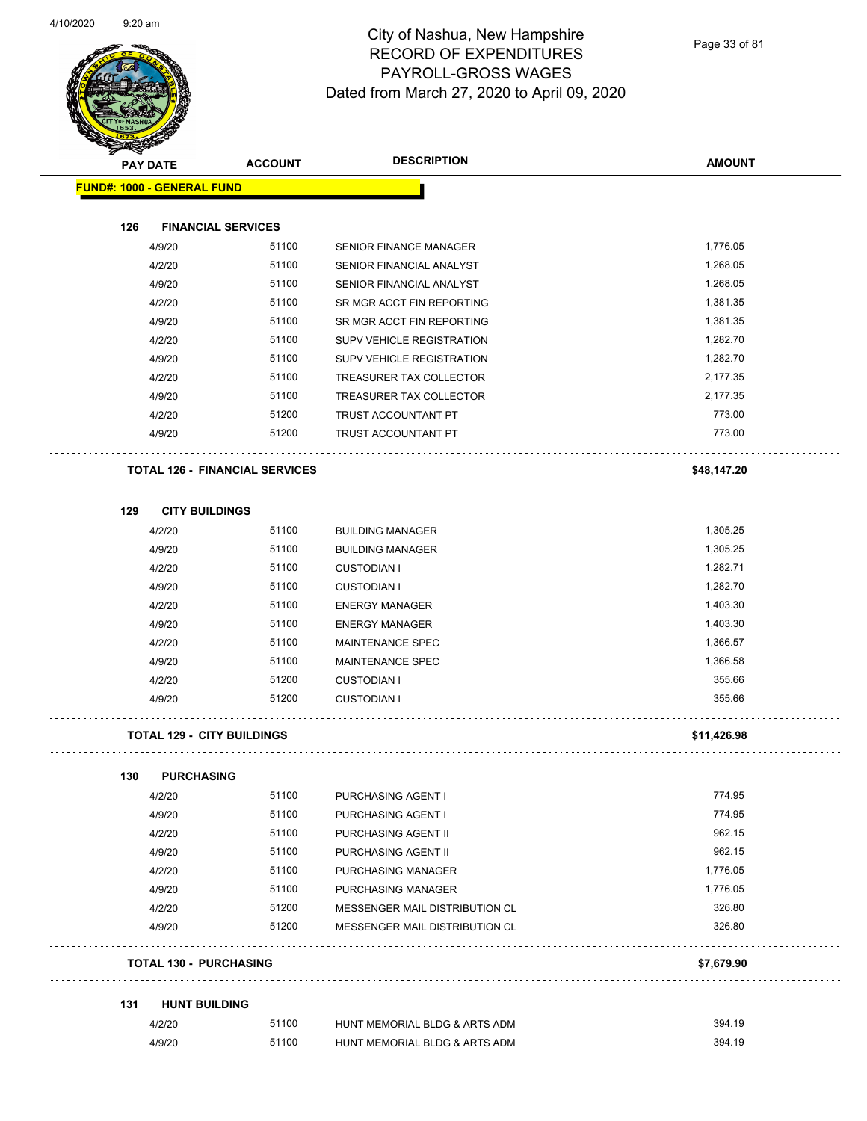

Page 33 of 81

| <b>MERGENE</b>                    |                                       |                                |               |
|-----------------------------------|---------------------------------------|--------------------------------|---------------|
| <b>PAY DATE</b>                   | <b>ACCOUNT</b>                        | <b>DESCRIPTION</b>             | <b>AMOUNT</b> |
| <b>FUND#: 1000 - GENERAL FUND</b> |                                       |                                |               |
|                                   |                                       |                                |               |
| 126                               | <b>FINANCIAL SERVICES</b>             |                                |               |
| 4/9/20                            | 51100                                 | <b>SENIOR FINANCE MANAGER</b>  | 1,776.05      |
| 4/2/20                            | 51100                                 | SENIOR FINANCIAL ANALYST       | 1,268.05      |
| 4/9/20                            | 51100                                 | SENIOR FINANCIAL ANALYST       | 1,268.05      |
|                                   | 4/2/20<br>51100                       | SR MGR ACCT FIN REPORTING      | 1,381.35      |
| 4/9/20                            | 51100                                 | SR MGR ACCT FIN REPORTING      | 1,381.35      |
|                                   | 51100<br>4/2/20                       | SUPV VEHICLE REGISTRATION      | 1,282.70      |
| 4/9/20                            | 51100                                 | SUPV VEHICLE REGISTRATION      | 1,282.70      |
| 4/2/20                            | 51100                                 | TREASURER TAX COLLECTOR        | 2,177.35      |
|                                   | 4/9/20<br>51100                       | TREASURER TAX COLLECTOR        | 2,177.35      |
|                                   | 4/2/20<br>51200                       | TRUST ACCOUNTANT PT            | 773.00        |
| 4/9/20                            | 51200                                 | TRUST ACCOUNTANT PT            | 773.00        |
|                                   |                                       |                                |               |
|                                   | <b>TOTAL 126 - FINANCIAL SERVICES</b> |                                | \$48,147.20   |
|                                   |                                       |                                |               |
| 129                               | <b>CITY BUILDINGS</b>                 |                                |               |
| 4/2/20                            | 51100                                 | <b>BUILDING MANAGER</b>        | 1,305.25      |
|                                   | 51100<br>4/9/20                       | <b>BUILDING MANAGER</b>        | 1,305.25      |
| 4/2/20                            | 51100                                 | <b>CUSTODIAN I</b>             | 1,282.71      |
|                                   | 51100<br>4/9/20                       | <b>CUSTODIAN I</b>             | 1,282.70      |
| 4/2/20                            | 51100                                 | <b>ENERGY MANAGER</b>          | 1,403.30      |
| 4/9/20                            | 51100                                 | <b>ENERGY MANAGER</b>          | 1,403.30      |
|                                   | 51100<br>4/2/20                       | <b>MAINTENANCE SPEC</b>        | 1,366.57      |
| 4/9/20                            | 51100                                 | MAINTENANCE SPEC               | 1,366.58      |
|                                   | 51200<br>4/2/20                       | <b>CUSTODIAN I</b>             | 355.66        |
| 4/9/20                            | 51200                                 | <b>CUSTODIAN I</b>             | 355.66        |
|                                   | <b>TOTAL 129 - CITY BUILDINGS</b>     |                                | \$11,426.98   |
|                                   |                                       |                                |               |
| 130                               | <b>PURCHASING</b>                     |                                |               |
|                                   | 51100<br>4/2/20                       | PURCHASING AGENT I             | 774.95        |
|                                   | 51100<br>4/9/20                       | PURCHASING AGENT I             | 774.95        |
|                                   | 4/2/20<br>51100                       | PURCHASING AGENT II            | 962.15        |
|                                   | 51100<br>4/9/20                       | PURCHASING AGENT II            | 962.15        |
|                                   | 51100<br>4/2/20                       | PURCHASING MANAGER             | 1,776.05      |
|                                   | 51100<br>4/9/20                       | PURCHASING MANAGER             | 1,776.05      |
|                                   | 51200<br>4/2/20                       | MESSENGER MAIL DISTRIBUTION CL | 326.80        |
|                                   | 4/9/20<br>51200                       | MESSENGER MAIL DISTRIBUTION CL | 326.80        |
| <b>TOTAL 130 - PURCHASING</b>     |                                       |                                | \$7,679.90    |
|                                   |                                       |                                |               |
| 131                               | <b>HUNT BUILDING</b>                  |                                |               |
|                                   | 4/2/20<br>51100                       | HUNT MEMORIAL BLDG & ARTS ADM  | 394.19        |
| 4/9/20                            | 51100                                 | HUNT MEMORIAL BLDG & ARTS ADM  | 394.19        |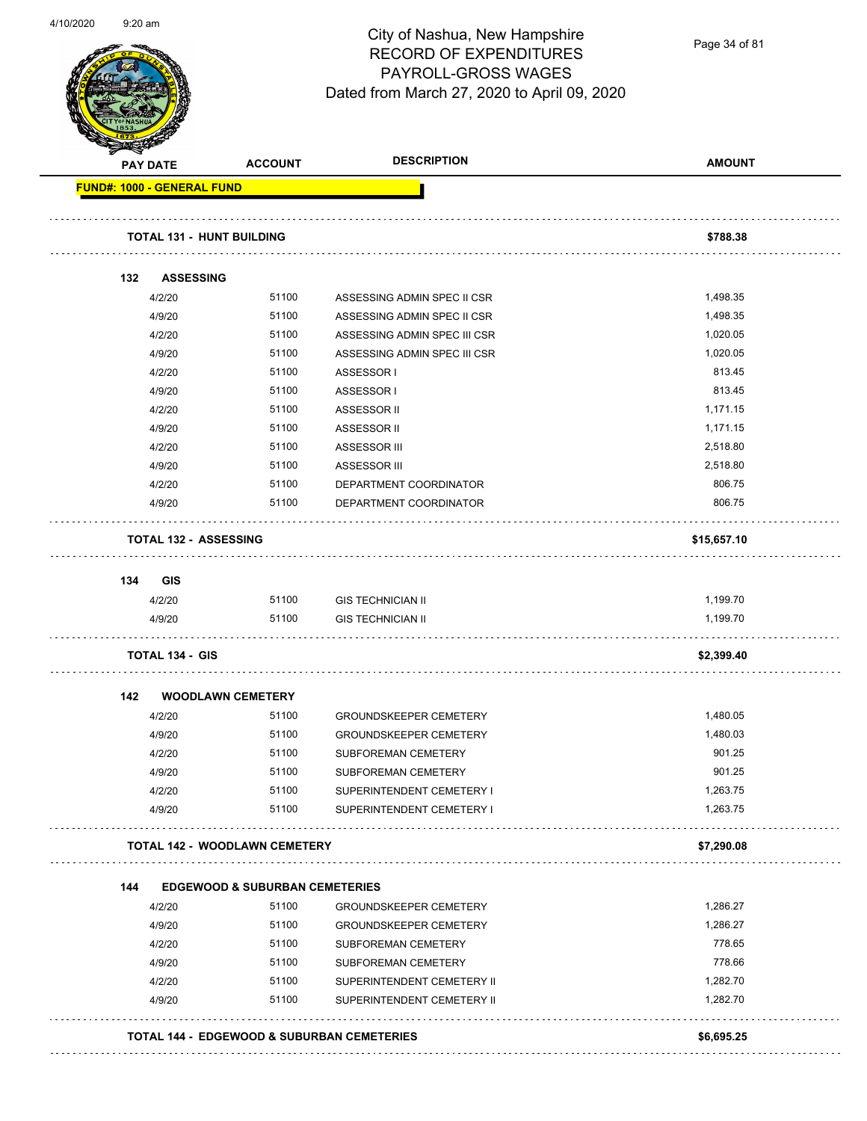

Page 34 of 81

|     | <b>PAY DATE</b>                      | <b>ACCOUNT</b>                             | <b>DESCRIPTION</b>            | <b>AMOUNT</b> |
|-----|--------------------------------------|--------------------------------------------|-------------------------------|---------------|
|     | <b>FUND#: 1000 - GENERAL FUND</b>    |                                            |                               |               |
|     | <b>TOTAL 131 - HUNT BUILDING</b>     |                                            |                               | \$788.38      |
| 132 | <b>ASSESSING</b>                     |                                            |                               |               |
|     | 4/2/20                               | 51100                                      | ASSESSING ADMIN SPEC II CSR   | 1,498.35      |
|     | 4/9/20                               | 51100                                      | ASSESSING ADMIN SPEC II CSR   | 1,498.35      |
|     | 4/2/20                               | 51100                                      | ASSESSING ADMIN SPEC III CSR  | 1,020.05      |
|     | 4/9/20                               | 51100                                      | ASSESSING ADMIN SPEC III CSR  | 1,020.05      |
|     | 4/2/20                               | 51100                                      | ASSESSOR I                    | 813.45        |
|     | 4/9/20                               | 51100                                      | ASSESSOR I                    | 813.45        |
|     | 4/2/20                               | 51100                                      | ASSESSOR II                   | 1,171.15      |
|     | 4/9/20                               | 51100                                      | ASSESSOR II                   | 1,171.15      |
|     | 4/2/20                               | 51100                                      | ASSESSOR III                  | 2,518.80      |
|     | 4/9/20                               | 51100                                      | ASSESSOR III                  | 2,518.80      |
|     | 4/2/20                               | 51100                                      | DEPARTMENT COORDINATOR        | 806.75        |
|     | 4/9/20                               | 51100                                      | DEPARTMENT COORDINATOR        | 806.75        |
|     | <b>TOTAL 132 - ASSESSING</b>         |                                            |                               | \$15,657.10   |
| 134 | GIS                                  |                                            |                               |               |
|     | 4/2/20                               | 51100                                      | <b>GIS TECHNICIAN II</b>      | 1,199.70      |
|     | 4/9/20                               | 51100                                      | <b>GIS TECHNICIAN II</b>      | 1,199.70      |
|     | <b>TOTAL 134 - GIS</b>               |                                            |                               | \$2,399.40    |
| 142 | <b>WOODLAWN CEMETERY</b>             |                                            |                               |               |
|     | 4/2/20                               | 51100                                      | <b>GROUNDSKEEPER CEMETERY</b> | 1,480.05      |
|     | 4/9/20                               | 51100                                      | <b>GROUNDSKEEPER CEMETERY</b> | 1,480.03      |
|     | 4/2/20                               | 51100                                      | SUBFOREMAN CEMETERY           | 901.25        |
|     | 4/9/20                               | 51100                                      | SUBFOREMAN CEMETERY           | 901.25        |
|     | 4/2/20                               | 51100                                      | SUPERINTENDENT CEMETERY I     | 1,263.75      |
|     | 4/9/20                               | 51100                                      | SUPERINTENDENT CEMETERY I     | 1,263.75      |
|     | <b>TOTAL 142 - WOODLAWN CEMETERY</b> |                                            |                               | \$7,290.08    |
| 144 |                                      | <b>EDGEWOOD &amp; SUBURBAN CEMETERIES</b>  |                               |               |
|     | 4/2/20                               | 51100                                      | <b>GROUNDSKEEPER CEMETERY</b> | 1,286.27      |
|     | 4/9/20                               | 51100                                      | <b>GROUNDSKEEPER CEMETERY</b> | 1,286.27      |
|     | 4/2/20                               | 51100                                      | SUBFOREMAN CEMETERY           | 778.65        |
|     | 4/9/20                               | 51100                                      | SUBFOREMAN CEMETERY           | 778.66        |
|     | 4/2/20                               | 51100                                      | SUPERINTENDENT CEMETERY II    | 1,282.70      |
|     | 4/9/20                               | 51100                                      | SUPERINTENDENT CEMETERY II    | 1,282.70      |
|     |                                      |                                            |                               |               |
|     |                                      | TOTAL 144 - EDGEWOOD & SUBURBAN CEMETERIES |                               | \$6,695.25    |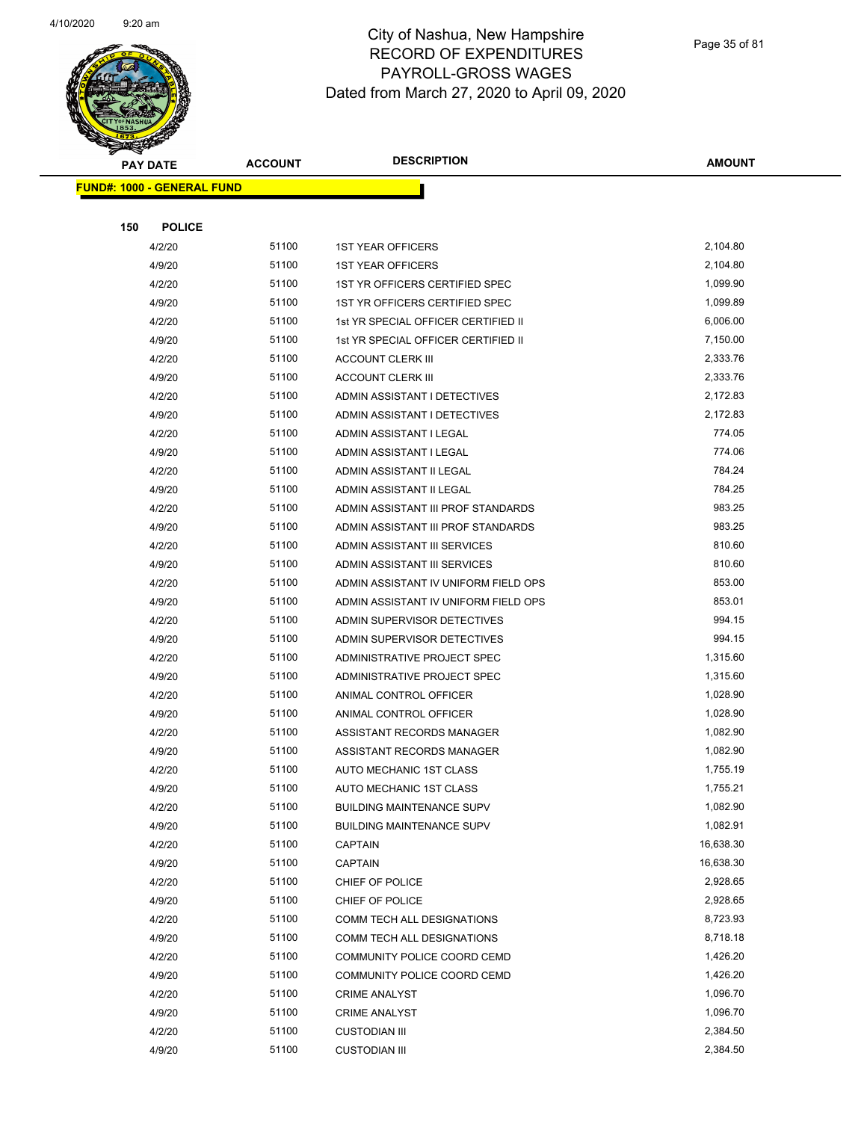

|     | <b>PAY DATE</b>                    | <b>ACCOUNT</b> | <b>DESCRIPTION</b>                   | <b>AMOUNT</b> |
|-----|------------------------------------|----------------|--------------------------------------|---------------|
|     | <u> FUND#: 1000 - GENERAL FUND</u> |                |                                      |               |
|     |                                    |                |                                      |               |
| 150 | <b>POLICE</b>                      |                |                                      |               |
|     | 4/2/20                             | 51100          | <b>1ST YEAR OFFICERS</b>             | 2,104.80      |
|     | 4/9/20                             | 51100          | <b>1ST YEAR OFFICERS</b>             | 2,104.80      |
|     | 4/2/20                             | 51100          | 1ST YR OFFICERS CERTIFIED SPEC       | 1,099.90      |
|     | 4/9/20                             | 51100          | 1ST YR OFFICERS CERTIFIED SPEC       | 1,099.89      |
|     | 4/2/20                             | 51100          | 1st YR SPECIAL OFFICER CERTIFIED II  | 6,006.00      |
|     | 4/9/20                             | 51100          | 1st YR SPECIAL OFFICER CERTIFIED II  | 7,150.00      |
|     | 4/2/20                             | 51100          | <b>ACCOUNT CLERK III</b>             | 2,333.76      |
|     | 4/9/20                             | 51100          | <b>ACCOUNT CLERK III</b>             | 2,333.76      |
|     | 4/2/20                             | 51100          | ADMIN ASSISTANT I DETECTIVES         | 2,172.83      |
|     | 4/9/20                             | 51100          | ADMIN ASSISTANT I DETECTIVES         | 2,172.83      |
|     | 4/2/20                             | 51100          | ADMIN ASSISTANT I LEGAL              | 774.05        |
|     | 4/9/20                             | 51100          | ADMIN ASSISTANT I LEGAL              | 774.06        |
|     | 4/2/20                             | 51100          | ADMIN ASSISTANT II LEGAL             | 784.24        |
|     | 4/9/20                             | 51100          | ADMIN ASSISTANT II LEGAL             | 784.25        |
|     | 4/2/20                             | 51100          | ADMIN ASSISTANT III PROF STANDARDS   | 983.25        |
|     | 4/9/20                             | 51100          | ADMIN ASSISTANT III PROF STANDARDS   | 983.25        |
|     | 4/2/20                             | 51100          | ADMIN ASSISTANT III SERVICES         | 810.60        |
|     | 4/9/20                             | 51100          | ADMIN ASSISTANT III SERVICES         | 810.60        |
|     | 4/2/20                             | 51100          | ADMIN ASSISTANT IV UNIFORM FIELD OPS | 853.00        |
|     | 4/9/20                             | 51100          | ADMIN ASSISTANT IV UNIFORM FIELD OPS | 853.01        |
|     | 4/2/20                             | 51100          | ADMIN SUPERVISOR DETECTIVES          | 994.15        |
|     | 4/9/20                             | 51100          | ADMIN SUPERVISOR DETECTIVES          | 994.15        |
|     | 4/2/20                             | 51100          | ADMINISTRATIVE PROJECT SPEC          | 1,315.60      |
|     | 4/9/20                             | 51100          | ADMINISTRATIVE PROJECT SPEC          | 1,315.60      |
|     | 4/2/20                             | 51100          | ANIMAL CONTROL OFFICER               | 1,028.90      |
|     | 4/9/20                             | 51100          | ANIMAL CONTROL OFFICER               | 1,028.90      |
|     | 4/2/20                             | 51100          | ASSISTANT RECORDS MANAGER            | 1,082.90      |
|     | 4/9/20                             | 51100          | ASSISTANT RECORDS MANAGER            | 1,082.90      |
|     | 4/2/20                             | 51100          | AUTO MECHANIC 1ST CLASS              | 1,755.19      |
|     | 4/9/20                             | 51100          | <b>AUTO MECHANIC 1ST CLASS</b>       | 1,755.21      |
|     | 4/2/20                             | 51100          | <b>BUILDING MAINTENANCE SUPV</b>     | 1,082.90      |
|     | 4/9/20                             | 51100          | <b>BUILDING MAINTENANCE SUPV</b>     | 1,082.91      |
|     | 4/2/20                             | 51100          | CAPTAIN                              | 16,638.30     |
|     | 4/9/20                             | 51100          | <b>CAPTAIN</b>                       | 16,638.30     |
|     | 4/2/20                             | 51100          | CHIEF OF POLICE                      | 2,928.65      |
|     | 4/9/20                             | 51100          | CHIEF OF POLICE                      | 2,928.65      |
|     | 4/2/20                             | 51100          | COMM TECH ALL DESIGNATIONS           | 8,723.93      |
|     | 4/9/20                             | 51100          | COMM TECH ALL DESIGNATIONS           | 8,718.18      |
|     | 4/2/20                             | 51100          | COMMUNITY POLICE COORD CEMD          | 1,426.20      |
|     | 4/9/20                             | 51100          | COMMUNITY POLICE COORD CEMD          | 1,426.20      |
|     | 4/2/20                             | 51100          | <b>CRIME ANALYST</b>                 | 1,096.70      |
|     | 4/9/20                             | 51100          | <b>CRIME ANALYST</b>                 | 1,096.70      |
|     | 4/2/20                             | 51100          | <b>CUSTODIAN III</b>                 | 2,384.50      |
|     | 4/9/20                             | 51100          | <b>CUSTODIAN III</b>                 | 2,384.50      |
|     |                                    |                |                                      |               |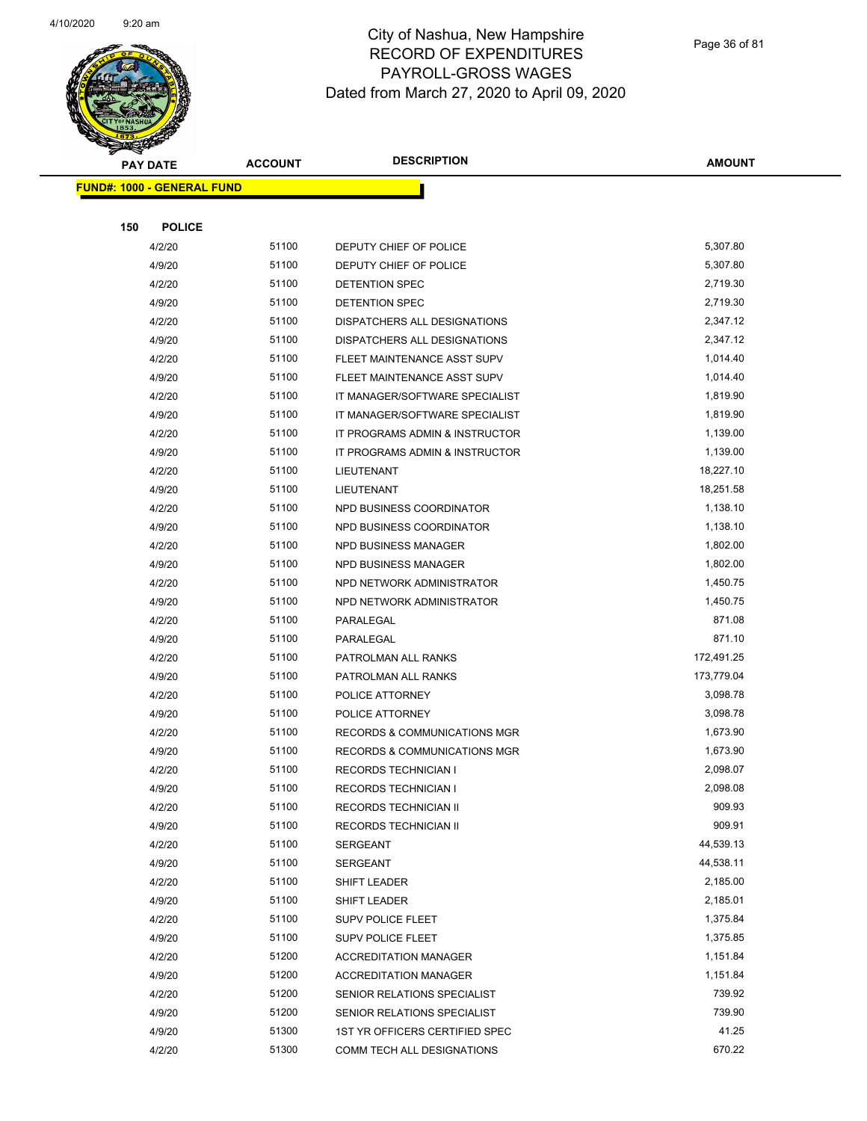

|     | <b>PAY DATE</b>                   | <b>ACCOUNT</b> | <b>DESCRIPTION</b>                      | AMOUNT     |
|-----|-----------------------------------|----------------|-----------------------------------------|------------|
|     | <b>FUND#: 1000 - GENERAL FUND</b> |                |                                         |            |
|     |                                   |                |                                         |            |
| 150 | <b>POLICE</b>                     |                |                                         |            |
|     | 4/2/20                            | 51100          | DEPUTY CHIEF OF POLICE                  | 5,307.80   |
|     | 4/9/20                            | 51100          | DEPUTY CHIEF OF POLICE                  | 5,307.80   |
|     | 4/2/20                            | 51100          | DETENTION SPEC                          | 2,719.30   |
|     | 4/9/20                            | 51100          | DETENTION SPEC                          | 2,719.30   |
|     | 4/2/20                            | 51100          | DISPATCHERS ALL DESIGNATIONS            | 2,347.12   |
|     | 4/9/20                            | 51100          | DISPATCHERS ALL DESIGNATIONS            | 2,347.12   |
|     | 4/2/20                            | 51100          | FLEET MAINTENANCE ASST SUPV             | 1,014.40   |
|     | 4/9/20                            | 51100          | FLEET MAINTENANCE ASST SUPV             | 1,014.40   |
|     | 4/2/20                            | 51100          | IT MANAGER/SOFTWARE SPECIALIST          | 1,819.90   |
|     | 4/9/20                            | 51100          | IT MANAGER/SOFTWARE SPECIALIST          | 1,819.90   |
|     | 4/2/20                            | 51100          | IT PROGRAMS ADMIN & INSTRUCTOR          | 1,139.00   |
|     | 4/9/20                            | 51100          | IT PROGRAMS ADMIN & INSTRUCTOR          | 1,139.00   |
|     | 4/2/20                            | 51100          | LIEUTENANT                              | 18,227.10  |
|     | 4/9/20                            | 51100          | LIEUTENANT                              | 18,251.58  |
|     | 4/2/20                            | 51100          | NPD BUSINESS COORDINATOR                | 1,138.10   |
|     | 4/9/20                            | 51100          | NPD BUSINESS COORDINATOR                | 1,138.10   |
|     | 4/2/20                            | 51100          | NPD BUSINESS MANAGER                    | 1,802.00   |
|     | 4/9/20                            | 51100          | NPD BUSINESS MANAGER                    | 1,802.00   |
|     | 4/2/20                            | 51100          | NPD NETWORK ADMINISTRATOR               | 1,450.75   |
|     | 4/9/20                            | 51100          | NPD NETWORK ADMINISTRATOR               | 1,450.75   |
|     | 4/2/20                            | 51100          | PARALEGAL                               | 871.08     |
|     | 4/9/20                            | 51100          | PARALEGAL                               | 871.10     |
|     | 4/2/20                            | 51100          | PATROLMAN ALL RANKS                     | 172,491.25 |
|     | 4/9/20                            | 51100          | PATROLMAN ALL RANKS                     | 173,779.04 |
|     | 4/2/20                            | 51100          | POLICE ATTORNEY                         | 3,098.78   |
|     | 4/9/20                            | 51100          | POLICE ATTORNEY                         | 3,098.78   |
|     | 4/2/20                            | 51100          | RECORDS & COMMUNICATIONS MGR            | 1,673.90   |
|     | 4/9/20                            | 51100          | <b>RECORDS &amp; COMMUNICATIONS MGR</b> | 1,673.90   |
|     | 4/2/20                            | 51100          | <b>RECORDS TECHNICIAN I</b>             | 2,098.07   |
|     | 4/9/20                            | 51100          | RECORDS TECHNICIAN I                    | 2,098.08   |
|     | 4/2/20                            | 51100          | RECORDS TECHNICIAN II                   | 909.93     |
|     | 4/9/20                            | 51100          | RECORDS TECHNICIAN II                   | 909.91     |
|     | 4/2/20                            | 51100          | <b>SERGEANT</b>                         | 44,539.13  |
|     | 4/9/20                            | 51100          | <b>SERGEANT</b>                         | 44,538.11  |
|     | 4/2/20                            | 51100          | <b>SHIFT LEADER</b>                     | 2,185.00   |
|     | 4/9/20                            | 51100          | SHIFT LEADER                            | 2,185.01   |
|     | 4/2/20                            | 51100          | <b>SUPV POLICE FLEET</b>                | 1,375.84   |
|     | 4/9/20                            | 51100          | <b>SUPV POLICE FLEET</b>                | 1,375.85   |
|     | 4/2/20                            | 51200          | <b>ACCREDITATION MANAGER</b>            | 1,151.84   |
|     | 4/9/20                            | 51200          | <b>ACCREDITATION MANAGER</b>            | 1,151.84   |
|     | 4/2/20                            | 51200          | SENIOR RELATIONS SPECIALIST             | 739.92     |
|     | 4/9/20                            | 51200          | SENIOR RELATIONS SPECIALIST             | 739.90     |
|     | 4/9/20                            | 51300          | 1ST YR OFFICERS CERTIFIED SPEC          | 41.25      |
|     | 4/2/20                            | 51300          | COMM TECH ALL DESIGNATIONS              | 670.22     |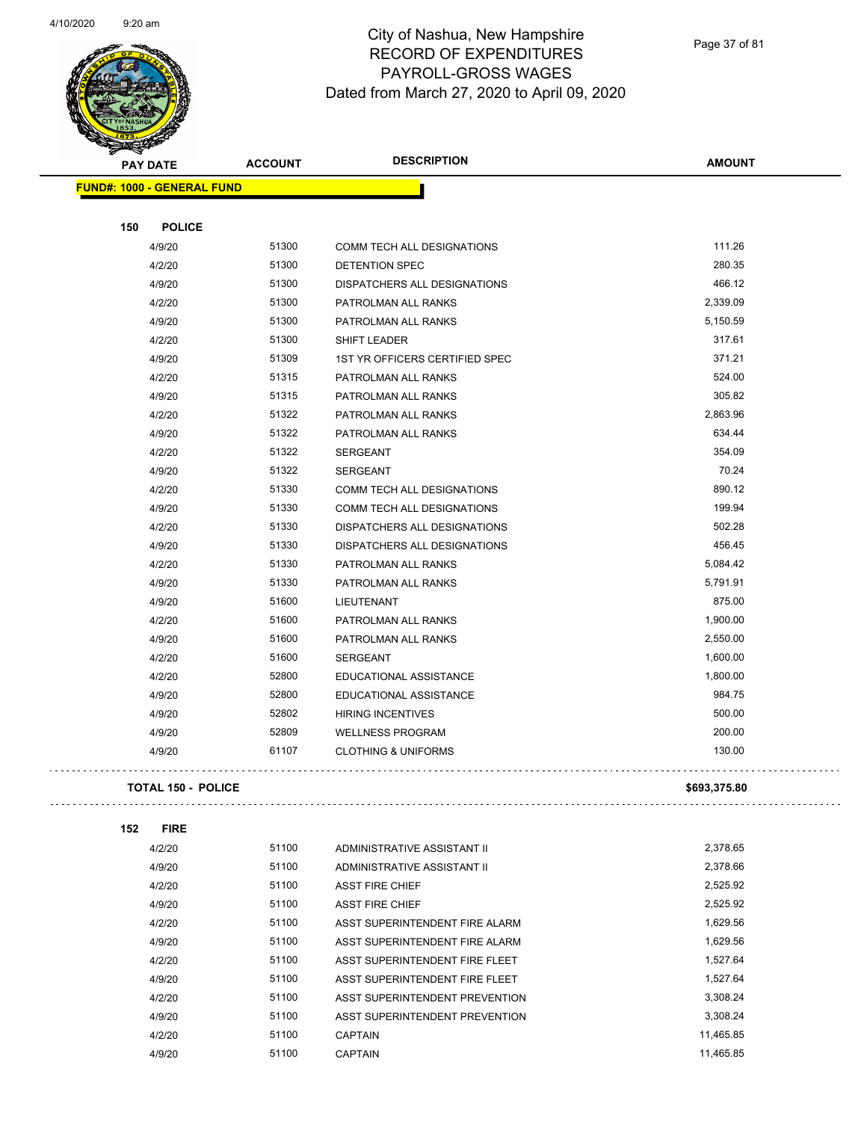

| ទ<br>$\blacktriangleleft$ .<br><b>PAY DATE</b> | <b>ACCOUNT</b> | <b>DESCRIPTION</b>             | <b>AMOUNT</b> |  |  |  |
|------------------------------------------------|----------------|--------------------------------|---------------|--|--|--|
| <b>FUND#: 1000 - GENERAL FUND</b>              |                |                                |               |  |  |  |
|                                                |                |                                |               |  |  |  |
| 150<br><b>POLICE</b>                           |                |                                |               |  |  |  |
| 4/9/20                                         | 51300          | COMM TECH ALL DESIGNATIONS     | 111.26        |  |  |  |
| 4/2/20                                         | 51300          | DETENTION SPEC                 | 280.35        |  |  |  |
| 4/9/20                                         | 51300          | DISPATCHERS ALL DESIGNATIONS   | 466.12        |  |  |  |
| 4/2/20                                         | 51300          | PATROLMAN ALL RANKS            | 2,339.09      |  |  |  |
| 4/9/20                                         | 51300          | PATROLMAN ALL RANKS            | 5,150.59      |  |  |  |
| 4/2/20                                         | 51300          | <b>SHIFT LEADER</b>            | 317.61        |  |  |  |
| 4/9/20                                         | 51309          | 1ST YR OFFICERS CERTIFIED SPEC | 371.21        |  |  |  |
| 4/2/20                                         | 51315          | PATROLMAN ALL RANKS            | 524.00        |  |  |  |
| 4/9/20                                         | 51315          | PATROLMAN ALL RANKS            | 305.82        |  |  |  |
| 4/2/20                                         | 51322          | PATROLMAN ALL RANKS            | 2,863.96      |  |  |  |
| 4/9/20                                         | 51322          | PATROLMAN ALL RANKS            | 634.44        |  |  |  |
| 4/2/20                                         | 51322          | <b>SERGEANT</b>                | 354.09        |  |  |  |
| 4/9/20                                         | 51322          | <b>SERGEANT</b>                | 70.24         |  |  |  |
| 4/2/20                                         | 51330          | COMM TECH ALL DESIGNATIONS     | 890.12        |  |  |  |
| 4/9/20                                         | 51330          | COMM TECH ALL DESIGNATIONS     | 199.94        |  |  |  |
| 4/2/20                                         | 51330          | DISPATCHERS ALL DESIGNATIONS   | 502.28        |  |  |  |
| 4/9/20                                         | 51330          | DISPATCHERS ALL DESIGNATIONS   | 456.45        |  |  |  |
| 4/2/20                                         | 51330          | PATROLMAN ALL RANKS            | 5,084.42      |  |  |  |
| 4/9/20                                         | 51330          | PATROLMAN ALL RANKS            | 5,791.91      |  |  |  |
| 4/9/20                                         | 51600          | LIEUTENANT                     | 875.00        |  |  |  |
| 4/2/20                                         | 51600          | PATROLMAN ALL RANKS            | 1,900.00      |  |  |  |
| 4/9/20                                         | 51600          | PATROLMAN ALL RANKS            | 2,550.00      |  |  |  |
| 4/2/20                                         | 51600          | <b>SERGEANT</b>                | 1,600.00      |  |  |  |
| 4/2/20                                         | 52800          | EDUCATIONAL ASSISTANCE         | 1,800.00      |  |  |  |
| 4/9/20                                         | 52800          | EDUCATIONAL ASSISTANCE         | 984.75        |  |  |  |
| 4/9/20                                         | 52802          | <b>HIRING INCENTIVES</b>       | 500.00        |  |  |  |
| 4/9/20                                         | 52809          | <b>WELLNESS PROGRAM</b>        | 200.00        |  |  |  |
| 4/9/20                                         | 61107          | <b>CLOTHING &amp; UNIFORMS</b> | 130.00        |  |  |  |
| <b>TOTAL 150 - POLICE</b>                      |                |                                | \$693,375.80  |  |  |  |
|                                                |                |                                |               |  |  |  |

| 152 | FIRE |
|-----|------|

v.

 $\bar{\tau}$  .

| 4/2/20 | 51100 | ADMINISTRATIVE ASSISTANT II    | 2.378.65  |
|--------|-------|--------------------------------|-----------|
| 4/9/20 | 51100 | ADMINISTRATIVE ASSISTANT II    | 2.378.66  |
| 4/2/20 | 51100 | <b>ASST FIRE CHIEF</b>         | 2,525.92  |
| 4/9/20 | 51100 | <b>ASST FIRE CHIEF</b>         | 2,525.92  |
| 4/2/20 | 51100 | ASST SUPERINTENDENT FIRE ALARM | 1,629.56  |
| 4/9/20 | 51100 | ASST SUPERINTENDENT FIRE ALARM | 1.629.56  |
| 4/2/20 | 51100 | ASST SUPERINTENDENT FIRE FLEET | 1.527.64  |
| 4/9/20 | 51100 | ASST SUPERINTENDENT FIRE FLEET | 1.527.64  |
| 4/2/20 | 51100 | ASST SUPERINTENDENT PREVENTION | 3.308.24  |
| 4/9/20 | 51100 | ASST SUPERINTENDENT PREVENTION | 3.308.24  |
| 4/2/20 | 51100 | <b>CAPTAIN</b>                 | 11.465.85 |
| 4/9/20 | 51100 | <b>CAPTAIN</b>                 | 11.465.85 |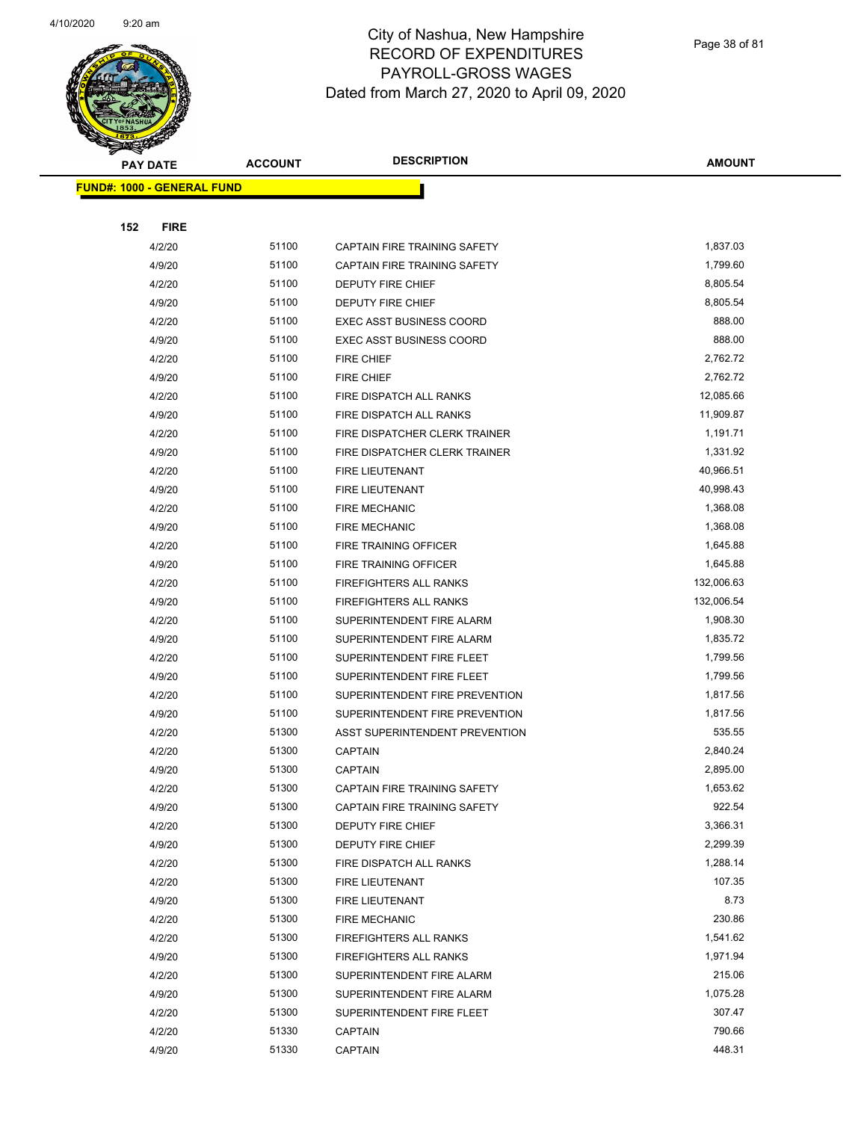

|     | <b>PAY DATE</b>                   | <b>ACCOUNT</b> | <b>DESCRIPTION</b>                  | <b>AMOUNT</b> |
|-----|-----------------------------------|----------------|-------------------------------------|---------------|
|     | <b>FUND#: 1000 - GENERAL FUND</b> |                |                                     |               |
|     |                                   |                |                                     |               |
| 152 | <b>FIRE</b>                       |                |                                     |               |
|     | 4/2/20                            | 51100          | <b>CAPTAIN FIRE TRAINING SAFETY</b> | 1,837.03      |
|     | 4/9/20                            | 51100          | CAPTAIN FIRE TRAINING SAFETY        | 1,799.60      |
|     | 4/2/20                            | 51100          | DEPUTY FIRE CHIEF                   | 8,805.54      |
|     | 4/9/20                            | 51100          | DEPUTY FIRE CHIEF                   | 8,805.54      |
|     | 4/2/20                            | 51100          | <b>EXEC ASST BUSINESS COORD</b>     | 888.00        |
|     | 4/9/20                            | 51100          | <b>EXEC ASST BUSINESS COORD</b>     | 888.00        |
|     | 4/2/20                            | 51100          | <b>FIRE CHIEF</b>                   | 2,762.72      |
|     | 4/9/20                            | 51100          | <b>FIRE CHIEF</b>                   | 2,762.72      |
|     | 4/2/20                            | 51100          | FIRE DISPATCH ALL RANKS             | 12,085.66     |
|     | 4/9/20                            | 51100          | FIRE DISPATCH ALL RANKS             | 11,909.87     |
|     | 4/2/20                            | 51100          | FIRE DISPATCHER CLERK TRAINER       | 1,191.71      |
|     | 4/9/20                            | 51100          | FIRE DISPATCHER CLERK TRAINER       | 1,331.92      |
|     | 4/2/20                            | 51100          | <b>FIRE LIEUTENANT</b>              | 40,966.51     |
|     | 4/9/20                            | 51100          | <b>FIRE LIEUTENANT</b>              | 40,998.43     |
|     | 4/2/20                            | 51100          | <b>FIRE MECHANIC</b>                | 1,368.08      |
|     | 4/9/20                            | 51100          | <b>FIRE MECHANIC</b>                | 1,368.08      |
|     | 4/2/20                            | 51100          | FIRE TRAINING OFFICER               | 1,645.88      |
|     | 4/9/20                            | 51100          | <b>FIRE TRAINING OFFICER</b>        | 1,645.88      |
|     | 4/2/20                            | 51100          | <b>FIREFIGHTERS ALL RANKS</b>       | 132,006.63    |
|     | 4/9/20                            | 51100          | <b>FIREFIGHTERS ALL RANKS</b>       | 132,006.54    |
|     | 4/2/20                            | 51100          | SUPERINTENDENT FIRE ALARM           | 1,908.30      |
|     | 4/9/20                            | 51100          | SUPERINTENDENT FIRE ALARM           | 1,835.72      |
|     | 4/2/20                            | 51100          | SUPERINTENDENT FIRE FLEET           | 1,799.56      |
|     | 4/9/20                            | 51100          | SUPERINTENDENT FIRE FLEET           | 1,799.56      |
|     | 4/2/20                            | 51100          | SUPERINTENDENT FIRE PREVENTION      | 1,817.56      |
|     | 4/9/20                            | 51100          | SUPERINTENDENT FIRE PREVENTION      | 1,817.56      |
|     | 4/2/20                            | 51300          | ASST SUPERINTENDENT PREVENTION      | 535.55        |
|     | 4/2/20                            | 51300          | <b>CAPTAIN</b>                      | 2,840.24      |
|     | 4/9/20                            | 51300          | CAPTAIN                             | 2,895.00      |
|     | 4/2/20                            | 51300          | CAPTAIN FIRE TRAINING SAFETY        | 1,653.62      |
|     | 4/9/20                            | 51300          | CAPTAIN FIRE TRAINING SAFETY        | 922.54        |
|     | 4/2/20                            | 51300          | DEPUTY FIRE CHIEF                   | 3,366.31      |
|     | 4/9/20                            | 51300          | DEPUTY FIRE CHIEF                   | 2,299.39      |
|     | 4/2/20                            | 51300          | FIRE DISPATCH ALL RANKS             | 1,288.14      |
|     | 4/2/20                            | 51300          | FIRE LIEUTENANT                     | 107.35        |
|     | 4/9/20                            | 51300          | FIRE LIEUTENANT                     | 8.73          |
|     | 4/2/20                            | 51300          | <b>FIRE MECHANIC</b>                | 230.86        |
|     | 4/2/20                            | 51300          | <b>FIREFIGHTERS ALL RANKS</b>       | 1,541.62      |
|     | 4/9/20                            | 51300          | FIREFIGHTERS ALL RANKS              | 1,971.94      |
|     | 4/2/20                            | 51300          | SUPERINTENDENT FIRE ALARM           | 215.06        |
|     | 4/9/20                            | 51300          | SUPERINTENDENT FIRE ALARM           | 1,075.28      |
|     | 4/2/20                            | 51300          | SUPERINTENDENT FIRE FLEET           | 307.47        |
|     | 4/2/20                            | 51330          | CAPTAIN                             | 790.66        |
|     | 4/9/20                            | 51330          | CAPTAIN                             | 448.31        |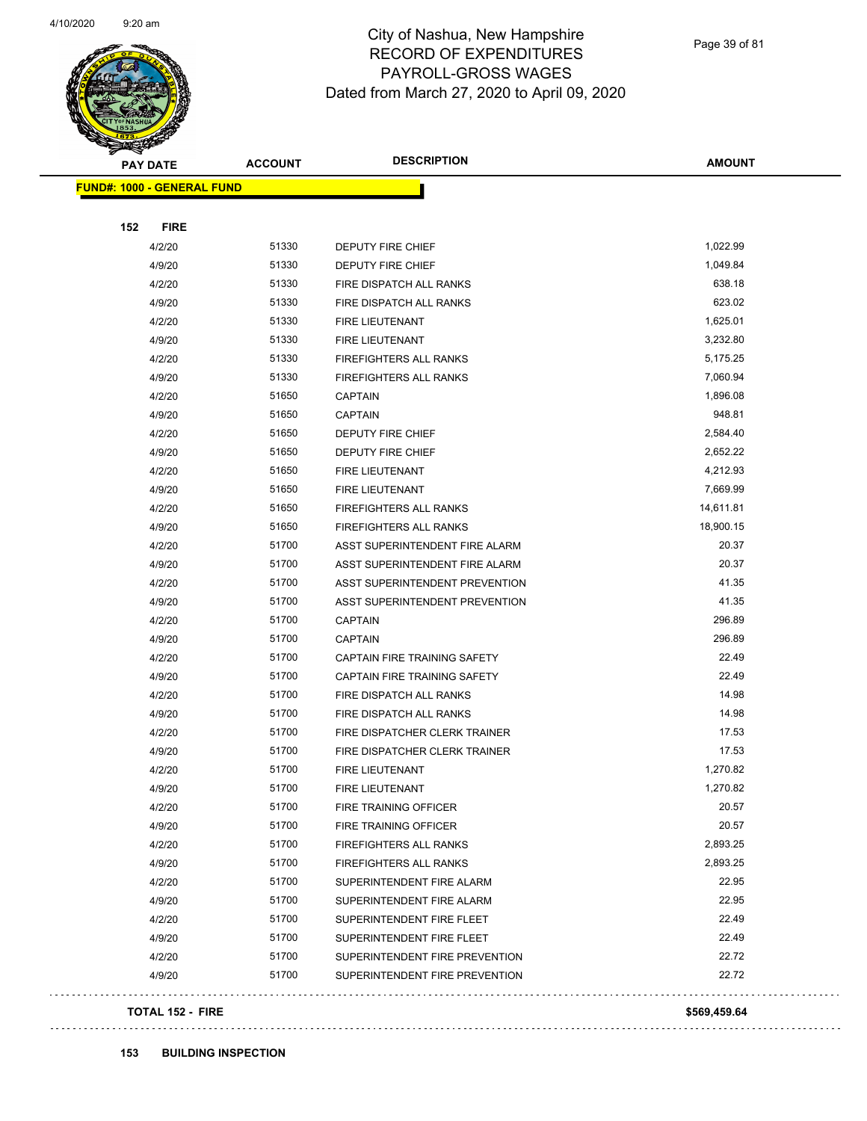

Page 39 of 81

| <b>STATERS</b> |                                   |                |                                |               |
|----------------|-----------------------------------|----------------|--------------------------------|---------------|
|                | <b>PAY DATE</b>                   | <b>ACCOUNT</b> | <b>DESCRIPTION</b>             | <b>AMOUNT</b> |
|                | <b>FUND#: 1000 - GENERAL FUND</b> |                |                                |               |
|                |                                   |                |                                |               |
| 152            | <b>FIRE</b>                       |                |                                |               |
|                | 4/2/20                            | 51330          | DEPUTY FIRE CHIEF              | 1,022.99      |
|                | 4/9/20                            | 51330          | DEPUTY FIRE CHIEF              | 1,049.84      |
|                | 4/2/20                            | 51330          | FIRE DISPATCH ALL RANKS        | 638.18        |
|                | 4/9/20                            | 51330          | FIRE DISPATCH ALL RANKS        | 623.02        |
|                | 4/2/20                            | 51330          | FIRE LIEUTENANT                | 1,625.01      |
|                | 4/9/20                            | 51330          | <b>FIRE LIEUTENANT</b>         | 3,232.80      |
|                | 4/2/20                            | 51330          | FIREFIGHTERS ALL RANKS         | 5,175.25      |
|                | 4/9/20                            | 51330          | FIREFIGHTERS ALL RANKS         | 7,060.94      |
|                | 4/2/20                            | 51650          | <b>CAPTAIN</b>                 | 1,896.08      |
|                | 4/9/20                            | 51650          | <b>CAPTAIN</b>                 | 948.81        |
|                | 4/2/20                            | 51650          | <b>DEPUTY FIRE CHIEF</b>       | 2,584.40      |
|                | 4/9/20                            | 51650          | <b>DEPUTY FIRE CHIEF</b>       | 2,652.22      |
|                | 4/2/20                            | 51650          | <b>FIRE LIEUTENANT</b>         | 4,212.93      |
|                | 4/9/20                            | 51650          | FIRE LIEUTENANT                | 7,669.99      |
|                | 4/2/20                            | 51650          | <b>FIREFIGHTERS ALL RANKS</b>  | 14,611.81     |
|                | 4/9/20                            | 51650          | FIREFIGHTERS ALL RANKS         | 18,900.15     |
|                | 4/2/20                            | 51700          | ASST SUPERINTENDENT FIRE ALARM | 20.37         |
|                | 4/9/20                            | 51700          | ASST SUPERINTENDENT FIRE ALARM | 20.37         |
|                | 4/2/20                            | 51700          | ASST SUPERINTENDENT PREVENTION | 41.35         |
|                | 4/9/20                            | 51700          | ASST SUPERINTENDENT PREVENTION | 41.35         |
|                | 4/2/20                            | 51700          | CAPTAIN                        | 296.89        |
|                | 4/9/20                            | 51700          | <b>CAPTAIN</b>                 | 296.89        |
|                | 4/2/20                            | 51700          | CAPTAIN FIRE TRAINING SAFETY   | 22.49         |
|                | 4/9/20                            | 51700          | CAPTAIN FIRE TRAINING SAFETY   | 22.49         |
|                | 4/2/20                            | 51700          | FIRE DISPATCH ALL RANKS        | 14.98         |
|                | 4/9/20                            | 51700          | FIRE DISPATCH ALL RANKS        | 14.98         |
|                | 4/2/20                            | 51700          | FIRE DISPATCHER CLERK TRAINER  | 17.53         |
|                | 4/9/20                            | 51700          | FIRE DISPATCHER CLERK TRAINER  | 17.53         |
|                | 4/2/20                            | 51700          | FIRE LIEUTENANT                | 1,270.82      |
|                | 4/9/20                            | 51700          | FIRE LIEUTENANT                | 1,270.82      |
|                | 4/2/20                            | 51700          | FIRE TRAINING OFFICER          | 20.57         |
|                | 4/9/20                            | 51700          | FIRE TRAINING OFFICER          | 20.57         |
|                | 4/2/20                            | 51700          | FIREFIGHTERS ALL RANKS         | 2,893.25      |
|                | 4/9/20                            | 51700          | FIREFIGHTERS ALL RANKS         | 2,893.25      |
|                | 4/2/20                            | 51700          | SUPERINTENDENT FIRE ALARM      | 22.95         |
|                | 4/9/20                            | 51700          | SUPERINTENDENT FIRE ALARM      | 22.95         |
|                | 4/2/20                            | 51700          | SUPERINTENDENT FIRE FLEET      | 22.49         |
|                | 4/9/20                            | 51700          | SUPERINTENDENT FIRE FLEET      | 22.49         |
|                | 4/2/20                            | 51700          | SUPERINTENDENT FIRE PREVENTION | 22.72         |
|                | 4/9/20                            | 51700          | SUPERINTENDENT FIRE PREVENTION | 22.72         |
|                | <b>TOTAL 152 - FIRE</b>           |                |                                | \$569,459.64  |
|                |                                   |                |                                |               |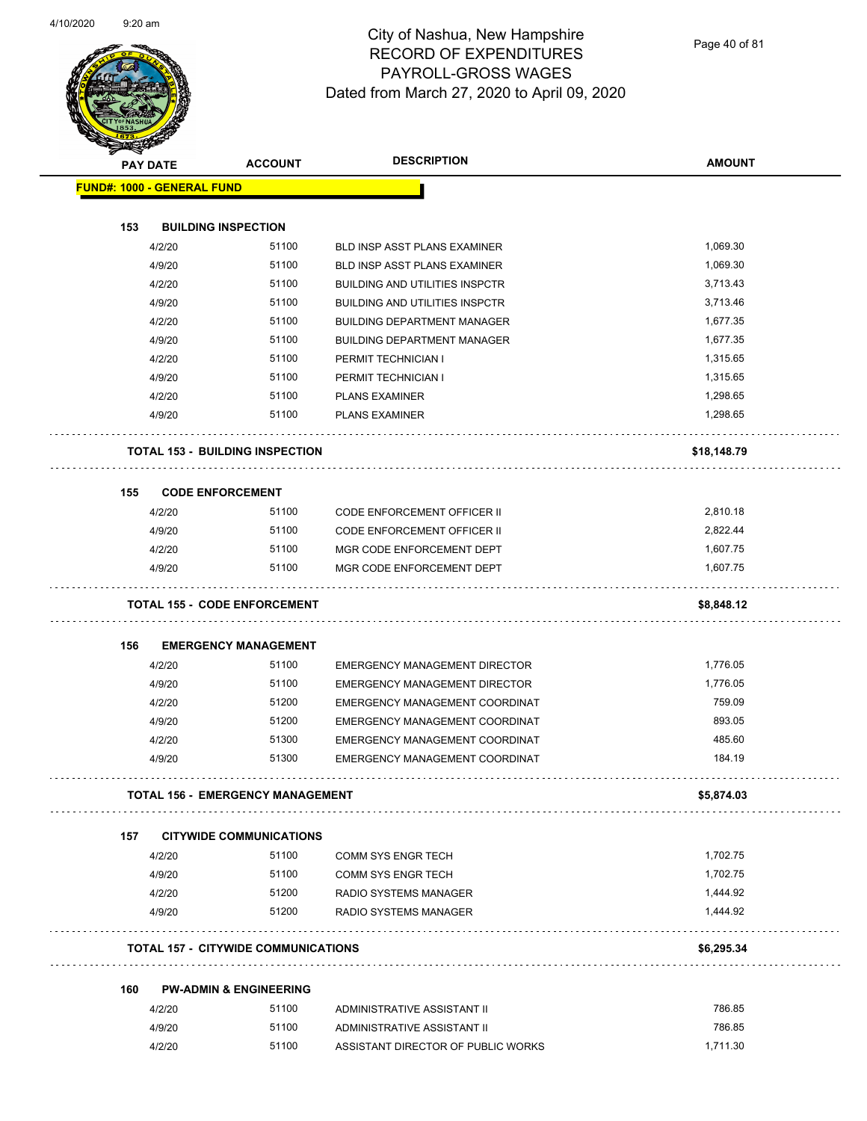

Page 40 of 81

| <b>PAY DATE</b>                   | <b>ACCOUNT</b>                             | <b>DESCRIPTION</b>                    | <b>AMOUNT</b> |
|-----------------------------------|--------------------------------------------|---------------------------------------|---------------|
| <b>FUND#: 1000 - GENERAL FUND</b> |                                            |                                       |               |
|                                   |                                            |                                       |               |
| 153                               | <b>BUILDING INSPECTION</b>                 |                                       |               |
| 4/2/20                            | 51100                                      | <b>BLD INSP ASST PLANS EXAMINER</b>   | 1,069.30      |
| 4/9/20                            | 51100                                      | <b>BLD INSP ASST PLANS EXAMINER</b>   | 1,069.30      |
| 4/2/20                            | 51100                                      | <b>BUILDING AND UTILITIES INSPCTR</b> | 3,713.43      |
| 4/9/20                            | 51100                                      | <b>BUILDING AND UTILITIES INSPCTR</b> | 3,713.46      |
| 4/2/20                            | 51100                                      | <b>BUILDING DEPARTMENT MANAGER</b>    | 1,677.35      |
| 4/9/20                            | 51100                                      | <b>BUILDING DEPARTMENT MANAGER</b>    | 1,677.35      |
| 4/2/20                            | 51100                                      | PERMIT TECHNICIAN I                   | 1,315.65      |
| 4/9/20                            | 51100                                      | PERMIT TECHNICIAN I                   | 1,315.65      |
| 4/2/20                            | 51100                                      | <b>PLANS EXAMINER</b>                 | 1,298.65      |
| 4/9/20                            | 51100                                      | <b>PLANS EXAMINER</b>                 | 1,298.65      |
|                                   | <b>TOTAL 153 - BUILDING INSPECTION</b>     |                                       | \$18,148.79   |
| 155                               | <b>CODE ENFORCEMENT</b>                    |                                       |               |
| 4/2/20                            | 51100                                      | CODE ENFORCEMENT OFFICER II           | 2,810.18      |
| 4/9/20                            | 51100                                      | <b>CODE ENFORCEMENT OFFICER II</b>    | 2,822.44      |
| 4/2/20                            | 51100                                      | MGR CODE ENFORCEMENT DEPT             | 1,607.75      |
| 4/9/20                            | 51100                                      | MGR CODE ENFORCEMENT DEPT             | 1,607.75      |
|                                   |                                            |                                       |               |
|                                   | <b>TOTAL 155 - CODE ENFORCEMENT</b>        |                                       | \$8,848.12    |
|                                   |                                            |                                       |               |
| 156                               | <b>EMERGENCY MANAGEMENT</b>                |                                       |               |
| 4/2/20                            | 51100                                      | <b>EMERGENCY MANAGEMENT DIRECTOR</b>  | 1,776.05      |
| 4/9/20                            | 51100                                      | <b>EMERGENCY MANAGEMENT DIRECTOR</b>  | 1,776.05      |
| 4/2/20                            | 51200                                      | EMERGENCY MANAGEMENT COORDINAT        | 759.09        |
| 4/9/20                            | 51200                                      | EMERGENCY MANAGEMENT COORDINAT        | 893.05        |
| 4/2/20                            | 51300                                      | EMERGENCY MANAGEMENT COORDINAT        | 485.60        |
| 4/9/20                            | 51300                                      | EMERGENCY MANAGEMENT COORDINAT        | 184.19        |
|                                   | <b>TOTAL 156 - EMERGENCY MANAGEMENT</b>    |                                       | \$5,874.03    |
| 157                               | <b>CITYWIDE COMMUNICATIONS</b>             |                                       |               |
| 4/2/20                            | 51100                                      | <b>COMM SYS ENGR TECH</b>             | 1,702.75      |
| 4/9/20                            | 51100                                      | <b>COMM SYS ENGR TECH</b>             | 1,702.75      |
| 4/2/20                            | 51200                                      | RADIO SYSTEMS MANAGER                 | 1,444.92      |
| 4/9/20                            | 51200                                      | <b>RADIO SYSTEMS MANAGER</b>          | 1,444.92      |
|                                   | <b>TOTAL 157 - CITYWIDE COMMUNICATIONS</b> |                                       | \$6,295.34    |
| 160                               | <b>PW-ADMIN &amp; ENGINEERING</b>          |                                       |               |
| 4/2/20                            | 51100                                      | ADMINISTRATIVE ASSISTANT II           | 786.85        |
|                                   |                                            |                                       |               |
| 4/9/20                            | 51100                                      | ADMINISTRATIVE ASSISTANT II           | 786.85        |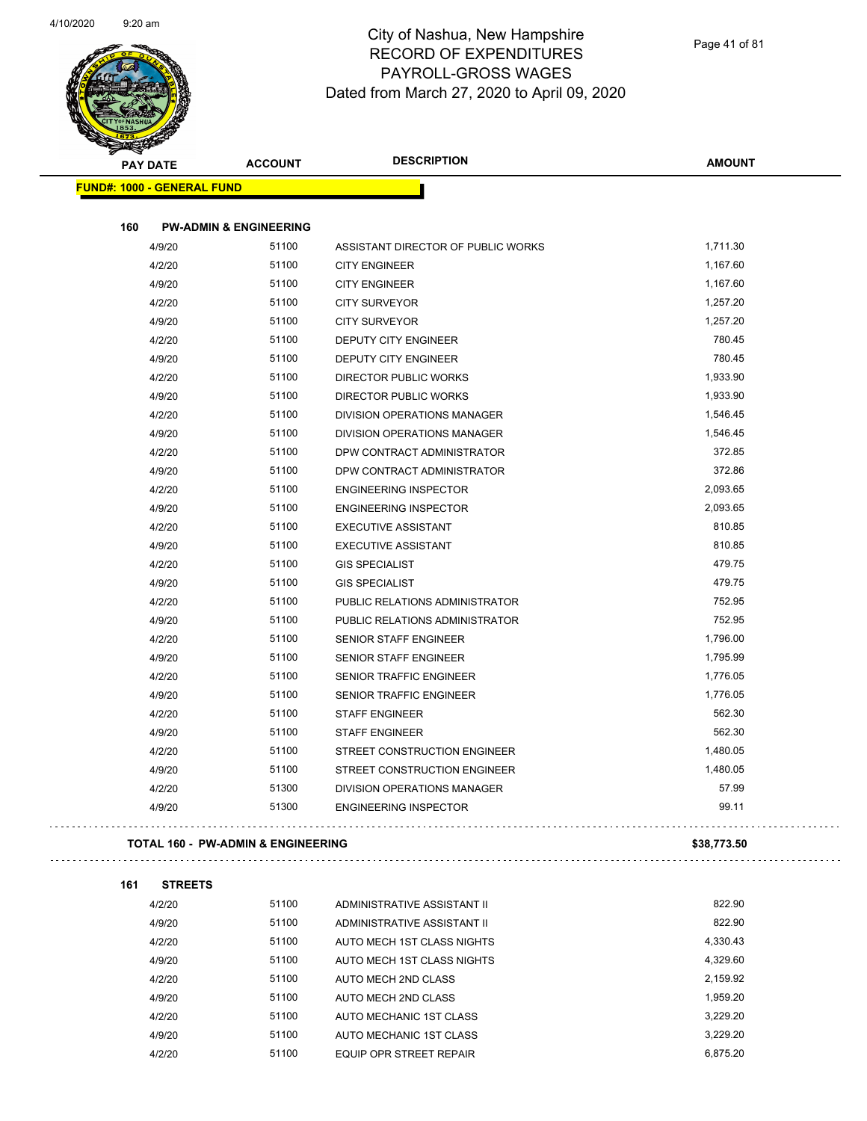$\bar{z}$ 



# City of Nashua, New Hampshire RECORD OF EXPENDITURES PAYROLL-GROSS WAGES Dated from March 27, 2020 to April 09, 2020

| <b>PAY DATE</b>                               | <b>ACCOUNT</b> | <b>DESCRIPTION</b>                 | <b>AMOUNT</b> |
|-----------------------------------------------|----------------|------------------------------------|---------------|
| <b>FUND#: 1000 - GENERAL FUND</b>             |                |                                    |               |
| 160<br><b>PW-ADMIN &amp; ENGINEERING</b>      |                |                                    |               |
| 4/9/20                                        | 51100          | ASSISTANT DIRECTOR OF PUBLIC WORKS | 1,711.30      |
| 4/2/20                                        | 51100          | <b>CITY ENGINEER</b>               | 1,167.60      |
| 4/9/20                                        | 51100          | <b>CITY ENGINEER</b>               | 1,167.60      |
| 4/2/20                                        | 51100          | <b>CITY SURVEYOR</b>               | 1,257.20      |
| 4/9/20                                        | 51100          | <b>CITY SURVEYOR</b>               | 1,257.20      |
| 4/2/20                                        | 51100          | DEPUTY CITY ENGINEER               | 780.45        |
| 4/9/20                                        | 51100          | DEPUTY CITY ENGINEER               | 780.45        |
| 4/2/20                                        | 51100          | DIRECTOR PUBLIC WORKS              | 1,933.90      |
| 4/9/20                                        | 51100          | DIRECTOR PUBLIC WORKS              | 1,933.90      |
| 4/2/20                                        | 51100          | <b>DIVISION OPERATIONS MANAGER</b> | 1,546.45      |
| 4/9/20                                        | 51100          | DIVISION OPERATIONS MANAGER        | 1,546.45      |
| 4/2/20                                        | 51100          | DPW CONTRACT ADMINISTRATOR         | 372.85        |
| 4/9/20                                        | 51100          | DPW CONTRACT ADMINISTRATOR         | 372.86        |
| 4/2/20                                        | 51100          | <b>ENGINEERING INSPECTOR</b>       | 2,093.65      |
| 4/9/20                                        | 51100          | <b>ENGINEERING INSPECTOR</b>       | 2,093.65      |
| 4/2/20                                        | 51100          | <b>EXECUTIVE ASSISTANT</b>         | 810.85        |
| 4/9/20                                        | 51100          | <b>EXECUTIVE ASSISTANT</b>         | 810.85        |
| 4/2/20                                        | 51100          | <b>GIS SPECIALIST</b>              | 479.75        |
| 4/9/20                                        | 51100          | <b>GIS SPECIALIST</b>              | 479.75        |
| 4/2/20                                        | 51100          | PUBLIC RELATIONS ADMINISTRATOR     | 752.95        |
| 4/9/20                                        | 51100          | PUBLIC RELATIONS ADMINISTRATOR     | 752.95        |
| 4/2/20                                        | 51100          | <b>SENIOR STAFF ENGINEER</b>       | 1,796.00      |
| 4/9/20                                        | 51100          | <b>SENIOR STAFF ENGINEER</b>       | 1,795.99      |
| 4/2/20                                        | 51100          | <b>SENIOR TRAFFIC ENGINEER</b>     | 1,776.05      |
| 4/9/20                                        | 51100          | SENIOR TRAFFIC ENGINEER            | 1,776.05      |
| 4/2/20                                        | 51100          | <b>STAFF ENGINEER</b>              | 562.30        |
| 4/9/20                                        | 51100          | <b>STAFF ENGINEER</b>              | 562.30        |
| 4/2/20                                        | 51100          | STREET CONSTRUCTION ENGINEER       | 1,480.05      |
| 4/9/20                                        | 51100          | STREET CONSTRUCTION ENGINEER       | 1,480.05      |
| 4/2/20                                        | 51300          | DIVISION OPERATIONS MANAGER        | 57.99         |
| 4/9/20                                        | 51300          | <b>ENGINEERING INSPECTOR</b>       | 99.11         |
| <b>TOTAL 160 - PW-ADMIN &amp; ENGINEERING</b> |                |                                    | \$38,773.50   |
| 161<br><b>STREETS</b>                         |                |                                    |               |
| 4/2/20                                        | 51100          | ADMINISTRATIVE ASSISTANT II        | 822.90        |
| 4/9/20                                        | 51100          | ADMINISTRATIVE ASSISTANT II        | 822.90        |
| 4/2/20                                        | 51100          | AUTO MECH 1ST CLASS NIGHTS         | 4,330.43      |
| 4/9/20                                        | 51100          | AUTO MECH 1ST CLASS NIGHTS         | 4,329.60      |
| 4/2/20                                        | 51100          | AUTO MECH 2ND CLASS                | 2,159.92      |
| 4/9/20                                        | 51100          | AUTO MECH 2ND CLASS                | 1,959.20      |
| 4/2/20                                        | 51100          | AUTO MECHANIC 1ST CLASS            | 3,229.20      |
| 4/9/20                                        | 51100          | AUTO MECHANIC 1ST CLASS            | 3,229.20      |
|                                               |                |                                    |               |

4/2/20 51100 EQUIP OPR STREET REPAIR 6,875.20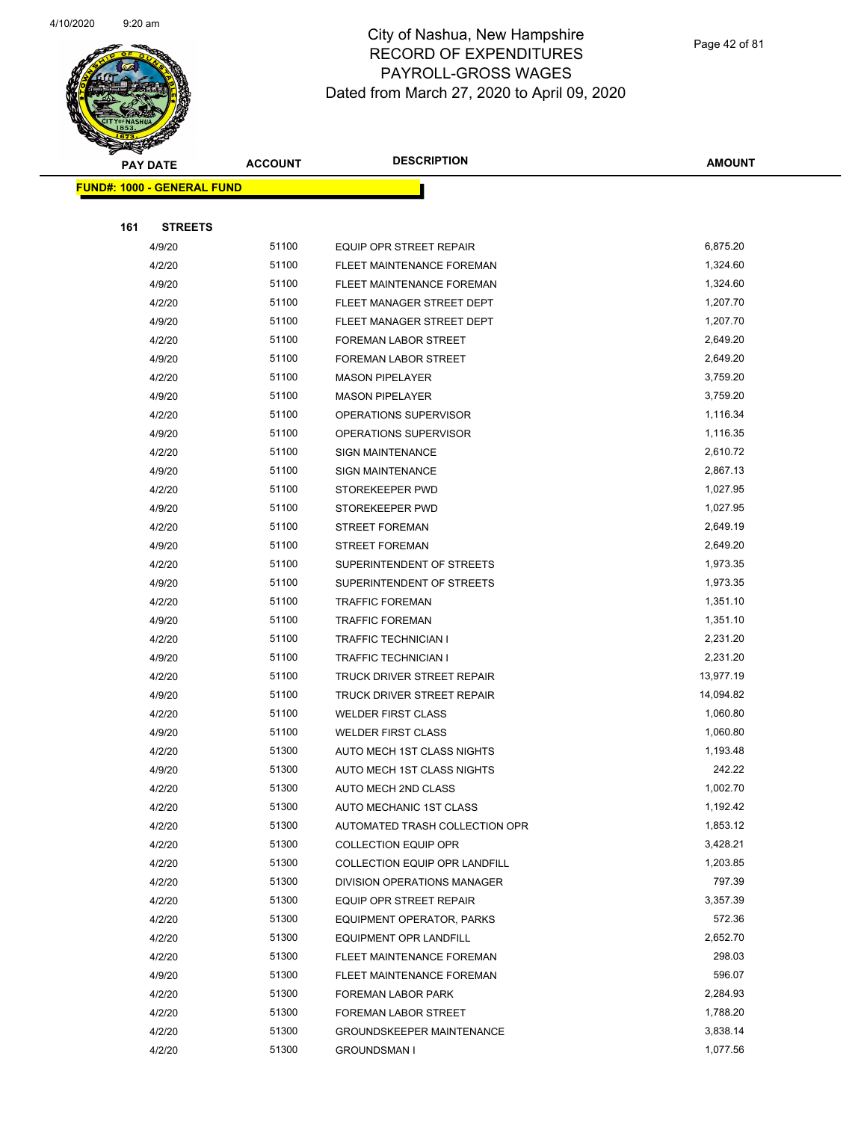

Page 42 of 81

| <b>FUND#: 1000 - GENERAL FUND</b> |                |                                                             |                    |
|-----------------------------------|----------------|-------------------------------------------------------------|--------------------|
|                                   |                |                                                             |                    |
| 161<br><b>STREETS</b>             |                |                                                             |                    |
| 4/9/20                            | 51100          | <b>EQUIP OPR STREET REPAIR</b>                              | 6,875.20           |
| 4/2/20                            | 51100          | FLEET MAINTENANCE FOREMAN                                   | 1,324.60           |
| 4/9/20                            | 51100          | FLEET MAINTENANCE FOREMAN                                   | 1,324.60           |
| 4/2/20                            | 51100          | FLEET MANAGER STREET DEPT                                   | 1,207.70           |
| 4/9/20                            | 51100          | FLEET MANAGER STREET DEPT                                   | 1,207.70           |
| 4/2/20                            | 51100          | FOREMAN LABOR STREET                                        | 2,649.20           |
| 4/9/20                            | 51100          | <b>FOREMAN LABOR STREET</b>                                 | 2,649.20           |
| 4/2/20                            | 51100          | <b>MASON PIPELAYER</b>                                      | 3,759.20           |
| 4/9/20                            | 51100          | <b>MASON PIPELAYER</b>                                      | 3,759.20           |
| 4/2/20                            | 51100          | OPERATIONS SUPERVISOR                                       | 1,116.34           |
| 4/9/20                            | 51100          | OPERATIONS SUPERVISOR                                       | 1,116.35           |
| 4/2/20                            | 51100          | <b>SIGN MAINTENANCE</b>                                     | 2,610.72           |
| 4/9/20                            | 51100          | <b>SIGN MAINTENANCE</b>                                     | 2,867.13           |
| 4/2/20                            | 51100          | STOREKEEPER PWD                                             | 1,027.95           |
| 4/9/20                            | 51100          | STOREKEEPER PWD                                             | 1,027.95           |
| 4/2/20                            | 51100          | <b>STREET FOREMAN</b>                                       | 2,649.19           |
| 4/9/20                            | 51100          | <b>STREET FOREMAN</b>                                       | 2,649.20           |
| 4/2/20                            | 51100          | SUPERINTENDENT OF STREETS                                   | 1,973.35           |
| 4/9/20                            | 51100          | SUPERINTENDENT OF STREETS                                   | 1,973.35           |
| 4/2/20                            | 51100          | <b>TRAFFIC FOREMAN</b>                                      | 1,351.10           |
| 4/9/20                            | 51100          | <b>TRAFFIC FOREMAN</b>                                      | 1,351.10           |
| 4/2/20                            | 51100          | <b>TRAFFIC TECHNICIAN I</b>                                 | 2,231.20           |
| 4/9/20                            | 51100          | TRAFFIC TECHNICIAN I                                        | 2,231.20           |
| 4/2/20                            | 51100          | TRUCK DRIVER STREET REPAIR                                  | 13,977.19          |
| 4/9/20                            | 51100          | TRUCK DRIVER STREET REPAIR                                  | 14,094.82          |
| 4/2/20                            | 51100          | <b>WELDER FIRST CLASS</b>                                   | 1,060.80           |
| 4/9/20                            | 51100          | <b>WELDER FIRST CLASS</b>                                   | 1,060.80           |
| 4/2/20                            | 51300          | AUTO MECH 1ST CLASS NIGHTS                                  | 1,193.48           |
| 4/9/20                            | 51300          | AUTO MECH 1ST CLASS NIGHTS                                  | 242.22             |
| 4/2/20                            | 51300          | AUTO MECH 2ND CLASS                                         | 1,002.70           |
| 4/2/20                            | 51300          | AUTO MECHANIC 1ST CLASS                                     | 1,192.42           |
| 4/2/20                            | 51300          | AUTOMATED TRASH COLLECTION OPR                              | 1,853.12           |
| 4/2/20                            | 51300          | <b>COLLECTION EQUIP OPR</b>                                 | 3,428.21           |
| 4/2/20                            | 51300          | COLLECTION EQUIP OPR LANDFILL                               | 1,203.85           |
| 4/2/20                            | 51300<br>51300 | DIVISION OPERATIONS MANAGER                                 | 797.39<br>3,357.39 |
| 4/2/20                            | 51300          | EQUIP OPR STREET REPAIR<br><b>EQUIPMENT OPERATOR, PARKS</b> | 572.36             |
| 4/2/20                            | 51300          |                                                             | 2,652.70           |
| 4/2/20<br>4/2/20                  | 51300          | EQUIPMENT OPR LANDFILL<br>FLEET MAINTENANCE FOREMAN         | 298.03             |
| 4/9/20                            | 51300          | FLEET MAINTENANCE FOREMAN                                   | 596.07             |
| 4/2/20                            | 51300          | FOREMAN LABOR PARK                                          | 2,284.93           |
| 4/2/20                            | 51300          | FOREMAN LABOR STREET                                        | 1,788.20           |
| 4/2/20                            | 51300          | <b>GROUNDSKEEPER MAINTENANCE</b>                            | 3,838.14           |
| 4/2/20                            | 51300          | <b>GROUNDSMAN I</b>                                         | 1,077.56           |
|                                   |                |                                                             |                    |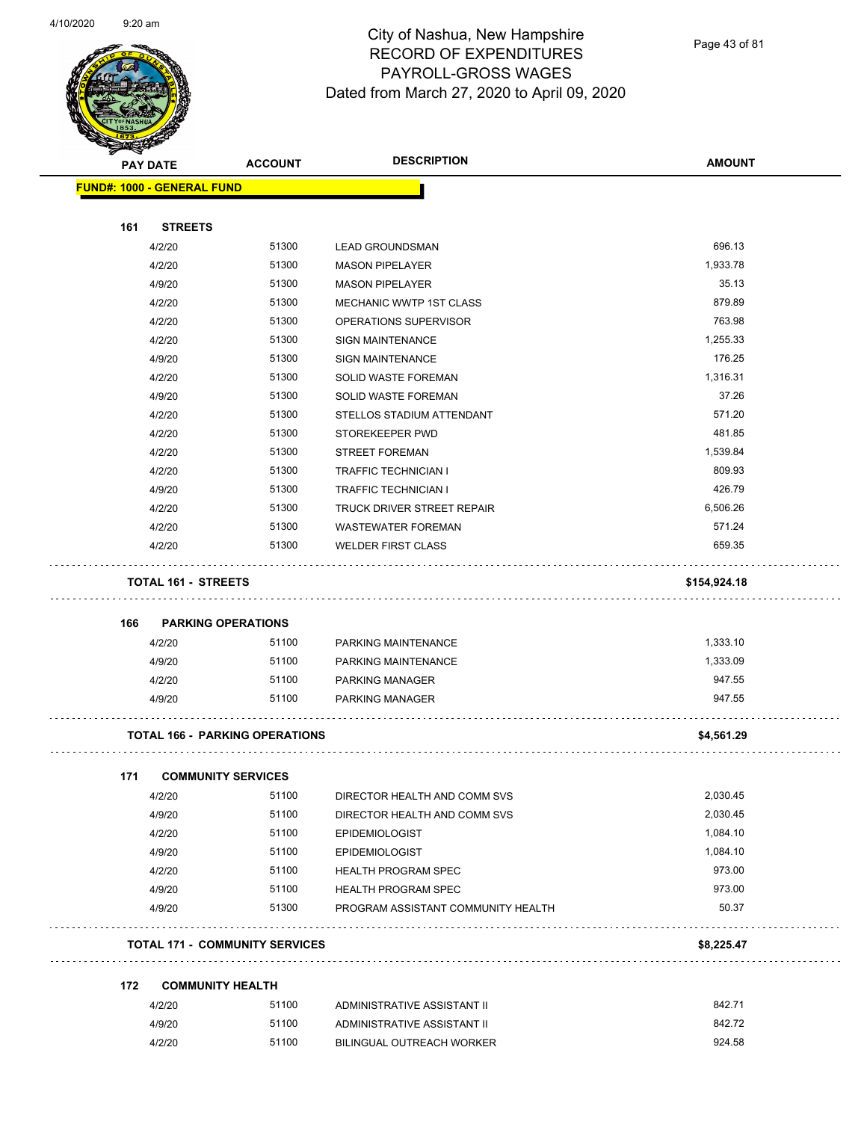

Page 43 of 81

|     | <b>PAY DATE</b>                       | <b>ACCOUNT</b> | <b>DESCRIPTION</b>                     | <b>AMOUNT</b> |
|-----|---------------------------------------|----------------|----------------------------------------|---------------|
|     | <b>FUND#: 1000 - GENERAL FUND</b>     |                |                                        |               |
| 161 | <b>STREETS</b>                        |                |                                        |               |
|     | 4/2/20                                | 51300          | <b>LEAD GROUNDSMAN</b>                 | 696.13        |
|     | 4/2/20                                | 51300          | <b>MASON PIPELAYER</b>                 | 1,933.78      |
|     | 4/9/20                                | 51300          | <b>MASON PIPELAYER</b>                 | 35.13         |
|     | 4/2/20                                | 51300          | MECHANIC WWTP 1ST CLASS                | 879.89        |
|     | 4/2/20                                | 51300          | OPERATIONS SUPERVISOR                  | 763.98        |
|     | 4/2/20                                | 51300          | <b>SIGN MAINTENANCE</b>                | 1,255.33      |
|     | 4/9/20                                | 51300          | <b>SIGN MAINTENANCE</b>                | 176.25        |
|     | 4/2/20                                | 51300          | SOLID WASTE FOREMAN                    | 1,316.31      |
|     | 4/9/20                                | 51300          | SOLID WASTE FOREMAN                    | 37.26         |
|     | 4/2/20                                | 51300          | STELLOS STADIUM ATTENDANT              | 571.20        |
|     | 4/2/20                                | 51300          | STOREKEEPER PWD                        | 481.85        |
|     | 4/2/20                                | 51300          | <b>STREET FOREMAN</b>                  | 1,539.84      |
|     | 4/2/20                                | 51300          | <b>TRAFFIC TECHNICIAN I</b>            | 809.93        |
|     | 4/9/20                                | 51300          | <b>TRAFFIC TECHNICIAN I</b>            | 426.79        |
|     | 4/2/20                                | 51300          | <b>TRUCK DRIVER STREET REPAIR</b>      | 6,506.26      |
|     | 4/2/20                                | 51300          | <b>WASTEWATER FOREMAN</b>              | 571.24        |
|     | 4/2/20                                | 51300          | <b>WELDER FIRST CLASS</b>              | 659.35        |
| 166 | <b>PARKING OPERATIONS</b>             | 51100          |                                        |               |
|     | 4/2/20                                |                | PARKING MAINTENANCE                    | 1,333.10      |
|     | 4/9/20                                | 51100          | PARKING MAINTENANCE<br>PARKING MANAGER | 1,333.09      |
|     |                                       |                |                                        |               |
|     | 4/2/20                                | 51100          |                                        | 947.55        |
|     | 4/9/20                                | 51100          | PARKING MANAGER                        | 947.55        |
|     | <b>TOTAL 166 - PARKING OPERATIONS</b> |                |                                        | \$4,561.29    |
| 171 | <b>COMMUNITY SERVICES</b>             |                |                                        |               |
|     | 4/2/20                                | 51100          | DIRECTOR HEALTH AND COMM SVS           | 2,030.45      |
|     | 4/9/20                                | 51100          | DIRECTOR HEALTH AND COMM SVS           | 2,030.45      |
|     | 4/2/20                                | 51100          | <b>EPIDEMIOLOGIST</b>                  | 1,084.10      |
|     | 4/9/20                                | 51100          | <b>EPIDEMIOLOGIST</b>                  | 1,084.10      |
|     | 4/2/20                                | 51100          | <b>HEALTH PROGRAM SPEC</b>             | 973.00        |
|     | 4/9/20                                | 51100          | <b>HEALTH PROGRAM SPEC</b>             | 973.00        |
|     | 4/9/20                                | 51300          | PROGRAM ASSISTANT COMMUNITY HEALTH     | 50.37         |
|     | <b>TOTAL 171 - COMMUNITY SERVICES</b> |                |                                        | \$8,225.47    |
| 172 | <b>COMMUNITY HEALTH</b>               |                |                                        |               |
|     | 4/2/20                                | 51100          | ADMINISTRATIVE ASSISTANT II            | 842.71        |
|     | 4/9/20                                | 51100          | ADMINISTRATIVE ASSISTANT II            | 842.72        |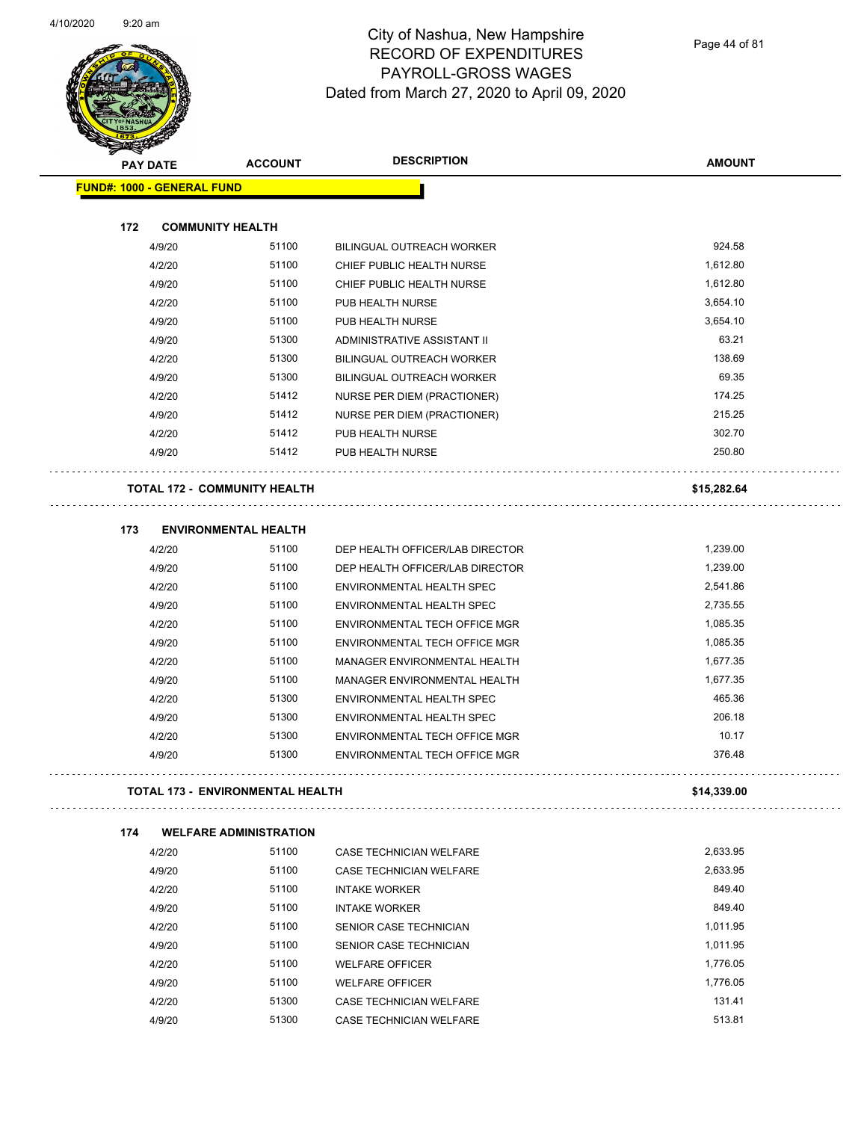

Page 44 of 81

| <b>PAY DATE</b>                   |                         | <b>ACCOUNT</b>                          | <b>DESCRIPTION</b>               | <b>AMOUNT</b> |
|-----------------------------------|-------------------------|-----------------------------------------|----------------------------------|---------------|
| <b>FUND#: 1000 - GENERAL FUND</b> |                         |                                         |                                  |               |
|                                   |                         |                                         |                                  |               |
| 172                               | <b>COMMUNITY HEALTH</b> |                                         |                                  |               |
|                                   | 4/9/20                  | 51100                                   | BILINGUAL OUTREACH WORKER        | 924.58        |
|                                   | 4/2/20                  | 51100                                   | CHIEF PUBLIC HEALTH NURSE        | 1,612.80      |
|                                   | 4/9/20                  | 51100                                   | CHIEF PUBLIC HEALTH NURSE        | 1,612.80      |
|                                   | 4/2/20                  | 51100                                   | PUB HEALTH NURSE                 | 3,654.10      |
|                                   | 4/9/20                  | 51100                                   | PUB HEALTH NURSE                 | 3,654.10      |
|                                   | 4/9/20                  | 51300                                   | ADMINISTRATIVE ASSISTANT II      | 63.21         |
|                                   | 4/2/20                  | 51300                                   | BILINGUAL OUTREACH WORKER        | 138.69        |
|                                   | 4/9/20                  | 51300                                   | <b>BILINGUAL OUTREACH WORKER</b> | 69.35         |
|                                   | 4/2/20                  | 51412                                   | NURSE PER DIEM (PRACTIONER)      | 174.25        |
|                                   | 4/9/20                  | 51412                                   | NURSE PER DIEM (PRACTIONER)      | 215.25        |
|                                   | 4/2/20                  | 51412                                   | PUB HEALTH NURSE                 | 302.70        |
|                                   | 4/9/20                  | 51412                                   | PUB HEALTH NURSE                 | 250.80        |
|                                   |                         | <b>TOTAL 172 - COMMUNITY HEALTH</b>     |                                  | \$15,282.64   |
| 173                               |                         | <b>ENVIRONMENTAL HEALTH</b>             |                                  |               |
|                                   | 4/2/20                  | 51100                                   | DEP HEALTH OFFICER/LAB DIRECTOR  | 1,239.00      |
|                                   | 4/9/20                  | 51100                                   | DEP HEALTH OFFICER/LAB DIRECTOR  | 1,239.00      |
|                                   | 4/2/20                  | 51100                                   | ENVIRONMENTAL HEALTH SPEC        | 2,541.86      |
|                                   | 4/9/20                  | 51100                                   | ENVIRONMENTAL HEALTH SPEC        | 2,735.55      |
|                                   | 4/2/20                  | 51100                                   | ENVIRONMENTAL TECH OFFICE MGR    | 1,085.35      |
|                                   | 4/9/20                  | 51100                                   | ENVIRONMENTAL TECH OFFICE MGR    | 1,085.35      |
|                                   | 4/2/20                  | 51100                                   | MANAGER ENVIRONMENTAL HEALTH     | 1,677.35      |
|                                   | 4/9/20                  | 51100                                   | MANAGER ENVIRONMENTAL HEALTH     | 1,677.35      |
|                                   | 4/2/20                  | 51300                                   | ENVIRONMENTAL HEALTH SPEC        | 465.36        |
|                                   | 4/9/20                  | 51300                                   | ENVIRONMENTAL HEALTH SPEC        | 206.18        |
|                                   | 4/2/20                  | 51300                                   | ENVIRONMENTAL TECH OFFICE MGR    | 10.17         |
|                                   | 4/9/20                  | 51300                                   | ENVIRONMENTAL TECH OFFICE MGR    | 376.48        |
|                                   |                         | <b>TOTAL 173 - ENVIRONMENTAL HEALTH</b> |                                  | \$14,339.00   |
| 174                               |                         | <b>WELFARE ADMINISTRATION</b>           |                                  |               |
|                                   | 4/2/20                  | 51100                                   | CASE TECHNICIAN WELFARE          | 2,633.95      |
|                                   | 4/9/20                  | 51100                                   | CASE TECHNICIAN WELFARE          | 2,633.95      |
|                                   | 4/2/20                  | 51100                                   | <b>INTAKE WORKER</b>             | 849.40        |
|                                   | 4/9/20                  | 51100                                   | <b>INTAKE WORKER</b>             | 849.40        |
|                                   | 4/2/20                  | 51100                                   | SENIOR CASE TECHNICIAN           | 1,011.95      |
|                                   | 4/9/20                  | 51100                                   | SENIOR CASE TECHNICIAN           | 1,011.95      |
|                                   | 4/2/20                  | 51100                                   | <b>WELFARE OFFICER</b>           | 1,776.05      |
|                                   | 4/9/20                  | 51100                                   | <b>WELFARE OFFICER</b>           | 1,776.05      |
|                                   | 4/2/20                  | 51300                                   | CASE TECHNICIAN WELFARE          | 131.41        |
|                                   | 4/9/20                  | 51300                                   | CASE TECHNICIAN WELFARE          | 513.81        |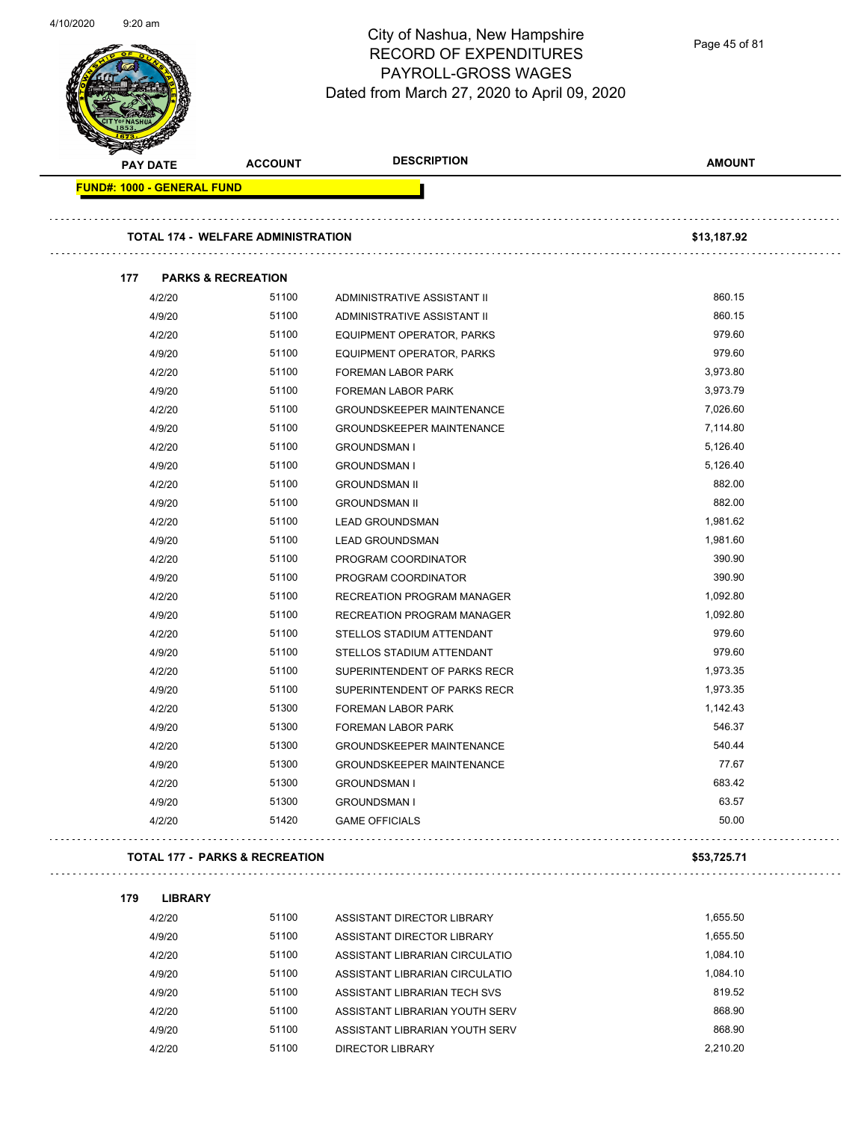Page 45 of 81

| <b>PAY DATE</b>                   | <b>ACCOUNT</b>                            | <b>DESCRIPTION</b>               | <b>AMOUNT</b> |
|-----------------------------------|-------------------------------------------|----------------------------------|---------------|
| <b>FUND#: 1000 - GENERAL FUND</b> |                                           |                                  |               |
|                                   | <b>TOTAL 174 - WELFARE ADMINISTRATION</b> |                                  | \$13,187.92   |
|                                   |                                           |                                  |               |
| 177                               | <b>PARKS &amp; RECREATION</b>             |                                  |               |
| 4/2/20                            | 51100                                     | ADMINISTRATIVE ASSISTANT II      | 860.15        |
| 4/9/20                            | 51100                                     | ADMINISTRATIVE ASSISTANT II      | 860.15        |
| 4/2/20                            | 51100                                     | EQUIPMENT OPERATOR, PARKS        | 979.60        |
| 4/9/20                            | 51100                                     | EQUIPMENT OPERATOR, PARKS        | 979.60        |
| 4/2/20                            | 51100                                     | FOREMAN LABOR PARK               | 3,973.80      |
| 4/9/20                            | 51100                                     | FOREMAN LABOR PARK               | 3,973.79      |
| 4/2/20                            | 51100                                     | <b>GROUNDSKEEPER MAINTENANCE</b> | 7,026.60      |
| 4/9/20                            | 51100                                     | <b>GROUNDSKEEPER MAINTENANCE</b> | 7,114.80      |
| 4/2/20                            | 51100                                     | <b>GROUNDSMAN I</b>              | 5,126.40      |
| 4/9/20                            | 51100                                     | <b>GROUNDSMAN I</b>              | 5,126.40      |
| 4/2/20                            | 51100                                     | <b>GROUNDSMAN II</b>             | 882.00        |
| 4/9/20                            | 51100                                     | <b>GROUNDSMAN II</b>             | 882.00        |
| 4/2/20                            | 51100                                     | <b>LEAD GROUNDSMAN</b>           | 1,981.62      |
| 4/9/20                            | 51100                                     | <b>LEAD GROUNDSMAN</b>           | 1,981.60      |
| 4/2/20                            | 51100                                     | PROGRAM COORDINATOR              | 390.90        |
| 4/9/20                            | 51100                                     | PROGRAM COORDINATOR              | 390.90        |
| 4/2/20                            | 51100                                     | RECREATION PROGRAM MANAGER       | 1,092.80      |
| 4/9/20                            | 51100                                     | RECREATION PROGRAM MANAGER       | 1,092.80      |
| 4/2/20                            | 51100                                     | STELLOS STADIUM ATTENDANT        | 979.60        |
| 4/9/20                            | 51100                                     | STELLOS STADIUM ATTENDANT        | 979.60        |
| 4/2/20                            | 51100                                     | SUPERINTENDENT OF PARKS RECR     | 1,973.35      |
| 4/9/20                            | 51100                                     | SUPERINTENDENT OF PARKS RECR     | 1,973.35      |
| 4/2/20                            | 51300                                     | <b>FOREMAN LABOR PARK</b>        | 1,142.43      |
| 4/9/20                            | 51300                                     | <b>FOREMAN LABOR PARK</b>        | 546.37        |
| 4/2/20                            | 51300                                     | GROUNDSKEEPER MAINTENANCE        | 540.44        |
| 4/9/20                            | 51300                                     | <b>GROUNDSKEEPER MAINTENANCE</b> | 77.67         |
| 4/2/20                            | 51300                                     | <b>GROUNDSMAN I</b>              | 683.42        |
| 4/9/20                            | 51300                                     | <b>GROUNDSMAN I</b>              | 63.57         |
| 4/2/20                            | 51420                                     | <b>GAME OFFICIALS</b>            | 50.00         |
|                                   |                                           |                                  |               |
|                                   | <b>TOTAL 177 - PARKS &amp; RECREATION</b> |                                  | \$53,725.71   |
|                                   |                                           |                                  |               |
| 179<br><b>LIBRARY</b><br>4/2/20   | 51100                                     | ASSISTANT DIRECTOR LIBRARY       | 1,655.50      |
|                                   | 51100                                     |                                  | 1,655.50      |
| 4/9/20                            |                                           | ASSISTANT DIRECTOR LIBRARY       |               |
| 4/2/20                            | 51100                                     | ASSISTANT LIBRARIAN CIRCULATIO   | 1,084.10      |
| 4/9/20                            | 51100                                     | ASSISTANT LIBRARIAN CIRCULATIO   | 1,084.10      |
| 4/9/20                            | 51100                                     | ASSISTANT LIBRARIAN TECH SVS     | 819.52        |
| 4/2/20                            | 51100                                     | ASSISTANT LIBRARIAN YOUTH SERV   | 868.90        |
| 4/9/20                            | 51100                                     | ASSISTANT LIBRARIAN YOUTH SERV   | 868.90        |
| 4/2/20                            | 51100                                     | <b>DIRECTOR LIBRARY</b>          | 2,210.20      |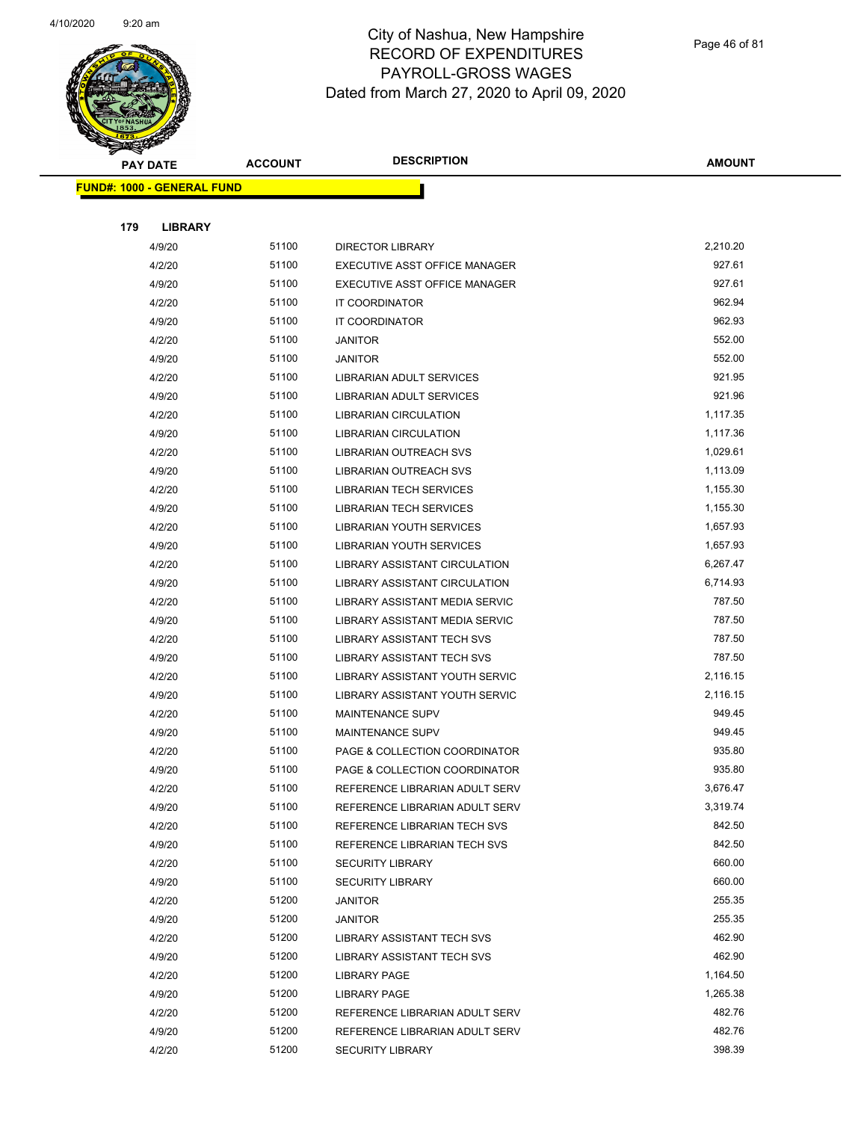

| æ.  | <b>PAY DATE</b>                   | <b>ACCOUNT</b> | <b>DESCRIPTION</b>                | <b>AMOUNT</b> |
|-----|-----------------------------------|----------------|-----------------------------------|---------------|
|     | <b>FUND#: 1000 - GENERAL FUND</b> |                |                                   |               |
|     |                                   |                |                                   |               |
| 179 | <b>LIBRARY</b>                    |                |                                   |               |
|     | 4/9/20                            | 51100          | <b>DIRECTOR LIBRARY</b>           | 2,210.20      |
|     | 4/2/20                            | 51100          | EXECUTIVE ASST OFFICE MANAGER     | 927.61        |
|     | 4/9/20                            | 51100          | EXECUTIVE ASST OFFICE MANAGER     | 927.61        |
|     | 4/2/20                            | 51100          | IT COORDINATOR                    | 962.94        |
|     | 4/9/20                            | 51100          | IT COORDINATOR                    | 962.93        |
|     | 4/2/20                            | 51100          | JANITOR                           | 552.00        |
|     | 4/9/20                            | 51100          | <b>JANITOR</b>                    | 552.00        |
|     | 4/2/20                            | 51100          | LIBRARIAN ADULT SERVICES          | 921.95        |
|     | 4/9/20                            | 51100          | LIBRARIAN ADULT SERVICES          | 921.96        |
|     | 4/2/20                            | 51100          | <b>LIBRARIAN CIRCULATION</b>      | 1,117.35      |
|     | 4/9/20                            | 51100          | <b>LIBRARIAN CIRCULATION</b>      | 1,117.36      |
|     | 4/2/20                            | 51100          | <b>LIBRARIAN OUTREACH SVS</b>     | 1,029.61      |
|     | 4/9/20                            | 51100          | LIBRARIAN OUTREACH SVS            | 1,113.09      |
|     | 4/2/20                            | 51100          | <b>LIBRARIAN TECH SERVICES</b>    | 1,155.30      |
|     | 4/9/20                            | 51100          | <b>LIBRARIAN TECH SERVICES</b>    | 1,155.30      |
|     | 4/2/20                            | 51100          | <b>LIBRARIAN YOUTH SERVICES</b>   | 1,657.93      |
|     | 4/9/20                            | 51100          | LIBRARIAN YOUTH SERVICES          | 1,657.93      |
|     | 4/2/20                            | 51100          | LIBRARY ASSISTANT CIRCULATION     | 6,267.47      |
|     | 4/9/20                            | 51100          | LIBRARY ASSISTANT CIRCULATION     | 6,714.93      |
|     | 4/2/20                            | 51100          | LIBRARY ASSISTANT MEDIA SERVIC    | 787.50        |
|     | 4/9/20                            | 51100          | LIBRARY ASSISTANT MEDIA SERVIC    | 787.50        |
|     | 4/2/20                            | 51100          | LIBRARY ASSISTANT TECH SVS        | 787.50        |
|     | 4/9/20                            | 51100          | LIBRARY ASSISTANT TECH SVS        | 787.50        |
|     | 4/2/20                            | 51100          | LIBRARY ASSISTANT YOUTH SERVIC    | 2,116.15      |
|     | 4/9/20                            | 51100          | LIBRARY ASSISTANT YOUTH SERVIC    | 2,116.15      |
|     | 4/2/20                            | 51100          | <b>MAINTENANCE SUPV</b>           | 949.45        |
|     | 4/9/20                            | 51100          | <b>MAINTENANCE SUPV</b>           | 949.45        |
|     | 4/2/20                            | 51100          | PAGE & COLLECTION COORDINATOR     | 935.80        |
|     | 4/9/20                            | 51100          | PAGE & COLLECTION COORDINATOR     | 935.80        |
|     | 4/2/20                            | 51100          | REFERENCE LIBRARIAN ADULT SERV    | 3,676.47      |
|     | 4/9/20                            | 51100          | REFERENCE LIBRARIAN ADULT SERV    | 3,319.74      |
|     | 4/2/20                            | 51100          | REFERENCE LIBRARIAN TECH SVS      | 842.50        |
|     | 4/9/20                            | 51100          | REFERENCE LIBRARIAN TECH SVS      | 842.50        |
|     | 4/2/20                            | 51100          | <b>SECURITY LIBRARY</b>           | 660.00        |
|     | 4/9/20                            | 51100          | <b>SECURITY LIBRARY</b>           | 660.00        |
|     | 4/2/20                            | 51200          | <b>JANITOR</b>                    | 255.35        |
|     | 4/9/20                            | 51200          | JANITOR                           | 255.35        |
|     | 4/2/20                            | 51200          | LIBRARY ASSISTANT TECH SVS        | 462.90        |
|     | 4/9/20                            | 51200          | <b>LIBRARY ASSISTANT TECH SVS</b> | 462.90        |
|     | 4/2/20                            | 51200          | <b>LIBRARY PAGE</b>               | 1,164.50      |
|     | 4/9/20                            | 51200          | <b>LIBRARY PAGE</b>               | 1,265.38      |
|     | 4/2/20                            | 51200          | REFERENCE LIBRARIAN ADULT SERV    | 482.76        |
|     | 4/9/20                            | 51200          | REFERENCE LIBRARIAN ADULT SERV    | 482.76        |
|     | 4/2/20                            | 51200          | <b>SECURITY LIBRARY</b>           | 398.39        |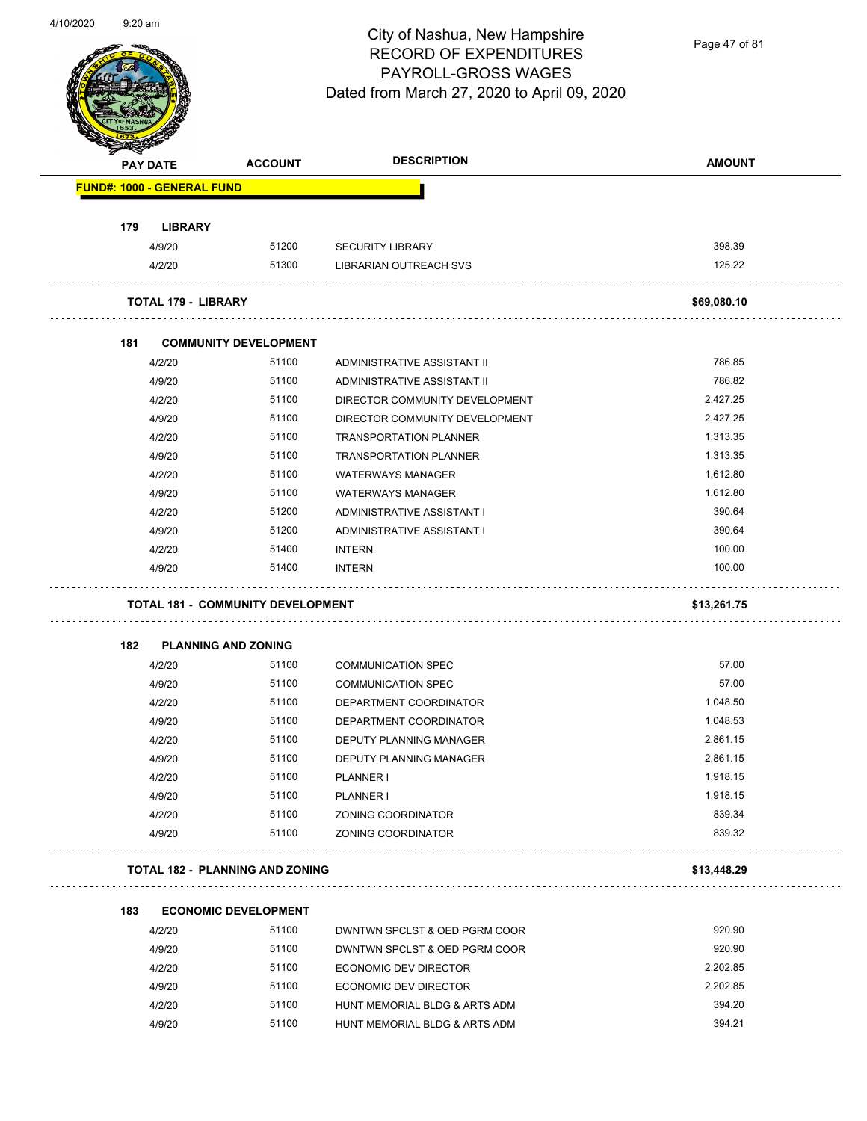

Page 47 of 81

|     | <b>PAY DATE</b>                          | <b>ACCOUNT</b>               | <b>DESCRIPTION</b>                                     | <b>AMOUNT</b>    |
|-----|------------------------------------------|------------------------------|--------------------------------------------------------|------------------|
|     | <b>FUND#: 1000 - GENERAL FUND</b>        |                              |                                                        |                  |
| 179 | <b>LIBRARY</b>                           |                              |                                                        |                  |
|     | 4/9/20                                   | 51200                        | <b>SECURITY LIBRARY</b>                                | 398.39           |
|     | 4/2/20                                   | 51300                        | <b>LIBRARIAN OUTREACH SVS</b>                          | 125.22           |
|     | <b>TOTAL 179 - LIBRARY</b>               |                              |                                                        | \$69,080.10      |
| 181 |                                          | <b>COMMUNITY DEVELOPMENT</b> |                                                        |                  |
|     | 4/2/20                                   | 51100                        | ADMINISTRATIVE ASSISTANT II                            | 786.85           |
|     | 4/9/20                                   | 51100                        | ADMINISTRATIVE ASSISTANT II                            | 786.82           |
|     | 4/2/20                                   | 51100                        | DIRECTOR COMMUNITY DEVELOPMENT                         | 2,427.25         |
|     | 4/9/20                                   | 51100                        | DIRECTOR COMMUNITY DEVELOPMENT                         | 2,427.25         |
|     | 4/2/20                                   | 51100                        | <b>TRANSPORTATION PLANNER</b>                          | 1,313.35         |
|     | 4/9/20                                   | 51100                        | <b>TRANSPORTATION PLANNER</b>                          | 1,313.35         |
|     | 4/2/20                                   | 51100                        | <b>WATERWAYS MANAGER</b>                               | 1,612.80         |
|     | 4/9/20                                   | 51100                        | <b>WATERWAYS MANAGER</b>                               | 1,612.80         |
|     | 4/2/20                                   | 51200                        | ADMINISTRATIVE ASSISTANT I                             | 390.64           |
|     | 4/9/20                                   | 51200                        | ADMINISTRATIVE ASSISTANT I                             | 390.64           |
|     | 4/2/20                                   | 51400                        | <b>INTERN</b>                                          | 100.00           |
|     | 4/9/20                                   | 51400                        | <b>INTERN</b>                                          | 100.00           |
|     | <b>TOTAL 181 - COMMUNITY DEVELOPMENT</b> |                              |                                                        | \$13,261.75      |
| 182 | <b>PLANNING AND ZONING</b>               |                              |                                                        |                  |
|     | 4/2/20                                   | 51100                        | <b>COMMUNICATION SPEC</b>                              | 57.00            |
|     | 4/9/20                                   | 51100                        | <b>COMMUNICATION SPEC</b>                              | 57.00            |
|     | 4/2/20                                   | 51100                        | DEPARTMENT COORDINATOR                                 | 1,048.50         |
|     | 4/9/20                                   | 51100                        | DEPARTMENT COORDINATOR                                 | 1,048.53         |
|     | 4/2/20                                   | 51100                        | <b>DEPUTY PLANNING MANAGER</b>                         | 2,861.15         |
|     | 4/9/20                                   | 51100                        | DEPUTY PLANNING MANAGER                                | 2,861.15         |
|     | 4/2/20                                   | 51100                        | PLANNER I                                              | 1,918.15         |
|     |                                          |                              | PLANNER I                                              |                  |
|     |                                          |                              |                                                        |                  |
|     | 4/9/20                                   | 51100                        |                                                        | 1,918.15         |
|     | 4/2/20<br>4/9/20                         | 51100<br>51100               | ZONING COORDINATOR<br>ZONING COORDINATOR               | 839.34<br>839.32 |
|     | <b>TOTAL 182 - PLANNING AND ZONING</b>   |                              |                                                        | \$13,448.29      |
| 183 |                                          | <b>ECONOMIC DEVELOPMENT</b>  |                                                        |                  |
|     | 4/2/20                                   | 51100                        | DWNTWN SPCLST & OED PGRM COOR                          | 920.90           |
|     | 4/9/20                                   | 51100                        | DWNTWN SPCLST & OED PGRM COOR                          | 920.90           |
|     |                                          | 51100                        |                                                        | 2,202.85         |
|     | 4/2/20<br>4/9/20                         | 51100                        | ECONOMIC DEV DIRECTOR                                  | 2,202.85         |
|     | 4/2/20                                   | 51100                        | ECONOMIC DEV DIRECTOR<br>HUNT MEMORIAL BLDG & ARTS ADM | 394.20           |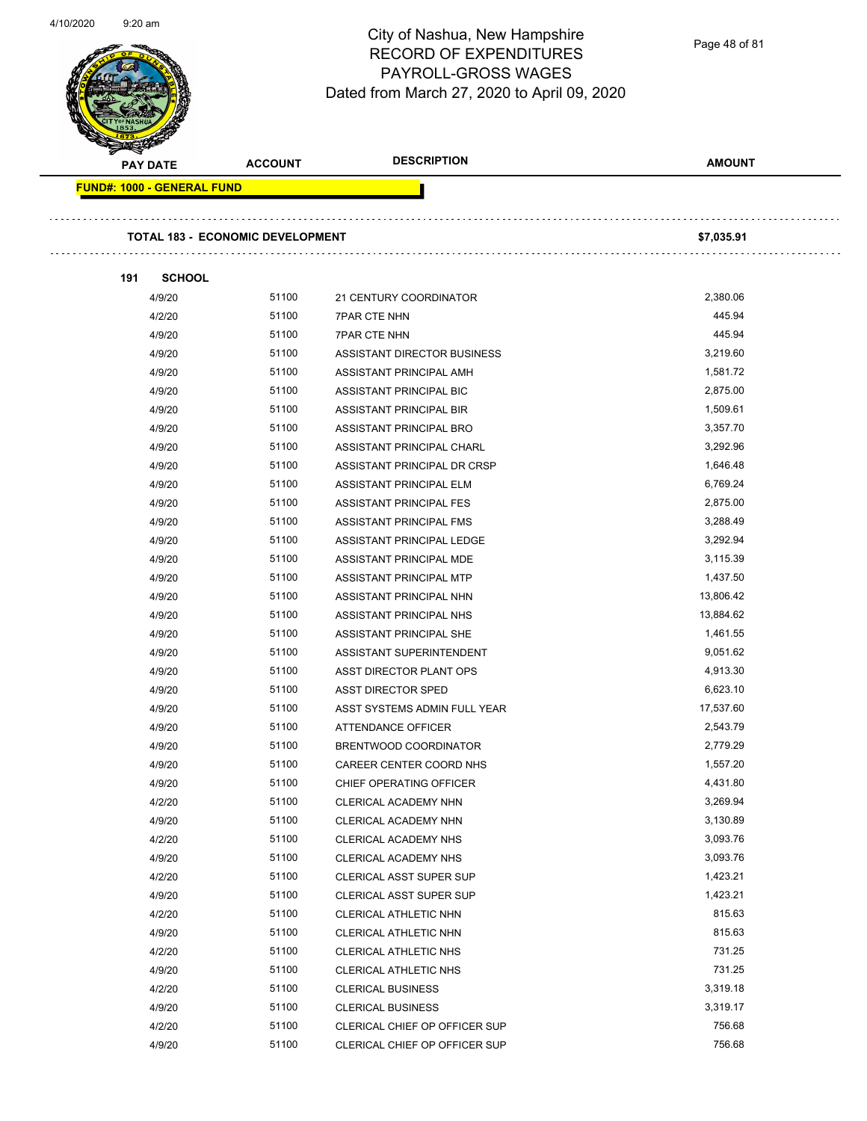Page 48 of 81

| 191 | <b>FUND#: 1000 - GENERAL FUND</b><br><b>TOTAL 183 - ECONOMIC DEVELOPMENT</b><br><b>SCHOOL</b><br>4/9/20<br>51100<br>51100<br>4/2/20<br>51100<br>4/9/20<br>51100<br>4/9/20<br>4/9/20<br>51100<br>51100<br>4/9/20 | 21 CENTURY COORDINATOR<br><b>7PAR CTE NHN</b><br><b>7PAR CTE NHN</b><br>ASSISTANT DIRECTOR BUSINESS | \$7,035.91<br>2,380.06<br>445.94<br>445.94 |
|-----|-----------------------------------------------------------------------------------------------------------------------------------------------------------------------------------------------------------------|-----------------------------------------------------------------------------------------------------|--------------------------------------------|
|     |                                                                                                                                                                                                                 |                                                                                                     |                                            |
|     |                                                                                                                                                                                                                 |                                                                                                     |                                            |
|     |                                                                                                                                                                                                                 |                                                                                                     |                                            |
|     |                                                                                                                                                                                                                 |                                                                                                     |                                            |
|     |                                                                                                                                                                                                                 |                                                                                                     |                                            |
|     |                                                                                                                                                                                                                 |                                                                                                     |                                            |
|     |                                                                                                                                                                                                                 |                                                                                                     |                                            |
|     |                                                                                                                                                                                                                 |                                                                                                     | 3,219.60                                   |
|     |                                                                                                                                                                                                                 | ASSISTANT PRINCIPAL AMH                                                                             | 1,581.72                                   |
|     |                                                                                                                                                                                                                 | ASSISTANT PRINCIPAL BIC                                                                             | 2,875.00                                   |
|     | 51100<br>4/9/20                                                                                                                                                                                                 | ASSISTANT PRINCIPAL BIR                                                                             | 1,509.61                                   |
|     | 51100<br>4/9/20                                                                                                                                                                                                 | ASSISTANT PRINCIPAL BRO                                                                             | 3,357.70                                   |
|     | 51100<br>4/9/20                                                                                                                                                                                                 | ASSISTANT PRINCIPAL CHARL                                                                           | 3,292.96                                   |
|     | 51100<br>4/9/20                                                                                                                                                                                                 | ASSISTANT PRINCIPAL DR CRSP                                                                         | 1,646.48                                   |
|     | 4/9/20<br>51100                                                                                                                                                                                                 | ASSISTANT PRINCIPAL ELM                                                                             | 6,769.24                                   |
|     | 51100<br>4/9/20                                                                                                                                                                                                 | ASSISTANT PRINCIPAL FES                                                                             | 2,875.00                                   |
|     | 51100<br>4/9/20                                                                                                                                                                                                 | ASSISTANT PRINCIPAL FMS                                                                             | 3,288.49                                   |
|     | 51100<br>4/9/20                                                                                                                                                                                                 | ASSISTANT PRINCIPAL LEDGE                                                                           | 3,292.94                                   |
|     | 4/9/20<br>51100                                                                                                                                                                                                 | ASSISTANT PRINCIPAL MDE                                                                             | 3,115.39                                   |
|     | 4/9/20<br>51100                                                                                                                                                                                                 | ASSISTANT PRINCIPAL MTP                                                                             | 1,437.50                                   |
|     | 51100<br>4/9/20                                                                                                                                                                                                 | ASSISTANT PRINCIPAL NHN                                                                             | 13,806.42                                  |
|     | 51100<br>4/9/20                                                                                                                                                                                                 | ASSISTANT PRINCIPAL NHS                                                                             | 13,884.62                                  |
|     | 51100<br>4/9/20                                                                                                                                                                                                 | ASSISTANT PRINCIPAL SHE                                                                             | 1,461.55                                   |
|     | 51100<br>4/9/20                                                                                                                                                                                                 | ASSISTANT SUPERINTENDENT                                                                            | 9,051.62                                   |
|     | 4/9/20<br>51100                                                                                                                                                                                                 | ASST DIRECTOR PLANT OPS                                                                             | 4,913.30                                   |
|     | 4/9/20<br>51100                                                                                                                                                                                                 | <b>ASST DIRECTOR SPED</b>                                                                           | 6,623.10                                   |
|     | 51100<br>4/9/20                                                                                                                                                                                                 | ASST SYSTEMS ADMIN FULL YEAR                                                                        | 17,537.60                                  |
|     | 51100<br>4/9/20                                                                                                                                                                                                 | ATTENDANCE OFFICER                                                                                  | 2,543.79                                   |
|     | 51100<br>4/9/20                                                                                                                                                                                                 | BRENTWOOD COORDINATOR                                                                               | 2,779.29                                   |
|     | 4/9/20<br>51100                                                                                                                                                                                                 | CAREER CENTER COORD NHS                                                                             | 1,557.20                                   |
|     | 51100<br>4/9/20                                                                                                                                                                                                 | CHIEF OPERATING OFFICER                                                                             | 4,431.80                                   |
|     | 51100<br>4/2/20                                                                                                                                                                                                 | CLERICAL ACADEMY NHN                                                                                | 3,269.94                                   |
|     | 51100<br>4/9/20                                                                                                                                                                                                 | CLERICAL ACADEMY NHN                                                                                | 3,130.89                                   |
|     | 51100<br>4/2/20                                                                                                                                                                                                 | CLERICAL ACADEMY NHS                                                                                | 3,093.76                                   |
|     | 4/9/20<br>51100                                                                                                                                                                                                 | CLERICAL ACADEMY NHS                                                                                | 3,093.76                                   |
|     | 4/2/20<br>51100                                                                                                                                                                                                 | <b>CLERICAL ASST SUPER SUP</b>                                                                      | 1,423.21                                   |
|     | 51100<br>4/9/20                                                                                                                                                                                                 | <b>CLERICAL ASST SUPER SUP</b>                                                                      | 1,423.21                                   |
|     | 51100<br>4/2/20                                                                                                                                                                                                 | CLERICAL ATHLETIC NHN                                                                               | 815.63                                     |
|     | 51100<br>4/9/20                                                                                                                                                                                                 | CLERICAL ATHLETIC NHN                                                                               | 815.63                                     |
|     | 4/2/20<br>51100                                                                                                                                                                                                 | CLERICAL ATHLETIC NHS                                                                               | 731.25                                     |
|     | 51100<br>4/9/20                                                                                                                                                                                                 | <b>CLERICAL ATHLETIC NHS</b>                                                                        | 731.25                                     |
|     | 51100<br>4/2/20                                                                                                                                                                                                 | <b>CLERICAL BUSINESS</b>                                                                            | 3,319.18                                   |
|     | 51100<br>4/9/20                                                                                                                                                                                                 | <b>CLERICAL BUSINESS</b>                                                                            | 3,319.17                                   |
|     | 51100<br>4/2/20                                                                                                                                                                                                 | CLERICAL CHIEF OP OFFICER SUP                                                                       | 756.68                                     |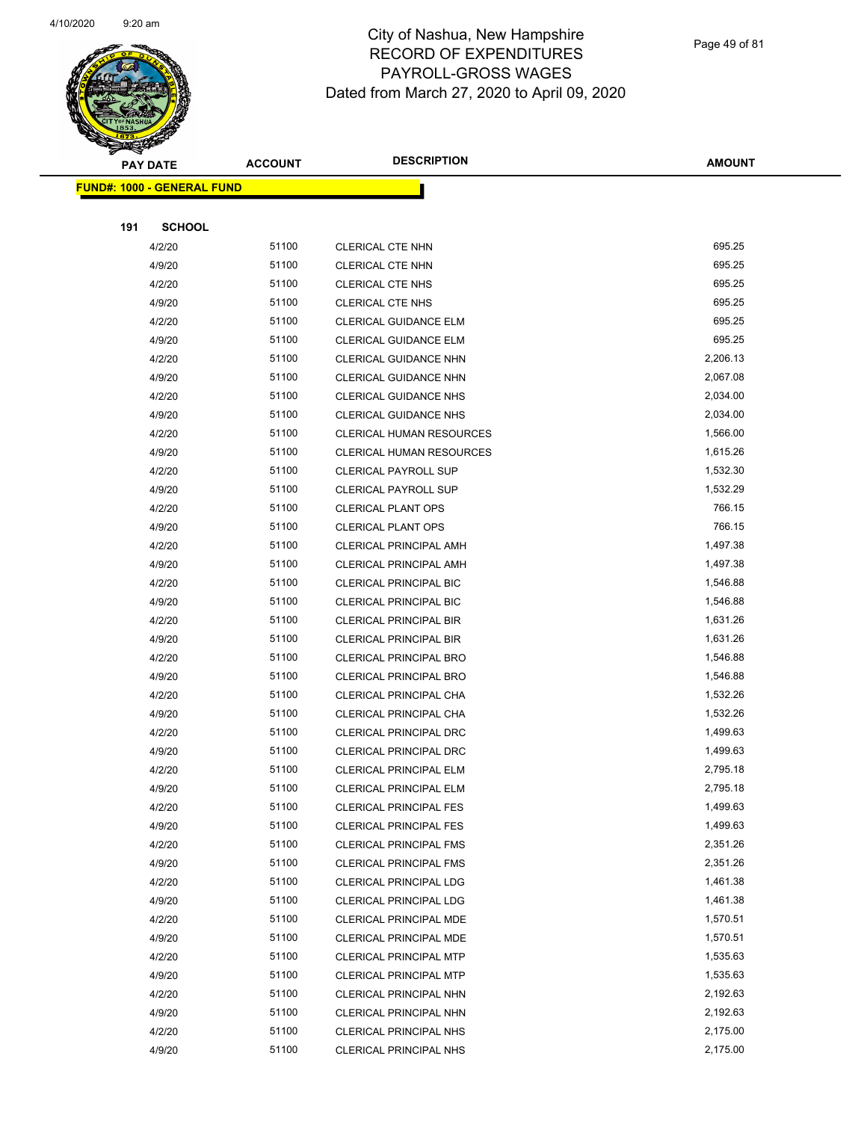

Page 49 of 81

|     | <b>PAY DATE</b>                   | <b>ACCOUNT</b> | <b>DESCRIPTION</b>              | <b>AMOUNT</b> |
|-----|-----------------------------------|----------------|---------------------------------|---------------|
|     | <b>FUND#: 1000 - GENERAL FUND</b> |                |                                 |               |
|     |                                   |                |                                 |               |
| 191 | <b>SCHOOL</b>                     |                |                                 |               |
|     | 4/2/20                            | 51100          | CLERICAL CTE NHN                | 695.25        |
|     | 4/9/20                            | 51100          | CLERICAL CTE NHN                | 695.25        |
|     | 4/2/20                            | 51100          | <b>CLERICAL CTE NHS</b>         | 695.25        |
|     | 4/9/20                            | 51100          | <b>CLERICAL CTE NHS</b>         | 695.25        |
|     | 4/2/20                            | 51100          | <b>CLERICAL GUIDANCE ELM</b>    | 695.25        |
|     | 4/9/20                            | 51100          | <b>CLERICAL GUIDANCE ELM</b>    | 695.25        |
|     | 4/2/20                            | 51100          | CLERICAL GUIDANCE NHN           | 2,206.13      |
|     | 4/9/20                            | 51100          | CLERICAL GUIDANCE NHN           | 2,067.08      |
|     | 4/2/20                            | 51100          | <b>CLERICAL GUIDANCE NHS</b>    | 2,034.00      |
|     | 4/9/20                            | 51100          | CLERICAL GUIDANCE NHS           | 2,034.00      |
|     | 4/2/20                            | 51100          | <b>CLERICAL HUMAN RESOURCES</b> | 1,566.00      |
|     | 4/9/20                            | 51100          | <b>CLERICAL HUMAN RESOURCES</b> | 1,615.26      |
|     | 4/2/20                            | 51100          | <b>CLERICAL PAYROLL SUP</b>     | 1,532.30      |
|     | 4/9/20                            | 51100          | <b>CLERICAL PAYROLL SUP</b>     | 1,532.29      |
|     | 4/2/20                            | 51100          | <b>CLERICAL PLANT OPS</b>       | 766.15        |
|     | 4/9/20                            | 51100          | <b>CLERICAL PLANT OPS</b>       | 766.15        |
|     | 4/2/20                            | 51100          | <b>CLERICAL PRINCIPAL AMH</b>   | 1,497.38      |
|     | 4/9/20                            | 51100          | <b>CLERICAL PRINCIPAL AMH</b>   | 1,497.38      |
|     | 4/2/20                            | 51100          | <b>CLERICAL PRINCIPAL BIC</b>   | 1,546.88      |
|     | 4/9/20                            | 51100          | CLERICAL PRINCIPAL BIC          | 1,546.88      |
|     | 4/2/20                            | 51100          | <b>CLERICAL PRINCIPAL BIR</b>   | 1,631.26      |
|     | 4/9/20                            | 51100          | <b>CLERICAL PRINCIPAL BIR</b>   | 1,631.26      |
|     | 4/2/20                            | 51100          | <b>CLERICAL PRINCIPAL BRO</b>   | 1,546.88      |
|     | 4/9/20                            | 51100          | <b>CLERICAL PRINCIPAL BRO</b>   | 1,546.88      |
|     | 4/2/20                            | 51100          | CLERICAL PRINCIPAL CHA          | 1,532.26      |
|     | 4/9/20                            | 51100          | CLERICAL PRINCIPAL CHA          | 1,532.26      |
|     | 4/2/20                            | 51100          | <b>CLERICAL PRINCIPAL DRC</b>   | 1,499.63      |
|     | 4/9/20                            | 51100          | CLERICAL PRINCIPAL DRC          | 1,499.63      |
|     | 4/2/20                            | 51100          | <b>CLERICAL PRINCIPAL ELM</b>   | 2,795.18      |
|     | 4/9/20                            | 51100          | CLERICAL PRINCIPAL ELM          | 2,795.18      |
|     | 4/2/20                            | 51100          | <b>CLERICAL PRINCIPAL FES</b>   | 1,499.63      |
|     | 4/9/20                            | 51100          | <b>CLERICAL PRINCIPAL FES</b>   | 1,499.63      |
|     | 4/2/20                            | 51100          | <b>CLERICAL PRINCIPAL FMS</b>   | 2,351.26      |
|     | 4/9/20                            | 51100          | <b>CLERICAL PRINCIPAL FMS</b>   | 2,351.26      |
|     | 4/2/20                            | 51100          | <b>CLERICAL PRINCIPAL LDG</b>   | 1,461.38      |
|     | 4/9/20                            | 51100          | CLERICAL PRINCIPAL LDG          | 1,461.38      |
|     | 4/2/20                            | 51100          | CLERICAL PRINCIPAL MDE          | 1,570.51      |
|     | 4/9/20                            | 51100          | CLERICAL PRINCIPAL MDE          | 1,570.51      |
|     | 4/2/20                            | 51100          | <b>CLERICAL PRINCIPAL MTP</b>   | 1,535.63      |
|     | 4/9/20                            | 51100          | CLERICAL PRINCIPAL MTP          | 1,535.63      |
|     | 4/2/20                            | 51100          | CLERICAL PRINCIPAL NHN          | 2,192.63      |
|     | 4/9/20                            | 51100          | CLERICAL PRINCIPAL NHN          | 2,192.63      |
|     | 4/2/20                            | 51100          | CLERICAL PRINCIPAL NHS          | 2,175.00      |
|     | 4/9/20                            | 51100          | <b>CLERICAL PRINCIPAL NHS</b>   | 2,175.00      |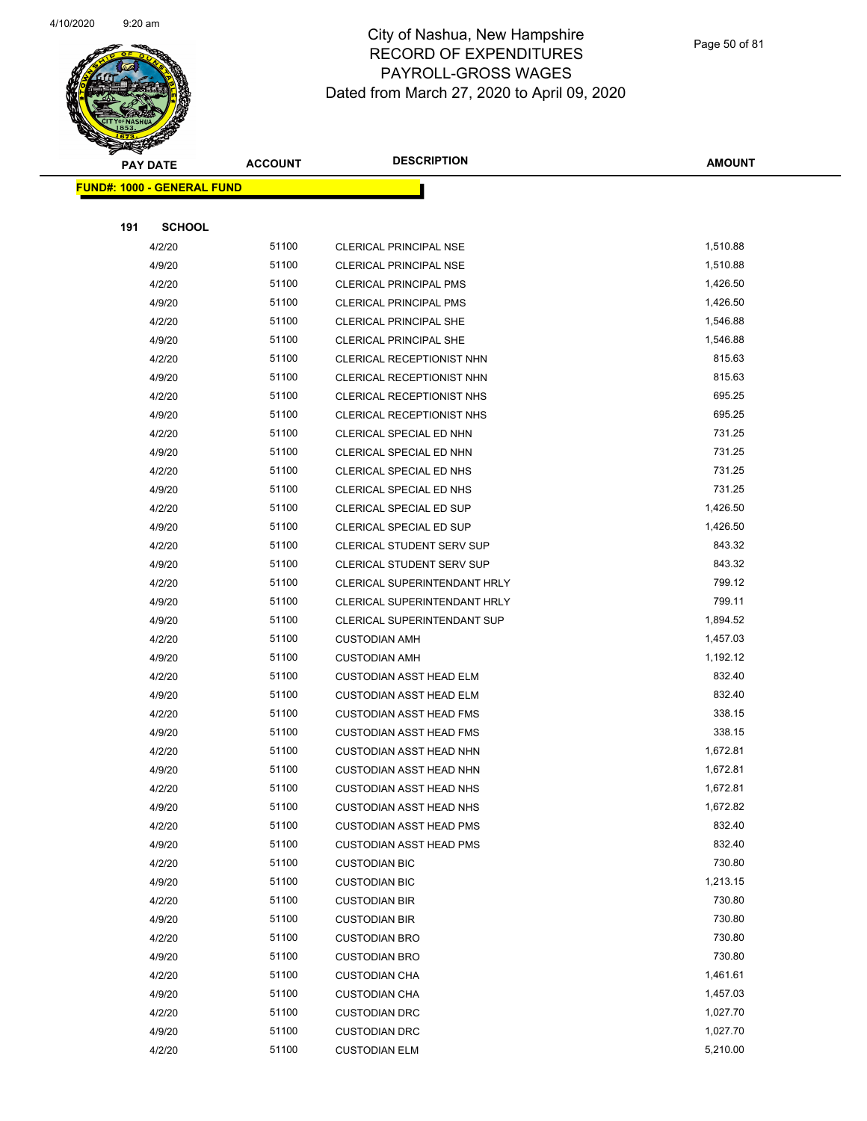

Page 50 of 81

|     | <b>PAY DATE</b>                   | <b>ACCOUNT</b> | <b>DESCRIPTION</b>                  |               |
|-----|-----------------------------------|----------------|-------------------------------------|---------------|
|     |                                   |                |                                     | <b>AMOUNT</b> |
|     | <b>FUND#: 1000 - GENERAL FUND</b> |                |                                     |               |
|     |                                   |                |                                     |               |
| 191 | <b>SCHOOL</b>                     |                |                                     |               |
|     | 4/2/20                            | 51100          | CLERICAL PRINCIPAL NSE              | 1,510.88      |
|     | 4/9/20                            | 51100          | <b>CLERICAL PRINCIPAL NSE</b>       | 1,510.88      |
|     | 4/2/20                            | 51100          | <b>CLERICAL PRINCIPAL PMS</b>       | 1,426.50      |
|     | 4/9/20                            | 51100          | <b>CLERICAL PRINCIPAL PMS</b>       | 1,426.50      |
|     | 4/2/20                            | 51100          | <b>CLERICAL PRINCIPAL SHE</b>       | 1,546.88      |
|     | 4/9/20                            | 51100          | CLERICAL PRINCIPAL SHE              | 1,546.88      |
|     | 4/2/20                            | 51100          | CLERICAL RECEPTIONIST NHN           | 815.63        |
|     | 4/9/20                            | 51100          | CLERICAL RECEPTIONIST NHN           | 815.63        |
|     | 4/2/20                            | 51100          | CLERICAL RECEPTIONIST NHS           | 695.25        |
|     | 4/9/20                            | 51100          | CLERICAL RECEPTIONIST NHS           | 695.25        |
|     | 4/2/20                            | 51100          | CLERICAL SPECIAL ED NHN             | 731.25        |
|     | 4/9/20                            | 51100          | CLERICAL SPECIAL ED NHN             | 731.25        |
|     | 4/2/20                            | 51100          | CLERICAL SPECIAL ED NHS             | 731.25        |
|     | 4/9/20                            | 51100          | CLERICAL SPECIAL ED NHS             | 731.25        |
|     | 4/2/20                            | 51100          | CLERICAL SPECIAL ED SUP             | 1,426.50      |
|     | 4/9/20                            | 51100          | CLERICAL SPECIAL ED SUP             | 1,426.50      |
|     | 4/2/20                            | 51100          | <b>CLERICAL STUDENT SERV SUP</b>    | 843.32        |
|     | 4/9/20                            | 51100          | <b>CLERICAL STUDENT SERV SUP</b>    | 843.32        |
|     | 4/2/20                            | 51100          | CLERICAL SUPERINTENDANT HRLY        | 799.12        |
|     | 4/9/20                            | 51100          | <b>CLERICAL SUPERINTENDANT HRLY</b> | 799.11        |
|     | 4/9/20                            | 51100          | <b>CLERICAL SUPERINTENDANT SUP</b>  | 1,894.52      |
|     | 4/2/20                            | 51100          | <b>CUSTODIAN AMH</b>                | 1,457.03      |
|     | 4/9/20                            | 51100          | <b>CUSTODIAN AMH</b>                | 1,192.12      |
|     | 4/2/20                            | 51100          | <b>CUSTODIAN ASST HEAD ELM</b>      | 832.40        |
|     | 4/9/20                            | 51100          | <b>CUSTODIAN ASST HEAD ELM</b>      | 832.40        |
|     | 4/2/20                            | 51100          | <b>CUSTODIAN ASST HEAD FMS</b>      | 338.15        |
|     | 4/9/20                            | 51100          | <b>CUSTODIAN ASST HEAD FMS</b>      | 338.15        |
|     | 4/2/20                            | 51100          | <b>CUSTODIAN ASST HEAD NHN</b>      | 1,672.81      |
|     | 4/9/20                            | 51100          | CUSTODIAN ASST HEAD NHN             | 1,672.81      |
|     | 4/2/20                            | 51100          | <b>CUSTODIAN ASST HEAD NHS</b>      | 1,672.81      |
|     | 4/9/20                            | 51100          | <b>CUSTODIAN ASST HEAD NHS</b>      | 1,672.82      |
|     | 4/2/20                            | 51100          | <b>CUSTODIAN ASST HEAD PMS</b>      | 832.40        |
|     | 4/9/20                            | 51100          | <b>CUSTODIAN ASST HEAD PMS</b>      | 832.40        |
|     | 4/2/20                            | 51100          | <b>CUSTODIAN BIC</b>                | 730.80        |
|     | 4/9/20                            | 51100          | <b>CUSTODIAN BIC</b>                | 1,213.15      |
|     | 4/2/20                            | 51100          | <b>CUSTODIAN BIR</b>                | 730.80        |
|     | 4/9/20                            | 51100          | <b>CUSTODIAN BIR</b>                | 730.80        |
|     | 4/2/20                            | 51100          | <b>CUSTODIAN BRO</b>                | 730.80        |
|     | 4/9/20                            | 51100          | <b>CUSTODIAN BRO</b>                | 730.80        |
|     | 4/2/20                            | 51100          | <b>CUSTODIAN CHA</b>                | 1,461.61      |
|     | 4/9/20                            | 51100          | <b>CUSTODIAN CHA</b>                | 1,457.03      |
|     | 4/2/20                            | 51100          | <b>CUSTODIAN DRC</b>                | 1,027.70      |
|     | 4/9/20                            | 51100          | <b>CUSTODIAN DRC</b>                | 1,027.70      |
|     | 4/2/20                            | 51100          | <b>CUSTODIAN ELM</b>                | 5,210.00      |
|     |                                   |                |                                     |               |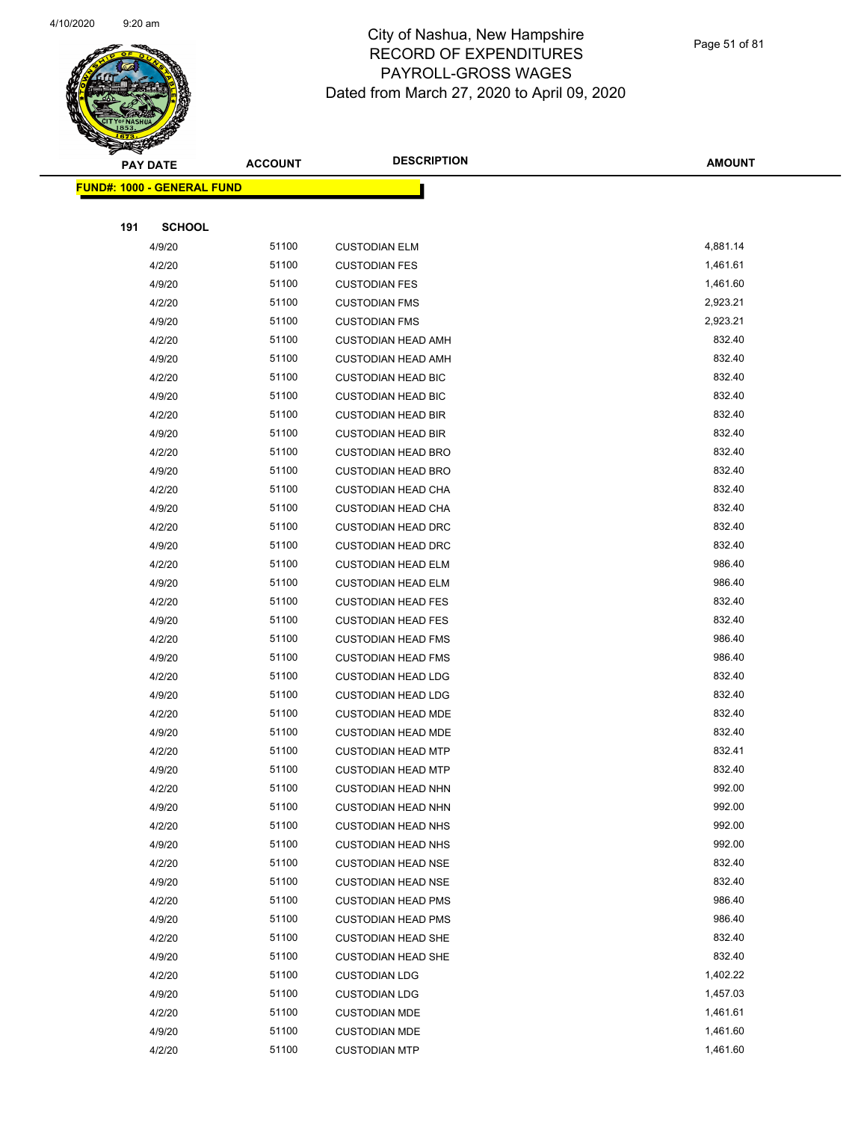

|     | <b>PAY DATE</b>                    | <b>ACCOUNT</b> | <b>DESCRIPTION</b>        | <b>AMOUNT</b> |
|-----|------------------------------------|----------------|---------------------------|---------------|
|     | <u> FUND#: 1000 - GENERAL FUND</u> |                |                           |               |
|     |                                    |                |                           |               |
| 191 | <b>SCHOOL</b>                      |                |                           |               |
|     | 4/9/20                             | 51100          | <b>CUSTODIAN ELM</b>      | 4,881.14      |
|     | 4/2/20                             | 51100          | <b>CUSTODIAN FES</b>      | 1,461.61      |
|     | 4/9/20                             | 51100          | <b>CUSTODIAN FES</b>      | 1,461.60      |
|     | 4/2/20                             | 51100          | <b>CUSTODIAN FMS</b>      | 2,923.21      |
|     | 4/9/20                             | 51100          | <b>CUSTODIAN FMS</b>      | 2,923.21      |
|     | 4/2/20                             | 51100          | <b>CUSTODIAN HEAD AMH</b> | 832.40        |
|     | 4/9/20                             | 51100          | <b>CUSTODIAN HEAD AMH</b> | 832.40        |
|     | 4/2/20                             | 51100          | <b>CUSTODIAN HEAD BIC</b> | 832.40        |
|     | 4/9/20                             | 51100          | <b>CUSTODIAN HEAD BIC</b> | 832.40        |
|     | 4/2/20                             | 51100          | <b>CUSTODIAN HEAD BIR</b> | 832.40        |
|     | 4/9/20                             | 51100          | <b>CUSTODIAN HEAD BIR</b> | 832.40        |
|     | 4/2/20                             | 51100          | <b>CUSTODIAN HEAD BRO</b> | 832.40        |
|     | 4/9/20                             | 51100          | <b>CUSTODIAN HEAD BRO</b> | 832.40        |
|     | 4/2/20                             | 51100          | <b>CUSTODIAN HEAD CHA</b> | 832.40        |
|     | 4/9/20                             | 51100          | <b>CUSTODIAN HEAD CHA</b> | 832.40        |
|     | 4/2/20                             | 51100          | <b>CUSTODIAN HEAD DRC</b> | 832.40        |
|     | 4/9/20                             | 51100          | <b>CUSTODIAN HEAD DRC</b> | 832.40        |
|     | 4/2/20                             | 51100          | <b>CUSTODIAN HEAD ELM</b> | 986.40        |
|     | 4/9/20                             | 51100          | <b>CUSTODIAN HEAD ELM</b> | 986.40        |
|     | 4/2/20                             | 51100          | <b>CUSTODIAN HEAD FES</b> | 832.40        |
|     | 4/9/20                             | 51100          | <b>CUSTODIAN HEAD FES</b> | 832.40        |
|     | 4/2/20                             | 51100          | <b>CUSTODIAN HEAD FMS</b> | 986.40        |
|     | 4/9/20                             | 51100          | <b>CUSTODIAN HEAD FMS</b> | 986.40        |
|     | 4/2/20                             | 51100          | <b>CUSTODIAN HEAD LDG</b> | 832.40        |
|     | 4/9/20                             | 51100          | <b>CUSTODIAN HEAD LDG</b> | 832.40        |
|     | 4/2/20                             | 51100          | <b>CUSTODIAN HEAD MDE</b> | 832.40        |
|     | 4/9/20                             | 51100          | <b>CUSTODIAN HEAD MDE</b> | 832.40        |
|     | 4/2/20                             | 51100          | <b>CUSTODIAN HEAD MTP</b> | 832.41        |
|     | 4/9/20                             | 51100          | <b>CUSTODIAN HEAD MTP</b> | 832.40        |
|     | 4/2/20                             | 51100          | <b>CUSTODIAN HEAD NHN</b> | 992.00        |
|     | 4/9/20                             | 51100          | <b>CUSTODIAN HEAD NHN</b> | 992.00        |
|     | 4/2/20                             | 51100          | <b>CUSTODIAN HEAD NHS</b> | 992.00        |
|     | 4/9/20                             | 51100          | <b>CUSTODIAN HEAD NHS</b> | 992.00        |
|     | 4/2/20                             | 51100          | <b>CUSTODIAN HEAD NSE</b> | 832.40        |
|     | 4/9/20                             | 51100          | <b>CUSTODIAN HEAD NSE</b> | 832.40        |
|     | 4/2/20                             | 51100          | <b>CUSTODIAN HEAD PMS</b> | 986.40        |
|     | 4/9/20                             | 51100          | <b>CUSTODIAN HEAD PMS</b> | 986.40        |
|     | 4/2/20                             | 51100          | <b>CUSTODIAN HEAD SHE</b> | 832.40        |
|     | 4/9/20                             | 51100          | <b>CUSTODIAN HEAD SHE</b> | 832.40        |
|     | 4/2/20                             | 51100          | <b>CUSTODIAN LDG</b>      | 1,402.22      |
|     | 4/9/20                             | 51100          | <b>CUSTODIAN LDG</b>      | 1,457.03      |
|     | 4/2/20                             | 51100          | <b>CUSTODIAN MDE</b>      | 1,461.61      |
|     | 4/9/20                             | 51100          | <b>CUSTODIAN MDE</b>      | 1,461.60      |
|     | 4/2/20                             | 51100          | <b>CUSTODIAN MTP</b>      | 1,461.60      |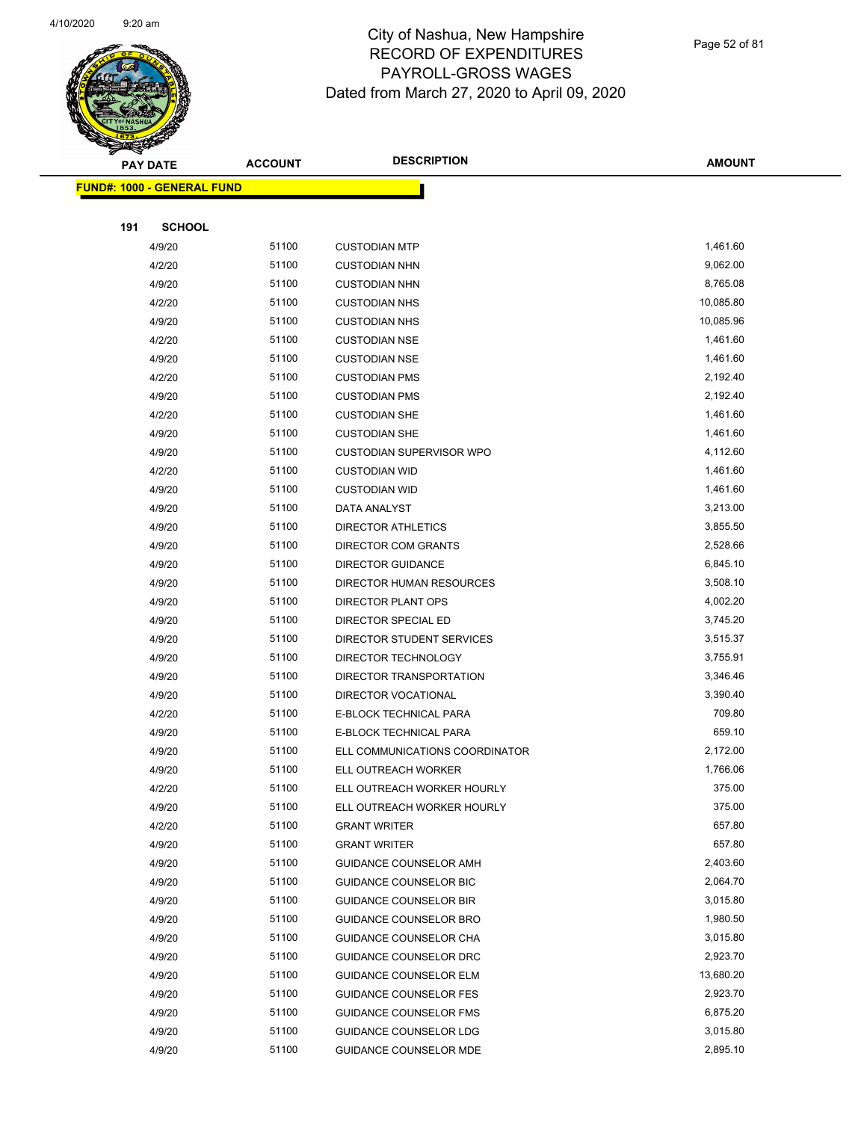

Page 52 of 81

|     | <b>PAY DATE</b>                   | <b>ACCOUNT</b> | <b>DESCRIPTION</b>                         | <b>AMOUNT</b>    |
|-----|-----------------------------------|----------------|--------------------------------------------|------------------|
|     | <b>FUND#: 1000 - GENERAL FUND</b> |                |                                            |                  |
|     |                                   |                |                                            |                  |
| 191 | <b>SCHOOL</b>                     |                |                                            |                  |
|     | 4/9/20                            | 51100          | <b>CUSTODIAN MTP</b>                       | 1,461.60         |
|     | 4/2/20                            | 51100          | <b>CUSTODIAN NHN</b>                       | 9,062.00         |
|     | 4/9/20                            | 51100          | <b>CUSTODIAN NHN</b>                       | 8,765.08         |
|     | 4/2/20                            | 51100          | <b>CUSTODIAN NHS</b>                       | 10,085.80        |
|     | 4/9/20                            | 51100          | <b>CUSTODIAN NHS</b>                       | 10,085.96        |
|     | 4/2/20                            | 51100          | <b>CUSTODIAN NSE</b>                       | 1,461.60         |
|     | 4/9/20                            | 51100          | <b>CUSTODIAN NSE</b>                       | 1,461.60         |
|     | 4/2/20                            | 51100          | <b>CUSTODIAN PMS</b>                       | 2,192.40         |
|     | 4/9/20                            | 51100          | <b>CUSTODIAN PMS</b>                       | 2,192.40         |
|     | 4/2/20                            | 51100          | <b>CUSTODIAN SHE</b>                       | 1,461.60         |
|     | 4/9/20                            | 51100          | <b>CUSTODIAN SHE</b>                       | 1,461.60         |
|     | 4/9/20                            | 51100          | <b>CUSTODIAN SUPERVISOR WPO</b>            | 4,112.60         |
|     | 4/2/20                            | 51100          | <b>CUSTODIAN WID</b>                       | 1,461.60         |
|     | 4/9/20                            | 51100          | <b>CUSTODIAN WID</b>                       | 1,461.60         |
|     | 4/9/20                            | 51100          | DATA ANALYST                               | 3,213.00         |
|     | 4/9/20                            | 51100          | <b>DIRECTOR ATHLETICS</b>                  | 3,855.50         |
|     | 4/9/20                            | 51100          | DIRECTOR COM GRANTS                        | 2,528.66         |
|     | 4/9/20                            | 51100          | <b>DIRECTOR GUIDANCE</b>                   | 6,845.10         |
|     | 4/9/20                            | 51100          | DIRECTOR HUMAN RESOURCES                   | 3,508.10         |
|     | 4/9/20                            | 51100          | DIRECTOR PLANT OPS                         | 4,002.20         |
|     | 4/9/20                            | 51100          | DIRECTOR SPECIAL ED                        | 3,745.20         |
|     | 4/9/20                            | 51100          | DIRECTOR STUDENT SERVICES                  | 3,515.37         |
|     | 4/9/20                            | 51100          | DIRECTOR TECHNOLOGY                        | 3,755.91         |
|     | 4/9/20                            | 51100          | DIRECTOR TRANSPORTATION                    | 3,346.46         |
|     | 4/9/20                            | 51100          | DIRECTOR VOCATIONAL                        | 3,390.40         |
|     | 4/2/20                            | 51100          | E-BLOCK TECHNICAL PARA                     | 709.80           |
|     | 4/9/20                            | 51100          | E-BLOCK TECHNICAL PARA                     | 659.10           |
|     | 4/9/20                            | 51100          | ELL COMMUNICATIONS COORDINATOR             | 2,172.00         |
|     | 4/9/20                            | 51100          | ELL OUTREACH WORKER                        | 1,766.06         |
|     | 4/2/20                            | 51100          | ELL OUTREACH WORKER HOURLY                 | 375.00           |
|     | 4/9/20                            | 51100<br>51100 | ELL OUTREACH WORKER HOURLY                 | 375.00<br>657.80 |
|     | 4/2/20<br>4/9/20                  | 51100          | <b>GRANT WRITER</b><br><b>GRANT WRITER</b> | 657.80           |
|     | 4/9/20                            | 51100          | <b>GUIDANCE COUNSELOR AMH</b>              | 2,403.60         |
|     | 4/9/20                            | 51100          | <b>GUIDANCE COUNSELOR BIC</b>              | 2,064.70         |
|     | 4/9/20                            | 51100          | <b>GUIDANCE COUNSELOR BIR</b>              | 3,015.80         |
|     | 4/9/20                            | 51100          | GUIDANCE COUNSELOR BRO                     | 1,980.50         |
|     | 4/9/20                            | 51100          | GUIDANCE COUNSELOR CHA                     | 3,015.80         |
|     | 4/9/20                            | 51100          | <b>GUIDANCE COUNSELOR DRC</b>              | 2,923.70         |
|     | 4/9/20                            | 51100          | <b>GUIDANCE COUNSELOR ELM</b>              | 13,680.20        |
|     | 4/9/20                            | 51100          | <b>GUIDANCE COUNSELOR FES</b>              | 2,923.70         |
|     | 4/9/20                            | 51100          | <b>GUIDANCE COUNSELOR FMS</b>              | 6,875.20         |
|     | 4/9/20                            | 51100          | GUIDANCE COUNSELOR LDG                     | 3,015.80         |
|     | 4/9/20                            | 51100          | <b>GUIDANCE COUNSELOR MDE</b>              | 2,895.10         |
|     |                                   |                |                                            |                  |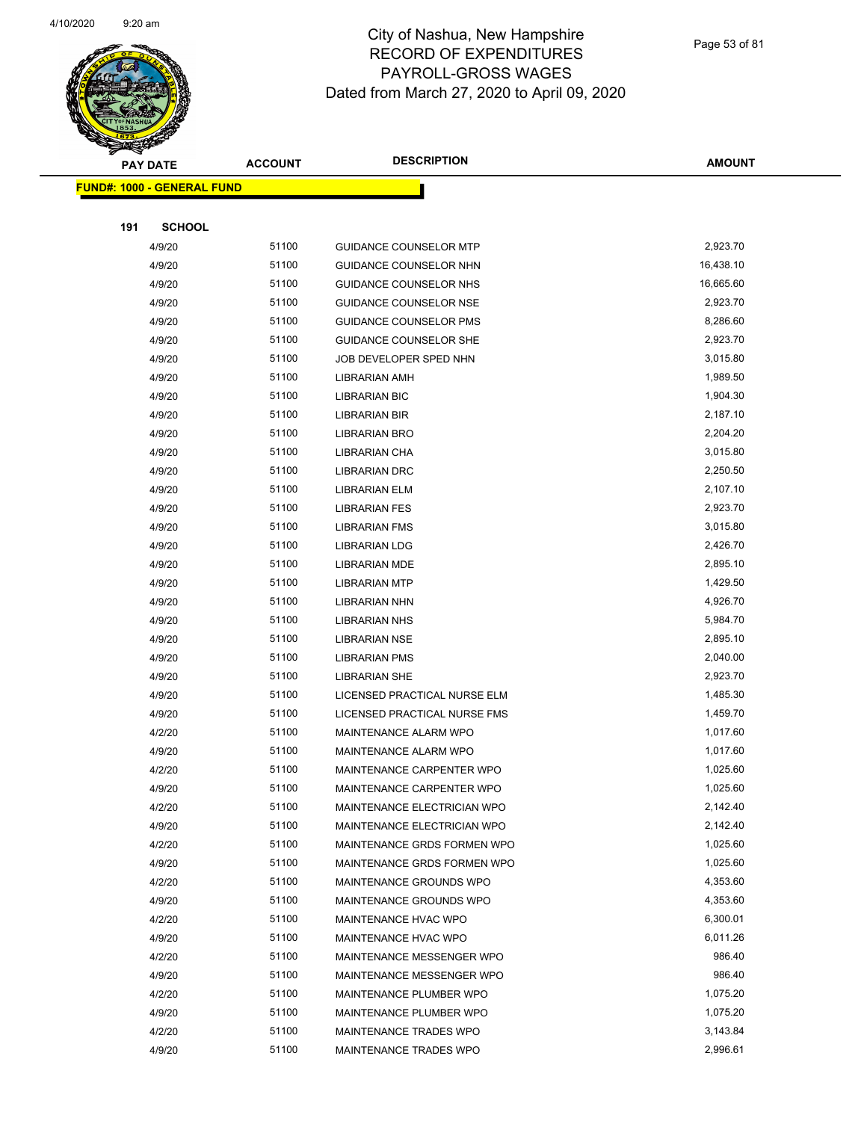

|     | <b>PAY DATE</b>                    | <b>ACCOUNT</b> | <b>DESCRIPTION</b>            | <b>AMOUNT</b> |
|-----|------------------------------------|----------------|-------------------------------|---------------|
|     | <u> FUND#: 1000 - GENERAL FUND</u> |                |                               |               |
|     |                                    |                |                               |               |
| 191 | <b>SCHOOL</b>                      |                |                               |               |
|     | 4/9/20                             | 51100          | <b>GUIDANCE COUNSELOR MTP</b> | 2,923.70      |
|     | 4/9/20                             | 51100          | GUIDANCE COUNSELOR NHN        | 16,438.10     |
|     | 4/9/20                             | 51100          | GUIDANCE COUNSELOR NHS        | 16,665.60     |
|     | 4/9/20                             | 51100          | <b>GUIDANCE COUNSELOR NSE</b> | 2,923.70      |
|     | 4/9/20                             | 51100          | <b>GUIDANCE COUNSELOR PMS</b> | 8,286.60      |
|     | 4/9/20                             | 51100          | GUIDANCE COUNSELOR SHE        | 2,923.70      |
|     | 4/9/20                             | 51100          | JOB DEVELOPER SPED NHN        | 3,015.80      |
|     | 4/9/20                             | 51100          | LIBRARIAN AMH                 | 1,989.50      |
|     | 4/9/20                             | 51100          | <b>LIBRARIAN BIC</b>          | 1,904.30      |
|     | 4/9/20                             | 51100          | LIBRARIAN BIR                 | 2,187.10      |
|     | 4/9/20                             | 51100          | <b>LIBRARIAN BRO</b>          | 2,204.20      |
|     | 4/9/20                             | 51100          | LIBRARIAN CHA                 | 3,015.80      |
|     | 4/9/20                             | 51100          | LIBRARIAN DRC                 | 2,250.50      |
|     | 4/9/20                             | 51100          | LIBRARIAN ELM                 | 2,107.10      |
|     | 4/9/20                             | 51100          | <b>LIBRARIAN FES</b>          | 2,923.70      |
|     | 4/9/20                             | 51100          | <b>LIBRARIAN FMS</b>          | 3,015.80      |
|     | 4/9/20                             | 51100          | <b>LIBRARIAN LDG</b>          | 2,426.70      |
|     | 4/9/20                             | 51100          | <b>LIBRARIAN MDE</b>          | 2,895.10      |
|     | 4/9/20                             | 51100          | <b>LIBRARIAN MTP</b>          | 1,429.50      |
|     | 4/9/20                             | 51100          | LIBRARIAN NHN                 | 4,926.70      |
|     | 4/9/20                             | 51100          | <b>LIBRARIAN NHS</b>          | 5,984.70      |
|     | 4/9/20                             | 51100          | <b>LIBRARIAN NSE</b>          | 2,895.10      |
|     | 4/9/20                             | 51100          | LIBRARIAN PMS                 | 2,040.00      |
|     | 4/9/20                             | 51100          | <b>LIBRARIAN SHE</b>          | 2,923.70      |
|     | 4/9/20                             | 51100          | LICENSED PRACTICAL NURSE ELM  | 1,485.30      |
|     | 4/9/20                             | 51100          | LICENSED PRACTICAL NURSE FMS  | 1,459.70      |
|     | 4/2/20                             | 51100          | MAINTENANCE ALARM WPO         | 1,017.60      |
|     | 4/9/20                             | 51100          | MAINTENANCE ALARM WPO         | 1,017.60      |
|     | 4/2/20                             | 51100          | MAINTENANCE CARPENTER WPO     | 1,025.60      |
|     | 4/9/20                             | 51100          | MAINTENANCE CARPENTER WPO     | 1,025.60      |
|     | 4/2/20                             | 51100          | MAINTENANCE ELECTRICIAN WPO   | 2,142.40      |
|     | 4/9/20                             | 51100          | MAINTENANCE ELECTRICIAN WPO   | 2,142.40      |
|     | 4/2/20                             | 51100          | MAINTENANCE GRDS FORMEN WPO   | 1,025.60      |
|     | 4/9/20                             | 51100          | MAINTENANCE GRDS FORMEN WPO   | 1,025.60      |
|     | 4/2/20                             | 51100          | MAINTENANCE GROUNDS WPO       | 4,353.60      |
|     | 4/9/20                             | 51100          | MAINTENANCE GROUNDS WPO       | 4,353.60      |
|     | 4/2/20                             | 51100          | MAINTENANCE HVAC WPO          | 6,300.01      |
|     | 4/9/20                             | 51100          | MAINTENANCE HVAC WPO          | 6,011.26      |
|     | 4/2/20                             | 51100          | MAINTENANCE MESSENGER WPO     | 986.40        |
|     | 4/9/20                             | 51100          | MAINTENANCE MESSENGER WPO     | 986.40        |
|     | 4/2/20                             | 51100          | MAINTENANCE PLUMBER WPO       | 1,075.20      |
|     | 4/9/20                             | 51100          | MAINTENANCE PLUMBER WPO       | 1,075.20      |
|     | 4/2/20                             | 51100          | MAINTENANCE TRADES WPO        | 3,143.84      |
|     | 4/9/20                             | 51100          | MAINTENANCE TRADES WPO        | 2,996.61      |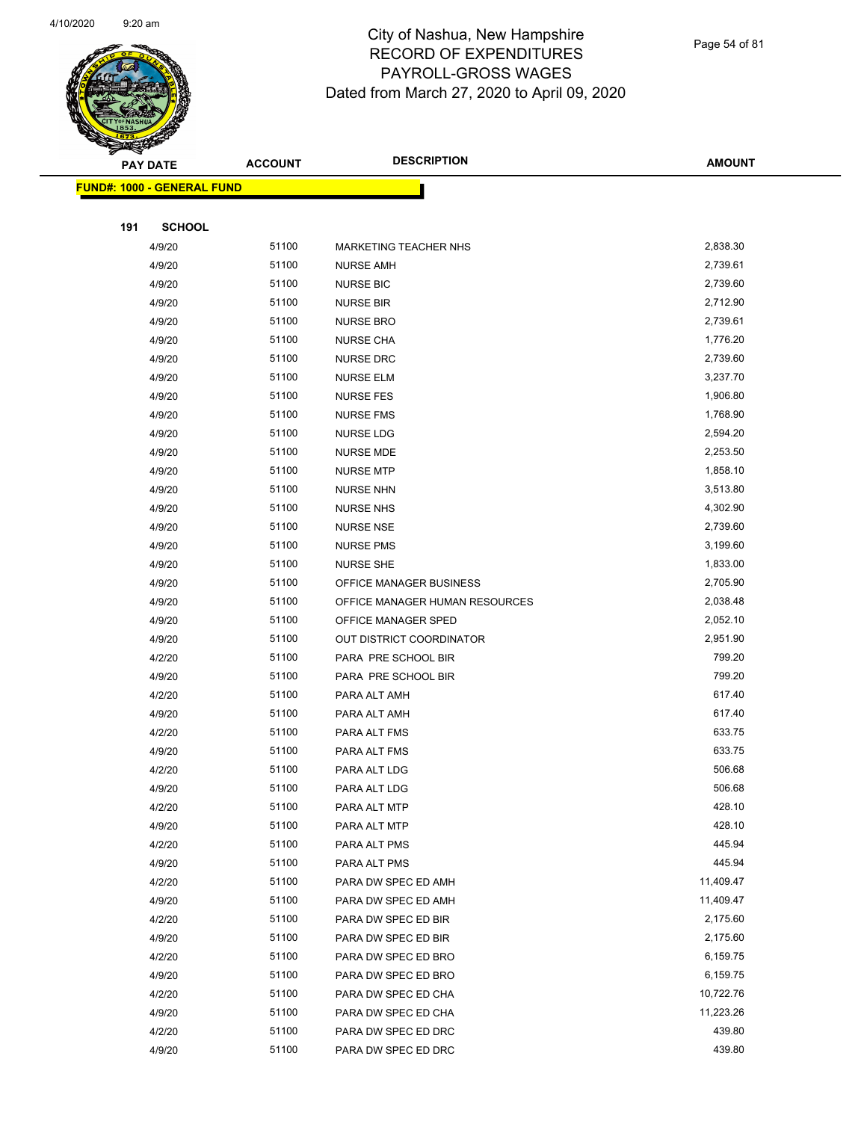

Page 54 of 81

|     | <b>PAY DATE</b>                   | <b>ACCOUNT</b> | <b>DESCRIPTION</b>             | <b>AMOUNT</b> |
|-----|-----------------------------------|----------------|--------------------------------|---------------|
|     | <b>FUND#: 1000 - GENERAL FUND</b> |                |                                |               |
|     |                                   |                |                                |               |
| 191 | <b>SCHOOL</b>                     |                |                                |               |
|     | 4/9/20                            | 51100          | <b>MARKETING TEACHER NHS</b>   | 2,838.30      |
|     | 4/9/20                            | 51100          | <b>NURSE AMH</b>               | 2,739.61      |
|     | 4/9/20                            | 51100          | <b>NURSE BIC</b>               | 2,739.60      |
|     | 4/9/20                            | 51100          | <b>NURSE BIR</b>               | 2,712.90      |
|     | 4/9/20                            | 51100          | <b>NURSE BRO</b>               | 2,739.61      |
|     | 4/9/20                            | 51100          | <b>NURSE CHA</b>               | 1,776.20      |
|     | 4/9/20                            | 51100          | <b>NURSE DRC</b>               | 2,739.60      |
|     | 4/9/20                            | 51100          | <b>NURSE ELM</b>               | 3,237.70      |
|     | 4/9/20                            | 51100          | <b>NURSE FES</b>               | 1,906.80      |
|     | 4/9/20                            | 51100          | <b>NURSE FMS</b>               | 1,768.90      |
|     | 4/9/20                            | 51100          | <b>NURSE LDG</b>               | 2,594.20      |
|     | 4/9/20                            | 51100          | <b>NURSE MDE</b>               | 2,253.50      |
|     | 4/9/20                            | 51100          | <b>NURSE MTP</b>               | 1,858.10      |
|     | 4/9/20                            | 51100          | <b>NURSE NHN</b>               | 3,513.80      |
|     | 4/9/20                            | 51100          | <b>NURSE NHS</b>               | 4,302.90      |
|     | 4/9/20                            | 51100          | <b>NURSE NSE</b>               | 2,739.60      |
|     | 4/9/20                            | 51100          | <b>NURSE PMS</b>               | 3,199.60      |
|     | 4/9/20                            | 51100          | <b>NURSE SHE</b>               | 1,833.00      |
|     | 4/9/20                            | 51100          | OFFICE MANAGER BUSINESS        | 2,705.90      |
|     | 4/9/20                            | 51100          | OFFICE MANAGER HUMAN RESOURCES | 2,038.48      |
|     | 4/9/20                            | 51100          | OFFICE MANAGER SPED            | 2,052.10      |
|     | 4/9/20                            | 51100          | OUT DISTRICT COORDINATOR       | 2,951.90      |
|     | 4/2/20                            | 51100          | PARA PRE SCHOOL BIR            | 799.20        |
|     | 4/9/20                            | 51100          | PARA PRE SCHOOL BIR            | 799.20        |
|     | 4/2/20                            | 51100          | PARA ALT AMH                   | 617.40        |
|     | 4/9/20                            | 51100          | PARA ALT AMH                   | 617.40        |
|     | 4/2/20                            | 51100          | PARA ALT FMS                   | 633.75        |
|     | 4/9/20                            | 51100          | PARA ALT FMS                   | 633.75        |
|     | 4/2/20                            | 51100          | PARA ALT LDG                   | 506.68        |
|     | 4/9/20                            | 51100          | PARA ALT LDG                   | 506.68        |
|     | 4/2/20                            | 51100          | PARA ALT MTP                   | 428.10        |
|     | 4/9/20                            | 51100          | PARA ALT MTP                   | 428.10        |
|     | 4/2/20                            | 51100          | PARA ALT PMS                   | 445.94        |
|     | 4/9/20                            | 51100          | PARA ALT PMS                   | 445.94        |
|     | 4/2/20                            | 51100          | PARA DW SPEC ED AMH            | 11,409.47     |
|     | 4/9/20                            | 51100          | PARA DW SPEC ED AMH            | 11,409.47     |
|     | 4/2/20                            | 51100          | PARA DW SPEC ED BIR            | 2,175.60      |
|     | 4/9/20                            | 51100          | PARA DW SPEC ED BIR            | 2,175.60      |
|     | 4/2/20                            | 51100          | PARA DW SPEC ED BRO            | 6,159.75      |
|     | 4/9/20                            | 51100          | PARA DW SPEC ED BRO            | 6,159.75      |
|     | 4/2/20                            | 51100          | PARA DW SPEC ED CHA            | 10,722.76     |
|     | 4/9/20                            | 51100          | PARA DW SPEC ED CHA            | 11,223.26     |
|     | 4/2/20                            | 51100          | PARA DW SPEC ED DRC            | 439.80        |
|     | 4/9/20                            | 51100          | PARA DW SPEC ED DRC            | 439.80        |
|     |                                   |                |                                |               |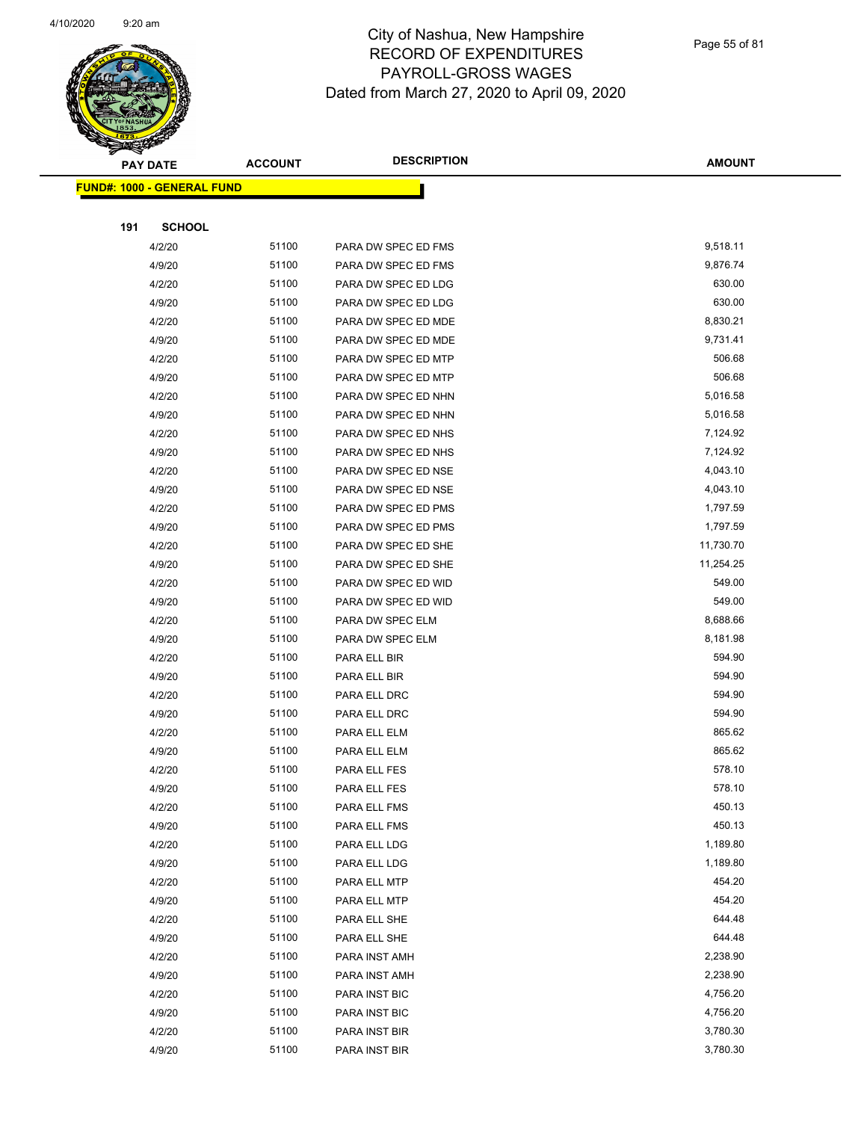

Page 55 of 81

| <b>PAY DATE</b> |                                    | <b>ACCOUNT</b> | <b>DESCRIPTION</b>  | <b>AMOUNT</b> |
|-----------------|------------------------------------|----------------|---------------------|---------------|
|                 | <u> FUND#: 1000 - GENERAL FUND</u> |                |                     |               |
|                 |                                    |                |                     |               |
| 191             | <b>SCHOOL</b>                      |                |                     |               |
|                 | 4/2/20                             | 51100          | PARA DW SPEC ED FMS | 9,518.11      |
|                 | 4/9/20                             | 51100          | PARA DW SPEC ED FMS | 9,876.74      |
|                 | 4/2/20                             | 51100          | PARA DW SPEC ED LDG | 630.00        |
|                 | 4/9/20                             | 51100          | PARA DW SPEC ED LDG | 630.00        |
|                 | 4/2/20                             | 51100          | PARA DW SPEC ED MDE | 8,830.21      |
|                 | 4/9/20                             | 51100          | PARA DW SPEC ED MDE | 9,731.41      |
|                 | 4/2/20                             | 51100          | PARA DW SPEC ED MTP | 506.68        |
|                 | 4/9/20                             | 51100          | PARA DW SPEC ED MTP | 506.68        |
|                 | 4/2/20                             | 51100          | PARA DW SPEC ED NHN | 5,016.58      |
|                 | 4/9/20                             | 51100          | PARA DW SPEC ED NHN | 5,016.58      |
|                 | 4/2/20                             | 51100          | PARA DW SPEC ED NHS | 7,124.92      |
|                 | 4/9/20                             | 51100          | PARA DW SPEC ED NHS | 7,124.92      |
|                 | 4/2/20                             | 51100          | PARA DW SPEC ED NSE | 4,043.10      |
|                 | 4/9/20                             | 51100          | PARA DW SPEC ED NSE | 4,043.10      |
|                 | 4/2/20                             | 51100          | PARA DW SPEC ED PMS | 1,797.59      |
|                 | 4/9/20                             | 51100          | PARA DW SPEC ED PMS | 1,797.59      |
|                 | 4/2/20                             | 51100          | PARA DW SPEC ED SHE | 11,730.70     |
|                 | 4/9/20                             | 51100          | PARA DW SPEC ED SHE | 11,254.25     |
|                 | 4/2/20                             | 51100          | PARA DW SPEC ED WID | 549.00        |
|                 | 4/9/20                             | 51100          | PARA DW SPEC ED WID | 549.00        |
|                 | 4/2/20                             | 51100          | PARA DW SPEC ELM    | 8,688.66      |
|                 | 4/9/20                             | 51100          | PARA DW SPEC ELM    | 8,181.98      |
|                 | 4/2/20                             | 51100          | PARA ELL BIR        | 594.90        |
|                 | 4/9/20                             | 51100          | PARA ELL BIR        | 594.90        |
|                 | 4/2/20                             | 51100          | PARA ELL DRC        | 594.90        |
|                 | 4/9/20                             | 51100          | PARA ELL DRC        | 594.90        |
|                 | 4/2/20                             | 51100          | PARA ELL ELM        | 865.62        |
|                 | 4/9/20                             | 51100          | PARA ELL ELM        | 865.62        |
|                 | 4/2/20                             | 51100          | PARA ELL FES        | 578.10        |
|                 | 4/9/20                             | 51100          | PARA ELL FES        | 578.10        |
|                 | 4/2/20                             | 51100          | PARA ELL FMS        | 450.13        |
|                 | 4/9/20                             | 51100          | PARA ELL FMS        | 450.13        |
|                 | 4/2/20                             | 51100          | PARA ELL LDG        | 1,189.80      |
|                 | 4/9/20                             | 51100          | PARA ELL LDG        | 1,189.80      |
|                 | 4/2/20                             | 51100          | PARA ELL MTP        | 454.20        |
|                 | 4/9/20                             | 51100          | PARA ELL MTP        | 454.20        |
|                 | 4/2/20                             | 51100          | PARA ELL SHE        | 644.48        |
|                 | 4/9/20                             | 51100          | PARA ELL SHE        | 644.48        |
|                 | 4/2/20                             | 51100          | PARA INST AMH       | 2,238.90      |
|                 | 4/9/20                             | 51100          | PARA INST AMH       | 2,238.90      |
|                 | 4/2/20                             | 51100          | PARA INST BIC       | 4,756.20      |
|                 | 4/9/20                             | 51100          | PARA INST BIC       | 4,756.20      |
|                 | 4/2/20                             | 51100          | PARA INST BIR       | 3,780.30      |
|                 | 4/9/20                             | 51100          | PARA INST BIR       | 3,780.30      |
|                 |                                    |                |                     |               |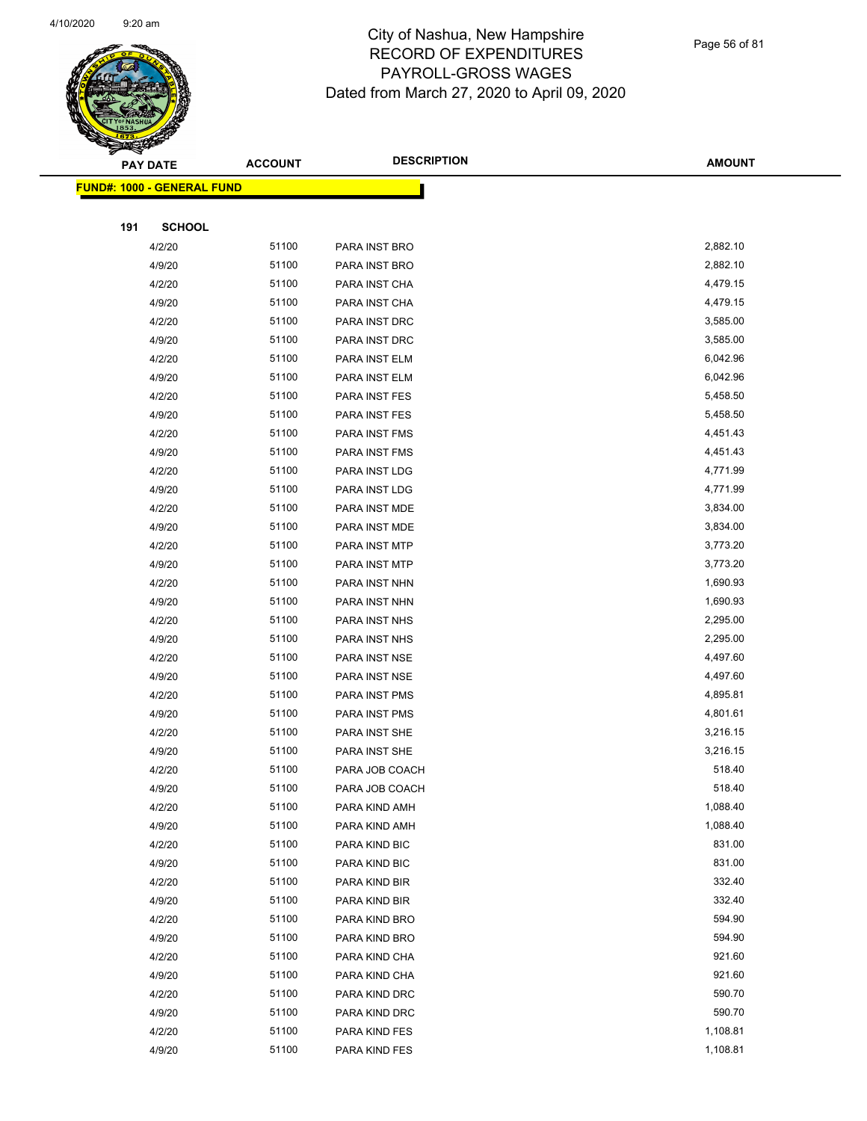

|     | <b>PAY DATE</b>                    | <b>ACCOUNT</b> | <b>DESCRIPTION</b> | <b>AMOUNT</b> |
|-----|------------------------------------|----------------|--------------------|---------------|
|     | <u> FUND#: 1000 - GENERAL FUND</u> |                |                    |               |
|     |                                    |                |                    |               |
| 191 | <b>SCHOOL</b>                      |                |                    |               |
|     | 4/2/20                             | 51100          | PARA INST BRO      | 2,882.10      |
|     | 4/9/20                             | 51100          | PARA INST BRO      | 2,882.10      |
|     | 4/2/20                             | 51100          | PARA INST CHA      | 4,479.15      |
|     | 4/9/20                             | 51100          | PARA INST CHA      | 4,479.15      |
|     | 4/2/20                             | 51100          | PARA INST DRC      | 3,585.00      |
|     | 4/9/20                             | 51100          | PARA INST DRC      | 3,585.00      |
|     | 4/2/20                             | 51100          | PARA INST ELM      | 6,042.96      |
|     | 4/9/20                             | 51100          | PARA INST ELM      | 6,042.96      |
|     | 4/2/20                             | 51100          | PARA INST FES      | 5,458.50      |
|     | 4/9/20                             | 51100          | PARA INST FES      | 5,458.50      |
|     | 4/2/20                             | 51100          | PARA INST FMS      | 4,451.43      |
|     | 4/9/20                             | 51100          | PARA INST FMS      | 4,451.43      |
|     | 4/2/20                             | 51100          | PARA INST LDG      | 4,771.99      |
|     | 4/9/20                             | 51100          | PARA INST LDG      | 4,771.99      |
|     | 4/2/20                             | 51100          | PARA INST MDE      | 3,834.00      |
|     | 4/9/20                             | 51100          | PARA INST MDE      | 3,834.00      |
|     | 4/2/20                             | 51100          | PARA INST MTP      | 3,773.20      |
|     | 4/9/20                             | 51100          | PARA INST MTP      | 3,773.20      |
|     | 4/2/20                             | 51100          | PARA INST NHN      | 1,690.93      |
|     | 4/9/20                             | 51100          | PARA INST NHN      | 1,690.93      |
|     | 4/2/20                             | 51100          | PARA INST NHS      | 2,295.00      |
|     | 4/9/20                             | 51100          | PARA INST NHS      | 2,295.00      |
|     | 4/2/20                             | 51100          | PARA INST NSE      | 4,497.60      |
|     | 4/9/20                             | 51100          | PARA INST NSE      | 4,497.60      |
|     | 4/2/20                             | 51100          | PARA INST PMS      | 4,895.81      |
|     | 4/9/20                             | 51100          | PARA INST PMS      | 4,801.61      |
|     | 4/2/20                             | 51100          | PARA INST SHE      | 3,216.15      |
|     | 4/9/20                             | 51100          | PARA INST SHE      | 3,216.15      |
|     | 4/2/20                             | 51100          | PARA JOB COACH     | 518.40        |
|     | 4/9/20                             | 51100          | PARA JOB COACH     | 518.40        |
|     | 4/2/20                             | 51100          | PARA KIND AMH      | 1,088.40      |
|     | 4/9/20                             | 51100          | PARA KIND AMH      | 1,088.40      |
|     | 4/2/20                             | 51100          | PARA KIND BIC      | 831.00        |
|     | 4/9/20                             | 51100          | PARA KIND BIC      | 831.00        |
|     | 4/2/20                             | 51100          | PARA KIND BIR      | 332.40        |
|     | 4/9/20                             | 51100          | PARA KIND BIR      | 332.40        |
|     | 4/2/20                             | 51100          | PARA KIND BRO      | 594.90        |
|     | 4/9/20                             | 51100          | PARA KIND BRO      | 594.90        |
|     | 4/2/20                             | 51100          | PARA KIND CHA      | 921.60        |
|     | 4/9/20                             | 51100          | PARA KIND CHA      | 921.60        |
|     | 4/2/20                             | 51100          | PARA KIND DRC      | 590.70        |
|     | 4/9/20                             | 51100          | PARA KIND DRC      | 590.70        |
|     | 4/2/20                             | 51100          | PARA KIND FES      | 1,108.81      |
|     | 4/9/20                             | 51100          | PARA KIND FES      | 1,108.81      |
|     |                                    |                |                    |               |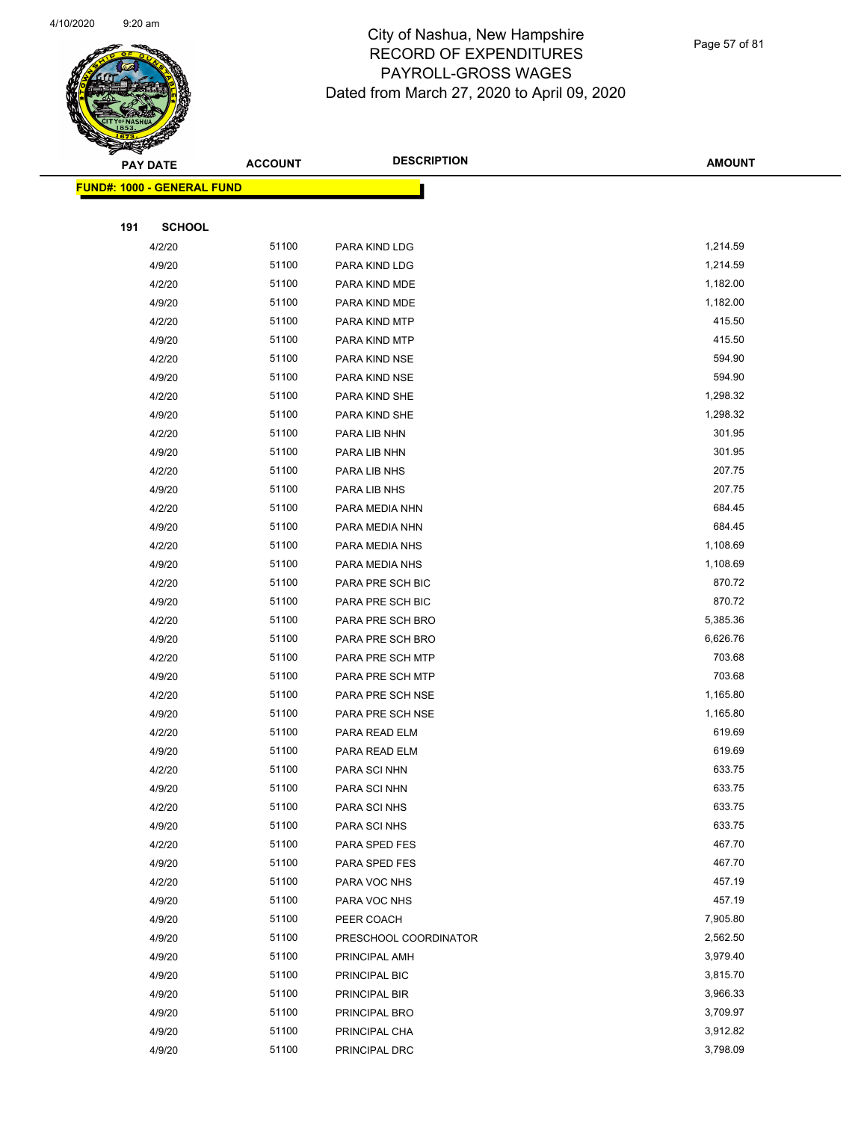

| <b>PAY DATE</b> |                                    | <b>ACCOUNT</b> | <b>DESCRIPTION</b>    | <b>AMOUNT</b> |
|-----------------|------------------------------------|----------------|-----------------------|---------------|
|                 | <u> FUND#: 1000 - GENERAL FUND</u> |                |                       |               |
|                 |                                    |                |                       |               |
| 191             | <b>SCHOOL</b>                      |                |                       |               |
|                 | 4/2/20                             | 51100          | PARA KIND LDG         | 1,214.59      |
|                 | 4/9/20                             | 51100          | PARA KIND LDG         | 1,214.59      |
|                 | 4/2/20                             | 51100          | PARA KIND MDE         | 1,182.00      |
|                 | 4/9/20                             | 51100          | PARA KIND MDE         | 1,182.00      |
|                 | 4/2/20                             | 51100          | PARA KIND MTP         | 415.50        |
|                 | 4/9/20                             | 51100          | PARA KIND MTP         | 415.50        |
|                 | 4/2/20                             | 51100          | PARA KIND NSE         | 594.90        |
|                 | 4/9/20                             | 51100          | PARA KIND NSE         | 594.90        |
|                 | 4/2/20                             | 51100          | PARA KIND SHE         | 1,298.32      |
|                 | 4/9/20                             | 51100          | PARA KIND SHE         | 1,298.32      |
|                 | 4/2/20                             | 51100          | PARA LIB NHN          | 301.95        |
|                 | 4/9/20                             | 51100          | PARA LIB NHN          | 301.95        |
|                 | 4/2/20                             | 51100          | PARA LIB NHS          | 207.75        |
|                 | 4/9/20                             | 51100          | PARA LIB NHS          | 207.75        |
|                 | 4/2/20                             | 51100          | PARA MEDIA NHN        | 684.45        |
|                 | 4/9/20                             | 51100          | PARA MEDIA NHN        | 684.45        |
|                 | 4/2/20                             | 51100          | PARA MEDIA NHS        | 1,108.69      |
|                 | 4/9/20                             | 51100          | PARA MEDIA NHS        | 1,108.69      |
|                 | 4/2/20                             | 51100          | PARA PRE SCH BIC      | 870.72        |
|                 | 4/9/20                             | 51100          | PARA PRE SCH BIC      | 870.72        |
|                 | 4/2/20                             | 51100          | PARA PRE SCH BRO      | 5,385.36      |
|                 | 4/9/20                             | 51100          | PARA PRE SCH BRO      | 6,626.76      |
|                 | 4/2/20                             | 51100          | PARA PRE SCH MTP      | 703.68        |
|                 | 4/9/20                             | 51100          | PARA PRE SCH MTP      | 703.68        |
|                 | 4/2/20                             | 51100          | PARA PRE SCH NSE      | 1,165.80      |
|                 | 4/9/20                             | 51100          | PARA PRE SCH NSE      | 1,165.80      |
|                 | 4/2/20                             | 51100          | PARA READ ELM         | 619.69        |
|                 | 4/9/20                             | 51100          | PARA READ ELM         | 619.69        |
|                 | 4/2/20                             | 51100          | PARA SCI NHN          | 633.75        |
|                 | 4/9/20                             | 51100          | PARA SCI NHN          | 633.75        |
|                 | 4/2/20                             | 51100          | PARA SCI NHS          | 633.75        |
|                 | 4/9/20                             | 51100          | PARA SCI NHS          | 633.75        |
|                 | 4/2/20                             | 51100          | PARA SPED FES         | 467.70        |
|                 | 4/9/20                             | 51100          | PARA SPED FES         | 467.70        |
|                 | 4/2/20                             | 51100          | PARA VOC NHS          | 457.19        |
|                 | 4/9/20                             | 51100          | PARA VOC NHS          | 457.19        |
|                 | 4/9/20                             | 51100          | PEER COACH            | 7,905.80      |
|                 | 4/9/20                             | 51100          | PRESCHOOL COORDINATOR | 2,562.50      |
|                 | 4/9/20                             | 51100          | PRINCIPAL AMH         | 3,979.40      |
|                 | 4/9/20                             | 51100          | PRINCIPAL BIC         | 3,815.70      |
|                 | 4/9/20                             | 51100          | PRINCIPAL BIR         | 3,966.33      |
|                 | 4/9/20                             | 51100          | PRINCIPAL BRO         | 3,709.97      |
|                 | 4/9/20                             | 51100          | PRINCIPAL CHA         | 3,912.82      |
|                 | 4/9/20                             | 51100          | PRINCIPAL DRC         | 3,798.09      |
|                 |                                    |                |                       |               |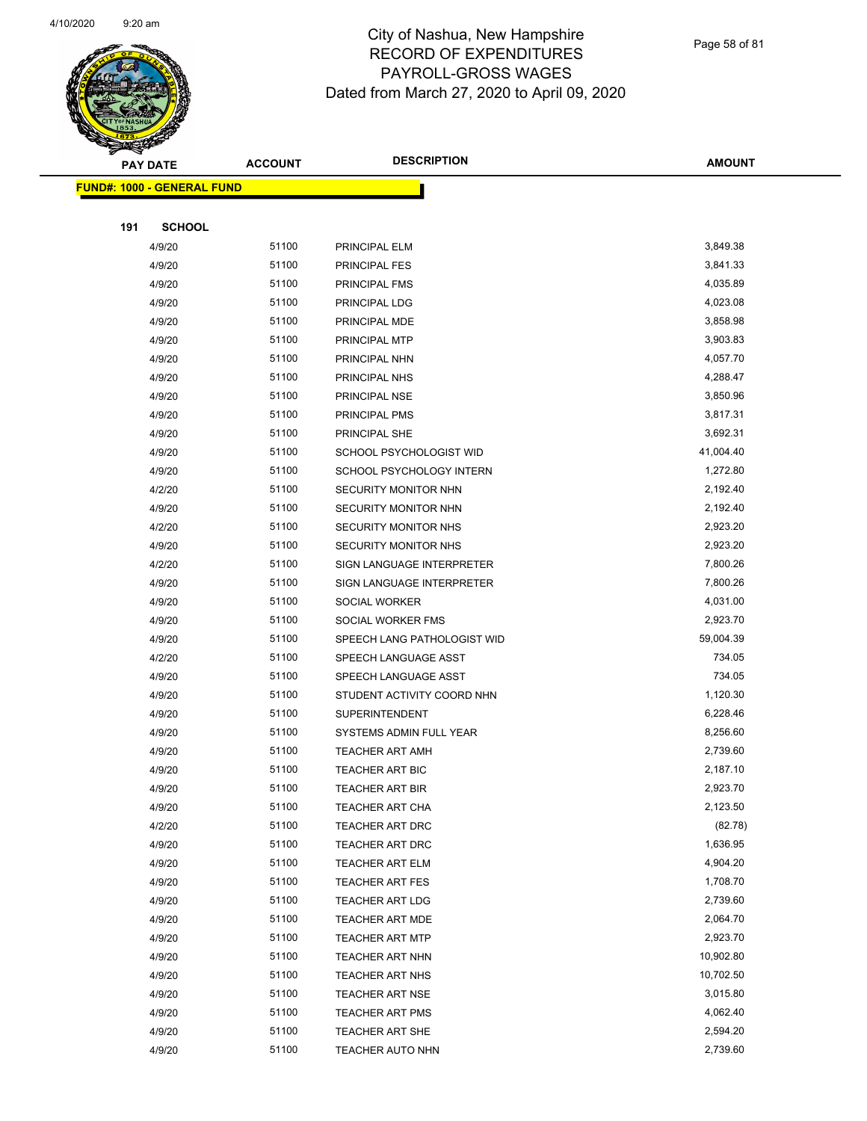

|     | <b>PAY DATE</b>                   | <b>ACCOUNT</b> | <b>DESCRIPTION</b>          | <b>AMOUNT</b> |
|-----|-----------------------------------|----------------|-----------------------------|---------------|
|     | <b>FUND#: 1000 - GENERAL FUND</b> |                |                             |               |
|     |                                   |                |                             |               |
| 191 | <b>SCHOOL</b>                     |                |                             |               |
|     | 4/9/20                            | 51100          | PRINCIPAL ELM               | 3,849.38      |
|     | 4/9/20                            | 51100          | PRINCIPAL FES               | 3,841.33      |
|     | 4/9/20                            | 51100          | PRINCIPAL FMS               | 4,035.89      |
|     | 4/9/20                            | 51100          | PRINCIPAL LDG               | 4,023.08      |
|     | 4/9/20                            | 51100          | PRINCIPAL MDE               | 3,858.98      |
|     | 4/9/20                            | 51100          | PRINCIPAL MTP               | 3,903.83      |
|     | 4/9/20                            | 51100          | PRINCIPAL NHN               | 4,057.70      |
|     | 4/9/20                            | 51100          | PRINCIPAL NHS               | 4,288.47      |
|     | 4/9/20                            | 51100          | PRINCIPAL NSE               | 3,850.96      |
|     | 4/9/20                            | 51100          | PRINCIPAL PMS               | 3,817.31      |
|     | 4/9/20                            | 51100          | PRINCIPAL SHE               | 3,692.31      |
|     | 4/9/20                            | 51100          | SCHOOL PSYCHOLOGIST WID     | 41,004.40     |
|     | 4/9/20                            | 51100          | SCHOOL PSYCHOLOGY INTERN    | 1,272.80      |
|     | 4/2/20                            | 51100          | SECURITY MONITOR NHN        | 2,192.40      |
|     | 4/9/20                            | 51100          | SECURITY MONITOR NHN        | 2,192.40      |
|     | 4/2/20                            | 51100          | SECURITY MONITOR NHS        | 2,923.20      |
|     | 4/9/20                            | 51100          | SECURITY MONITOR NHS        | 2,923.20      |
|     | 4/2/20                            | 51100          | SIGN LANGUAGE INTERPRETER   | 7,800.26      |
|     | 4/9/20                            | 51100          | SIGN LANGUAGE INTERPRETER   | 7,800.26      |
|     | 4/9/20                            | 51100          | SOCIAL WORKER               | 4,031.00      |
|     | 4/9/20                            | 51100          | SOCIAL WORKER FMS           | 2,923.70      |
|     | 4/9/20                            | 51100          | SPEECH LANG PATHOLOGIST WID | 59,004.39     |
|     | 4/2/20                            | 51100          | SPEECH LANGUAGE ASST        | 734.05        |
|     | 4/9/20                            | 51100          | SPEECH LANGUAGE ASST        | 734.05        |
|     | 4/9/20                            | 51100          | STUDENT ACTIVITY COORD NHN  | 1,120.30      |
|     | 4/9/20                            | 51100          | SUPERINTENDENT              | 6,228.46      |
|     | 4/9/20                            | 51100          | SYSTEMS ADMIN FULL YEAR     | 8,256.60      |
|     | 4/9/20                            | 51100          | <b>TEACHER ART AMH</b>      | 2,739.60      |
|     | 4/9/20                            | 51100          | <b>TEACHER ART BIC</b>      | 2,187.10      |
|     | 4/9/20                            | 51100          | TEACHER ART BIR             | 2,923.70      |
|     | 4/9/20                            | 51100          | TEACHER ART CHA             | 2,123.50      |
|     | 4/2/20                            | 51100          | TEACHER ART DRC             | (82.78)       |
|     | 4/9/20                            | 51100          | TEACHER ART DRC             | 1,636.95      |
|     | 4/9/20                            | 51100          | <b>TEACHER ART ELM</b>      | 4,904.20      |
|     | 4/9/20                            | 51100          | <b>TEACHER ART FES</b>      | 1,708.70      |
|     | 4/9/20                            | 51100          | <b>TEACHER ART LDG</b>      | 2,739.60      |
|     | 4/9/20                            | 51100          | <b>TEACHER ART MDE</b>      | 2,064.70      |
|     | 4/9/20                            | 51100          | <b>TEACHER ART MTP</b>      | 2,923.70      |
|     | 4/9/20                            | 51100          | <b>TEACHER ART NHN</b>      | 10,902.80     |
|     | 4/9/20                            | 51100          | TEACHER ART NHS             | 10,702.50     |
|     | 4/9/20                            | 51100          | <b>TEACHER ART NSE</b>      | 3,015.80      |
|     | 4/9/20                            | 51100          | <b>TEACHER ART PMS</b>      | 4,062.40      |
|     | 4/9/20                            | 51100          | TEACHER ART SHE             | 2,594.20      |
|     | 4/9/20                            | 51100          | TEACHER AUTO NHN            | 2,739.60      |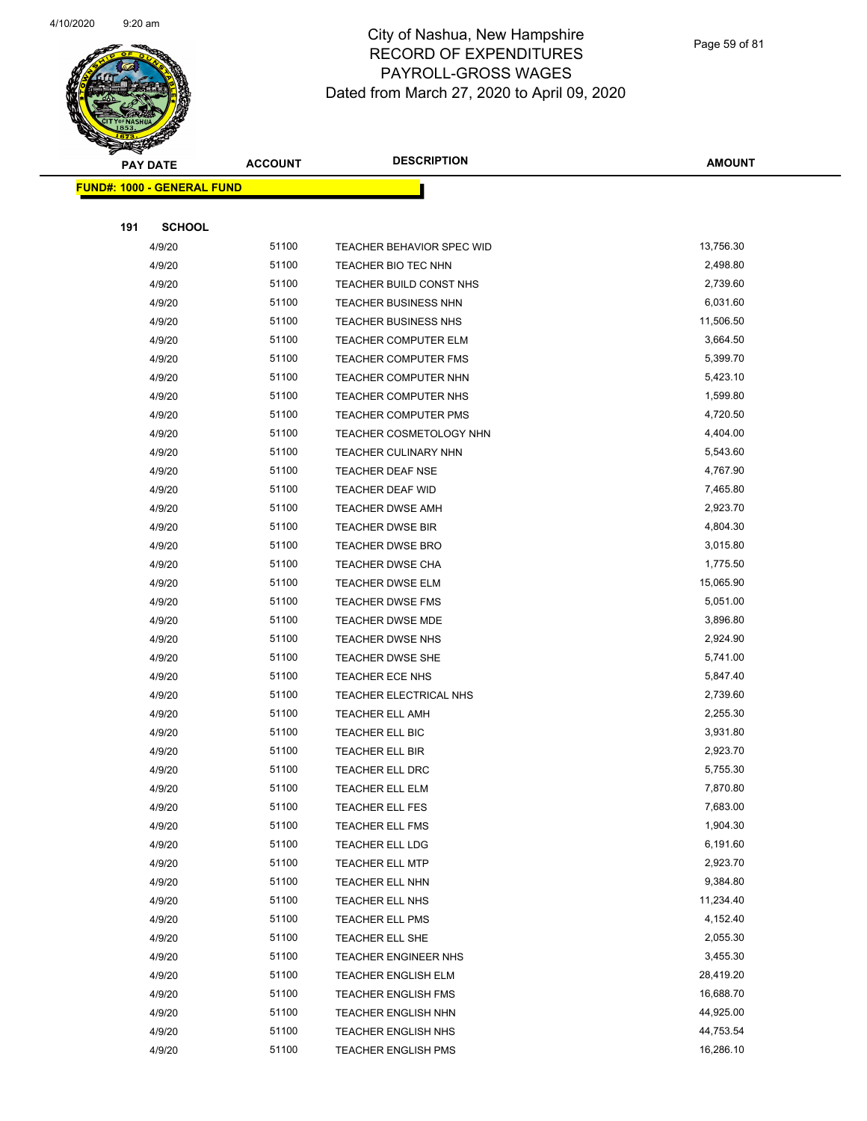

Page 59 of 81

| <b>PAY DATE</b>                   | <b>ACCOUNT</b> | <b>DESCRIPTION</b>                                       | <b>AMOUNT</b>          |
|-----------------------------------|----------------|----------------------------------------------------------|------------------------|
| <b>FUND#: 1000 - GENERAL FUND</b> |                |                                                          |                        |
|                                   |                |                                                          |                        |
| 191<br><b>SCHOOL</b>              |                |                                                          |                        |
| 4/9/20                            | 51100          | <b>TEACHER BEHAVIOR SPEC WID</b>                         | 13,756.30              |
| 4/9/20                            | 51100          | TEACHER BIO TEC NHN                                      | 2,498.80               |
| 4/9/20                            | 51100          | TEACHER BUILD CONST NHS                                  | 2,739.60               |
| 4/9/20                            | 51100          | <b>TEACHER BUSINESS NHN</b>                              | 6,031.60               |
| 4/9/20                            | 51100          | <b>TEACHER BUSINESS NHS</b>                              | 11,506.50              |
| 4/9/20                            | 51100          | TEACHER COMPUTER ELM                                     | 3,664.50               |
| 4/9/20                            | 51100          | TEACHER COMPUTER FMS                                     | 5,399.70               |
| 4/9/20                            | 51100          | TEACHER COMPUTER NHN                                     | 5,423.10               |
| 4/9/20                            | 51100          | TEACHER COMPUTER NHS                                     | 1,599.80               |
| 4/9/20                            | 51100          | TEACHER COMPUTER PMS                                     | 4,720.50               |
| 4/9/20                            | 51100          | TEACHER COSMETOLOGY NHN                                  | 4,404.00               |
| 4/9/20                            | 51100          | TEACHER CULINARY NHN                                     | 5,543.60               |
| 4/9/20                            | 51100          | TEACHER DEAF NSE                                         | 4,767.90               |
| 4/9/20                            | 51100          | TEACHER DEAF WID                                         | 7,465.80               |
| 4/9/20                            | 51100          | <b>TEACHER DWSE AMH</b>                                  | 2,923.70               |
| 4/9/20                            | 51100          | TEACHER DWSE BIR                                         | 4,804.30               |
| 4/9/20                            | 51100          | <b>TEACHER DWSE BRO</b>                                  | 3,015.80               |
| 4/9/20                            | 51100          | <b>TEACHER DWSE CHA</b>                                  | 1,775.50               |
| 4/9/20                            | 51100          | <b>TEACHER DWSE ELM</b>                                  | 15,065.90              |
| 4/9/20                            | 51100          | <b>TEACHER DWSE FMS</b>                                  | 5,051.00               |
| 4/9/20                            | 51100          | TEACHER DWSE MDE                                         | 3,896.80               |
| 4/9/20                            | 51100          | TEACHER DWSE NHS                                         | 2,924.90               |
| 4/9/20                            | 51100          | TEACHER DWSE SHE                                         | 5,741.00               |
| 4/9/20                            | 51100          | <b>TEACHER ECE NHS</b>                                   | 5,847.40               |
| 4/9/20                            | 51100          | TEACHER ELECTRICAL NHS                                   | 2,739.60               |
| 4/9/20                            | 51100          | <b>TEACHER ELL AMH</b>                                   | 2,255.30               |
| 4/9/20                            | 51100          | TEACHER ELL BIC                                          | 3,931.80               |
| 4/9/20                            | 51100          | TEACHER ELL BIR                                          | 2,923.70               |
| 4/9/20                            | 51100          | TEACHER ELL DRC                                          | 5,755.30               |
| 4/9/20                            | 51100          | TEACHER ELL ELM                                          | 7,870.80               |
| 4/9/20                            | 51100          | TEACHER ELL FES                                          | 7,683.00               |
| 4/9/20                            | 51100          | <b>TEACHER ELL FMS</b>                                   | 1,904.30               |
| 4/9/20                            | 51100          | TEACHER ELL LDG                                          | 6,191.60               |
| 4/9/20                            | 51100          | <b>TEACHER ELL MTP</b>                                   | 2,923.70               |
| 4/9/20                            | 51100          | TEACHER ELL NHN                                          | 9,384.80               |
| 4/9/20                            | 51100          | TEACHER ELL NHS                                          | 11,234.40              |
| 4/9/20                            | 51100          | <b>TEACHER ELL PMS</b>                                   | 4,152.40               |
| 4/9/20                            | 51100          | TEACHER ELL SHE                                          | 2,055.30               |
| 4/9/20                            | 51100          | TEACHER ENGINEER NHS                                     | 3,455.30               |
| 4/9/20                            | 51100<br>51100 | <b>TEACHER ENGLISH ELM</b>                               | 28,419.20<br>16,688.70 |
| 4/9/20<br>4/9/20                  | 51100          | <b>TEACHER ENGLISH FMS</b><br><b>TEACHER ENGLISH NHN</b> | 44,925.00              |
| 4/9/20                            | 51100          | <b>TEACHER ENGLISH NHS</b>                               | 44,753.54              |
| 4/9/20                            | 51100          | <b>TEACHER ENGLISH PMS</b>                               | 16,286.10              |
|                                   |                |                                                          |                        |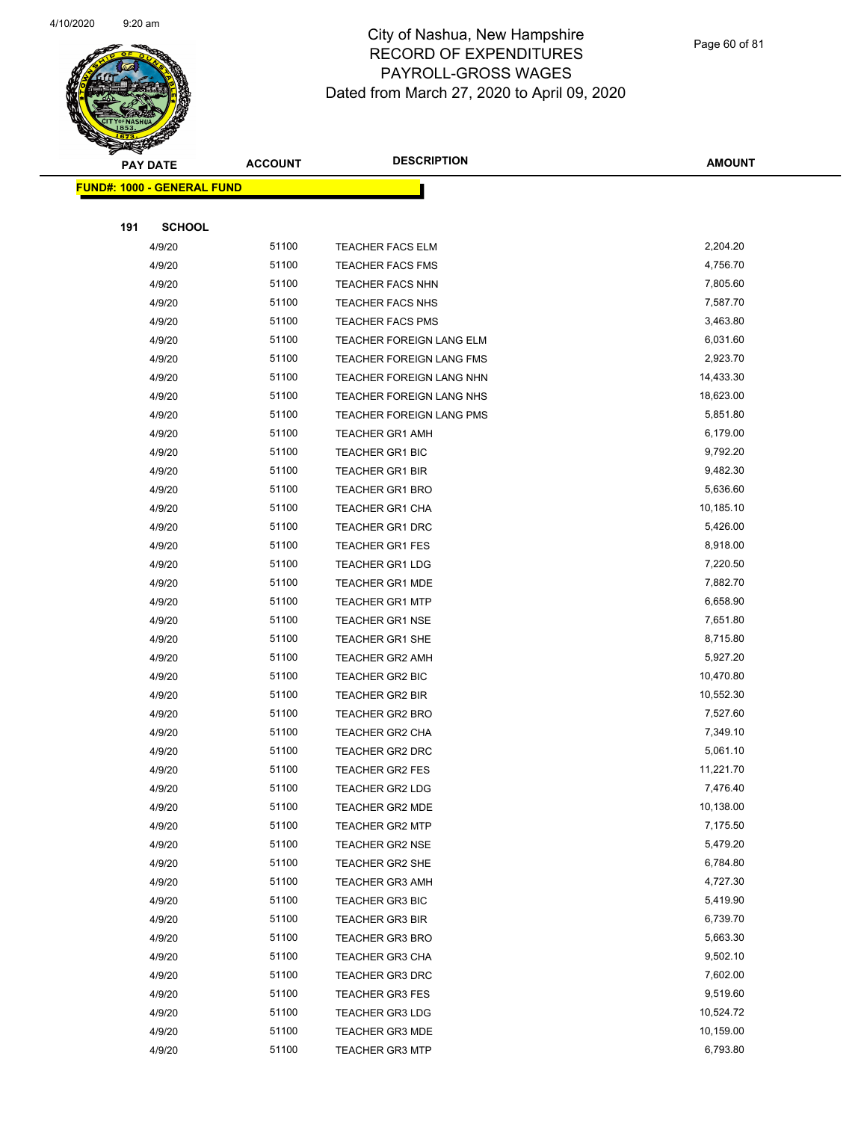

Page 60 of 81

| <b>PAY DATE</b> |                                   | <b>ACCOUNT</b> | <b>DESCRIPTION</b>              | <b>AMOUNT</b> |
|-----------------|-----------------------------------|----------------|---------------------------------|---------------|
|                 | <b>FUND#: 1000 - GENERAL FUND</b> |                |                                 |               |
|                 |                                   |                |                                 |               |
| 191             | <b>SCHOOL</b>                     |                |                                 |               |
|                 | 4/9/20                            | 51100          | TEACHER FACS ELM                | 2,204.20      |
|                 | 4/9/20                            | 51100          | <b>TEACHER FACS FMS</b>         | 4,756.70      |
|                 | 4/9/20                            | 51100          | <b>TEACHER FACS NHN</b>         | 7,805.60      |
|                 | 4/9/20                            | 51100          | <b>TEACHER FACS NHS</b>         | 7,587.70      |
|                 | 4/9/20                            | 51100          | <b>TEACHER FACS PMS</b>         | 3,463.80      |
|                 | 4/9/20                            | 51100          | TEACHER FOREIGN LANG ELM        | 6,031.60      |
|                 | 4/9/20                            | 51100          | TEACHER FOREIGN LANG FMS        | 2,923.70      |
|                 | 4/9/20                            | 51100          | TEACHER FOREIGN LANG NHN        | 14,433.30     |
|                 | 4/9/20                            | 51100          | TEACHER FOREIGN LANG NHS        | 18,623.00     |
|                 | 4/9/20                            | 51100          | <b>TEACHER FOREIGN LANG PMS</b> | 5,851.80      |
|                 | 4/9/20                            | 51100          | <b>TEACHER GR1 AMH</b>          | 6,179.00      |
|                 | 4/9/20                            | 51100          | <b>TEACHER GR1 BIC</b>          | 9,792.20      |
|                 | 4/9/20                            | 51100          | <b>TEACHER GR1 BIR</b>          | 9,482.30      |
|                 | 4/9/20                            | 51100          | <b>TEACHER GR1 BRO</b>          | 5,636.60      |
|                 | 4/9/20                            | 51100          | TEACHER GR1 CHA                 | 10,185.10     |
|                 | 4/9/20                            | 51100          | <b>TEACHER GR1 DRC</b>          | 5,426.00      |
|                 | 4/9/20                            | 51100          | <b>TEACHER GR1 FES</b>          | 8,918.00      |
|                 | 4/9/20                            | 51100          | <b>TEACHER GR1 LDG</b>          | 7,220.50      |
|                 | 4/9/20                            | 51100          | <b>TEACHER GR1 MDE</b>          | 7,882.70      |
|                 | 4/9/20                            | 51100          | <b>TEACHER GR1 MTP</b>          | 6,658.90      |
|                 | 4/9/20                            | 51100          | <b>TEACHER GR1 NSE</b>          | 7,651.80      |
|                 | 4/9/20                            | 51100          | <b>TEACHER GR1 SHE</b>          | 8,715.80      |
|                 | 4/9/20                            | 51100          | <b>TEACHER GR2 AMH</b>          | 5,927.20      |
|                 | 4/9/20                            | 51100          | TEACHER GR2 BIC                 | 10,470.80     |
|                 | 4/9/20                            | 51100          | <b>TEACHER GR2 BIR</b>          | 10,552.30     |
|                 | 4/9/20                            | 51100          | TEACHER GR2 BRO                 | 7,527.60      |
|                 | 4/9/20                            | 51100          | TEACHER GR2 CHA                 | 7,349.10      |
|                 | 4/9/20                            | 51100          | <b>TEACHER GR2 DRC</b>          | 5,061.10      |
|                 | 4/9/20                            | 51100          | <b>TEACHER GR2 FES</b>          | 11,221.70     |
|                 | 4/9/20                            | 51100          | <b>TEACHER GR2 LDG</b>          | 7,476.40      |
|                 | 4/9/20                            | 51100          | <b>TEACHER GR2 MDE</b>          | 10,138.00     |
|                 | 4/9/20                            | 51100          | <b>TEACHER GR2 MTP</b>          | 7,175.50      |
|                 | 4/9/20                            | 51100          | <b>TEACHER GR2 NSE</b>          | 5,479.20      |
|                 | 4/9/20                            | 51100          | TEACHER GR2 SHE                 | 6,784.80      |
|                 | 4/9/20                            | 51100          | <b>TEACHER GR3 AMH</b>          | 4,727.30      |
|                 | 4/9/20                            | 51100          | TEACHER GR3 BIC                 | 5,419.90      |
|                 | 4/9/20                            | 51100          | <b>TEACHER GR3 BIR</b>          | 6,739.70      |
|                 | 4/9/20                            | 51100          | <b>TEACHER GR3 BRO</b>          | 5,663.30      |
|                 | 4/9/20                            | 51100          | <b>TEACHER GR3 CHA</b>          | 9,502.10      |
|                 | 4/9/20                            | 51100          | <b>TEACHER GR3 DRC</b>          | 7,602.00      |
|                 | 4/9/20                            | 51100          | TEACHER GR3 FES                 | 9,519.60      |
|                 | 4/9/20                            | 51100          | <b>TEACHER GR3 LDG</b>          | 10,524.72     |
|                 | 4/9/20                            | 51100          | <b>TEACHER GR3 MDE</b>          | 10,159.00     |
|                 | 4/9/20                            | 51100          | <b>TEACHER GR3 MTP</b>          | 6,793.80      |
|                 |                                   |                |                                 |               |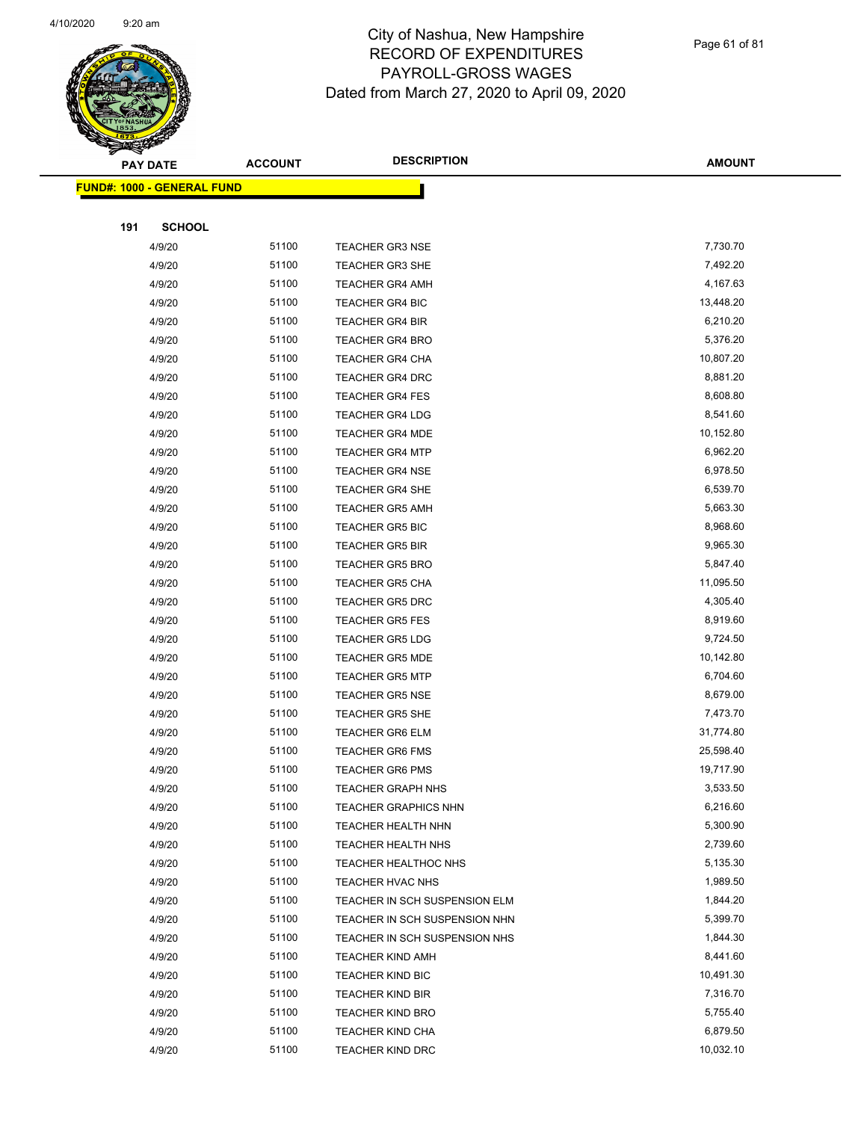

| <b>PAY DATE</b>                    | <b>ACCOUNT</b> | <b>DESCRIPTION</b>            | <b>AMOUNT</b> |
|------------------------------------|----------------|-------------------------------|---------------|
| <u> FUND#: 1000 - GENERAL FUND</u> |                |                               |               |
|                                    |                |                               |               |
| 191<br><b>SCHOOL</b>               |                |                               |               |
| 4/9/20                             | 51100          | <b>TEACHER GR3 NSE</b>        | 7,730.70      |
| 4/9/20                             | 51100          | TEACHER GR3 SHE               | 7,492.20      |
| 4/9/20                             | 51100          | <b>TEACHER GR4 AMH</b>        | 4,167.63      |
| 4/9/20                             | 51100          | <b>TEACHER GR4 BIC</b>        | 13,448.20     |
| 4/9/20                             | 51100          | <b>TEACHER GR4 BIR</b>        | 6,210.20      |
| 4/9/20                             | 51100          | <b>TEACHER GR4 BRO</b>        | 5,376.20      |
| 4/9/20                             | 51100          | <b>TEACHER GR4 CHA</b>        | 10,807.20     |
| 4/9/20                             | 51100          | <b>TEACHER GR4 DRC</b>        | 8,881.20      |
| 4/9/20                             | 51100          | <b>TEACHER GR4 FES</b>        | 8,608.80      |
| 4/9/20                             | 51100          | <b>TEACHER GR4 LDG</b>        | 8,541.60      |
| 4/9/20                             | 51100          | <b>TEACHER GR4 MDE</b>        | 10,152.80     |
| 4/9/20                             | 51100          | <b>TEACHER GR4 MTP</b>        | 6,962.20      |
| 4/9/20                             | 51100          | <b>TEACHER GR4 NSE</b>        | 6,978.50      |
| 4/9/20                             | 51100          | <b>TEACHER GR4 SHE</b>        | 6,539.70      |
| 4/9/20                             | 51100          | <b>TEACHER GR5 AMH</b>        | 5,663.30      |
| 4/9/20                             | 51100          | <b>TEACHER GR5 BIC</b>        | 8,968.60      |
| 4/9/20                             | 51100          | <b>TEACHER GR5 BIR</b>        | 9,965.30      |
| 4/9/20                             | 51100          | <b>TEACHER GR5 BRO</b>        | 5,847.40      |
| 4/9/20                             | 51100          | <b>TEACHER GR5 CHA</b>        | 11,095.50     |
| 4/9/20                             | 51100          | <b>TEACHER GR5 DRC</b>        | 4,305.40      |
| 4/9/20                             | 51100          | <b>TEACHER GR5 FES</b>        | 8,919.60      |
| 4/9/20                             | 51100          | <b>TEACHER GR5 LDG</b>        | 9,724.50      |
| 4/9/20                             | 51100          | <b>TEACHER GR5 MDE</b>        | 10,142.80     |
| 4/9/20                             | 51100          | <b>TEACHER GR5 MTP</b>        | 6,704.60      |
| 4/9/20                             | 51100          | <b>TEACHER GR5 NSE</b>        | 8,679.00      |
| 4/9/20                             | 51100          | <b>TEACHER GR5 SHE</b>        | 7,473.70      |
| 4/9/20                             | 51100          | <b>TEACHER GR6 ELM</b>        | 31,774.80     |
| 4/9/20                             | 51100          | <b>TEACHER GR6 FMS</b>        | 25,598.40     |
| 4/9/20                             | 51100          | <b>TEACHER GR6 PMS</b>        | 19,717.90     |
| 4/9/20                             | 51100          | <b>TEACHER GRAPH NHS</b>      | 3,533.50      |
| 4/9/20                             | 51100          | <b>TEACHER GRAPHICS NHN</b>   | 6,216.60      |
| 4/9/20                             | 51100          | TEACHER HEALTH NHN            | 5,300.90      |
| 4/9/20                             | 51100          | <b>TEACHER HEALTH NHS</b>     | 2,739.60      |
| 4/9/20                             | 51100          | TEACHER HEALTHOC NHS          | 5,135.30      |
| 4/9/20                             | 51100          | TEACHER HVAC NHS              | 1,989.50      |
| 4/9/20                             | 51100          | TEACHER IN SCH SUSPENSION ELM | 1,844.20      |
| 4/9/20                             | 51100          | TEACHER IN SCH SUSPENSION NHN | 5,399.70      |
| 4/9/20                             | 51100          | TEACHER IN SCH SUSPENSION NHS | 1,844.30      |
| 4/9/20                             | 51100          | <b>TEACHER KIND AMH</b>       | 8,441.60      |
| 4/9/20                             | 51100          | <b>TEACHER KIND BIC</b>       | 10,491.30     |
| 4/9/20                             | 51100          | TEACHER KIND BIR              | 7,316.70      |
| 4/9/20                             | 51100          | <b>TEACHER KIND BRO</b>       | 5,755.40      |
| 4/9/20                             | 51100          | <b>TEACHER KIND CHA</b>       | 6,879.50      |
| 4/9/20                             | 51100          | <b>TEACHER KIND DRC</b>       | 10,032.10     |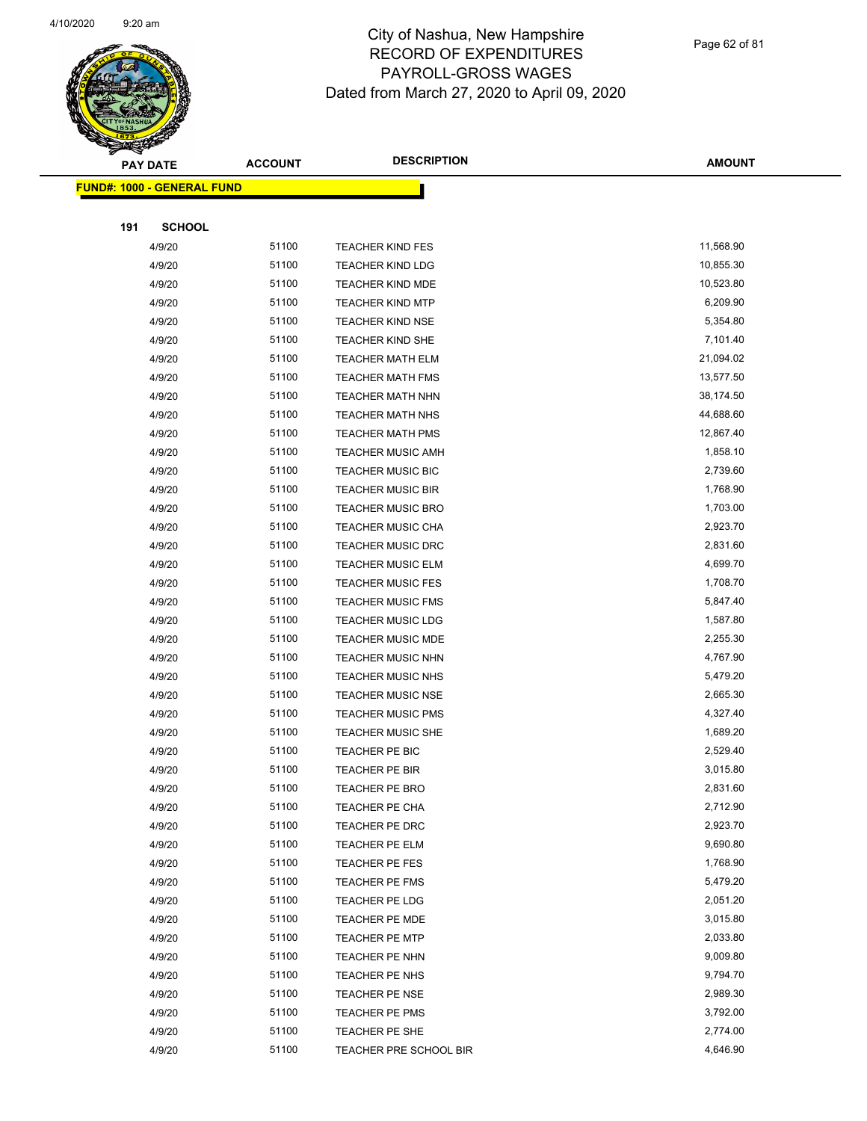

| <b>PAY DATE</b> |                                    | <b>ACCOUNT</b> | <b>DESCRIPTION</b>       | <b>AMOUNT</b> |
|-----------------|------------------------------------|----------------|--------------------------|---------------|
|                 | <u> FUND#: 1000 - GENERAL FUND</u> |                |                          |               |
|                 |                                    |                |                          |               |
| 191             | <b>SCHOOL</b>                      |                |                          |               |
|                 | 4/9/20                             | 51100          | <b>TEACHER KIND FES</b>  | 11,568.90     |
|                 | 4/9/20                             | 51100          | <b>TEACHER KIND LDG</b>  | 10,855.30     |
|                 | 4/9/20                             | 51100          | <b>TEACHER KIND MDE</b>  | 10,523.80     |
|                 | 4/9/20                             | 51100          | <b>TEACHER KIND MTP</b>  | 6,209.90      |
|                 | 4/9/20                             | 51100          | <b>TEACHER KIND NSE</b>  | 5,354.80      |
|                 | 4/9/20                             | 51100          | TEACHER KIND SHE         | 7,101.40      |
|                 | 4/9/20                             | 51100          | <b>TEACHER MATH ELM</b>  | 21,094.02     |
|                 | 4/9/20                             | 51100          | <b>TEACHER MATH FMS</b>  | 13,577.50     |
|                 | 4/9/20                             | 51100          | <b>TEACHER MATH NHN</b>  | 38,174.50     |
|                 | 4/9/20                             | 51100          | <b>TEACHER MATH NHS</b>  | 44,688.60     |
|                 | 4/9/20                             | 51100          | <b>TEACHER MATH PMS</b>  | 12,867.40     |
|                 | 4/9/20                             | 51100          | <b>TEACHER MUSIC AMH</b> | 1,858.10      |
|                 | 4/9/20                             | 51100          | <b>TEACHER MUSIC BIC</b> | 2,739.60      |
|                 | 4/9/20                             | 51100          | <b>TEACHER MUSIC BIR</b> | 1,768.90      |
|                 | 4/9/20                             | 51100          | <b>TEACHER MUSIC BRO</b> | 1,703.00      |
|                 | 4/9/20                             | 51100          | <b>TEACHER MUSIC CHA</b> | 2,923.70      |
|                 | 4/9/20                             | 51100          | <b>TEACHER MUSIC DRC</b> | 2,831.60      |
|                 | 4/9/20                             | 51100          | <b>TEACHER MUSIC ELM</b> | 4,699.70      |
|                 | 4/9/20                             | 51100          | <b>TEACHER MUSIC FES</b> | 1,708.70      |
|                 | 4/9/20                             | 51100          | <b>TEACHER MUSIC FMS</b> | 5,847.40      |
|                 | 4/9/20                             | 51100          | <b>TEACHER MUSIC LDG</b> | 1,587.80      |
|                 | 4/9/20                             | 51100          | <b>TEACHER MUSIC MDE</b> | 2,255.30      |
|                 | 4/9/20                             | 51100          | <b>TEACHER MUSIC NHN</b> | 4,767.90      |
|                 | 4/9/20                             | 51100          | <b>TEACHER MUSIC NHS</b> | 5,479.20      |
|                 | 4/9/20                             | 51100          | <b>TEACHER MUSIC NSE</b> | 2,665.30      |
|                 | 4/9/20                             | 51100          | <b>TEACHER MUSIC PMS</b> | 4,327.40      |
|                 | 4/9/20                             | 51100          | <b>TEACHER MUSIC SHE</b> | 1,689.20      |
|                 | 4/9/20                             | 51100          | TEACHER PE BIC           | 2,529.40      |
|                 | 4/9/20                             | 51100          | <b>TEACHER PE BIR</b>    | 3,015.80      |
|                 | 4/9/20                             | 51100          | <b>TEACHER PE BRO</b>    | 2,831.60      |
|                 | 4/9/20                             | 51100          | <b>TEACHER PE CHA</b>    | 2,712.90      |
|                 | 4/9/20                             | 51100          | TEACHER PE DRC           | 2,923.70      |
|                 | 4/9/20                             | 51100          | TEACHER PE ELM           | 9,690.80      |
|                 | 4/9/20                             | 51100          | TEACHER PE FES           | 1,768.90      |
|                 | 4/9/20                             | 51100          | <b>TEACHER PE FMS</b>    | 5,479.20      |
|                 | 4/9/20                             | 51100          | TEACHER PE LDG           | 2,051.20      |
|                 | 4/9/20                             | 51100          | <b>TEACHER PE MDE</b>    | 3,015.80      |
|                 | 4/9/20                             | 51100          | <b>TEACHER PE MTP</b>    | 2,033.80      |
|                 | 4/9/20                             | 51100          | TEACHER PE NHN           | 9,009.80      |
|                 | 4/9/20                             | 51100          | <b>TEACHER PE NHS</b>    | 9,794.70      |
|                 | 4/9/20                             | 51100          | TEACHER PE NSE           | 2,989.30      |
|                 | 4/9/20                             | 51100          | <b>TEACHER PE PMS</b>    | 3,792.00      |
|                 | 4/9/20                             | 51100          | TEACHER PE SHE           | 2,774.00      |
|                 | 4/9/20                             | 51100          | TEACHER PRE SCHOOL BIR   | 4,646.90      |
|                 |                                    |                |                          |               |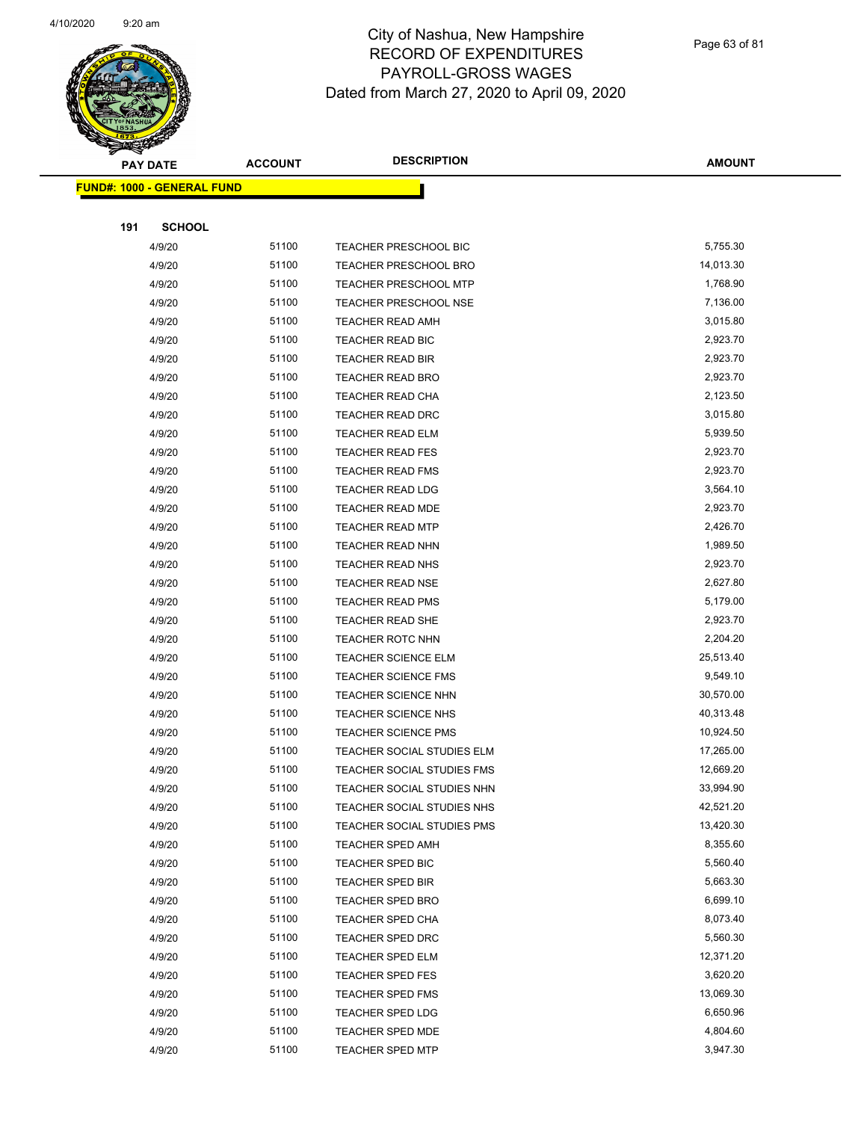

Page 63 of 81

| <b>PAY DATE</b>                   | <b>ACCOUNT</b> | <b>DESCRIPTION</b>           | <b>AMOUNT</b> |
|-----------------------------------|----------------|------------------------------|---------------|
| <b>FUND#: 1000 - GENERAL FUND</b> |                |                              |               |
|                                   |                |                              |               |
| 191<br><b>SCHOOL</b>              |                |                              |               |
| 4/9/20                            | 51100          | TEACHER PRESCHOOL BIC        | 5,755.30      |
| 4/9/20                            | 51100          | <b>TEACHER PRESCHOOL BRO</b> | 14,013.30     |
| 4/9/20                            | 51100          | <b>TEACHER PRESCHOOL MTP</b> | 1,768.90      |
| 4/9/20                            | 51100          | <b>TEACHER PRESCHOOL NSE</b> | 7,136.00      |
| 4/9/20                            | 51100          | <b>TEACHER READ AMH</b>      | 3,015.80      |
| 4/9/20                            | 51100          | TEACHER READ BIC             | 2,923.70      |
| 4/9/20                            | 51100          | <b>TEACHER READ BIR</b>      | 2,923.70      |
| 4/9/20                            | 51100          | TEACHER READ BRO             | 2,923.70      |
| 4/9/20                            | 51100          | TEACHER READ CHA             | 2,123.50      |
| 4/9/20                            | 51100          | TEACHER READ DRC             | 3,015.80      |
| 4/9/20                            | 51100          | TEACHER READ ELM             | 5,939.50      |
| 4/9/20                            | 51100          | <b>TEACHER READ FES</b>      | 2,923.70      |
| 4/9/20                            | 51100          | <b>TEACHER READ FMS</b>      | 2,923.70      |
| 4/9/20                            | 51100          | <b>TEACHER READ LDG</b>      | 3,564.10      |
| 4/9/20                            | 51100          | TEACHER READ MDE             | 2,923.70      |
| 4/9/20                            | 51100          | <b>TEACHER READ MTP</b>      | 2,426.70      |
| 4/9/20                            | 51100          | <b>TEACHER READ NHN</b>      | 1,989.50      |
| 4/9/20                            | 51100          | TEACHER READ NHS             | 2,923.70      |
| 4/9/20                            | 51100          | <b>TEACHER READ NSE</b>      | 2,627.80      |
| 4/9/20                            | 51100          | <b>TEACHER READ PMS</b>      | 5,179.00      |
| 4/9/20                            | 51100          | TEACHER READ SHE             | 2,923.70      |
| 4/9/20                            | 51100          | <b>TEACHER ROTC NHN</b>      | 2,204.20      |
| 4/9/20                            | 51100          | <b>TEACHER SCIENCE ELM</b>   | 25,513.40     |
| 4/9/20                            | 51100          | <b>TEACHER SCIENCE FMS</b>   | 9,549.10      |
| 4/9/20                            | 51100          | TEACHER SCIENCE NHN          | 30,570.00     |
| 4/9/20                            | 51100          | <b>TEACHER SCIENCE NHS</b>   | 40,313.48     |
| 4/9/20                            | 51100          | <b>TEACHER SCIENCE PMS</b>   | 10,924.50     |
| 4/9/20                            | 51100          | TEACHER SOCIAL STUDIES ELM   | 17,265.00     |
| 4/9/20                            | 51100          | TEACHER SOCIAL STUDIES FMS   | 12,669.20     |
| 4/9/20                            | 51100          | TEACHER SOCIAL STUDIES NHN   | 33,994.90     |
| 4/9/20                            | 51100          | TEACHER SOCIAL STUDIES NHS   | 42,521.20     |
| 4/9/20                            | 51100          | TEACHER SOCIAL STUDIES PMS   | 13,420.30     |
| 4/9/20                            | 51100          | <b>TEACHER SPED AMH</b>      | 8,355.60      |
| 4/9/20                            | 51100          | TEACHER SPED BIC             | 5,560.40      |
| 4/9/20                            | 51100          | <b>TEACHER SPED BIR</b>      | 5,663.30      |
| 4/9/20                            | 51100          | <b>TEACHER SPED BRO</b>      | 6,699.10      |
| 4/9/20                            | 51100          | TEACHER SPED CHA             | 8,073.40      |
| 4/9/20                            | 51100          | TEACHER SPED DRC             | 5,560.30      |
| 4/9/20                            | 51100          | <b>TEACHER SPED ELM</b>      | 12,371.20     |
| 4/9/20                            | 51100          | TEACHER SPED FES             | 3,620.20      |
| 4/9/20                            | 51100          | <b>TEACHER SPED FMS</b>      | 13,069.30     |
| 4/9/20                            | 51100          | <b>TEACHER SPED LDG</b>      | 6,650.96      |
| 4/9/20                            | 51100          | <b>TEACHER SPED MDE</b>      | 4,804.60      |
| 4/9/20                            | 51100          | <b>TEACHER SPED MTP</b>      | 3,947.30      |
|                                   |                |                              |               |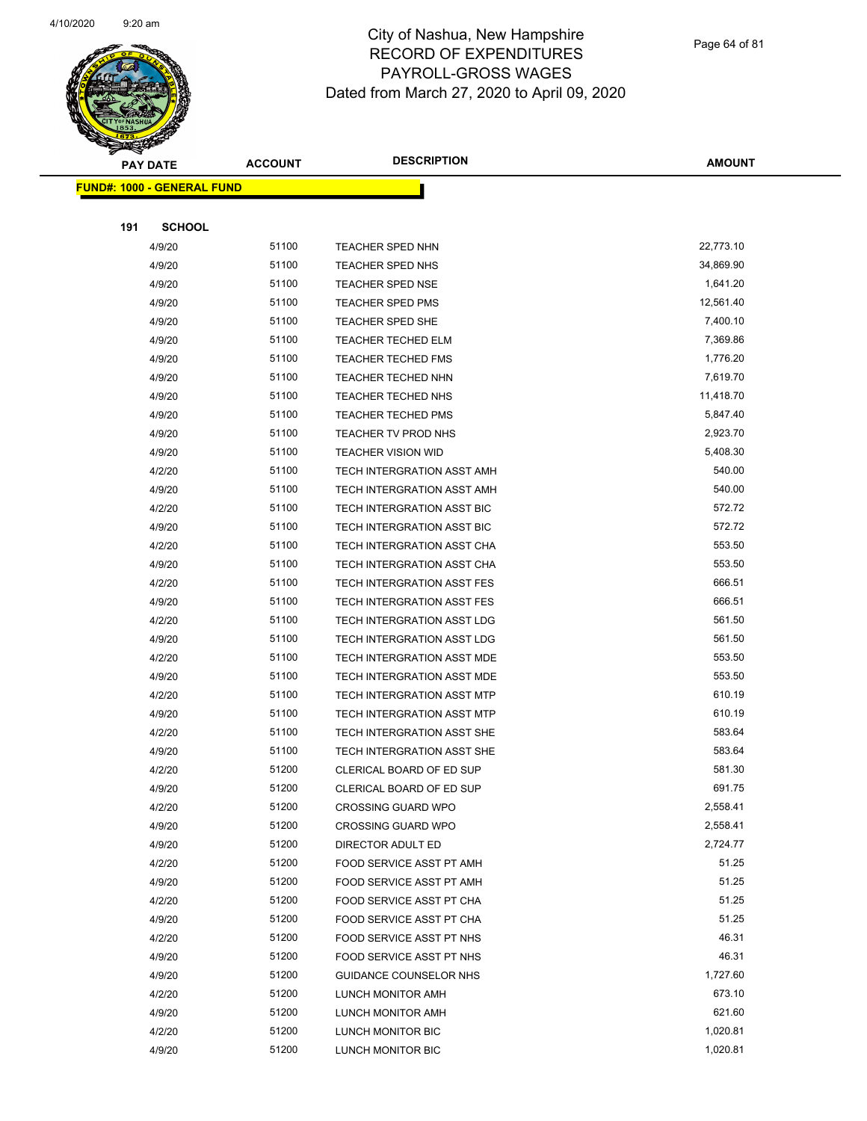

Page 64 of 81

| ☞<br>$\mathcal{A}$ . | <b>PAY DATE</b>                   | <b>ACCOUNT</b> | <b>DESCRIPTION</b>         | <b>AMOUNT</b> |
|----------------------|-----------------------------------|----------------|----------------------------|---------------|
|                      | <b>FUND#: 1000 - GENERAL FUND</b> |                |                            |               |
|                      |                                   |                |                            |               |
| 191                  | <b>SCHOOL</b>                     |                |                            |               |
|                      | 4/9/20                            | 51100          | <b>TEACHER SPED NHN</b>    | 22,773.10     |
|                      | 4/9/20                            | 51100          | <b>TEACHER SPED NHS</b>    | 34,869.90     |
|                      | 4/9/20                            | 51100          | <b>TEACHER SPED NSE</b>    | 1,641.20      |
|                      | 4/9/20                            | 51100          | <b>TEACHER SPED PMS</b>    | 12,561.40     |
|                      | 4/9/20                            | 51100          | <b>TEACHER SPED SHE</b>    | 7,400.10      |
|                      | 4/9/20                            | 51100          | TEACHER TECHED ELM         | 7,369.86      |
|                      | 4/9/20                            | 51100          | <b>TEACHER TECHED FMS</b>  | 1,776.20      |
|                      | 4/9/20                            | 51100          | <b>TEACHER TECHED NHN</b>  | 7,619.70      |
|                      | 4/9/20                            | 51100          | <b>TEACHER TECHED NHS</b>  | 11,418.70     |
|                      | 4/9/20                            | 51100          | <b>TEACHER TECHED PMS</b>  | 5,847.40      |
|                      | 4/9/20                            | 51100          | <b>TEACHER TV PROD NHS</b> | 2,923.70      |
|                      | 4/9/20                            | 51100          | <b>TEACHER VISION WID</b>  | 5,408.30      |
|                      | 4/2/20                            | 51100          | TECH INTERGRATION ASST AMH | 540.00        |
|                      | 4/9/20                            | 51100          | TECH INTERGRATION ASST AMH | 540.00        |
|                      | 4/2/20                            | 51100          | TECH INTERGRATION ASST BIC | 572.72        |
|                      | 4/9/20                            | 51100          | TECH INTERGRATION ASST BIC | 572.72        |
|                      | 4/2/20                            | 51100          | TECH INTERGRATION ASST CHA | 553.50        |
|                      | 4/9/20                            | 51100          | TECH INTERGRATION ASST CHA | 553.50        |
|                      | 4/2/20                            | 51100          | TECH INTERGRATION ASST FES | 666.51        |
|                      | 4/9/20                            | 51100          | TECH INTERGRATION ASST FES | 666.51        |
|                      | 4/2/20                            | 51100          | TECH INTERGRATION ASST LDG | 561.50        |
|                      | 4/9/20                            | 51100          | TECH INTERGRATION ASST LDG | 561.50        |
|                      | 4/2/20                            | 51100          | TECH INTERGRATION ASST MDE | 553.50        |
|                      | 4/9/20                            | 51100          | TECH INTERGRATION ASST MDE | 553.50        |
|                      | 4/2/20                            | 51100          | TECH INTERGRATION ASST MTP | 610.19        |
|                      | 4/9/20                            | 51100          | TECH INTERGRATION ASST MTP | 610.19        |
|                      | 4/2/20                            | 51100          | TECH INTERGRATION ASST SHE | 583.64        |
|                      | 4/9/20                            | 51100          | TECH INTERGRATION ASST SHE | 583.64        |
|                      | 4/2/20                            | 51200          | CLERICAL BOARD OF ED SUP   | 581.30        |
|                      | 4/9/20                            | 51200          | CLERICAL BOARD OF ED SUP   | 691.75        |
|                      | 4/2/20                            | 51200          | <b>CROSSING GUARD WPO</b>  | 2,558.41      |
|                      | 4/9/20                            | 51200          | <b>CROSSING GUARD WPO</b>  | 2,558.41      |
|                      | 4/9/20                            | 51200          | DIRECTOR ADULT ED          | 2,724.77      |
|                      | 4/2/20                            | 51200          | FOOD SERVICE ASST PT AMH   | 51.25         |
|                      | 4/9/20                            | 51200          | FOOD SERVICE ASST PT AMH   | 51.25         |
|                      | 4/2/20                            | 51200          | FOOD SERVICE ASST PT CHA   | 51.25         |
|                      | 4/9/20                            | 51200          | FOOD SERVICE ASST PT CHA   | 51.25         |
|                      | 4/2/20                            | 51200          | FOOD SERVICE ASST PT NHS   | 46.31         |
|                      | 4/9/20                            | 51200          | FOOD SERVICE ASST PT NHS   | 46.31         |
|                      | 4/9/20                            | 51200          | GUIDANCE COUNSELOR NHS     | 1,727.60      |
|                      | 4/2/20                            | 51200          | LUNCH MONITOR AMH          | 673.10        |
|                      | 4/9/20                            | 51200          | LUNCH MONITOR AMH          | 621.60        |
|                      | 4/2/20                            | 51200          | LUNCH MONITOR BIC          | 1,020.81      |
|                      | 4/9/20                            | 51200          | LUNCH MONITOR BIC          | 1,020.81      |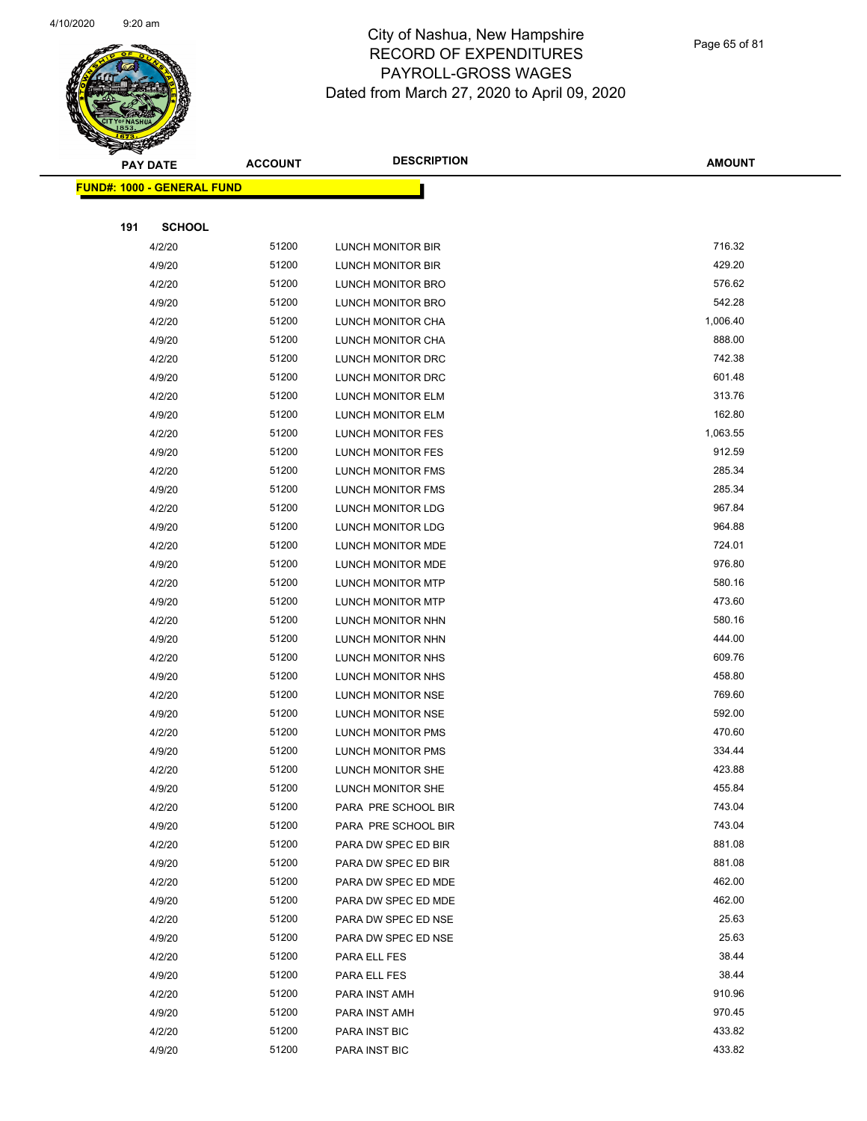

Page 65 of 81

|     | <b>PAY DATE</b>                   | <b>ACCOUNT</b> | <b>DESCRIPTION</b>       | <b>AMOUNT</b> |
|-----|-----------------------------------|----------------|--------------------------|---------------|
|     | <b>FUND#: 1000 - GENERAL FUND</b> |                |                          |               |
|     |                                   |                |                          |               |
| 191 | <b>SCHOOL</b>                     |                |                          |               |
|     | 4/2/20                            | 51200          | LUNCH MONITOR BIR        | 716.32        |
|     | 4/9/20                            | 51200          | LUNCH MONITOR BIR        | 429.20        |
|     | 4/2/20                            | 51200          | LUNCH MONITOR BRO        | 576.62        |
|     | 4/9/20                            | 51200          | LUNCH MONITOR BRO        | 542.28        |
|     | 4/2/20                            | 51200          | LUNCH MONITOR CHA        | 1,006.40      |
|     | 4/9/20                            | 51200          | LUNCH MONITOR CHA        | 888.00        |
|     | 4/2/20                            | 51200          | LUNCH MONITOR DRC        | 742.38        |
|     | 4/9/20                            | 51200          | LUNCH MONITOR DRC        | 601.48        |
|     | 4/2/20                            | 51200          | LUNCH MONITOR ELM        | 313.76        |
|     | 4/9/20                            | 51200          | LUNCH MONITOR ELM        | 162.80        |
|     | 4/2/20                            | 51200          | LUNCH MONITOR FES        | 1,063.55      |
|     | 4/9/20                            | 51200          | <b>LUNCH MONITOR FES</b> | 912.59        |
|     | 4/2/20                            | 51200          | <b>LUNCH MONITOR FMS</b> | 285.34        |
|     | 4/9/20                            | 51200          | <b>LUNCH MONITOR FMS</b> | 285.34        |
|     | 4/2/20                            | 51200          | <b>LUNCH MONITOR LDG</b> | 967.84        |
|     | 4/9/20                            | 51200          | LUNCH MONITOR LDG        | 964.88        |
|     | 4/2/20                            | 51200          | LUNCH MONITOR MDE        | 724.01        |
|     | 4/9/20                            | 51200          | LUNCH MONITOR MDE        | 976.80        |
|     | 4/2/20                            | 51200          | LUNCH MONITOR MTP        | 580.16        |
|     | 4/9/20                            | 51200          | LUNCH MONITOR MTP        | 473.60        |
|     | 4/2/20                            | 51200          | LUNCH MONITOR NHN        | 580.16        |
|     | 4/9/20                            | 51200          | LUNCH MONITOR NHN        | 444.00        |
|     | 4/2/20                            | 51200          | LUNCH MONITOR NHS        | 609.76        |
|     | 4/9/20                            | 51200          | LUNCH MONITOR NHS        | 458.80        |
|     | 4/2/20                            | 51200          | LUNCH MONITOR NSE        | 769.60        |
|     | 4/9/20                            | 51200          | LUNCH MONITOR NSE        | 592.00        |
|     | 4/2/20                            | 51200          | LUNCH MONITOR PMS        | 470.60        |
|     | 4/9/20                            | 51200          | LUNCH MONITOR PMS        | 334.44        |
|     | 4/2/20                            | 51200          | LUNCH MONITOR SHE        | 423.88        |
|     | 4/9/20                            | 51200          | LUNCH MONITOR SHE        | 455.84        |
|     | 4/2/20                            | 51200          | PARA PRE SCHOOL BIR      | 743.04        |
|     | 4/9/20                            | 51200          | PARA PRE SCHOOL BIR      | 743.04        |
|     | 4/2/20                            | 51200          | PARA DW SPEC ED BIR      | 881.08        |
|     | 4/9/20                            | 51200          | PARA DW SPEC ED BIR      | 881.08        |
|     | 4/2/20                            | 51200          | PARA DW SPEC ED MDE      | 462.00        |
|     | 4/9/20                            | 51200          | PARA DW SPEC ED MDE      | 462.00        |
|     | 4/2/20                            | 51200          | PARA DW SPEC ED NSE      | 25.63         |
|     | 4/9/20                            | 51200          | PARA DW SPEC ED NSE      | 25.63         |
|     | 4/2/20                            | 51200          | PARA ELL FES             | 38.44         |
|     | 4/9/20                            | 51200          | PARA ELL FES             | 38.44         |
|     | 4/2/20                            | 51200          | PARA INST AMH            | 910.96        |
|     | 4/9/20                            | 51200          | PARA INST AMH            | 970.45        |
|     | 4/2/20                            | 51200          | PARA INST BIC            | 433.82        |
|     | 4/9/20                            | 51200          | PARA INST BIC            | 433.82        |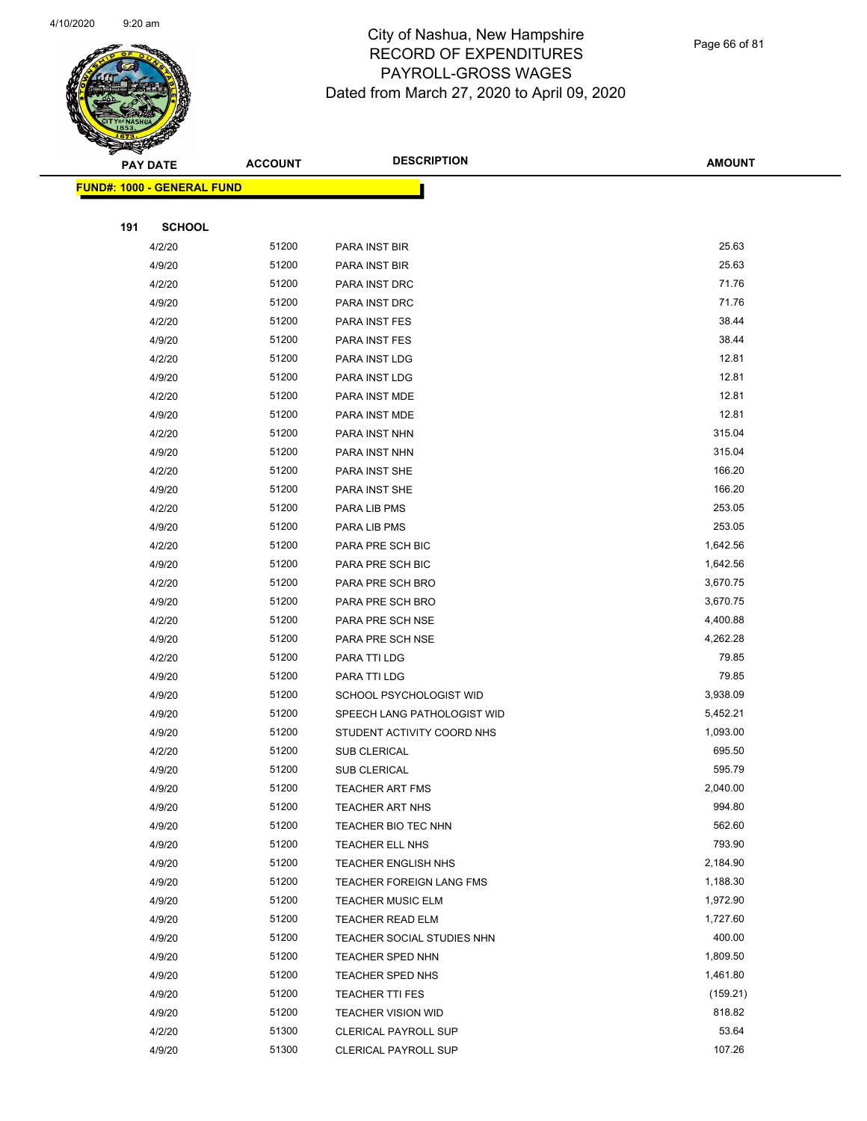

Page 66 of 81

|     | <b>PAY DATE</b>                    | <b>ACCOUNT</b> | <b>DESCRIPTION</b>          | <b>AMOUNT</b> |  |
|-----|------------------------------------|----------------|-----------------------------|---------------|--|
|     | <u> FUND#: 1000 - GENERAL FUND</u> |                |                             |               |  |
|     |                                    |                |                             |               |  |
| 191 | <b>SCHOOL</b>                      |                |                             |               |  |
|     | 4/2/20                             | 51200          | PARA INST BIR               | 25.63         |  |
|     | 4/9/20                             | 51200          | PARA INST BIR               | 25.63         |  |
|     | 4/2/20                             | 51200          | PARA INST DRC               | 71.76         |  |
|     | 4/9/20                             | 51200          | PARA INST DRC               | 71.76         |  |
|     | 4/2/20                             | 51200          | PARA INST FES               | 38.44         |  |
|     | 4/9/20                             | 51200          | PARA INST FES               | 38.44         |  |
|     | 4/2/20                             | 51200          | PARA INST LDG               | 12.81         |  |
|     | 4/9/20                             | 51200          | PARA INST LDG               | 12.81         |  |
|     | 4/2/20                             | 51200          | PARA INST MDE               | 12.81         |  |
|     | 4/9/20                             | 51200          | PARA INST MDE               | 12.81         |  |
|     | 4/2/20                             | 51200          | PARA INST NHN               | 315.04        |  |
|     | 4/9/20                             | 51200          | PARA INST NHN               | 315.04        |  |
|     | 4/2/20                             | 51200          | PARA INST SHE               | 166.20        |  |
|     | 4/9/20                             | 51200          | PARA INST SHE               | 166.20        |  |
|     | 4/2/20                             | 51200          | PARA LIB PMS                | 253.05        |  |
|     | 4/9/20                             | 51200          | PARA LIB PMS                | 253.05        |  |
|     | 4/2/20                             | 51200          | PARA PRE SCH BIC            | 1,642.56      |  |
|     | 4/9/20                             | 51200          | PARA PRE SCH BIC            | 1,642.56      |  |
|     | 4/2/20                             | 51200          | PARA PRE SCH BRO            | 3,670.75      |  |
|     | 4/9/20                             | 51200          | PARA PRE SCH BRO            | 3,670.75      |  |
|     | 4/2/20                             | 51200          | PARA PRE SCH NSE            | 4,400.88      |  |
|     | 4/9/20                             | 51200          | PARA PRE SCH NSE            | 4,262.28      |  |
|     | 4/2/20                             | 51200          | PARA TTI LDG                | 79.85         |  |
|     | 4/9/20                             | 51200          | PARA TTI LDG                | 79.85         |  |
|     | 4/9/20                             | 51200          | SCHOOL PSYCHOLOGIST WID     | 3,938.09      |  |
|     | 4/9/20                             | 51200          | SPEECH LANG PATHOLOGIST WID | 5,452.21      |  |
|     | 4/9/20                             | 51200          | STUDENT ACTIVITY COORD NHS  | 1,093.00      |  |
|     | 4/2/20                             | 51200          | <b>SUB CLERICAL</b>         | 695.50        |  |
|     | 4/9/20                             | 51200          | <b>SUB CLERICAL</b>         | 595.79        |  |
|     | 4/9/20                             | 51200          | <b>TEACHER ART FMS</b>      | 2,040.00      |  |
|     | 4/9/20                             | 51200          | <b>TEACHER ART NHS</b>      | 994.80        |  |
|     | 4/9/20                             | 51200          | TEACHER BIO TEC NHN         | 562.60        |  |
|     | 4/9/20                             | 51200          | TEACHER ELL NHS             | 793.90        |  |
|     | 4/9/20                             | 51200          | <b>TEACHER ENGLISH NHS</b>  | 2,184.90      |  |
|     | 4/9/20                             | 51200          | TEACHER FOREIGN LANG FMS    | 1,188.30      |  |
|     | 4/9/20                             | 51200          | <b>TEACHER MUSIC ELM</b>    | 1,972.90      |  |
|     | 4/9/20                             | 51200          | <b>TEACHER READ ELM</b>     | 1,727.60      |  |
|     | 4/9/20                             | 51200          | TEACHER SOCIAL STUDIES NHN  | 400.00        |  |
|     | 4/9/20                             | 51200          | <b>TEACHER SPED NHN</b>     | 1,809.50      |  |
|     | 4/9/20                             | 51200          | TEACHER SPED NHS            | 1,461.80      |  |
|     | 4/9/20                             | 51200          | <b>TEACHER TTI FES</b>      | (159.21)      |  |
|     | 4/9/20                             | 51200          | <b>TEACHER VISION WID</b>   | 818.82        |  |
|     | 4/2/20                             | 51300          | <b>CLERICAL PAYROLL SUP</b> | 53.64         |  |
|     | 4/9/20                             | 51300          | <b>CLERICAL PAYROLL SUP</b> | 107.26        |  |
|     |                                    |                |                             |               |  |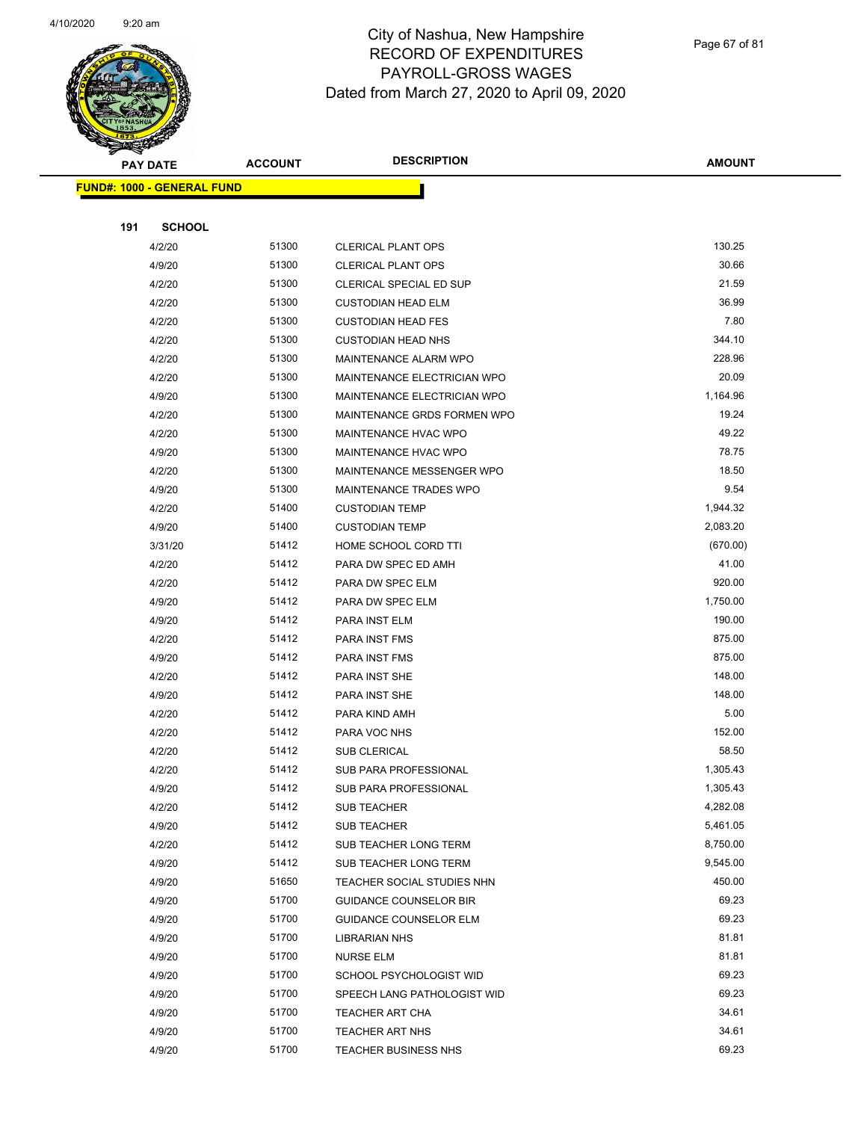

Page 67 of 81

| <b>PAY DATE</b> |                                   | <b>ACCOUNT</b> | <b>DESCRIPTION</b>            | <b>AMOUNT</b>        |
|-----------------|-----------------------------------|----------------|-------------------------------|----------------------|
|                 | <b>FUND#: 1000 - GENERAL FUND</b> |                |                               |                      |
|                 |                                   |                |                               |                      |
| 191             | <b>SCHOOL</b>                     |                |                               |                      |
|                 | 4/2/20                            | 51300          | <b>CLERICAL PLANT OPS</b>     | 130.25               |
|                 | 4/9/20                            | 51300          | <b>CLERICAL PLANT OPS</b>     | 30.66                |
|                 | 4/2/20                            | 51300          | CLERICAL SPECIAL ED SUP       | 21.59                |
|                 | 4/2/20                            | 51300          | <b>CUSTODIAN HEAD ELM</b>     | 36.99                |
|                 | 4/2/20                            | 51300          | <b>CUSTODIAN HEAD FES</b>     | 7.80                 |
|                 | 4/2/20                            | 51300          | <b>CUSTODIAN HEAD NHS</b>     | 344.10               |
|                 | 4/2/20                            | 51300          | MAINTENANCE ALARM WPO         | 228.96               |
|                 | 4/2/20                            | 51300          | MAINTENANCE ELECTRICIAN WPO   | 20.09                |
|                 | 4/9/20                            | 51300          | MAINTENANCE ELECTRICIAN WPO   | 1,164.96             |
|                 | 4/2/20                            | 51300          | MAINTENANCE GRDS FORMEN WPO   | 19.24                |
|                 | 4/2/20                            | 51300          | MAINTENANCE HVAC WPO          | 49.22                |
|                 | 4/9/20                            | 51300          | MAINTENANCE HVAC WPO          | 78.75                |
|                 | 4/2/20                            | 51300          | MAINTENANCE MESSENGER WPO     | 18.50                |
|                 | 4/9/20                            | 51300          | MAINTENANCE TRADES WPO        | 9.54                 |
|                 | 4/2/20                            | 51400          | <b>CUSTODIAN TEMP</b>         | 1,944.32             |
|                 | 4/9/20                            | 51400          | <b>CUSTODIAN TEMP</b>         | 2,083.20             |
|                 | 3/31/20                           | 51412          | HOME SCHOOL CORD TTI          | (670.00)             |
|                 | 4/2/20                            | 51412          | PARA DW SPEC ED AMH           | 41.00                |
|                 | 4/2/20                            | 51412          | PARA DW SPEC ELM              | 920.00               |
|                 | 4/9/20                            | 51412          | PARA DW SPEC ELM              | 1,750.00             |
|                 | 4/9/20                            | 51412          | PARA INST ELM                 | 190.00               |
|                 | 4/2/20                            | 51412          | PARA INST FMS                 | 875.00               |
|                 | 4/9/20                            | 51412          | PARA INST FMS                 | 875.00               |
|                 | 4/2/20                            | 51412          | PARA INST SHE                 | 148.00               |
|                 | 4/9/20                            | 51412          | PARA INST SHE                 | 148.00               |
|                 | 4/2/20                            | 51412          | PARA KIND AMH                 | 5.00                 |
|                 | 4/2/20                            | 51412          | PARA VOC NHS                  | 152.00               |
|                 | 4/2/20                            | 51412          | SUB CLERICAL                  | 58.50                |
|                 | 4/2/20                            | 51412          | <b>SUB PARA PROFESSIONAL</b>  | 1,305.43<br>1,305.43 |
|                 | 4/9/20                            | 51412<br>51412 | <b>SUB PARA PROFESSIONAL</b>  | 4,282.08             |
|                 | 4/2/20<br>4/9/20                  | 51412          | SUB TEACHER<br>SUB TEACHER    | 5,461.05             |
|                 | 4/2/20                            | 51412          | SUB TEACHER LONG TERM         | 8,750.00             |
|                 | 4/9/20                            | 51412          | SUB TEACHER LONG TERM         | 9,545.00             |
|                 | 4/9/20                            | 51650          | TEACHER SOCIAL STUDIES NHN    | 450.00               |
|                 | 4/9/20                            | 51700          | <b>GUIDANCE COUNSELOR BIR</b> | 69.23                |
|                 | 4/9/20                            | 51700          | <b>GUIDANCE COUNSELOR ELM</b> | 69.23                |
|                 | 4/9/20                            | 51700          | LIBRARIAN NHS                 | 81.81                |
|                 | 4/9/20                            | 51700          | <b>NURSE ELM</b>              | 81.81                |
|                 | 4/9/20                            | 51700          | SCHOOL PSYCHOLOGIST WID       | 69.23                |
|                 | 4/9/20                            | 51700          | SPEECH LANG PATHOLOGIST WID   | 69.23                |
|                 | 4/9/20                            | 51700          | TEACHER ART CHA               | 34.61                |
|                 | 4/9/20                            | 51700          | TEACHER ART NHS               | 34.61                |
|                 | 4/9/20                            | 51700          | <b>TEACHER BUSINESS NHS</b>   | 69.23                |
|                 |                                   |                |                               |                      |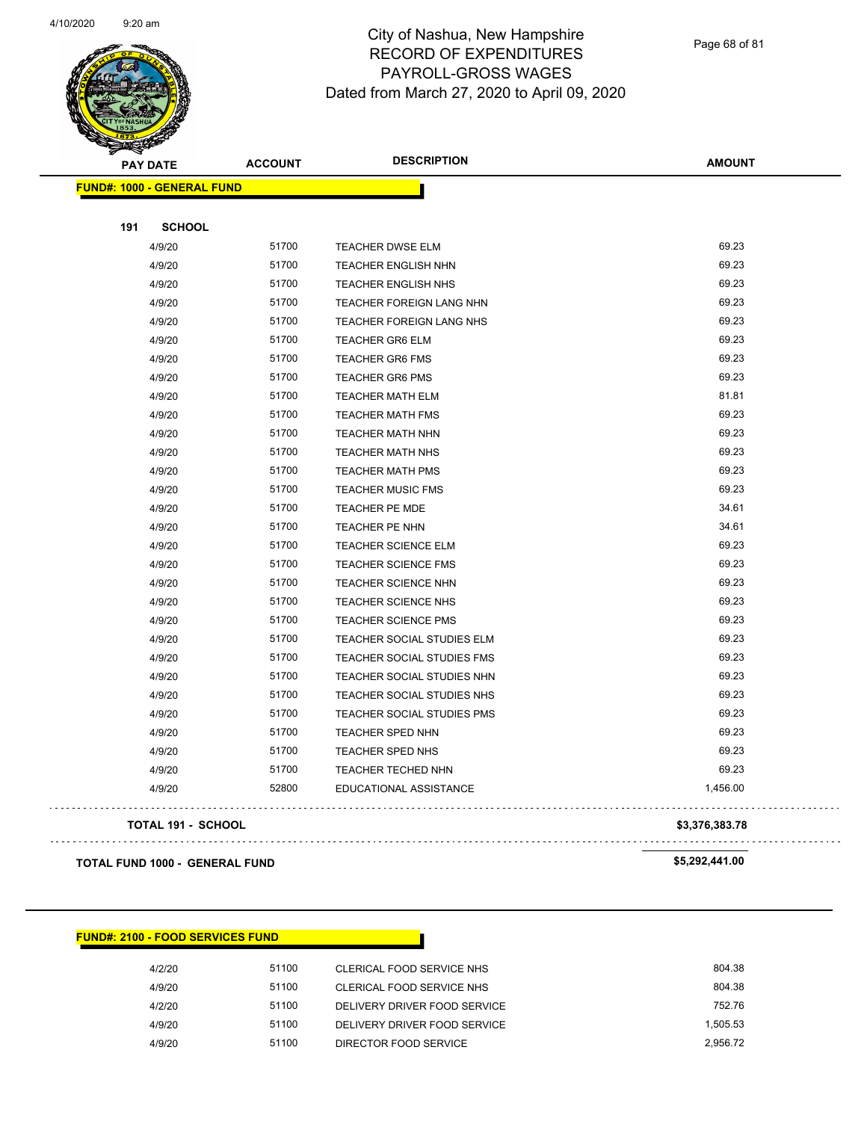

Page 68 of 81

| <b>PAY DATE</b>                   | <b>ACCOUNT</b> | <b>DESCRIPTION</b>              | <b>AMOUNT</b> |
|-----------------------------------|----------------|---------------------------------|---------------|
| <b>FUND#: 1000 - GENERAL FUND</b> |                |                                 |               |
|                                   |                |                                 |               |
| <b>SCHOOL</b><br>191              |                |                                 |               |
| 4/9/20                            | 51700          | TEACHER DWSE ELM                | 69.23         |
| 4/9/20                            | 51700          | <b>TEACHER ENGLISH NHN</b>      | 69.23         |
| 4/9/20                            | 51700          | TEACHER ENGLISH NHS             | 69.23         |
| 4/9/20                            | 51700          | <b>TEACHER FOREIGN LANG NHN</b> | 69.23         |
| 4/9/20                            | 51700          | <b>TEACHER FOREIGN LANG NHS</b> | 69.23         |
| 4/9/20                            | 51700          | <b>TEACHER GR6 ELM</b>          | 69.23         |
| 4/9/20                            | 51700          | <b>TEACHER GR6 FMS</b>          | 69.23         |
| 4/9/20                            | 51700          | <b>TEACHER GR6 PMS</b>          | 69.23         |
| 4/9/20                            | 51700          | <b>TEACHER MATH ELM</b>         | 81.81         |
| 4/9/20                            | 51700          | <b>TEACHER MATH FMS</b>         | 69.23         |
| 4/9/20                            | 51700          | <b>TEACHER MATH NHN</b>         | 69.23         |
| 4/9/20                            | 51700          | <b>TEACHER MATH NHS</b>         | 69.23         |
| 4/9/20                            | 51700          | <b>TEACHER MATH PMS</b>         | 69.23         |
| 4/9/20                            | 51700          | <b>TEACHER MUSIC FMS</b>        | 69.23         |
| 4/9/20                            | 51700          | TEACHER PE MDE                  | 34.61         |
| 4/9/20                            | 51700          | TEACHER PE NHN                  | 34.61         |
| 4/9/20                            | 51700          | TEACHER SCIENCE ELM             | 69.23         |
| 4/9/20                            | 51700          | <b>TEACHER SCIENCE FMS</b>      | 69.23         |
| 4/9/20                            | 51700          | TEACHER SCIENCE NHN             | 69.23         |
| 4/9/20                            | 51700          | TEACHER SCIENCE NHS             | 69.23         |
| 4/9/20                            | 51700          | <b>TEACHER SCIENCE PMS</b>      | 69.23         |
| 4/9/20                            | 51700          | TEACHER SOCIAL STUDIES ELM      | 69.23         |
| 4/9/20                            | 51700          | TEACHER SOCIAL STUDIES FMS      | 69.23         |
| 4/9/20                            | 51700          | TEACHER SOCIAL STUDIES NHN      | 69.23         |
| 4/9/20                            | 51700          | TEACHER SOCIAL STUDIES NHS      | 69.23         |
| 4/9/20                            | 51700          | TEACHER SOCIAL STUDIES PMS      | 69.23         |
| 4/9/20                            | 51700          | <b>TEACHER SPED NHN</b>         | 69.23         |
| 4/9/20                            | 51700          | TEACHER SPED NHS                | 69.23         |
| 4/9/20                            | 51700          | TEACHER TECHED NHN              | 69.23         |
| 4/9/20                            | 52800          | EDUCATIONAL ASSISTANCE          | 1,456.00      |
|                                   |                |                                 |               |

#### **TOTAL 191 - SCHOOL \$3,376,383.78**

 $\mathbb{R}^2$ 

. . . . . . . . . . . . . . . .

**TOTAL FUND 1000 - GENERAL FUND \$5,292,441.00** 

#### **FUND#: 2100 - FOOD SERVICES FUND**

| 4/2/20 | 51100 | CLERICAL FOOD SERVICE NHS    | 804.38   |
|--------|-------|------------------------------|----------|
| 4/9/20 | 51100 | CLERICAL FOOD SERVICE NHS    | 804.38   |
| 4/2/20 | 51100 | DELIVERY DRIVER FOOD SERVICE | 752.76   |
| 4/9/20 | 51100 | DELIVERY DRIVER FOOD SERVICE | 1.505.53 |
| 4/9/20 | 51100 | DIRECTOR FOOD SERVICE        | 2.956.72 |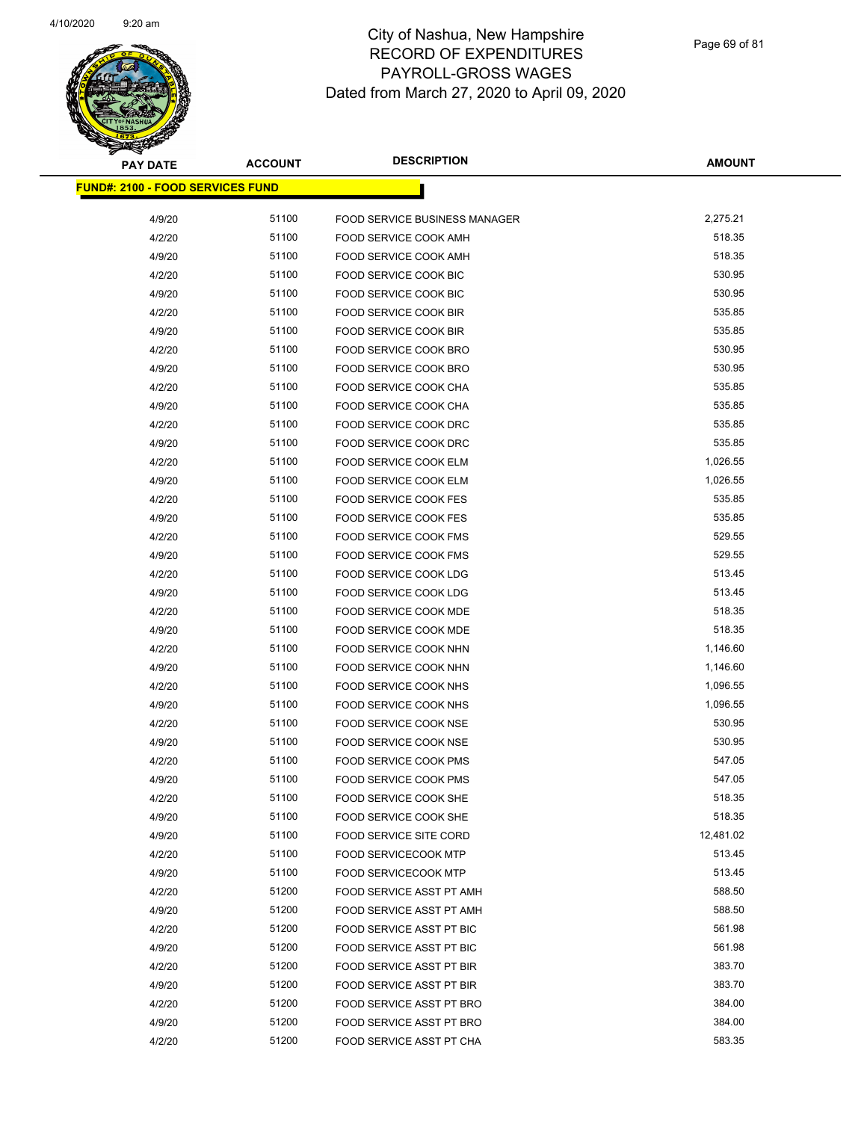

| <b>PAY DATE</b>                         | <b>ACCOUNT</b> | <b>DESCRIPTION</b>                   | AMOUNT    |
|-----------------------------------------|----------------|--------------------------------------|-----------|
| <b>FUND#: 2100 - FOOD SERVICES FUND</b> |                |                                      |           |
| 4/9/20                                  | 51100          | <b>FOOD SERVICE BUSINESS MANAGER</b> | 2,275.21  |
| 4/2/20                                  | 51100          | FOOD SERVICE COOK AMH                | 518.35    |
| 4/9/20                                  | 51100          | FOOD SERVICE COOK AMH                | 518.35    |
| 4/2/20                                  | 51100          | FOOD SERVICE COOK BIC                | 530.95    |
| 4/9/20                                  | 51100          | FOOD SERVICE COOK BIC                | 530.95    |
| 4/2/20                                  | 51100          | FOOD SERVICE COOK BIR                | 535.85    |
| 4/9/20                                  | 51100          | FOOD SERVICE COOK BIR                | 535.85    |
| 4/2/20                                  | 51100          | FOOD SERVICE COOK BRO                | 530.95    |
| 4/9/20                                  | 51100          | FOOD SERVICE COOK BRO                | 530.95    |
| 4/2/20                                  | 51100          | FOOD SERVICE COOK CHA                | 535.85    |
| 4/9/20                                  | 51100          | FOOD SERVICE COOK CHA                | 535.85    |
| 4/2/20                                  | 51100          | FOOD SERVICE COOK DRC                | 535.85    |
| 4/9/20                                  | 51100          | <b>FOOD SERVICE COOK DRC</b>         | 535.85    |
| 4/2/20                                  | 51100          | FOOD SERVICE COOK ELM                | 1,026.55  |
| 4/9/20                                  | 51100          | FOOD SERVICE COOK ELM                | 1,026.55  |
| 4/2/20                                  | 51100          | FOOD SERVICE COOK FES                | 535.85    |
| 4/9/20                                  | 51100          | FOOD SERVICE COOK FES                | 535.85    |
| 4/2/20                                  | 51100          | <b>FOOD SERVICE COOK FMS</b>         | 529.55    |
| 4/9/20                                  | 51100          | FOOD SERVICE COOK FMS                | 529.55    |
| 4/2/20                                  | 51100          | FOOD SERVICE COOK LDG                | 513.45    |
| 4/9/20                                  | 51100          | FOOD SERVICE COOK LDG                | 513.45    |
| 4/2/20                                  | 51100          | FOOD SERVICE COOK MDE                | 518.35    |
| 4/9/20                                  | 51100          | FOOD SERVICE COOK MDE                | 518.35    |
| 4/2/20                                  | 51100          | FOOD SERVICE COOK NHN                | 1,146.60  |
| 4/9/20                                  | 51100          | FOOD SERVICE COOK NHN                | 1,146.60  |
| 4/2/20                                  | 51100          | FOOD SERVICE COOK NHS                | 1,096.55  |
| 4/9/20                                  | 51100          | FOOD SERVICE COOK NHS                | 1,096.55  |
| 4/2/20                                  | 51100          | <b>FOOD SERVICE COOK NSE</b>         | 530.95    |
| 4/9/20                                  | 51100          | FOOD SERVICE COOK NSE                | 530.95    |
| 4/2/20                                  | 51100          | <b>FOOD SERVICE COOK PMS</b>         | 547.05    |
| 4/9/20                                  | 51100          | <b>FOOD SERVICE COOK PMS</b>         | 547.05    |
| 4/2/20                                  | 51100          | FOOD SERVICE COOK SHE                | 518.35    |
| 4/9/20                                  | 51100          | FOOD SERVICE COOK SHE                | 518.35    |
| 4/9/20                                  | 51100          | <b>FOOD SERVICE SITE CORD</b>        | 12,481.02 |
| 4/2/20                                  | 51100          | <b>FOOD SERVICECOOK MTP</b>          | 513.45    |
| 4/9/20                                  | 51100          | <b>FOOD SERVICECOOK MTP</b>          | 513.45    |
| 4/2/20                                  | 51200          | FOOD SERVICE ASST PT AMH             | 588.50    |
| 4/9/20                                  | 51200          | FOOD SERVICE ASST PT AMH             | 588.50    |
| 4/2/20                                  | 51200          | FOOD SERVICE ASST PT BIC             | 561.98    |
| 4/9/20                                  | 51200          | FOOD SERVICE ASST PT BIC             | 561.98    |
| 4/2/20                                  | 51200          | FOOD SERVICE ASST PT BIR             | 383.70    |
| 4/9/20                                  | 51200          | FOOD SERVICE ASST PT BIR             | 383.70    |
| 4/2/20                                  | 51200          | FOOD SERVICE ASST PT BRO             | 384.00    |
| 4/9/20                                  | 51200          | FOOD SERVICE ASST PT BRO             | 384.00    |
| 4/2/20                                  | 51200          | FOOD SERVICE ASST PT CHA             | 583.35    |
|                                         |                |                                      |           |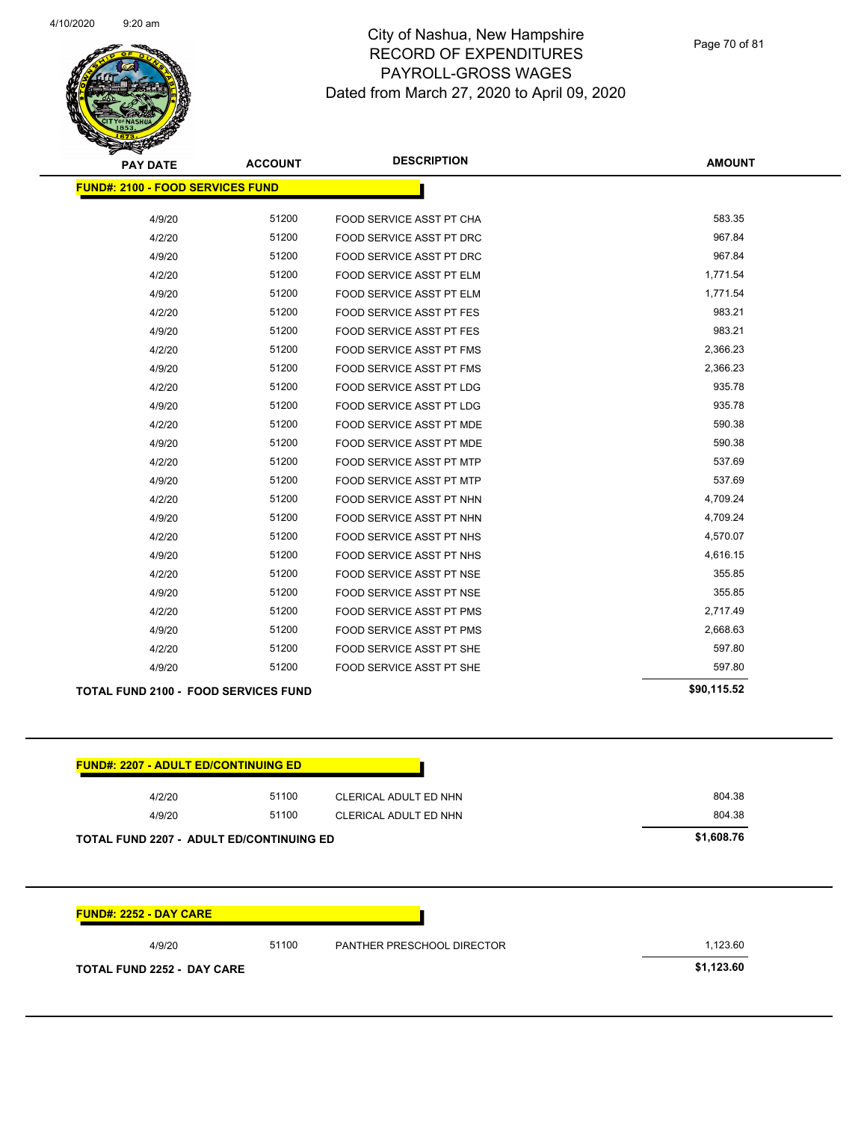

Page 70 of 81

| <b>PAY DATE</b>                             | <b>ACCOUNT</b> | <b>DESCRIPTION</b>              | <b>AMOUNT</b> |
|---------------------------------------------|----------------|---------------------------------|---------------|
| <b>FUND#: 2100 - FOOD SERVICES FUND</b>     |                |                                 |               |
|                                             |                |                                 | 583.35        |
| 4/9/20                                      | 51200          | FOOD SERVICE ASST PT CHA        | 967.84        |
| 4/2/20                                      | 51200          | FOOD SERVICE ASST PT DRC        |               |
| 4/9/20                                      | 51200          | FOOD SERVICE ASST PT DRC        | 967.84        |
| 4/2/20                                      | 51200          | FOOD SERVICE ASST PT ELM        | 1,771.54      |
| 4/9/20                                      | 51200          | <b>FOOD SERVICE ASST PT ELM</b> | 1,771.54      |
| 4/2/20                                      | 51200          | FOOD SERVICE ASST PT FES        | 983.21        |
| 4/9/20                                      | 51200          | FOOD SERVICE ASST PT FES        | 983.21        |
| 4/2/20                                      | 51200          | <b>FOOD SERVICE ASST PT FMS</b> | 2,366.23      |
| 4/9/20                                      | 51200          | <b>FOOD SERVICE ASST PT FMS</b> | 2,366.23      |
| 4/2/20                                      | 51200          | FOOD SERVICE ASST PT LDG        | 935.78        |
| 4/9/20                                      | 51200          | <b>FOOD SERVICE ASST PT LDG</b> | 935.78        |
| 4/2/20                                      | 51200          | <b>FOOD SERVICE ASST PT MDE</b> | 590.38        |
| 4/9/20                                      | 51200          | FOOD SERVICE ASST PT MDE        | 590.38        |
| 4/2/20                                      | 51200          | <b>FOOD SERVICE ASST PT MTP</b> | 537.69        |
| 4/9/20                                      | 51200          | <b>FOOD SERVICE ASST PT MTP</b> | 537.69        |
| 4/2/20                                      | 51200          | FOOD SERVICE ASST PT NHN        | 4,709.24      |
| 4/9/20                                      | 51200          | FOOD SERVICE ASST PT NHN        | 4,709.24      |
| 4/2/20                                      | 51200          | <b>FOOD SERVICE ASST PT NHS</b> | 4,570.07      |
| 4/9/20                                      | 51200          | FOOD SERVICE ASST PT NHS        | 4,616.15      |
| 4/2/20                                      | 51200          | FOOD SERVICE ASST PT NSE        | 355.85        |
| 4/9/20                                      | 51200          | <b>FOOD SERVICE ASST PT NSE</b> | 355.85        |
| 4/2/20                                      | 51200          | FOOD SERVICE ASST PT PMS        | 2,717.49      |
| 4/9/20                                      | 51200          | <b>FOOD SERVICE ASST PT PMS</b> | 2,668.63      |
| 4/2/20                                      | 51200          | FOOD SERVICE ASST PT SHE        | 597.80        |
| 4/9/20                                      | 51200          | FOOD SERVICE ASST PT SHE        | 597.80        |
| <b>TOTAL FUND 2100 - FOOD SERVICES FUND</b> |                |                                 | \$90,115.52   |

| 4/2/20                                          | 51100 | CLERICAL ADULT ED NHN | 804.38     |
|-------------------------------------------------|-------|-----------------------|------------|
| 4/9/20                                          | 51100 | CLERICAL ADULT ED NHN | 804.38     |
| <b>TOTAL FUND 2207 - ADULT ED/CONTINUING ED</b> |       |                       | \$1,608.76 |

| 4/9/20                            | 51100 | PANTHER PRESCHOOL DIRECTOR | 1.123.60   |
|-----------------------------------|-------|----------------------------|------------|
| <b>TOTAL FUND 2252 - DAY CARE</b> |       |                            | \$1,123.60 |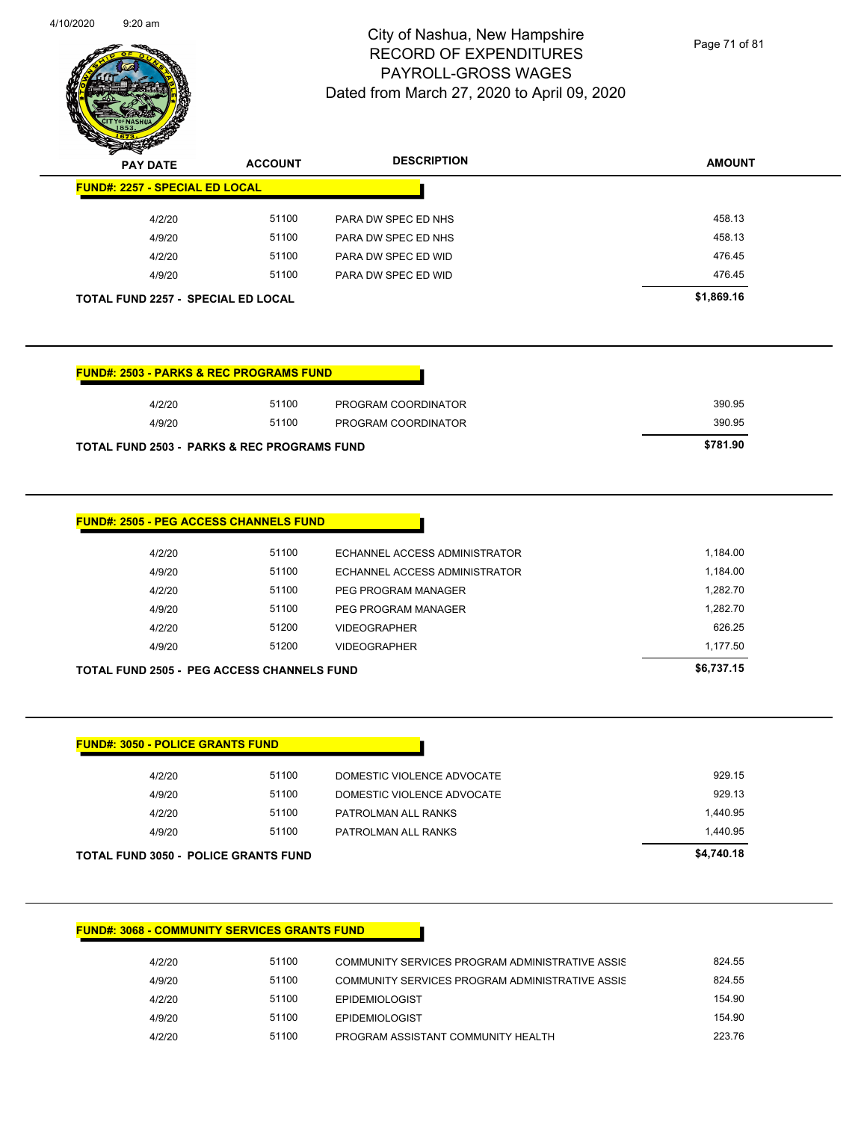

Page 71 of 81

| $\sim$<br><b>PAY DATE</b>                 | <b>ACCOUNT</b> | <b>DESCRIPTION</b>  | <b>AMOUNT</b> |
|-------------------------------------------|----------------|---------------------|---------------|
| <b>FUND#: 2257 - SPECIAL ED LOCAL</b>     |                |                     |               |
| 4/2/20                                    | 51100          | PARA DW SPEC ED NHS | 458.13        |
| 4/9/20                                    | 51100          | PARA DW SPEC ED NHS | 458.13        |
| 4/2/20                                    | 51100          | PARA DW SPEC ED WID | 476.45        |
| 4/9/20                                    | 51100          | PARA DW SPEC ED WID | 476.45        |
| <b>TOTAL FUND 2257 - SPECIAL ED LOCAL</b> |                |                     | \$1,869.16    |

| <b>FUND#: 2503 - PARKS &amp; REC PROGRAMS FUND</b>     |       |                     |          |
|--------------------------------------------------------|-------|---------------------|----------|
| 4/2/20                                                 | 51100 | PROGRAM COORDINATOR | 390.95   |
| 4/9/20                                                 | 51100 | PROGRAM COORDINATOR | 390.95   |
| <b>TOTAL FUND 2503 - PARKS &amp; REC PROGRAMS FUND</b> |       |                     | \$781.90 |

| <b>TOTAL FUND 2505 - PEG ACCESS CHANNELS FUND</b> |       |                               | \$6,737.15 |
|---------------------------------------------------|-------|-------------------------------|------------|
| 4/9/20                                            | 51200 | <b>VIDEOGRAPHER</b>           | 1,177.50   |
| 4/2/20                                            | 51200 | <b>VIDEOGRAPHER</b>           | 626.25     |
| 4/9/20                                            | 51100 | PEG PROGRAM MANAGER           | 1.282.70   |
| 4/2/20                                            | 51100 | PEG PROGRAM MANAGER           | 1,282.70   |
| 4/9/20                                            | 51100 | ECHANNEL ACCESS ADMINISTRATOR | 1,184.00   |
| 4/2/20                                            | 51100 | ECHANNEL ACCESS ADMINISTRATOR | 1,184.00   |

| <b>TOTAL FUND 3050 - POLICE GRANTS FUND</b> |       |                            | \$4,740.18 |
|---------------------------------------------|-------|----------------------------|------------|
| 4/9/20                                      | 51100 | PATROLMAN ALL RANKS        | 1.440.95   |
| 4/2/20                                      | 51100 | PATROLMAN ALL RANKS        | 1,440.95   |
| 4/9/20                                      | 51100 | DOMESTIC VIOLENCE ADVOCATE | 929.13     |
| 4/2/20                                      | 51100 | DOMESTIC VIOLENCE ADVOCATE | 929.15     |

#### **FUND#: 3068 - COMMUNITY SERVICES GRANTS FUND**

| 4/2/20 | 51100 | COMMUNITY SERVICES PROGRAM ADMINISTRATIVE ASSIS | 824.55 |
|--------|-------|-------------------------------------------------|--------|
| 4/9/20 | 51100 | COMMUNITY SERVICES PROGRAM ADMINISTRATIVE ASSIS | 824.55 |
| 4/2/20 | 51100 | <b>EPIDEMIOLOGIST</b>                           | 154.90 |
| 4/9/20 | 51100 | <b>EPIDEMIOLOGIST</b>                           | 154.90 |
| 4/2/20 | 51100 | PROGRAM ASSISTANT COMMUNITY HEALTH              | 223.76 |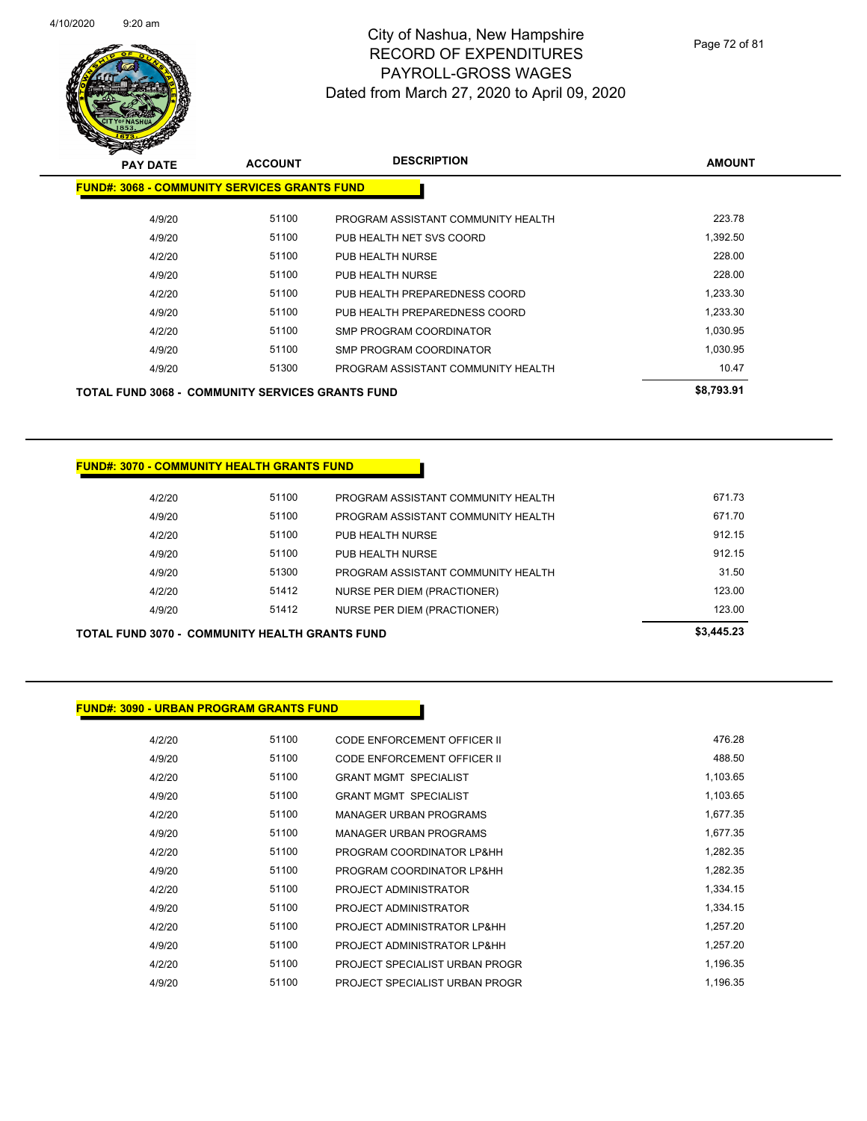

Page 72 of 81

| <b>PAY DATE</b>                                         | <b>ACCOUNT</b> | <b>DESCRIPTION</b>                 | <b>AMOUNT</b> |
|---------------------------------------------------------|----------------|------------------------------------|---------------|
| <b>FUND#: 3068 - COMMUNITY SERVICES GRANTS FUND</b>     |                |                                    |               |
| 4/9/20                                                  | 51100          | PROGRAM ASSISTANT COMMUNITY HEALTH | 223.78        |
| 4/9/20                                                  | 51100          | PUB HEALTH NET SVS COORD           | 1,392.50      |
| 4/2/20                                                  | 51100          | PUB HEALTH NURSE                   | 228.00        |
| 4/9/20                                                  | 51100          | PUB HEALTH NURSE                   | 228.00        |
| 4/2/20                                                  | 51100          | PUB HEALTH PREPAREDNESS COORD      | 1,233.30      |
| 4/9/20                                                  | 51100          | PUB HEALTH PREPAREDNESS COORD      | 1.233.30      |
| 4/2/20                                                  | 51100          | SMP PROGRAM COORDINATOR            | 1,030.95      |
| 4/9/20                                                  | 51100          | SMP PROGRAM COORDINATOR            | 1,030.95      |
| 4/9/20                                                  | 51300          | PROGRAM ASSISTANT COMMUNITY HEALTH | 10.47         |
| <b>TOTAL FUND 3068 - COMMUNITY SERVICES GRANTS FUND</b> |                |                                    | \$8,793.91    |

#### **FUND#: 3070 - COMMUNITY HEALTH GRANTS FUND**

| <b>TOTAL FUND 3070 - COMMUNITY HEALTH GRANTS FUND</b> |                                    |        |  |  |
|-------------------------------------------------------|------------------------------------|--------|--|--|
| 51412                                                 | NURSE PER DIEM (PRACTIONER)        | 123.00 |  |  |
| 51412                                                 | NURSE PER DIEM (PRACTIONER)        | 123.00 |  |  |
| 51300                                                 | PROGRAM ASSISTANT COMMUNITY HEALTH | 31.50  |  |  |
| 51100                                                 | PUB HEALTH NURSE                   | 912.15 |  |  |
| 51100                                                 | PUB HEALTH NURSE                   | 912.15 |  |  |
| 51100                                                 | PROGRAM ASSISTANT COMMUNITY HEALTH | 671.70 |  |  |
| 51100                                                 | PROGRAM ASSISTANT COMMUNITY HEALTH | 671.73 |  |  |
|                                                       |                                    |        |  |  |

#### **FUND#: 3090 - URBAN PROGRAM GRANTS FUND**

| 4/2/20 | 51100 | CODE ENFORCEMENT OFFICER II    | 476.28   |
|--------|-------|--------------------------------|----------|
| 4/9/20 | 51100 | CODE ENFORCEMENT OFFICER II    | 488.50   |
| 4/2/20 | 51100 | <b>GRANT MGMT SPECIALIST</b>   | 1,103.65 |
| 4/9/20 | 51100 | <b>GRANT MGMT SPECIALIST</b>   | 1,103.65 |
| 4/2/20 | 51100 | <b>MANAGER URBAN PROGRAMS</b>  | 1,677.35 |
| 4/9/20 | 51100 | <b>MANAGER URBAN PROGRAMS</b>  | 1,677.35 |
| 4/2/20 | 51100 | PROGRAM COORDINATOR LP&HH      | 1,282.35 |
| 4/9/20 | 51100 | PROGRAM COORDINATOR LP&HH      | 1,282.35 |
| 4/2/20 | 51100 | PROJECT ADMINISTRATOR          | 1,334.15 |
| 4/9/20 | 51100 | PROJECT ADMINISTRATOR          | 1,334.15 |
| 4/2/20 | 51100 | PROJECT ADMINISTRATOR LP&HH    | 1,257.20 |
| 4/9/20 | 51100 | PROJECT ADMINISTRATOR LP&HH    | 1,257.20 |
| 4/2/20 | 51100 | PROJECT SPECIALIST URBAN PROGR | 1,196.35 |
| 4/9/20 | 51100 | PROJECT SPECIALIST URBAN PROGR | 1.196.35 |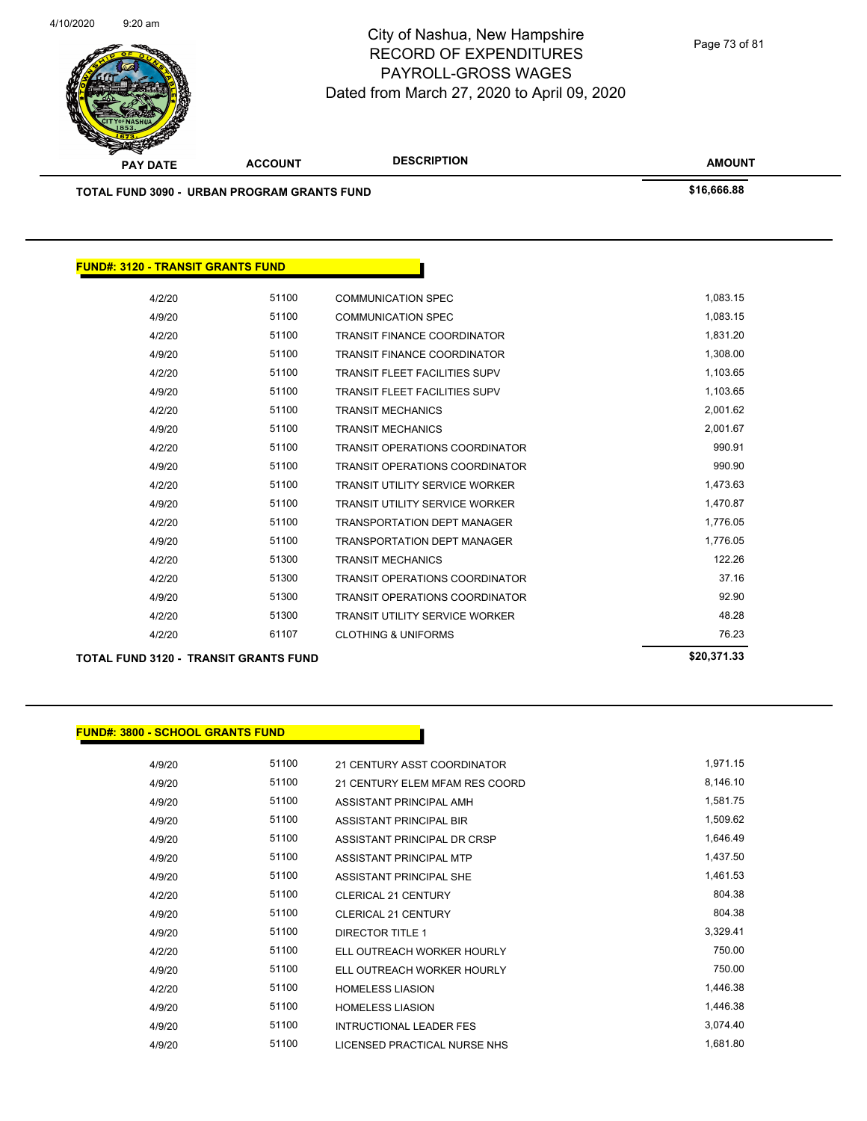

Page 73 of 81

|                                          | TOTAL FUND 3090 - URBAN PROGRAM GRANTS FUND  |                                       | \$16,666.88 |
|------------------------------------------|----------------------------------------------|---------------------------------------|-------------|
|                                          |                                              |                                       |             |
|                                          |                                              |                                       |             |
|                                          |                                              |                                       |             |
| <b>FUND#: 3120 - TRANSIT GRANTS FUND</b> |                                              |                                       |             |
| 4/2/20                                   | 51100                                        | <b>COMMUNICATION SPEC</b>             | 1,083.15    |
| 4/9/20                                   | 51100                                        | <b>COMMUNICATION SPEC</b>             | 1,083.15    |
| 4/2/20                                   | 51100                                        | <b>TRANSIT FINANCE COORDINATOR</b>    | 1,831.20    |
| 4/9/20                                   | 51100                                        | <b>TRANSIT FINANCE COORDINATOR</b>    | 1,308.00    |
| 4/2/20                                   | 51100                                        | <b>TRANSIT FLEET FACILITIES SUPV</b>  | 1,103.65    |
| 4/9/20                                   | 51100                                        | <b>TRANSIT FLEET FACILITIES SUPV</b>  | 1,103.65    |
| 4/2/20                                   | 51100                                        | <b>TRANSIT MECHANICS</b>              | 2,001.62    |
| 4/9/20                                   | 51100                                        | <b>TRANSIT MECHANICS</b>              | 2,001.67    |
| 4/2/20                                   | 51100                                        | <b>TRANSIT OPERATIONS COORDINATOR</b> | 990.91      |
| 4/9/20                                   | 51100                                        | TRANSIT OPERATIONS COORDINATOR        | 990.90      |
| 4/2/20                                   | 51100                                        | <b>TRANSIT UTILITY SERVICE WORKER</b> | 1,473.63    |
| 4/9/20                                   | 51100                                        | <b>TRANSIT UTILITY SERVICE WORKER</b> | 1,470.87    |
| 4/2/20                                   | 51100                                        | <b>TRANSPORTATION DEPT MANAGER</b>    | 1,776.05    |
| 4/9/20                                   | 51100                                        | TRANSPORTATION DEPT MANAGER           | 1,776.05    |
| 4/2/20                                   | 51300                                        | <b>TRANSIT MECHANICS</b>              | 122.26      |
| 4/2/20                                   | 51300                                        | <b>TRANSIT OPERATIONS COORDINATOR</b> | 37.16       |
| 4/9/20                                   | 51300                                        | TRANSIT OPERATIONS COORDINATOR        | 92.90       |
| 4/2/20                                   | 51300                                        | <b>TRANSIT UTILITY SERVICE WORKER</b> | 48.28       |
| 4/2/20                                   | 61107                                        | <b>CLOTHING &amp; UNIFORMS</b>        | 76.23       |
|                                          | <b>TOTAL FUND 3120 - TRANSIT GRANTS FUND</b> |                                       | \$20,371.33 |

#### **FUND#: 3800 - SCHOOL GRANTS FUND**

4/9/20 51100 21 CENTURY ASST COORDINATOR 1,971.15 4/9/20 51100 21 CENTURY ELEM MFAM RES COORD 8,146.10 4/9/20 51100 ASSISTANT PRINCIPAL AMH 4/9/20 51100 ASSISTANT PRINCIPAL BIR 1,509.62 4/9/20 51100 ASSISTANT PRINCIPAL DR CRSP 1,646.49 4/9/20 51100 ASSISTANT PRINCIPAL MTP 4/9/20 51100 ASSISTANT PRINCIPAL SHE 1,461.53 4/2/20 51100 CLERICAL 21 CENTURY 804.38 4/9/20 51100 CLERICAL 21 CENTURY 804.38 4/9/20 51100 DIRECTOR TITLE 1 3,329.41 4/2/20 51100 ELL OUTREACH WORKER HOURLY 750.00 4/9/20 51100 ELL OUTREACH WORKER HOURLY 750.00 4/2/20 51100 HOMELESS LIASION 1,446.38 4/9/20 51100 HOMELESS LIASION 1,446.38 4/9/20 51100 INTRUCTIONAL LEADER FES 3,074.40 4/9/20 51100 LICENSED PRACTICAL NURSE NHS 1,681.80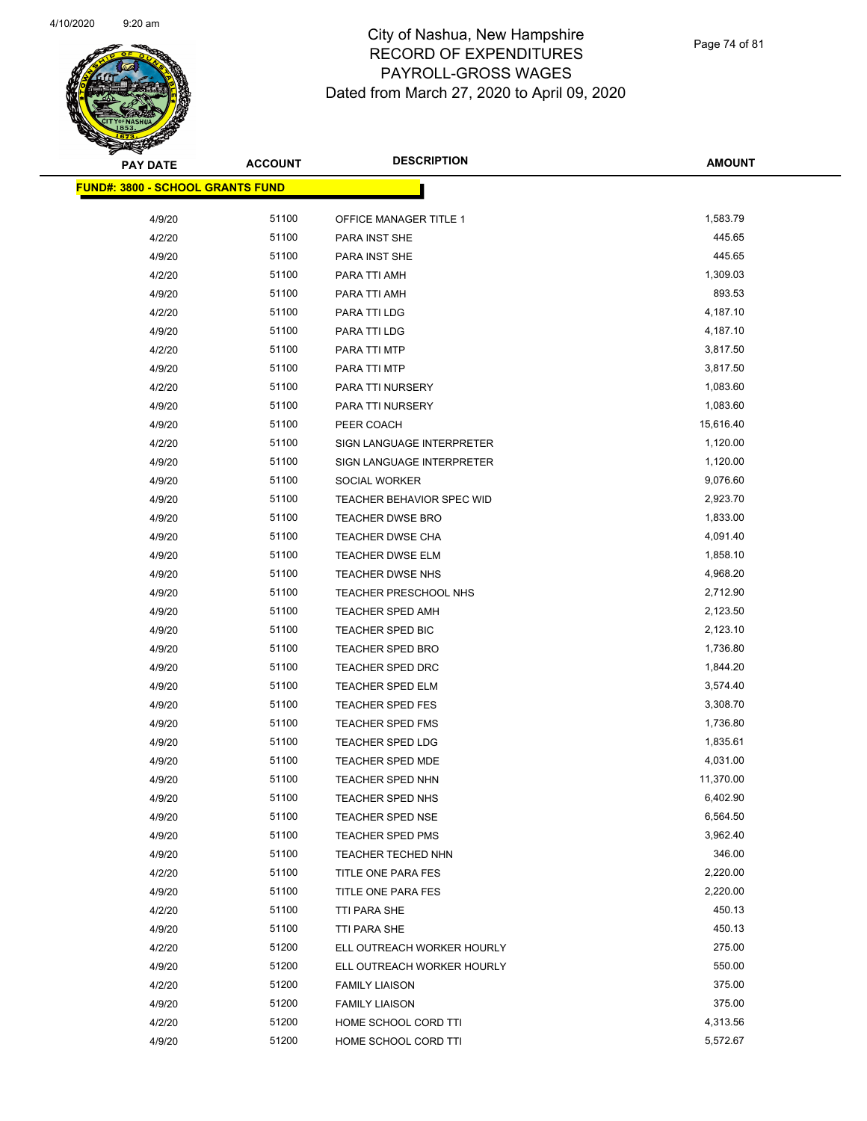

Page 74 of 81

| <b>PAY DATE</b>                         | <b>ACCOUNT</b> | <b>DESCRIPTION</b>         | <b>AMOUNT</b> |
|-----------------------------------------|----------------|----------------------------|---------------|
| <b>FUND#: 3800 - SCHOOL GRANTS FUND</b> |                |                            |               |
|                                         |                |                            |               |
| 4/9/20                                  | 51100          | OFFICE MANAGER TITLE 1     | 1,583.79      |
| 4/2/20                                  | 51100          | <b>PARA INST SHE</b>       | 445.65        |
| 4/9/20                                  | 51100          | <b>PARA INST SHE</b>       | 445.65        |
| 4/2/20                                  | 51100          | PARA TTI AMH               | 1,309.03      |
| 4/9/20                                  | 51100          | PARA TTI AMH               | 893.53        |
| 4/2/20                                  | 51100          | PARA TTI LDG               | 4,187.10      |
| 4/9/20                                  | 51100          | PARA TTI LDG               | 4,187.10      |
| 4/2/20                                  | 51100          | PARA TTI MTP               | 3,817.50      |
| 4/9/20                                  | 51100          | PARA TTI MTP               | 3,817.50      |
| 4/2/20                                  | 51100          | PARA TTI NURSERY           | 1,083.60      |
| 4/9/20                                  | 51100          | PARA TTI NURSERY           | 1,083.60      |
| 4/9/20                                  | 51100          | PEER COACH                 | 15,616.40     |
| 4/2/20                                  | 51100          | SIGN LANGUAGE INTERPRETER  | 1,120.00      |
| 4/9/20                                  | 51100          | SIGN LANGUAGE INTERPRETER  | 1,120.00      |
| 4/9/20                                  | 51100          | SOCIAL WORKER              | 9,076.60      |
| 4/9/20                                  | 51100          | TEACHER BEHAVIOR SPEC WID  | 2,923.70      |
| 4/9/20                                  | 51100          | <b>TEACHER DWSE BRO</b>    | 1,833.00      |
| 4/9/20                                  | 51100          | <b>TEACHER DWSE CHA</b>    | 4,091.40      |
| 4/9/20                                  | 51100          | TEACHER DWSE ELM           | 1,858.10      |
| 4/9/20                                  | 51100          | <b>TEACHER DWSE NHS</b>    | 4,968.20      |
| 4/9/20                                  | 51100          | TEACHER PRESCHOOL NHS      | 2,712.90      |
| 4/9/20                                  | 51100          | TEACHER SPED AMH           | 2,123.50      |
| 4/9/20                                  | 51100          | TEACHER SPED BIC           | 2,123.10      |
| 4/9/20                                  | 51100          | TEACHER SPED BRO           | 1,736.80      |
| 4/9/20                                  | 51100          | <b>TEACHER SPED DRC</b>    | 1,844.20      |
| 4/9/20                                  | 51100          | TEACHER SPED ELM           | 3,574.40      |
| 4/9/20                                  | 51100          | <b>TEACHER SPED FES</b>    | 3,308.70      |
| 4/9/20                                  | 51100          | <b>TEACHER SPED FMS</b>    | 1,736.80      |
| 4/9/20                                  | 51100          | <b>TEACHER SPED LDG</b>    | 1,835.61      |
| 4/9/20                                  | 51100          | <b>TEACHER SPED MDE</b>    | 4,031.00      |
| 4/9/20                                  | 51100          | <b>TEACHER SPED NHN</b>    | 11,370.00     |
| 4/9/20                                  | 51100          | <b>TEACHER SPED NHS</b>    | 6,402.90      |
| 4/9/20                                  | 51100          | <b>TEACHER SPED NSE</b>    | 6,564.50      |
| 4/9/20                                  | 51100          | <b>TEACHER SPED PMS</b>    | 3,962.40      |
| 4/9/20                                  | 51100          | TEACHER TECHED NHN         | 346.00        |
| 4/2/20                                  | 51100          | TITLE ONE PARA FES         | 2,220.00      |
| 4/9/20                                  | 51100          | TITLE ONE PARA FES         | 2,220.00      |
| 4/2/20                                  | 51100          | TTI PARA SHE               | 450.13        |
| 4/9/20                                  | 51100          | TTI PARA SHE               | 450.13        |
| 4/2/20                                  | 51200          | ELL OUTREACH WORKER HOURLY | 275.00        |
| 4/9/20                                  | 51200          | ELL OUTREACH WORKER HOURLY | 550.00        |
| 4/2/20                                  | 51200          | <b>FAMILY LIAISON</b>      | 375.00        |
| 4/9/20                                  | 51200          | <b>FAMILY LIAISON</b>      | 375.00        |
| 4/2/20                                  | 51200          | HOME SCHOOL CORD TTI       | 4,313.56      |
| 4/9/20                                  | 51200          | HOME SCHOOL CORD TTI       | 5,572.67      |
|                                         |                |                            |               |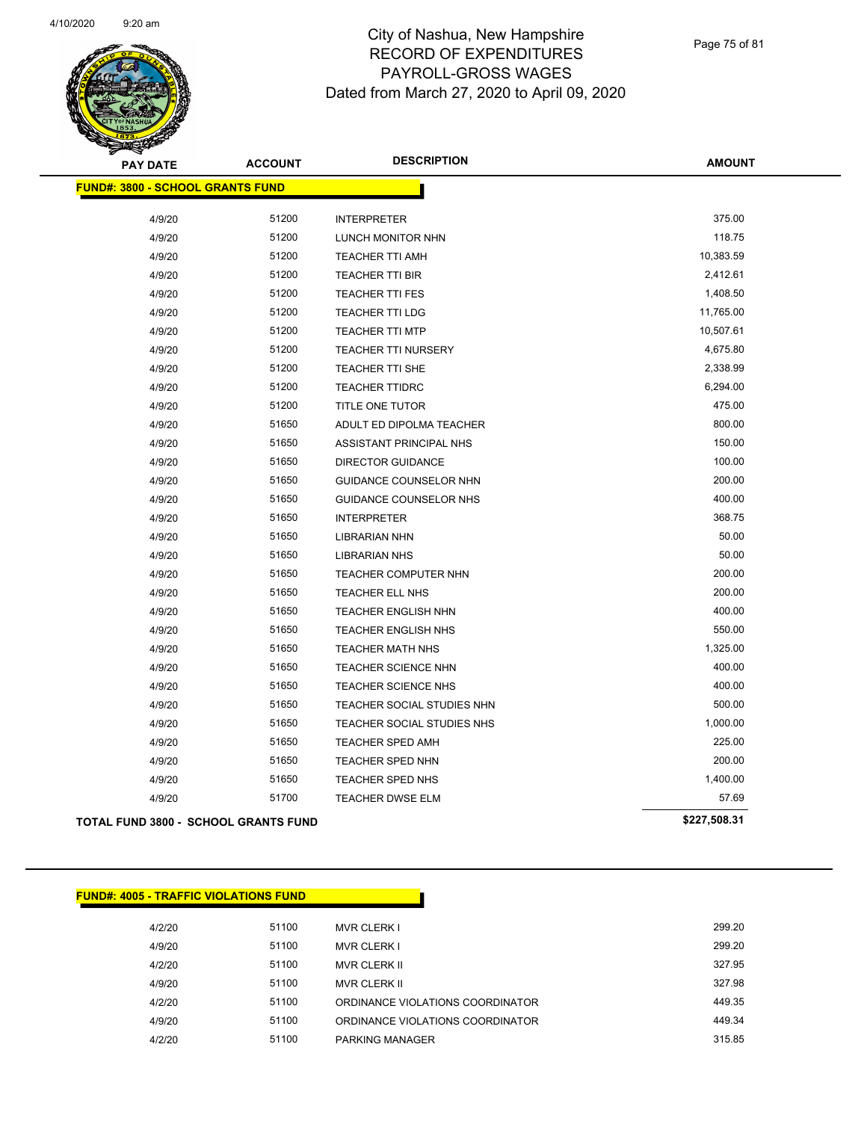

Page 75 of 81

| <b>PAY DATE</b>                             | <b>ACCOUNT</b> | <b>DESCRIPTION</b>          | <b>AMOUNT</b> |
|---------------------------------------------|----------------|-----------------------------|---------------|
| <b>FUND#: 3800 - SCHOOL GRANTS FUND</b>     |                |                             |               |
| 4/9/20                                      | 51200          | <b>INTERPRETER</b>          | 375.00        |
| 4/9/20                                      | 51200          | LUNCH MONITOR NHN           | 118.75        |
| 4/9/20                                      | 51200          | <b>TEACHER TTI AMH</b>      | 10,383.59     |
| 4/9/20                                      | 51200          | <b>TEACHER TTI BIR</b>      | 2,412.61      |
| 4/9/20                                      | 51200          | <b>TEACHER TTI FES</b>      | 1,408.50      |
| 4/9/20                                      | 51200          | <b>TEACHER TTI LDG</b>      | 11,765.00     |
| 4/9/20                                      | 51200          | <b>TEACHER TTI MTP</b>      | 10,507.61     |
| 4/9/20                                      | 51200          | <b>TEACHER TTI NURSERY</b>  | 4,675.80      |
| 4/9/20                                      | 51200          | TEACHER TTI SHE             | 2,338.99      |
| 4/9/20                                      | 51200          | <b>TEACHER TTIDRC</b>       | 6,294.00      |
| 4/9/20                                      | 51200          | TITLE ONE TUTOR             | 475.00        |
| 4/9/20                                      | 51650          | ADULT ED DIPOLMA TEACHER    | 800.00        |
| 4/9/20                                      | 51650          | ASSISTANT PRINCIPAL NHS     | 150.00        |
| 4/9/20                                      | 51650          | <b>DIRECTOR GUIDANCE</b>    | 100.00        |
| 4/9/20                                      | 51650          | GUIDANCE COUNSELOR NHN      | 200.00        |
| 4/9/20                                      | 51650          | GUIDANCE COUNSELOR NHS      | 400.00        |
| 4/9/20                                      | 51650          | <b>INTERPRETER</b>          | 368.75        |
| 4/9/20                                      | 51650          | LIBRARIAN NHN               | 50.00         |
| 4/9/20                                      | 51650          | <b>LIBRARIAN NHS</b>        | 50.00         |
| 4/9/20                                      | 51650          | <b>TEACHER COMPUTER NHN</b> | 200.00        |
| 4/9/20                                      | 51650          | TEACHER ELL NHS             | 200.00        |
| 4/9/20                                      | 51650          | TEACHER ENGLISH NHN         | 400.00        |
| 4/9/20                                      | 51650          | TEACHER ENGLISH NHS         | 550.00        |
| 4/9/20                                      | 51650          | <b>TEACHER MATH NHS</b>     | 1,325.00      |
| 4/9/20                                      | 51650          | TEACHER SCIENCE NHN         | 400.00        |
| 4/9/20                                      | 51650          | TEACHER SCIENCE NHS         | 400.00        |
| 4/9/20                                      | 51650          | TEACHER SOCIAL STUDIES NHN  | 500.00        |
| 4/9/20                                      | 51650          | TEACHER SOCIAL STUDIES NHS  | 1,000.00      |
| 4/9/20                                      | 51650          | <b>TEACHER SPED AMH</b>     | 225.00        |
| 4/9/20                                      | 51650          | <b>TEACHER SPED NHN</b>     | 200.00        |
| 4/9/20                                      | 51650          | TEACHER SPED NHS            | 1,400.00      |
| 4/9/20                                      | 51700          | TEACHER DWSE ELM            | 57.69         |
| <b>TOTAL FUND 3800 - SCHOOL GRANTS FUND</b> |                |                             | \$227,508.31  |

| <b>FUND#: 4005 - TRAFFIC VIOLATIONS FUND</b> |       |                                  |  |
|----------------------------------------------|-------|----------------------------------|--|
| 4/2/20                                       | 51100 | <b>MVR CLERK I</b>               |  |
| 4/9/20                                       | 51100 | <b>MVR CLERK I</b>               |  |
| 4/2/20                                       | 51100 | <b>MVR CLERK II</b>              |  |
| 4/9/20                                       | 51100 | <b>MVR CLERK II</b>              |  |
| 4/2/20                                       | 51100 | ORDINANCE VIOLATIONS COORDINATOR |  |
| 4/9/20                                       | 51100 | ORDINANCE VIOLATIONS COORDINATOR |  |
| 4/2/20                                       | 51100 | <b>PARKING MANAGER</b>           |  |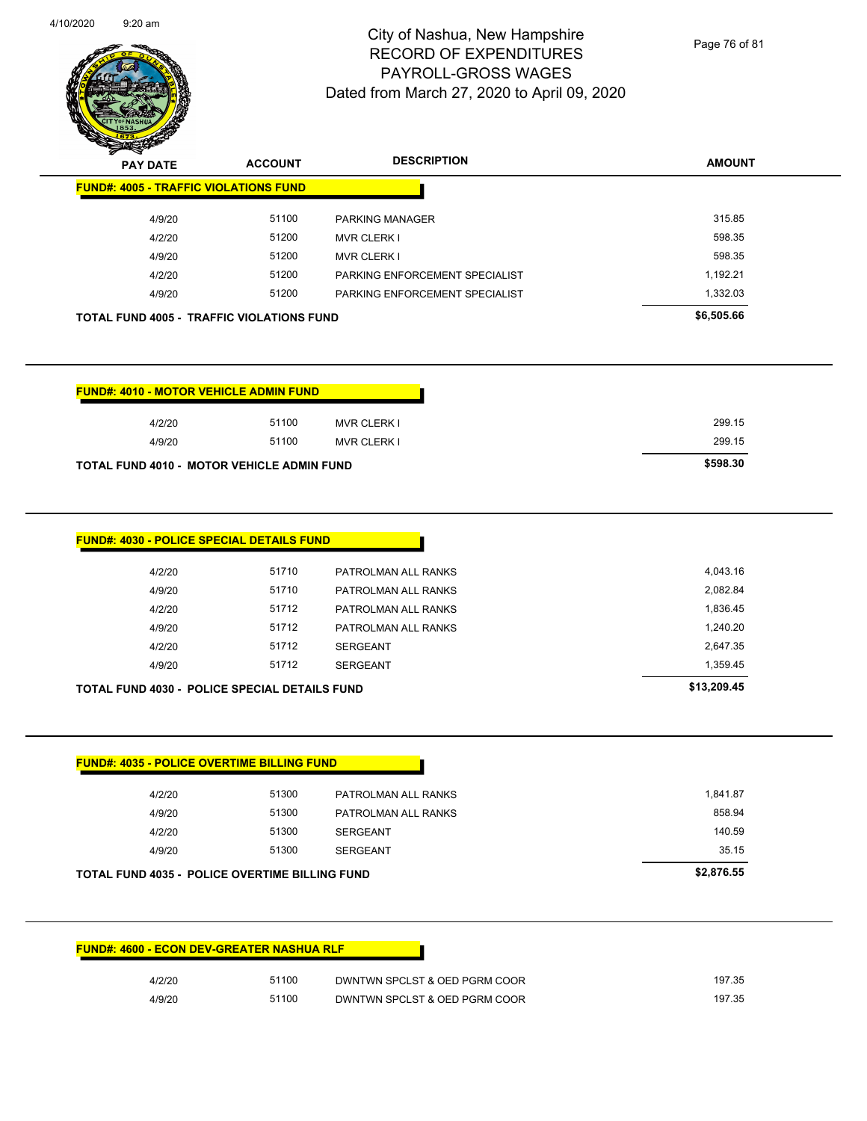

Page 76 of 81

| $\mathbf{z}$<br>-<br><b>PAY DATE</b>             | <b>ACCOUNT</b> | <b>DESCRIPTION</b>             | <b>AMOUNT</b> |
|--------------------------------------------------|----------------|--------------------------------|---------------|
| <b>FUND#: 4005 - TRAFFIC VIOLATIONS FUND</b>     |                |                                |               |
| 4/9/20                                           | 51100          | <b>PARKING MANAGER</b>         | 315.85        |
| 4/2/20                                           | 51200          | <b>MVR CLERK I</b>             | 598.35        |
| 4/9/20                                           | 51200          | <b>MVR CLERK I</b>             | 598.35        |
| 4/2/20                                           | 51200          | PARKING ENFORCEMENT SPECIALIST | 1,192.21      |
| 4/9/20                                           | 51200          | PARKING ENFORCEMENT SPECIALIST | 1,332.03      |
| <b>TOTAL FUND 4005 - TRAFFIC VIOLATIONS FUND</b> |                |                                | \$6,505.66    |

| <b>FUND#: 4010 - MOTOR VEHICLE ADMIN FUND</b>     |       |                    |
|---------------------------------------------------|-------|--------------------|
| 4/2/20                                            | 51100 | <b>MVR CLERK I</b> |
| 4/9/20                                            | 51100 | <b>MVR CLERK I</b> |
| <b>TOTAL FUND 4010 - MOTOR VEHICLE ADMIN FUND</b> |       |                    |

| 4/9/20 | 51712 | SERGEANT            | 1,359.45 |
|--------|-------|---------------------|----------|
| 4/2/20 | 51712 | SERGEANT            | 2,647.35 |
| 4/9/20 | 51712 | PATROLMAN ALL RANKS | 1,240.20 |
| 4/2/20 | 51712 | PATROLMAN ALL RANKS | 1,836.45 |
| 4/9/20 | 51710 | PATROLMAN ALL RANKS | 2,082.84 |
| 4/2/20 | 51710 | PATROLMAN ALL RANKS | 4,043.16 |

| 4/2/20 | 51300 | PATROLMAN ALL RANKS | 1,841.87 |
|--------|-------|---------------------|----------|
| 4/9/20 | 51300 | PATROLMAN ALL RANKS | 858.94   |
| 4/2/20 | 51300 | <b>SERGEANT</b>     | 140.59   |
| 4/9/20 | 51300 | <b>SERGEANT</b>     | 35.15    |

| <b>FUND#: 4600 - ECON DEV-GREATER NASHUA RLF</b> |       |                               |        |
|--------------------------------------------------|-------|-------------------------------|--------|
| 4/2/20                                           | 51100 | DWNTWN SPCLST & OED PGRM COOR | 197.35 |
| 4/9/20                                           | 51100 | DWNTWN SPCLST & OED PGRM COOR | 197.35 |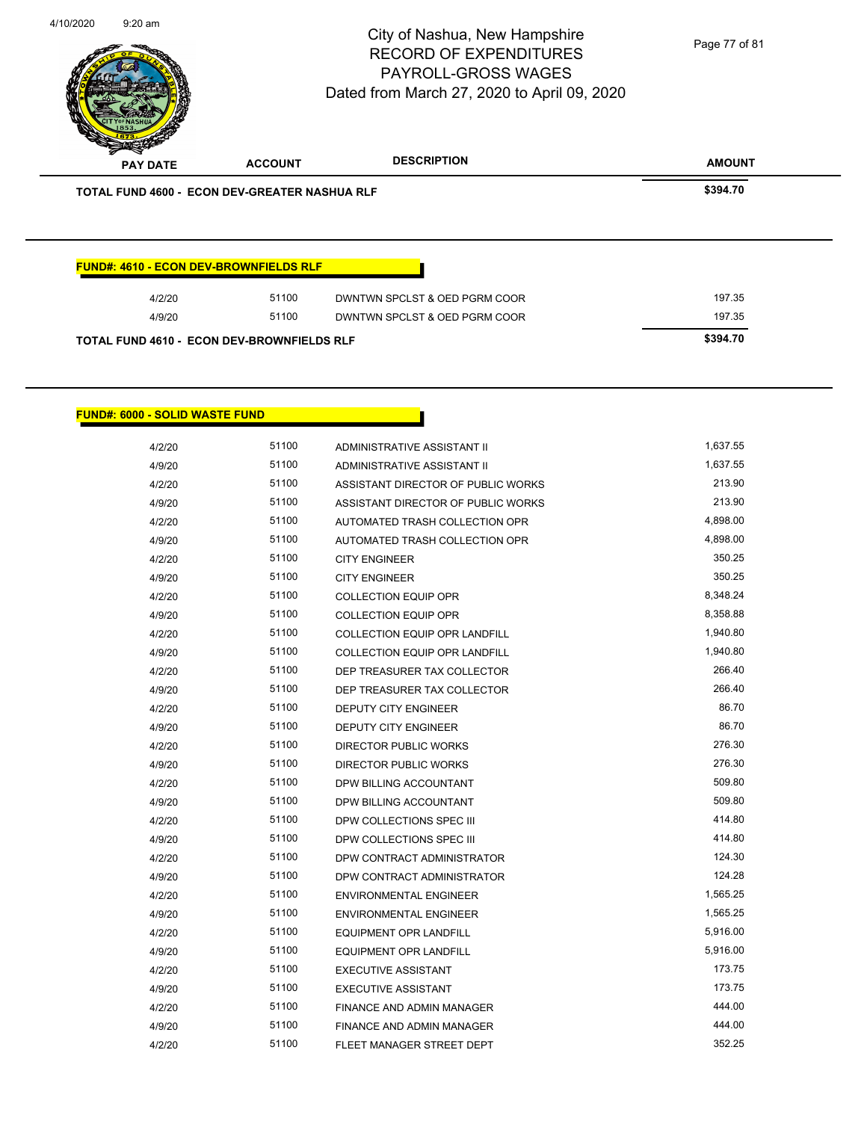

| <b>TOTAL FUND 4610 - ECON DEV-BROWNFIELDS RLF</b> |       |                               | \$394.70 |
|---------------------------------------------------|-------|-------------------------------|----------|
| 4/9/20                                            | 51100 | DWNTWN SPCLST & OED PGRM COOR | 197.35   |
| 4/2/20                                            | 51100 | DWNTWN SPCLST & OED PGRM COOR | 197.35   |

#### **FUND#: 6000 - SOLID WASTE FUND**

| 4/2/20 | 51100 | ADMINISTRATIVE ASSISTANT II          | 1,637.55 |
|--------|-------|--------------------------------------|----------|
| 4/9/20 | 51100 | ADMINISTRATIVE ASSISTANT II          | 1,637.55 |
| 4/2/20 | 51100 | ASSISTANT DIRECTOR OF PUBLIC WORKS   | 213.90   |
| 4/9/20 | 51100 | ASSISTANT DIRECTOR OF PUBLIC WORKS   | 213.90   |
| 4/2/20 | 51100 | AUTOMATED TRASH COLLECTION OPR       | 4,898.00 |
| 4/9/20 | 51100 | AUTOMATED TRASH COLLECTION OPR       | 4,898.00 |
| 4/2/20 | 51100 | <b>CITY ENGINEER</b>                 | 350.25   |
| 4/9/20 | 51100 | <b>CITY ENGINEER</b>                 | 350.25   |
| 4/2/20 | 51100 | <b>COLLECTION EQUIP OPR</b>          | 8,348.24 |
| 4/9/20 | 51100 | <b>COLLECTION EQUIP OPR</b>          | 8,358.88 |
| 4/2/20 | 51100 | <b>COLLECTION EQUIP OPR LANDFILL</b> | 1,940.80 |
| 4/9/20 | 51100 | <b>COLLECTION EQUIP OPR LANDFILL</b> | 1,940.80 |
| 4/2/20 | 51100 | DEP TREASURER TAX COLLECTOR          | 266.40   |
| 4/9/20 | 51100 | DEP TREASURER TAX COLLECTOR          | 266.40   |
| 4/2/20 | 51100 | <b>DEPUTY CITY ENGINEER</b>          | 86.70    |
| 4/9/20 | 51100 | <b>DEPUTY CITY ENGINEER</b>          | 86.70    |
| 4/2/20 | 51100 | DIRECTOR PUBLIC WORKS                | 276.30   |
| 4/9/20 | 51100 | DIRECTOR PUBLIC WORKS                | 276.30   |
| 4/2/20 | 51100 | DPW BILLING ACCOUNTANT               | 509.80   |
| 4/9/20 | 51100 | DPW BILLING ACCOUNTANT               | 509.80   |
| 4/2/20 | 51100 | DPW COLLECTIONS SPEC III             | 414.80   |
| 4/9/20 | 51100 | DPW COLLECTIONS SPEC III             | 414.80   |
| 4/2/20 | 51100 | DPW CONTRACT ADMINISTRATOR           | 124.30   |
| 4/9/20 | 51100 | DPW CONTRACT ADMINISTRATOR           | 124.28   |
| 4/2/20 | 51100 | <b>ENVIRONMENTAL ENGINEER</b>        | 1,565.25 |
| 4/9/20 | 51100 | <b>ENVIRONMENTAL ENGINEER</b>        | 1,565.25 |
| 4/2/20 | 51100 | <b>EQUIPMENT OPR LANDFILL</b>        | 5,916.00 |
| 4/9/20 | 51100 | <b>EQUIPMENT OPR LANDFILL</b>        | 5,916.00 |
| 4/2/20 | 51100 | <b>EXECUTIVE ASSISTANT</b>           | 173.75   |
| 4/9/20 | 51100 | <b>EXECUTIVE ASSISTANT</b>           | 173.75   |
| 4/2/20 | 51100 | FINANCE AND ADMIN MANAGER            | 444.00   |
| 4/9/20 | 51100 | <b>FINANCE AND ADMIN MANAGER</b>     | 444.00   |
| 4/2/20 | 51100 | FLEET MANAGER STREET DEPT            | 352.25   |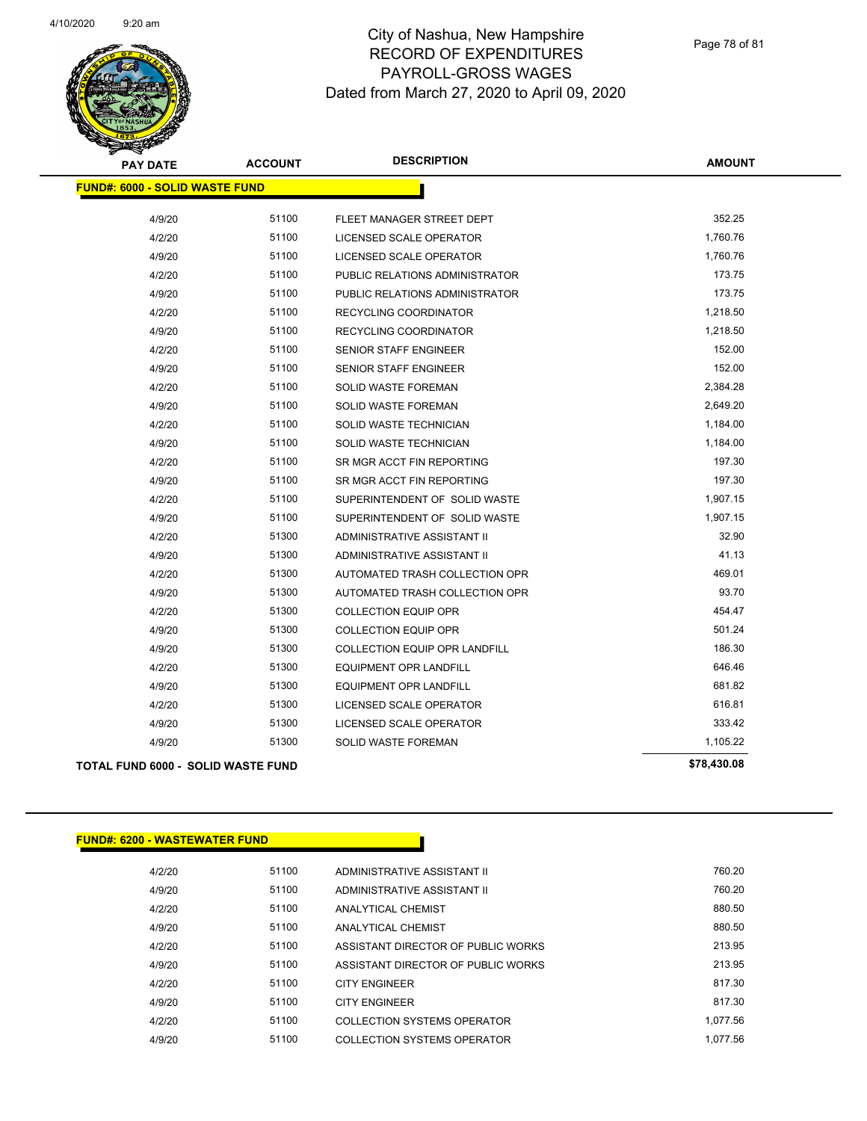

Page 78 of 81

| <b>PAY DATE</b>                           | <b>ACCOUNT</b> | <b>DESCRIPTION</b>                   | <b>AMOUNT</b> |
|-------------------------------------------|----------------|--------------------------------------|---------------|
| <b>FUND#: 6000 - SOLID WASTE FUND</b>     |                |                                      |               |
| 4/9/20                                    | 51100          | FLEET MANAGER STREET DEPT            | 352.25        |
| 4/2/20                                    | 51100          | LICENSED SCALE OPERATOR              | 1,760.76      |
| 4/9/20                                    | 51100          | LICENSED SCALE OPERATOR              | 1,760.76      |
| 4/2/20                                    | 51100          | PUBLIC RELATIONS ADMINISTRATOR       | 173.75        |
| 4/9/20                                    | 51100          | PUBLIC RELATIONS ADMINISTRATOR       | 173.75        |
| 4/2/20                                    | 51100          | RECYCLING COORDINATOR                | 1,218.50      |
| 4/9/20                                    | 51100          | RECYCLING COORDINATOR                | 1,218.50      |
| 4/2/20                                    | 51100          | <b>SENIOR STAFF ENGINEER</b>         | 152.00        |
| 4/9/20                                    | 51100          | <b>SENIOR STAFF ENGINEER</b>         | 152.00        |
| 4/2/20                                    | 51100          | SOLID WASTE FOREMAN                  | 2,384.28      |
| 4/9/20                                    | 51100          | SOLID WASTE FOREMAN                  | 2,649.20      |
| 4/2/20                                    | 51100          | SOLID WASTE TECHNICIAN               | 1,184.00      |
| 4/9/20                                    | 51100          | SOLID WASTE TECHNICIAN               | 1,184.00      |
| 4/2/20                                    | 51100          | SR MGR ACCT FIN REPORTING            | 197.30        |
| 4/9/20                                    | 51100          | SR MGR ACCT FIN REPORTING            | 197.30        |
| 4/2/20                                    | 51100          | SUPERINTENDENT OF SOLID WASTE        | 1,907.15      |
| 4/9/20                                    | 51100          | SUPERINTENDENT OF SOLID WASTE        | 1,907.15      |
| 4/2/20                                    | 51300          | ADMINISTRATIVE ASSISTANT II          | 32.90         |
| 4/9/20                                    | 51300          | ADMINISTRATIVE ASSISTANT II          | 41.13         |
| 4/2/20                                    | 51300          | AUTOMATED TRASH COLLECTION OPR       | 469.01        |
| 4/9/20                                    | 51300          | AUTOMATED TRASH COLLECTION OPR       | 93.70         |
| 4/2/20                                    | 51300          | <b>COLLECTION EQUIP OPR</b>          | 454.47        |
| 4/9/20                                    | 51300          | COLLECTION EQUIP OPR                 | 501.24        |
| 4/9/20                                    | 51300          | <b>COLLECTION EQUIP OPR LANDFILL</b> | 186.30        |
| 4/2/20                                    | 51300          | <b>EQUIPMENT OPR LANDFILL</b>        | 646.46        |
| 4/9/20                                    | 51300          | EQUIPMENT OPR LANDFILL               | 681.82        |
| 4/2/20                                    | 51300          | LICENSED SCALE OPERATOR              | 616.81        |
| 4/9/20                                    | 51300          | LICENSED SCALE OPERATOR              | 333.42        |
| 4/9/20                                    | 51300          | SOLID WASTE FOREMAN                  | 1,105.22      |
| <b>TOTAL FUND 6000 - SOLID WASTE FUND</b> |                |                                      | \$78,430.08   |

#### **FUND#: 6200 - WASTEWATER FUND**

| 4/2/20 | 51100 | ADMINISTRATIVE ASSISTANT II        | 760.20   |
|--------|-------|------------------------------------|----------|
| 4/9/20 | 51100 | ADMINISTRATIVE ASSISTANT II        | 760.20   |
| 4/2/20 | 51100 | ANALYTICAL CHEMIST                 | 880.50   |
| 4/9/20 | 51100 | ANALYTICAL CHEMIST                 | 880.50   |
| 4/2/20 | 51100 | ASSISTANT DIRECTOR OF PUBLIC WORKS | 213.95   |
| 4/9/20 | 51100 | ASSISTANT DIRECTOR OF PUBLIC WORKS | 213.95   |
| 4/2/20 | 51100 | <b>CITY ENGINEER</b>               | 817.30   |
| 4/9/20 | 51100 | <b>CITY ENGINEER</b>               | 817.30   |
| 4/2/20 | 51100 | COLLECTION SYSTEMS OPERATOR        | 1.077.56 |
| 4/9/20 | 51100 | COLLECTION SYSTEMS OPERATOR        | 1.077.56 |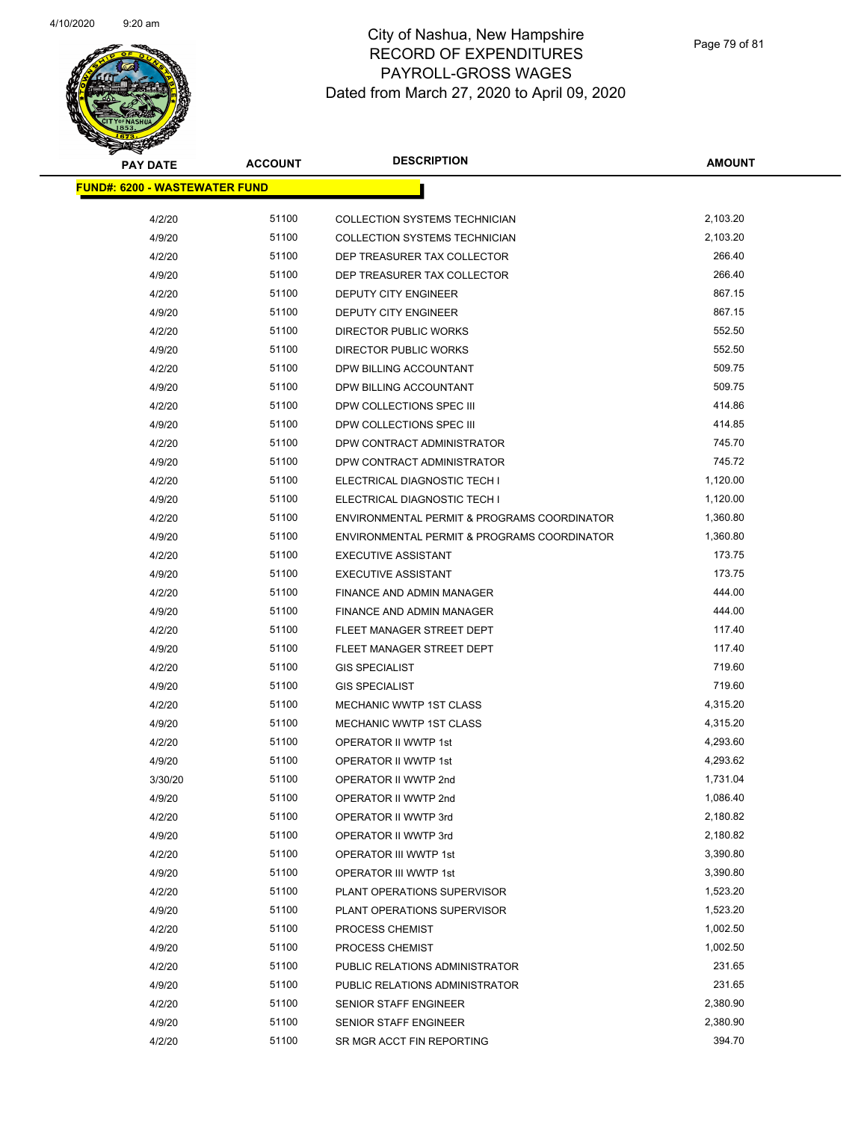

| <b>PAY DATE</b>                      | <b>ACCOUNT</b> | <b>DESCRIPTION</b>                          | <b>AMOUNT</b> |  |
|--------------------------------------|----------------|---------------------------------------------|---------------|--|
| <b>FUND#: 6200 - WASTEWATER FUND</b> |                |                                             |               |  |
| 4/2/20                               | 51100          | COLLECTION SYSTEMS TECHNICIAN               | 2,103.20      |  |
| 4/9/20                               | 51100          | COLLECTION SYSTEMS TECHNICIAN               | 2,103.20      |  |
| 4/2/20                               | 51100          | DEP TREASURER TAX COLLECTOR                 | 266.40        |  |
| 4/9/20                               | 51100          | DEP TREASURER TAX COLLECTOR                 | 266.40        |  |
| 4/2/20                               | 51100          | DEPUTY CITY ENGINEER                        | 867.15        |  |
| 4/9/20                               | 51100          | DEPUTY CITY ENGINEER                        | 867.15        |  |
| 4/2/20                               | 51100          | DIRECTOR PUBLIC WORKS                       | 552.50        |  |
| 4/9/20                               | 51100          | <b>DIRECTOR PUBLIC WORKS</b>                | 552.50        |  |
| 4/2/20                               | 51100          | DPW BILLING ACCOUNTANT                      | 509.75        |  |
| 4/9/20                               | 51100          | DPW BILLING ACCOUNTANT                      | 509.75        |  |
| 4/2/20                               | 51100          | DPW COLLECTIONS SPEC III                    | 414.86        |  |
| 4/9/20                               | 51100          | DPW COLLECTIONS SPEC III                    | 414.85        |  |
| 4/2/20                               | 51100          | DPW CONTRACT ADMINISTRATOR                  | 745.70        |  |
| 4/9/20                               | 51100          | DPW CONTRACT ADMINISTRATOR                  | 745.72        |  |
| 4/2/20                               | 51100          | ELECTRICAL DIAGNOSTIC TECH I                | 1,120.00      |  |
| 4/9/20                               | 51100          | ELECTRICAL DIAGNOSTIC TECH I                | 1,120.00      |  |
| 4/2/20                               | 51100          | ENVIRONMENTAL PERMIT & PROGRAMS COORDINATOR | 1,360.80      |  |
| 4/9/20                               | 51100          | ENVIRONMENTAL PERMIT & PROGRAMS COORDINATOR | 1,360.80      |  |
| 4/2/20                               | 51100          | <b>EXECUTIVE ASSISTANT</b>                  | 173.75        |  |
| 4/9/20                               | 51100          | <b>EXECUTIVE ASSISTANT</b>                  | 173.75        |  |
| 4/2/20                               | 51100          | FINANCE AND ADMIN MANAGER                   | 444.00        |  |
| 4/9/20                               | 51100          | FINANCE AND ADMIN MANAGER                   | 444.00        |  |
| 4/2/20                               | 51100          | FLEET MANAGER STREET DEPT                   | 117.40        |  |
| 4/9/20                               | 51100          | FLEET MANAGER STREET DEPT                   | 117.40        |  |
| 4/2/20                               | 51100          | <b>GIS SPECIALIST</b>                       | 719.60        |  |
| 4/9/20                               | 51100          | <b>GIS SPECIALIST</b>                       | 719.60        |  |
| 4/2/20                               | 51100          | <b>MECHANIC WWTP 1ST CLASS</b>              | 4,315.20      |  |
| 4/9/20                               | 51100          | <b>MECHANIC WWTP 1ST CLASS</b>              | 4,315.20      |  |
| 4/2/20                               | 51100          | OPERATOR II WWTP 1st                        | 4,293.60      |  |
| 4/9/20                               | 51100          | OPERATOR II WWTP 1st                        | 4,293.62      |  |
| 3/30/20                              | 51100          | OPERATOR II WWTP 2nd                        | 1,731.04      |  |
| 4/9/20                               | 51100          | OPERATOR II WWTP 2nd                        | 1,086.40      |  |
| 4/2/20                               | 51100          | OPERATOR II WWTP 3rd                        | 2,180.82      |  |
| 4/9/20                               | 51100          | OPERATOR II WWTP 3rd                        | 2,180.82      |  |
| 4/2/20                               | 51100          | OPERATOR III WWTP 1st                       | 3,390.80      |  |
| 4/9/20                               | 51100          | OPERATOR III WWTP 1st                       | 3,390.80      |  |
| 4/2/20                               | 51100          | PLANT OPERATIONS SUPERVISOR                 | 1,523.20      |  |
| 4/9/20                               | 51100          | PLANT OPERATIONS SUPERVISOR                 | 1,523.20      |  |
| 4/2/20                               | 51100          | PROCESS CHEMIST                             | 1,002.50      |  |
| 4/9/20                               | 51100          | PROCESS CHEMIST                             | 1,002.50      |  |
| 4/2/20                               | 51100          | PUBLIC RELATIONS ADMINISTRATOR              | 231.65        |  |
| 4/9/20                               | 51100          |                                             | 231.65        |  |
|                                      | 51100          | PUBLIC RELATIONS ADMINISTRATOR              | 2,380.90      |  |
| 4/2/20                               | 51100          | SENIOR STAFF ENGINEER                       | 2,380.90      |  |
| 4/9/20                               | 51100          | SENIOR STAFF ENGINEER                       | 394.70        |  |
| 4/2/20                               |                | SR MGR ACCT FIN REPORTING                   |               |  |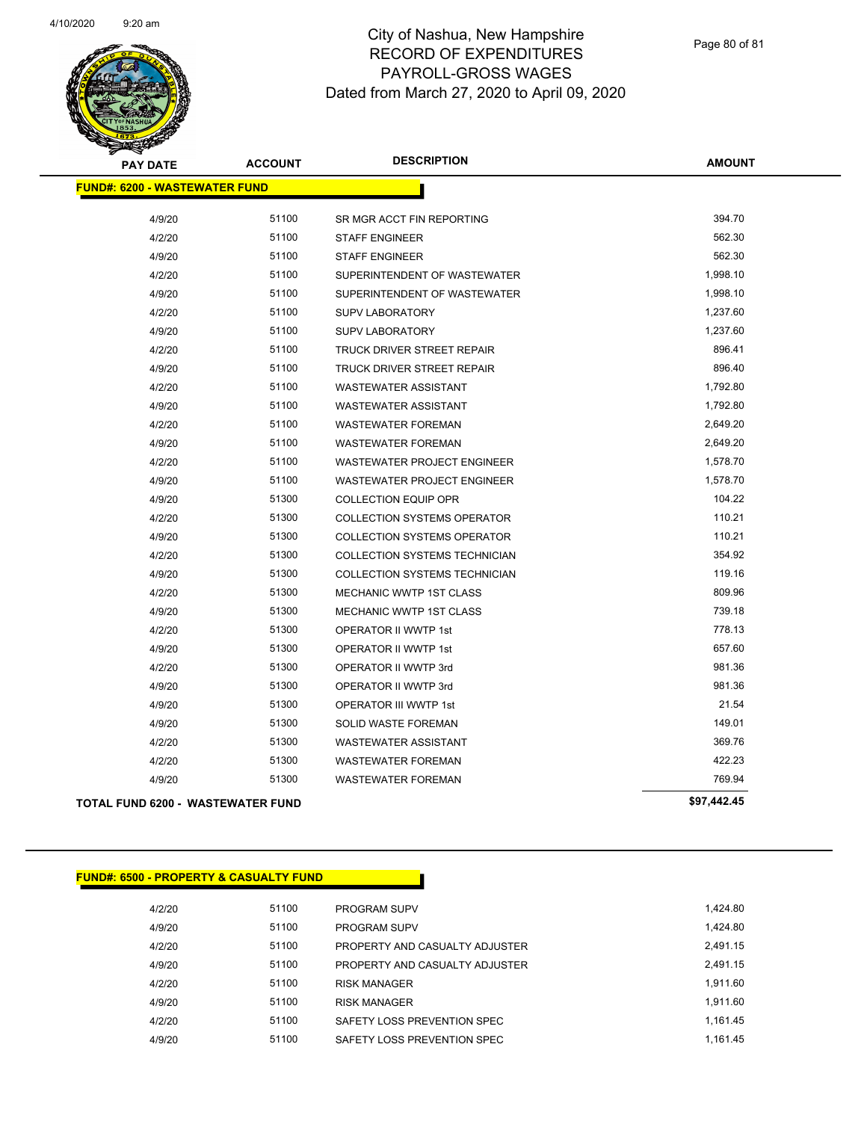

| <b>PAY DATE</b>                          | <b>ACCOUNT</b> | <b>DESCRIPTION</b>                   | <b>AMOUNT</b> |  |
|------------------------------------------|----------------|--------------------------------------|---------------|--|
| <b>FUND#: 6200 - WASTEWATER FUND</b>     |                |                                      |               |  |
| 4/9/20                                   | 51100          | SR MGR ACCT FIN REPORTING            | 394.70        |  |
| 4/2/20                                   | 51100          | <b>STAFF ENGINEER</b>                | 562.30        |  |
| 4/9/20                                   | 51100          | <b>STAFF ENGINEER</b>                | 562.30        |  |
| 4/2/20                                   | 51100          | SUPERINTENDENT OF WASTEWATER         | 1,998.10      |  |
| 4/9/20                                   | 51100          | SUPERINTENDENT OF WASTEWATER         | 1,998.10      |  |
| 4/2/20                                   | 51100          | <b>SUPV LABORATORY</b>               | 1,237.60      |  |
| 4/9/20                                   | 51100          | <b>SUPV LABORATORY</b>               | 1,237.60      |  |
| 4/2/20                                   | 51100          | <b>TRUCK DRIVER STREET REPAIR</b>    | 896.41        |  |
| 4/9/20                                   | 51100          | TRUCK DRIVER STREET REPAIR           | 896.40        |  |
| 4/2/20                                   | 51100          | <b>WASTEWATER ASSISTANT</b>          | 1,792.80      |  |
| 4/9/20                                   | 51100          | <b>WASTEWATER ASSISTANT</b>          | 1,792.80      |  |
| 4/2/20                                   | 51100          | <b>WASTEWATER FOREMAN</b>            | 2,649.20      |  |
| 4/9/20                                   | 51100          | <b>WASTEWATER FOREMAN</b>            | 2,649.20      |  |
| 4/2/20                                   | 51100          | <b>WASTEWATER PROJECT ENGINEER</b>   | 1,578.70      |  |
| 4/9/20                                   | 51100          | <b>WASTEWATER PROJECT ENGINEER</b>   | 1,578.70      |  |
| 4/9/20                                   | 51300          | <b>COLLECTION EQUIP OPR</b>          | 104.22        |  |
| 4/2/20                                   | 51300          | <b>COLLECTION SYSTEMS OPERATOR</b>   | 110.21        |  |
| 4/9/20                                   | 51300          | <b>COLLECTION SYSTEMS OPERATOR</b>   | 110.21        |  |
| 4/2/20                                   | 51300          | COLLECTION SYSTEMS TECHNICIAN        | 354.92        |  |
| 4/9/20                                   | 51300          | <b>COLLECTION SYSTEMS TECHNICIAN</b> | 119.16        |  |
| 4/2/20                                   | 51300          | MECHANIC WWTP 1ST CLASS              | 809.96        |  |
| 4/9/20                                   | 51300          | <b>MECHANIC WWTP 1ST CLASS</b>       | 739.18        |  |
| 4/2/20                                   | 51300          | <b>OPERATOR II WWTP 1st</b>          | 778.13        |  |
| 4/9/20                                   | 51300          | <b>OPERATOR II WWTP 1st</b>          | 657.60        |  |
| 4/2/20                                   | 51300          | OPERATOR II WWTP 3rd                 | 981.36        |  |
| 4/9/20                                   | 51300          | OPERATOR II WWTP 3rd                 | 981.36        |  |
| 4/9/20                                   | 51300          | OPERATOR III WWTP 1st                | 21.54         |  |
| 4/9/20                                   | 51300          | SOLID WASTE FOREMAN                  | 149.01        |  |
| 4/2/20                                   | 51300          | <b>WASTEWATER ASSISTANT</b>          | 369.76        |  |
| 4/2/20                                   | 51300          | <b>WASTEWATER FOREMAN</b>            | 422.23        |  |
| 4/9/20                                   | 51300          | <b>WASTEWATER FOREMAN</b>            | 769.94        |  |
| <b>TOTAL FUND 6200 - WASTEWATER FUND</b> |                |                                      | \$97,442.45   |  |

| <b>FUND#: 6500 - PROPERTY &amp; CASUALTY FUND</b> |       |                                |          |
|---------------------------------------------------|-------|--------------------------------|----------|
| 4/2/20                                            | 51100 | <b>PROGRAM SUPV</b>            | 1,424.80 |
| 4/9/20                                            | 51100 | <b>PROGRAM SUPV</b>            | 1,424.80 |
| 4/2/20                                            | 51100 | PROPERTY AND CASUALTY ADJUSTER | 2,491.15 |
| 4/9/20                                            | 51100 | PROPERTY AND CASUALTY ADJUSTER | 2.491.15 |
| 4/2/20                                            | 51100 | <b>RISK MANAGER</b>            | 1.911.60 |
| 4/9/20                                            | 51100 | <b>RISK MANAGER</b>            | 1.911.60 |
| 4/2/20                                            | 51100 | SAFETY LOSS PREVENTION SPEC    | 1,161.45 |
| 4/9/20                                            | 51100 | SAFETY LOSS PREVENTION SPEC    | 1.161.45 |